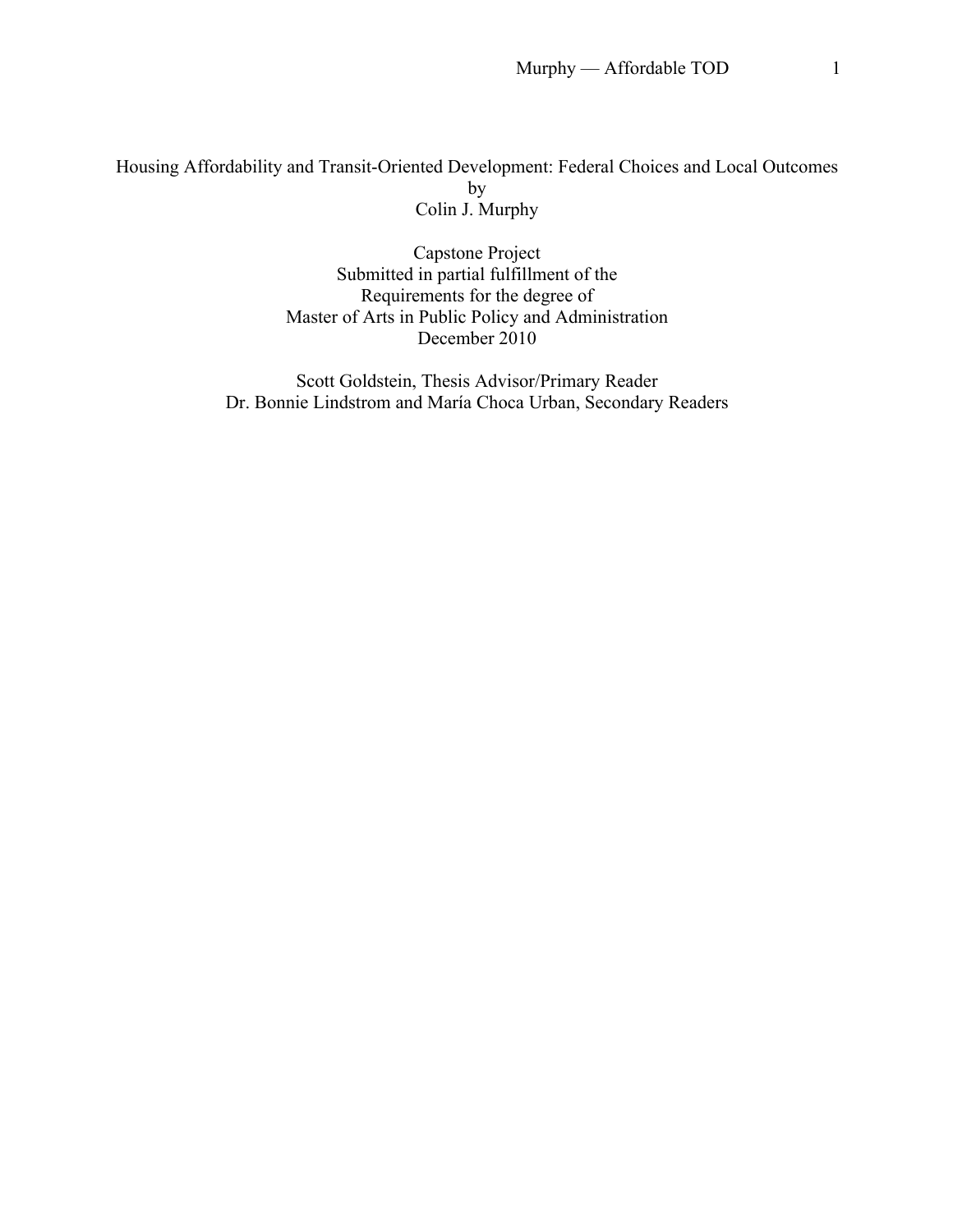# Housing Affordability and Transit-Oriented Development: Federal Choices and Local Outcomes by Colin J. Murphy

Capstone Project Submitted in partial fulfillment of the Requirements for the degree of Master of Arts in Public Policy and Administration December 2010

Scott Goldstein, Thesis Advisor/Primary Reader Dr. Bonnie Lindstrom and María Choca Urban, Secondary Readers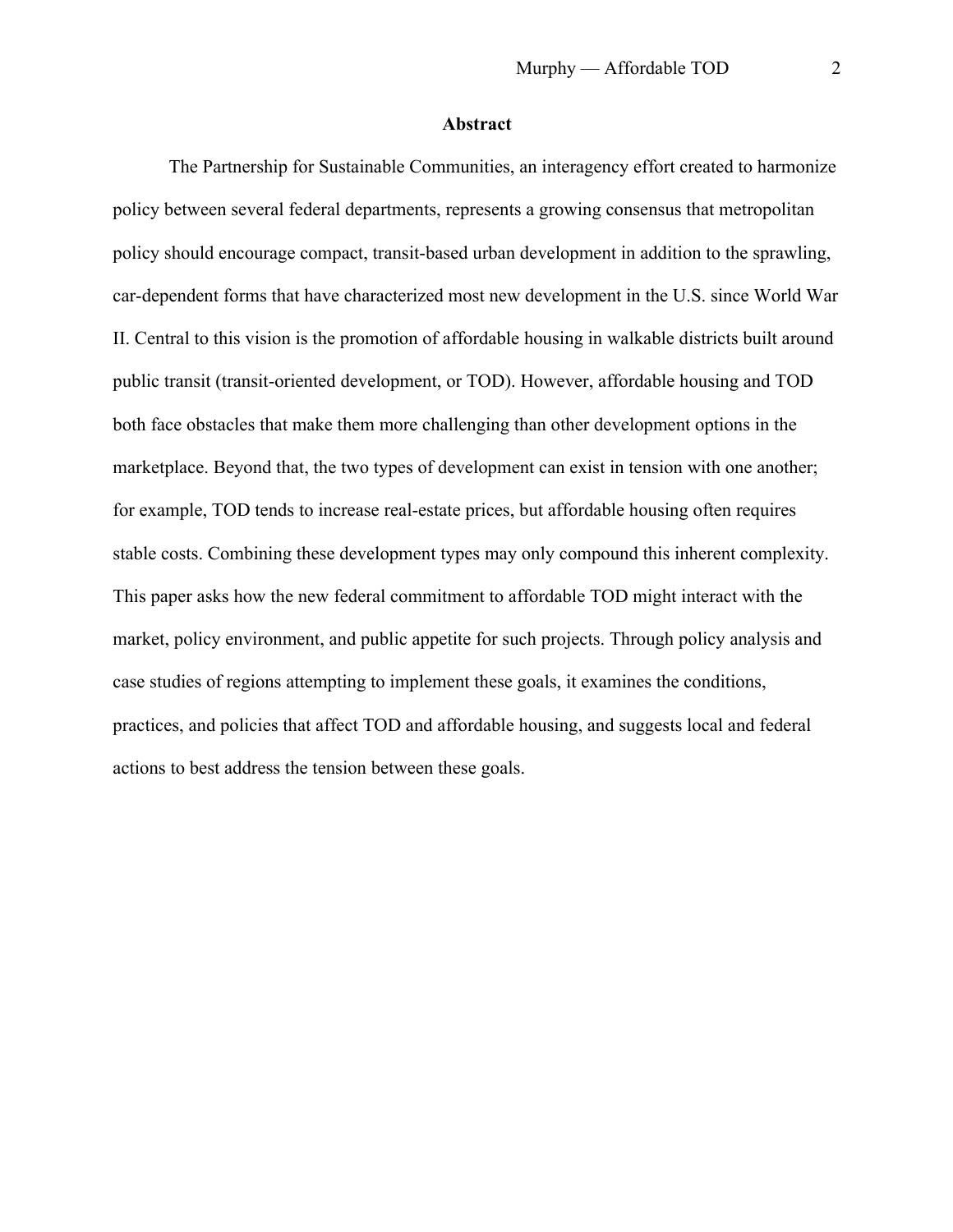### **Abstract**

The Partnership for Sustainable Communities, an interagency effort created to harmonize policy between several federal departments, represents a growing consensus that metropolitan policy should encourage compact, transit-based urban development in addition to the sprawling, car-dependent forms that have characterized most new development in the U.S. since World War II. Central to this vision is the promotion of affordable housing in walkable districts built around public transit (transit-oriented development, or TOD). However, affordable housing and TOD both face obstacles that make them more challenging than other development options in the marketplace. Beyond that, the two types of development can exist in tension with one another; for example, TOD tends to increase real-estate prices, but affordable housing often requires stable costs. Combining these development types may only compound this inherent complexity. This paper asks how the new federal commitment to affordable TOD might interact with the market, policy environment, and public appetite for such projects. Through policy analysis and case studies of regions attempting to implement these goals, it examines the conditions, practices, and policies that affect TOD and affordable housing, and suggests local and federal actions to best address the tension between these goals.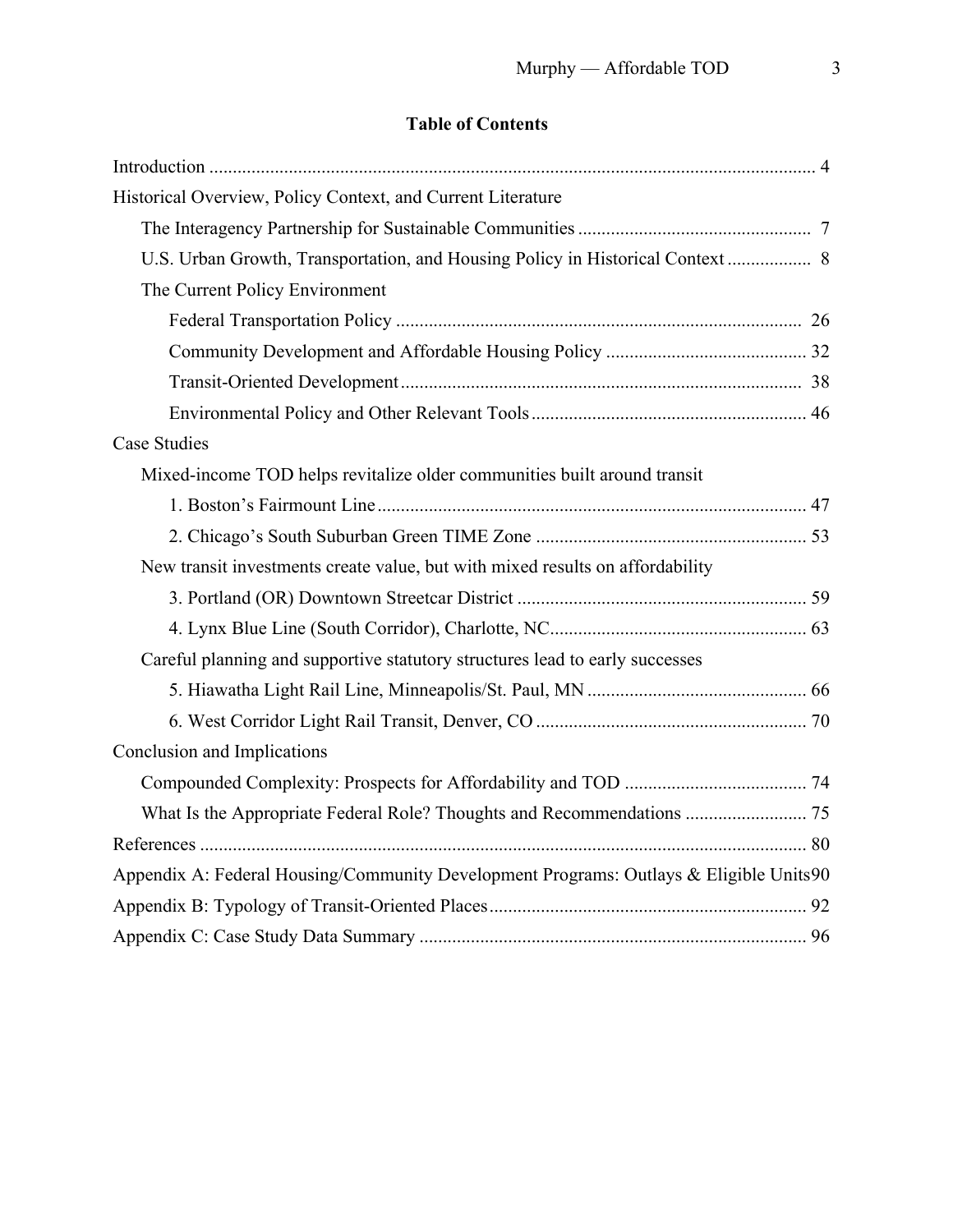# **Table of Contents**

| Historical Overview, Policy Context, and Current Literature                            |  |
|----------------------------------------------------------------------------------------|--|
|                                                                                        |  |
|                                                                                        |  |
| The Current Policy Environment                                                         |  |
|                                                                                        |  |
|                                                                                        |  |
|                                                                                        |  |
|                                                                                        |  |
| <b>Case Studies</b>                                                                    |  |
| Mixed-income TOD helps revitalize older communities built around transit               |  |
|                                                                                        |  |
|                                                                                        |  |
| New transit investments create value, but with mixed results on affordability          |  |
|                                                                                        |  |
|                                                                                        |  |
| Careful planning and supportive statutory structures lead to early successes           |  |
|                                                                                        |  |
|                                                                                        |  |
| Conclusion and Implications                                                            |  |
|                                                                                        |  |
|                                                                                        |  |
|                                                                                        |  |
| Appendix A: Federal Housing/Community Development Programs: Outlays & Eligible Units90 |  |
|                                                                                        |  |
|                                                                                        |  |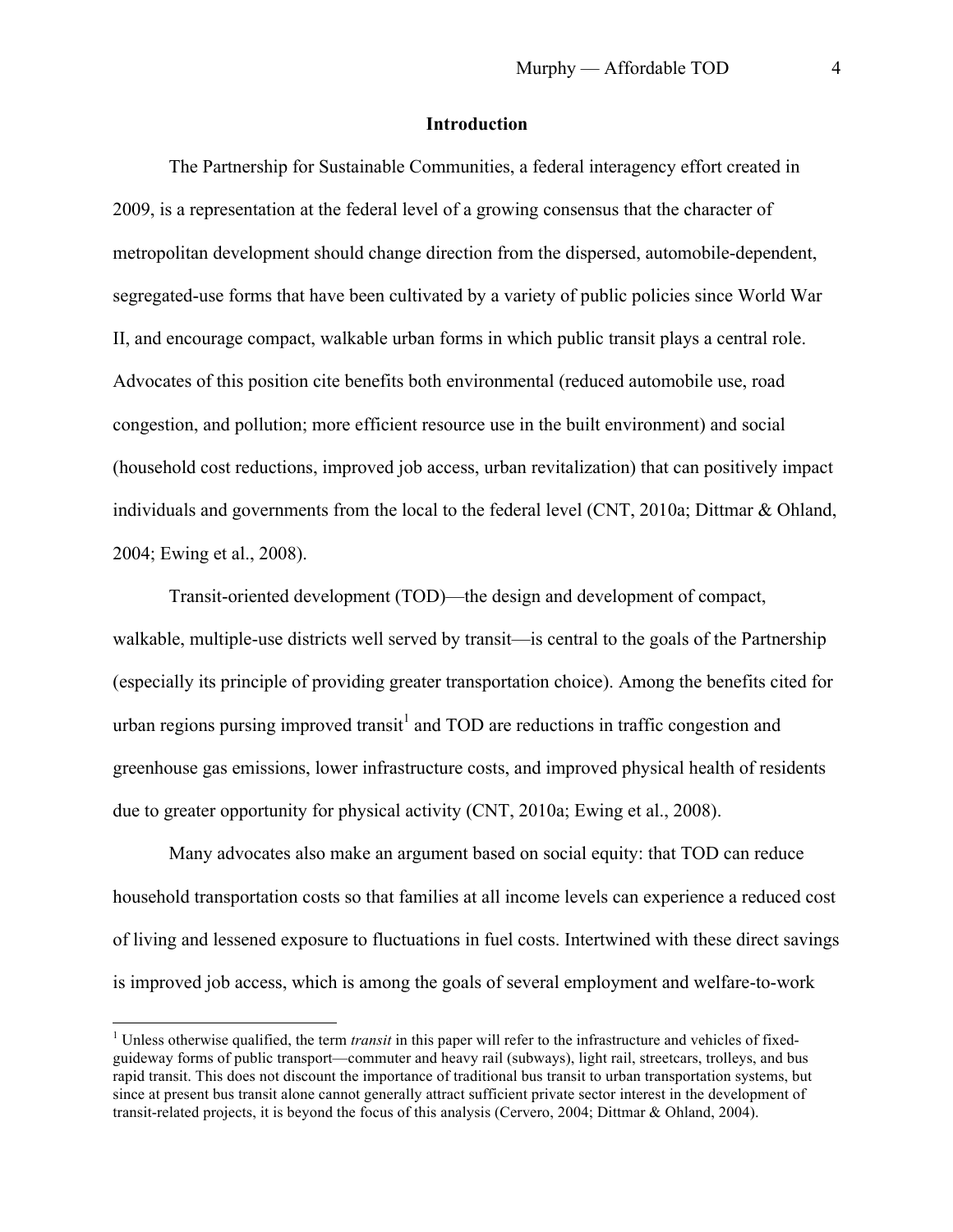# **Introduction**

The Partnership for Sustainable Communities, a federal interagency effort created in 2009, is a representation at the federal level of a growing consensus that the character of metropolitan development should change direction from the dispersed, automobile-dependent, segregated-use forms that have been cultivated by a variety of public policies since World War II, and encourage compact, walkable urban forms in which public transit plays a central role. Advocates of this position cite benefits both environmental (reduced automobile use, road congestion, and pollution; more efficient resource use in the built environment) and social (household cost reductions, improved job access, urban revitalization) that can positively impact individuals and governments from the local to the federal level (CNT, 2010a; Dittmar & Ohland, 2004; Ewing et al., 2008).

Transit-oriented development (TOD)—the design and development of compact, walkable, multiple-use districts well served by transit—is central to the goals of the Partnership (especially its principle of providing greater transportation choice). Among the benefits cited for urban regions pursing improved transit<sup>1</sup> and TOD are reductions in traffic congestion and greenhouse gas emissions, lower infrastructure costs, and improved physical health of residents due to greater opportunity for physical activity (CNT, 2010a; Ewing et al., 2008).

Many advocates also make an argument based on social equity: that TOD can reduce household transportation costs so that families at all income levels can experience a reduced cost of living and lessened exposure to fluctuations in fuel costs. Intertwined with these direct savings is improved job access, which is among the goals of several employment and welfare-to-work

<sup>&</sup>lt;sup>1</sup> Unless otherwise qualified, the term *transit* in this paper will refer to the infrastructure and vehicles of fixedguideway forms of public transport—commuter and heavy rail (subways), light rail, streetcars, trolleys, and bus rapid transit. This does not discount the importance of traditional bus transit to urban transportation systems, but since at present bus transit alone cannot generally attract sufficient private sector interest in the development of transit-related projects, it is beyond the focus of this analysis (Cervero, 2004; Dittmar & Ohland, 2004).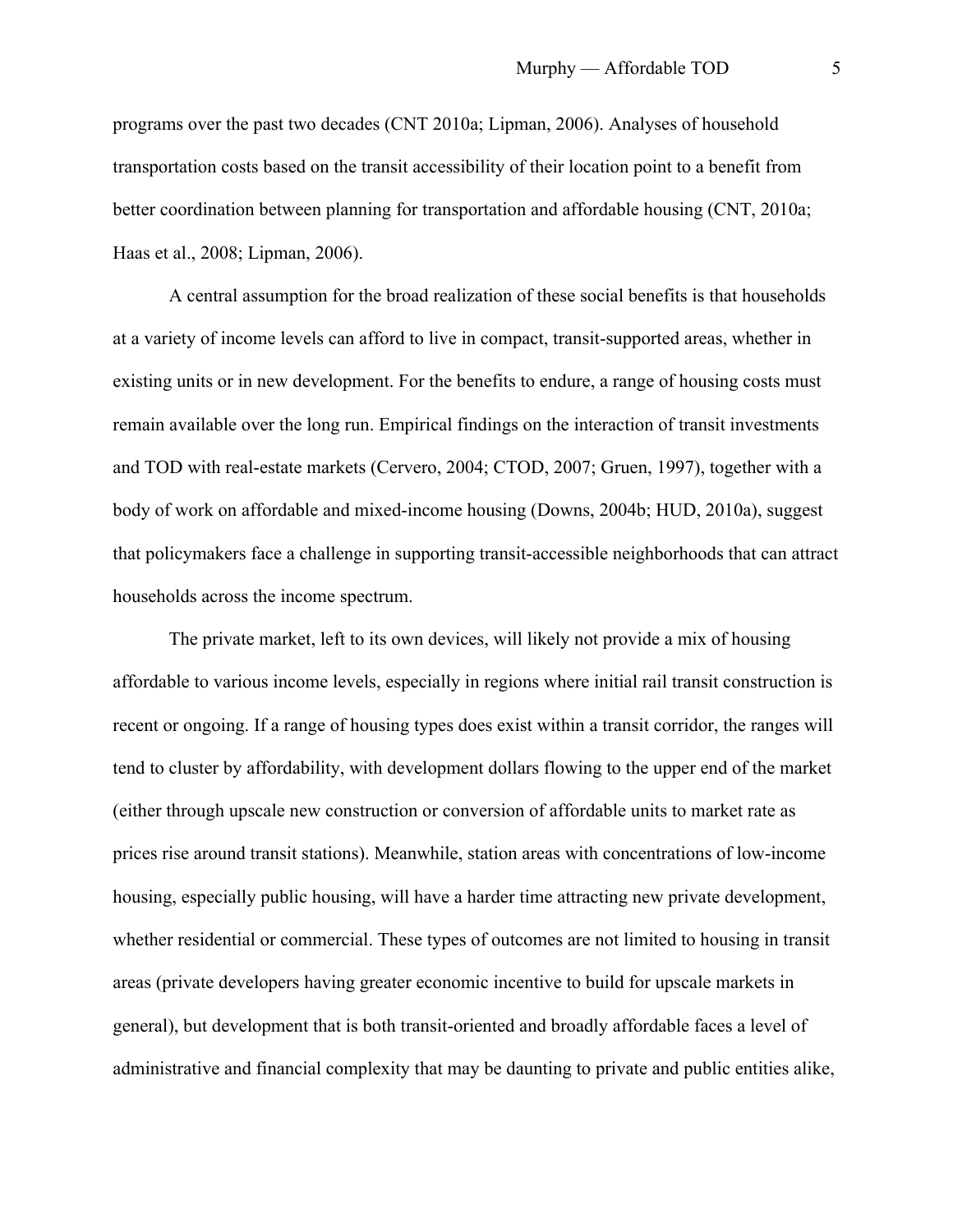programs over the past two decades (CNT 2010a; Lipman, 2006). Analyses of household transportation costs based on the transit accessibility of their location point to a benefit from better coordination between planning for transportation and affordable housing (CNT, 2010a; Haas et al., 2008; Lipman, 2006).

A central assumption for the broad realization of these social benefits is that households at a variety of income levels can afford to live in compact, transit-supported areas, whether in existing units or in new development. For the benefits to endure, a range of housing costs must remain available over the long run. Empirical findings on the interaction of transit investments and TOD with real-estate markets (Cervero, 2004; CTOD, 2007; Gruen, 1997), together with a body of work on affordable and mixed-income housing (Downs, 2004b; HUD, 2010a), suggest that policymakers face a challenge in supporting transit-accessible neighborhoods that can attract households across the income spectrum.

The private market, left to its own devices, will likely not provide a mix of housing affordable to various income levels, especially in regions where initial rail transit construction is recent or ongoing. If a range of housing types does exist within a transit corridor, the ranges will tend to cluster by affordability, with development dollars flowing to the upper end of the market (either through upscale new construction or conversion of affordable units to market rate as prices rise around transit stations). Meanwhile, station areas with concentrations of low-income housing, especially public housing, will have a harder time attracting new private development, whether residential or commercial. These types of outcomes are not limited to housing in transit areas (private developers having greater economic incentive to build for upscale markets in general), but development that is both transit-oriented and broadly affordable faces a level of administrative and financial complexity that may be daunting to private and public entities alike,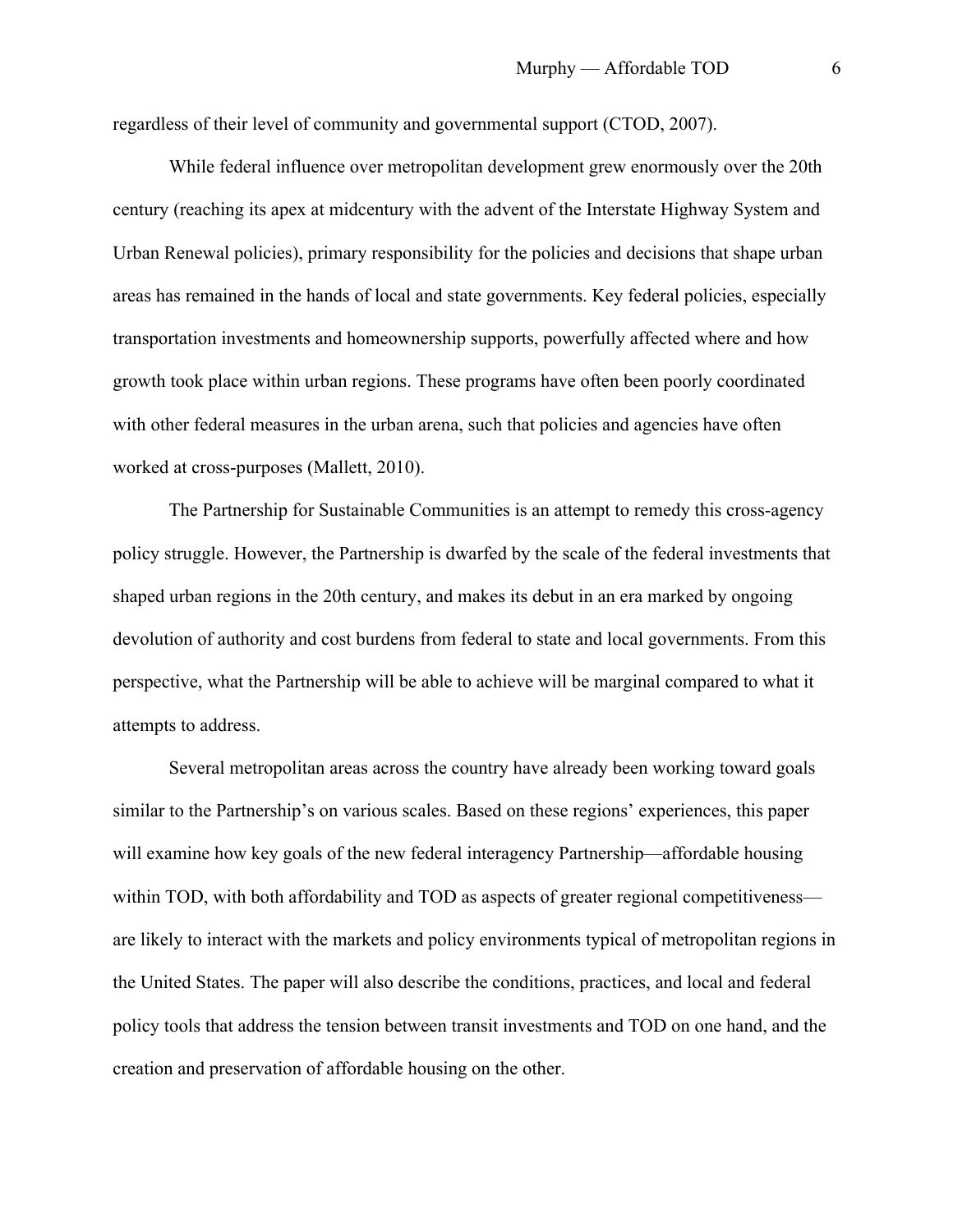regardless of their level of community and governmental support (CTOD, 2007).

While federal influence over metropolitan development grew enormously over the 20th century (reaching its apex at midcentury with the advent of the Interstate Highway System and Urban Renewal policies), primary responsibility for the policies and decisions that shape urban areas has remained in the hands of local and state governments. Key federal policies, especially transportation investments and homeownership supports, powerfully affected where and how growth took place within urban regions. These programs have often been poorly coordinated with other federal measures in the urban arena, such that policies and agencies have often worked at cross-purposes (Mallett, 2010).

The Partnership for Sustainable Communities is an attempt to remedy this cross-agency policy struggle. However, the Partnership is dwarfed by the scale of the federal investments that shaped urban regions in the 20th century, and makes its debut in an era marked by ongoing devolution of authority and cost burdens from federal to state and local governments. From this perspective, what the Partnership will be able to achieve will be marginal compared to what it attempts to address.

Several metropolitan areas across the country have already been working toward goals similar to the Partnership's on various scales. Based on these regions' experiences, this paper will examine how key goals of the new federal interagency Partnership—affordable housing within TOD, with both affordability and TOD as aspects of greater regional competitiveness are likely to interact with the markets and policy environments typical of metropolitan regions in the United States. The paper will also describe the conditions, practices, and local and federal policy tools that address the tension between transit investments and TOD on one hand, and the creation and preservation of affordable housing on the other.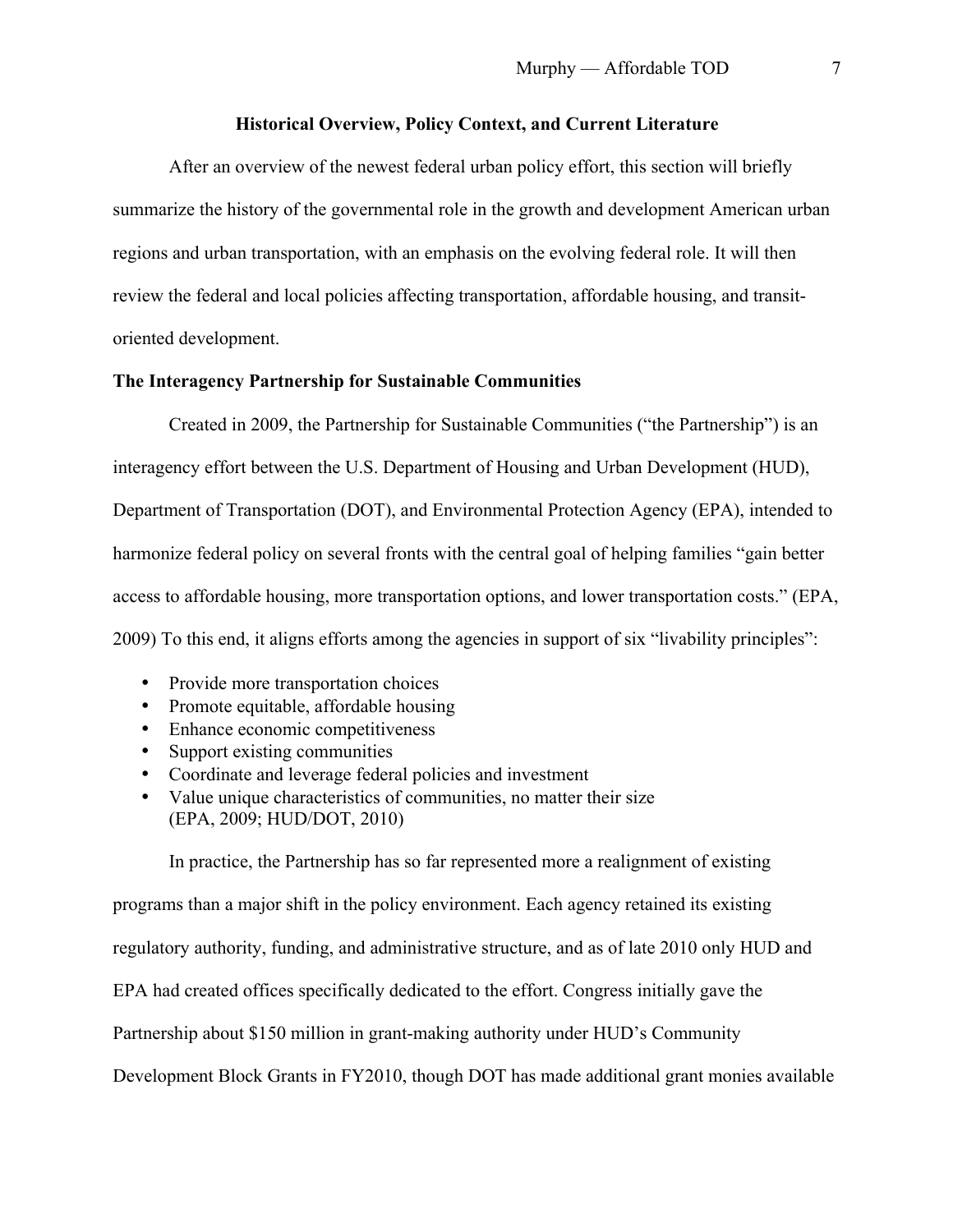# **Historical Overview, Policy Context, and Current Literature**

After an overview of the newest federal urban policy effort, this section will briefly summarize the history of the governmental role in the growth and development American urban regions and urban transportation, with an emphasis on the evolving federal role. It will then review the federal and local policies affecting transportation, affordable housing, and transitoriented development.

# **The Interagency Partnership for Sustainable Communities**

Created in 2009, the Partnership for Sustainable Communities ("the Partnership") is an interagency effort between the U.S. Department of Housing and Urban Development (HUD), Department of Transportation (DOT), and Environmental Protection Agency (EPA), intended to harmonize federal policy on several fronts with the central goal of helping families "gain better access to affordable housing, more transportation options, and lower transportation costs." (EPA, 2009) To this end, it aligns efforts among the agencies in support of six "livability principles":

- Provide more transportation choices
- Promote equitable, affordable housing
- Enhance economic competitiveness
- Support existing communities
- Coordinate and leverage federal policies and investment
- Value unique characteristics of communities, no matter their size (EPA, 2009; HUD/DOT, 2010)

In practice, the Partnership has so far represented more a realignment of existing programs than a major shift in the policy environment. Each agency retained its existing regulatory authority, funding, and administrative structure, and as of late 2010 only HUD and EPA had created offices specifically dedicated to the effort. Congress initially gave the Partnership about \$150 million in grant-making authority under HUD's Community Development Block Grants in FY2010, though DOT has made additional grant monies available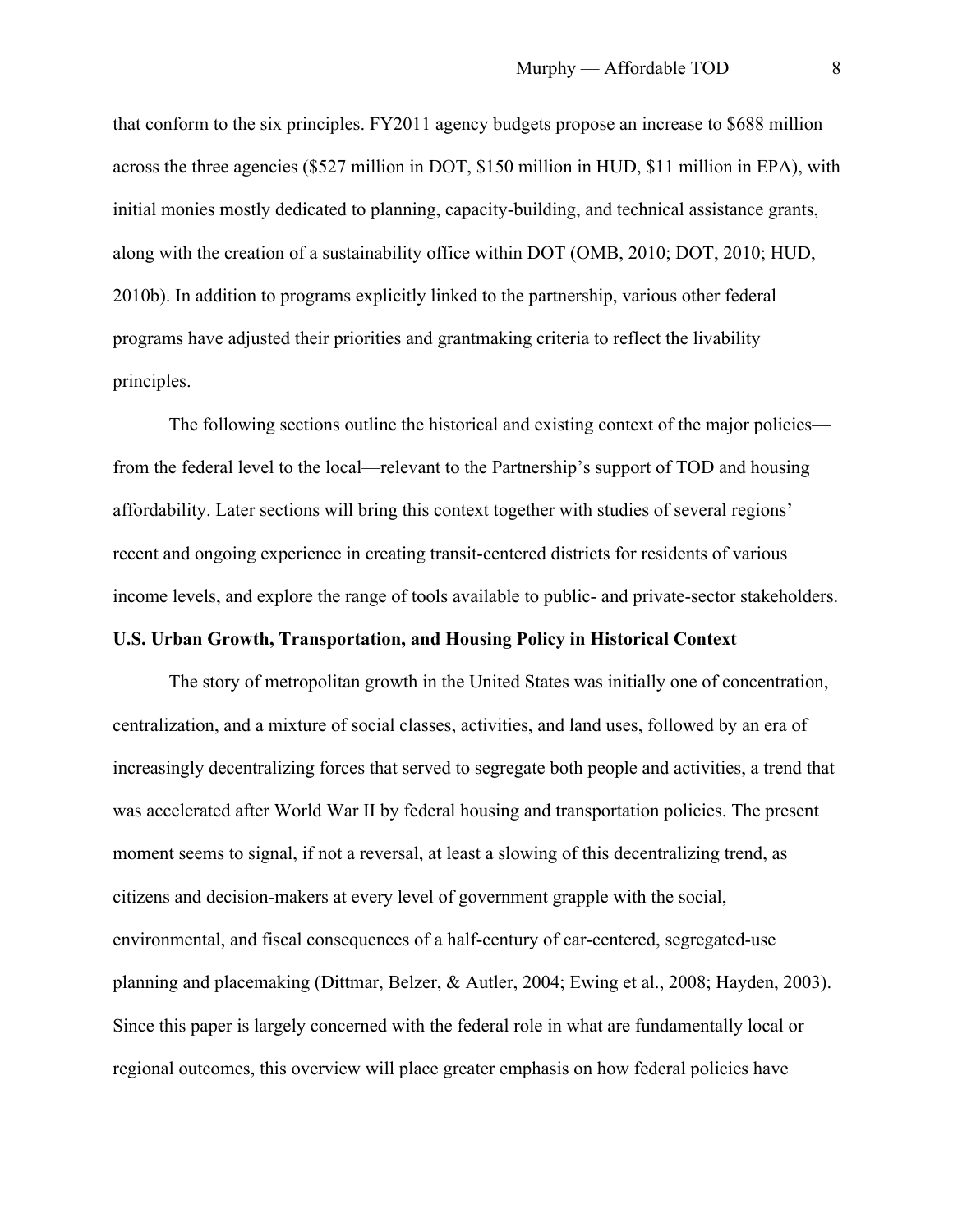that conform to the six principles. FY2011 agency budgets propose an increase to \$688 million across the three agencies (\$527 million in DOT, \$150 million in HUD, \$11 million in EPA), with initial monies mostly dedicated to planning, capacity-building, and technical assistance grants, along with the creation of a sustainability office within DOT (OMB, 2010; DOT, 2010; HUD, 2010b). In addition to programs explicitly linked to the partnership, various other federal programs have adjusted their priorities and grantmaking criteria to reflect the livability principles.

The following sections outline the historical and existing context of the major policies from the federal level to the local—relevant to the Partnership's support of TOD and housing affordability. Later sections will bring this context together with studies of several regions' recent and ongoing experience in creating transit-centered districts for residents of various income levels, and explore the range of tools available to public- and private-sector stakeholders.

# **U.S. Urban Growth, Transportation, and Housing Policy in Historical Context**

The story of metropolitan growth in the United States was initially one of concentration, centralization, and a mixture of social classes, activities, and land uses, followed by an era of increasingly decentralizing forces that served to segregate both people and activities, a trend that was accelerated after World War II by federal housing and transportation policies. The present moment seems to signal, if not a reversal, at least a slowing of this decentralizing trend, as citizens and decision-makers at every level of government grapple with the social, environmental, and fiscal consequences of a half-century of car-centered, segregated-use planning and placemaking (Dittmar, Belzer, & Autler, 2004; Ewing et al., 2008; Hayden, 2003). Since this paper is largely concerned with the federal role in what are fundamentally local or regional outcomes, this overview will place greater emphasis on how federal policies have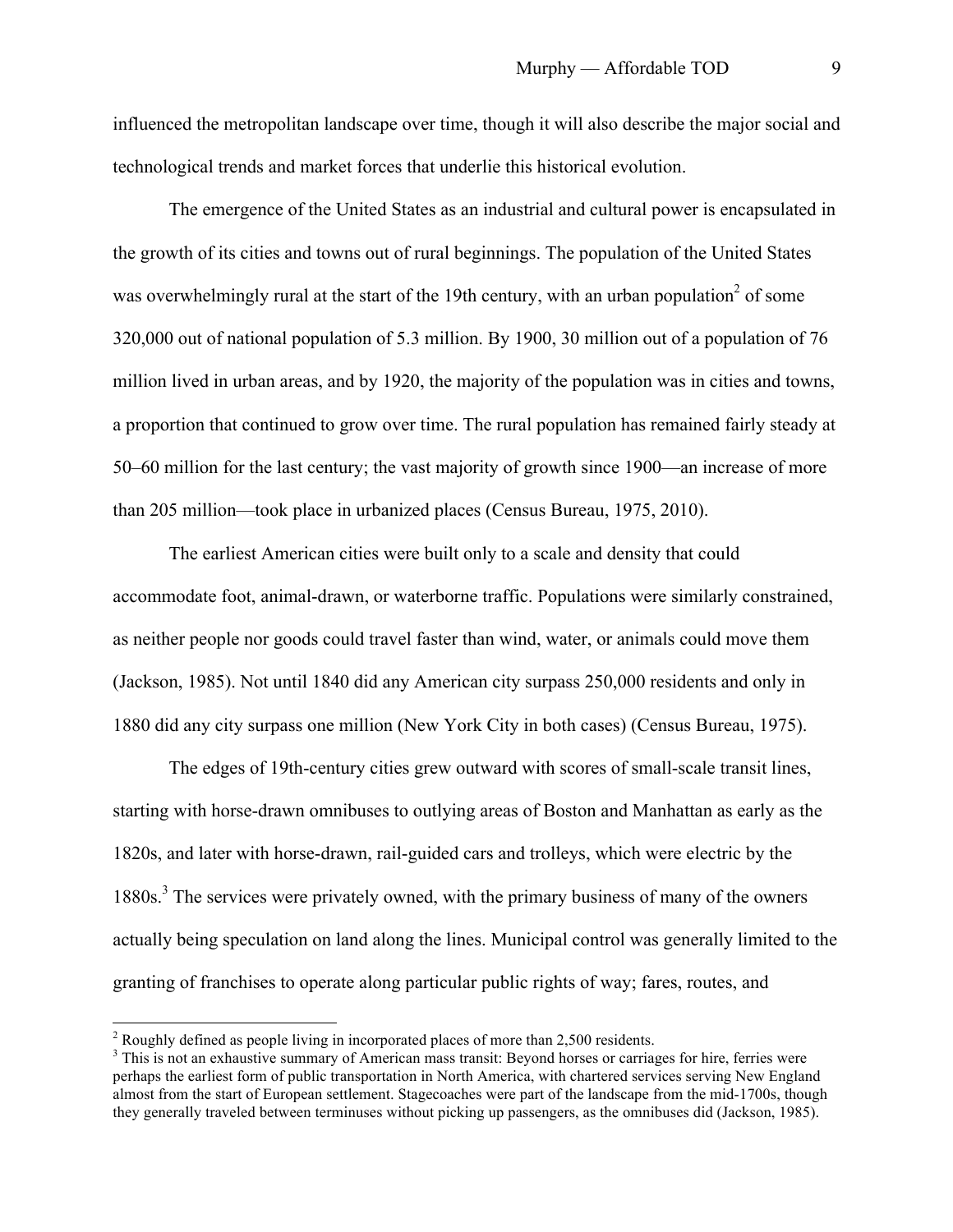influenced the metropolitan landscape over time, though it will also describe the major social and technological trends and market forces that underlie this historical evolution.

The emergence of the United States as an industrial and cultural power is encapsulated in the growth of its cities and towns out of rural beginnings. The population of the United States was overwhelmingly rural at the start of the 19th century, with an urban population<sup>2</sup> of some 320,000 out of national population of 5.3 million. By 1900, 30 million out of a population of 76 million lived in urban areas, and by 1920, the majority of the population was in cities and towns, a proportion that continued to grow over time. The rural population has remained fairly steady at 50–60 million for the last century; the vast majority of growth since 1900—an increase of more than 205 million—took place in urbanized places (Census Bureau, 1975, 2010).

The earliest American cities were built only to a scale and density that could accommodate foot, animal-drawn, or waterborne traffic. Populations were similarly constrained, as neither people nor goods could travel faster than wind, water, or animals could move them (Jackson, 1985). Not until 1840 did any American city surpass 250,000 residents and only in 1880 did any city surpass one million (New York City in both cases) (Census Bureau, 1975).

The edges of 19th-century cities grew outward with scores of small-scale transit lines, starting with horse-drawn omnibuses to outlying areas of Boston and Manhattan as early as the 1820s, and later with horse-drawn, rail-guided cars and trolleys, which were electric by the 1880s.<sup>3</sup> The services were privately owned, with the primary business of many of the owners actually being speculation on land along the lines. Municipal control was generally limited to the granting of franchises to operate along particular public rights of way; fares, routes, and

 $2$  Roughly defined as people living in incorporated places of more than 2,500 residents.

<sup>&</sup>lt;sup>3</sup> This is not an exhaustive summary of American mass transit: Beyond horses or carriages for hire, ferries were perhaps the earliest form of public transportation in North America, with chartered services serving New England almost from the start of European settlement. Stagecoaches were part of the landscape from the mid-1700s, though they generally traveled between terminuses without picking up passengers, as the omnibuses did (Jackson, 1985).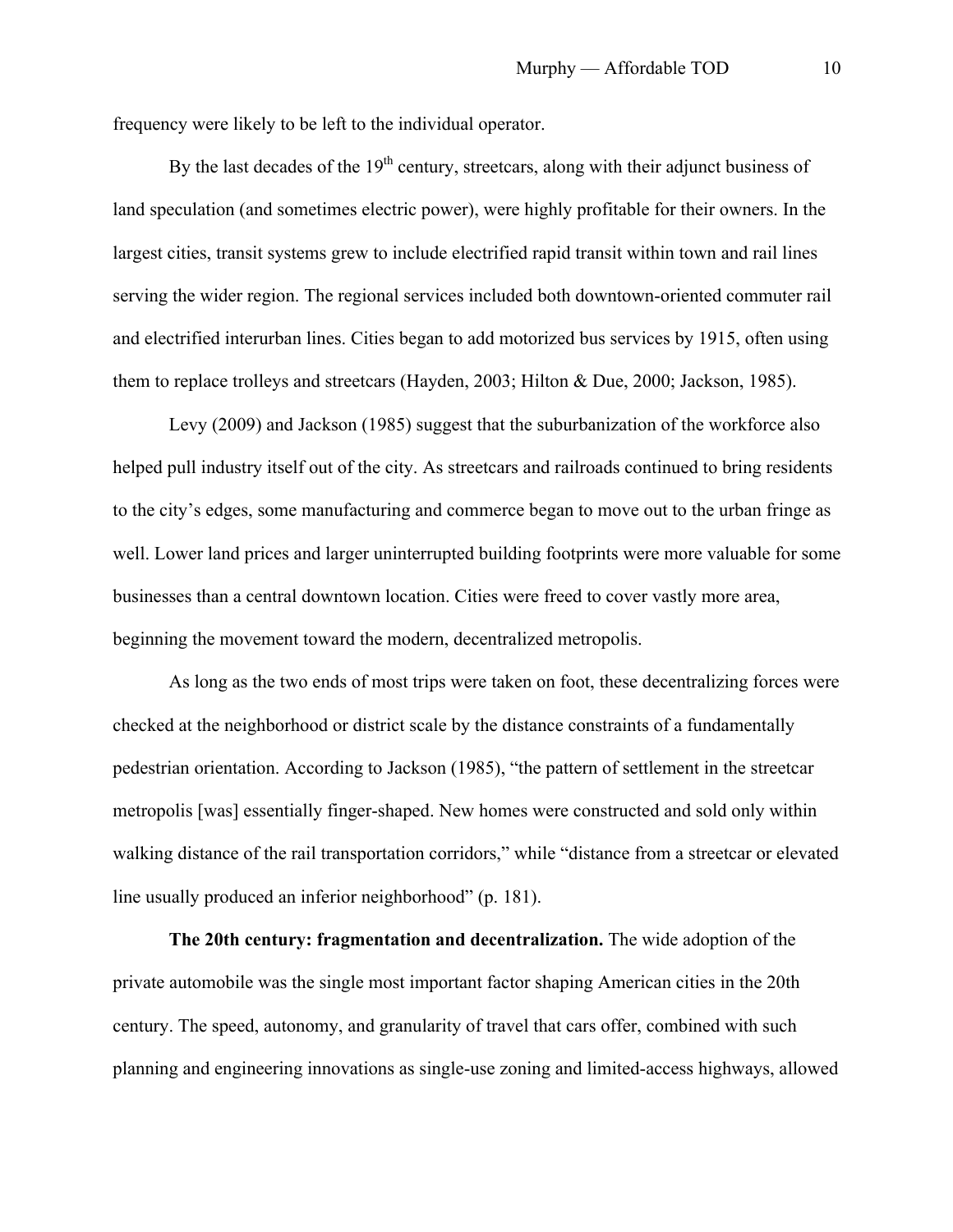frequency were likely to be left to the individual operator.

By the last decades of the  $19<sup>th</sup>$  century, streetcars, along with their adjunct business of land speculation (and sometimes electric power), were highly profitable for their owners. In the largest cities, transit systems grew to include electrified rapid transit within town and rail lines serving the wider region. The regional services included both downtown-oriented commuter rail and electrified interurban lines. Cities began to add motorized bus services by 1915, often using them to replace trolleys and streetcars (Hayden, 2003; Hilton & Due, 2000; Jackson, 1985).

Levy (2009) and Jackson (1985) suggest that the suburbanization of the workforce also helped pull industry itself out of the city. As streetcars and railroads continued to bring residents to the city's edges, some manufacturing and commerce began to move out to the urban fringe as well. Lower land prices and larger uninterrupted building footprints were more valuable for some businesses than a central downtown location. Cities were freed to cover vastly more area, beginning the movement toward the modern, decentralized metropolis.

As long as the two ends of most trips were taken on foot, these decentralizing forces were checked at the neighborhood or district scale by the distance constraints of a fundamentally pedestrian orientation. According to Jackson (1985), "the pattern of settlement in the streetcar metropolis [was] essentially finger-shaped. New homes were constructed and sold only within walking distance of the rail transportation corridors," while "distance from a streetcar or elevated line usually produced an inferior neighborhood" (p. 181).

**The 20th century: fragmentation and decentralization.** The wide adoption of the private automobile was the single most important factor shaping American cities in the 20th century. The speed, autonomy, and granularity of travel that cars offer, combined with such planning and engineering innovations as single-use zoning and limited-access highways, allowed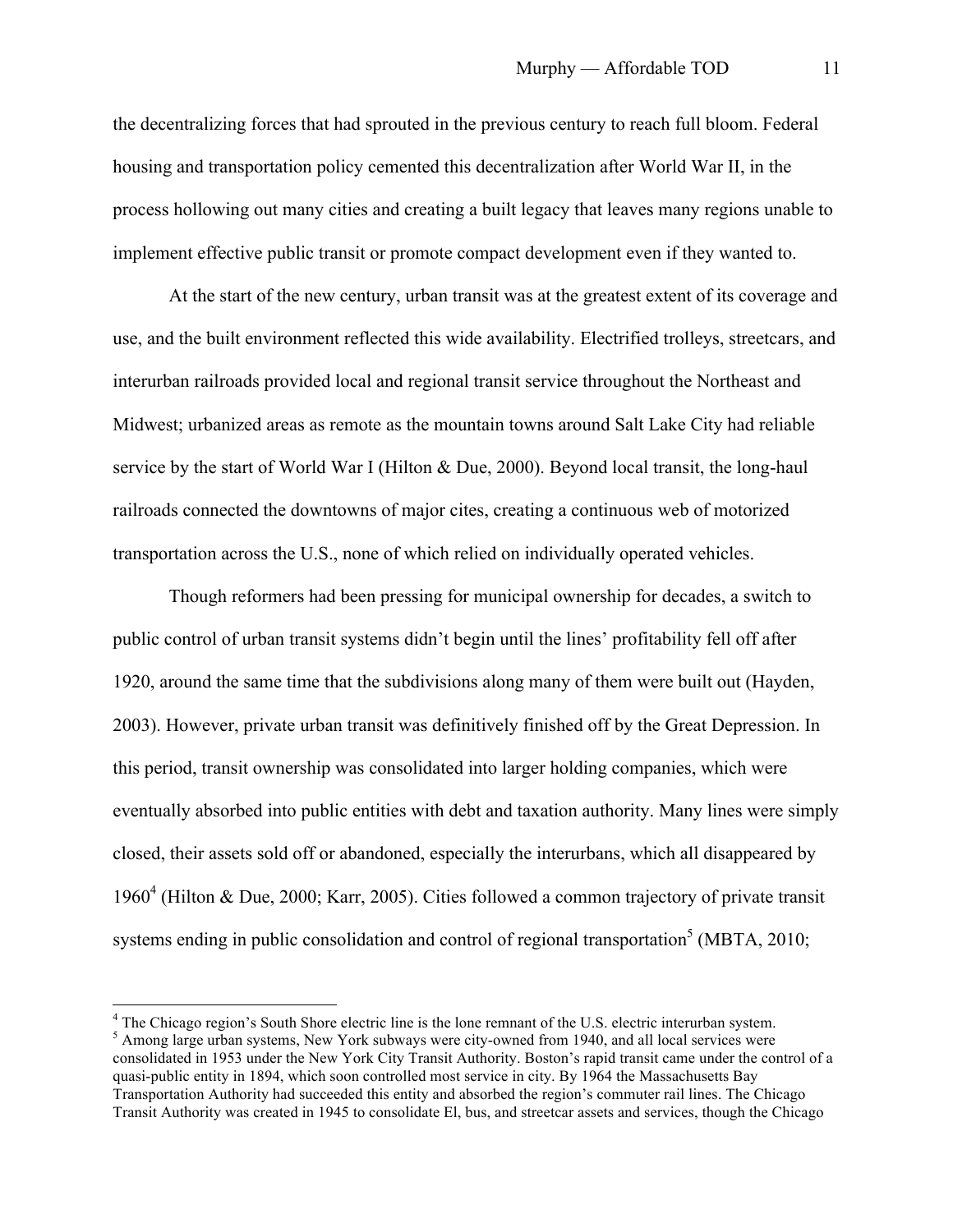the decentralizing forces that had sprouted in the previous century to reach full bloom. Federal housing and transportation policy cemented this decentralization after World War II, in the process hollowing out many cities and creating a built legacy that leaves many regions unable to implement effective public transit or promote compact development even if they wanted to.

At the start of the new century, urban transit was at the greatest extent of its coverage and use, and the built environment reflected this wide availability. Electrified trolleys, streetcars, and interurban railroads provided local and regional transit service throughout the Northeast and Midwest; urbanized areas as remote as the mountain towns around Salt Lake City had reliable service by the start of World War I (Hilton & Due, 2000). Beyond local transit, the long-haul railroads connected the downtowns of major cites, creating a continuous web of motorized transportation across the U.S., none of which relied on individually operated vehicles.

Though reformers had been pressing for municipal ownership for decades, a switch to public control of urban transit systems didn't begin until the lines' profitability fell off after 1920, around the same time that the subdivisions along many of them were built out (Hayden, 2003). However, private urban transit was definitively finished off by the Great Depression. In this period, transit ownership was consolidated into larger holding companies, which were eventually absorbed into public entities with debt and taxation authority. Many lines were simply closed, their assets sold off or abandoned, especially the interurbans, which all disappeared by 1960<sup>4</sup> (Hilton & Due, 2000; Karr, 2005). Cities followed a common trajectory of private transit systems ending in public consolidation and control of regional transportation<sup>5</sup> (MBTA, 2010;

 <sup>4</sup> The Chicago region's South Shore electric line is the lone remnant of the U.S. electric interurban system. <sup>5</sup> Among large urban systems, New York subways were city-owned from 1940, and all local services were consolidated in 1953 under the New York City Transit Authority. Boston's rapid transit came under the control of a quasi-public entity in 1894, which soon controlled most service in city. By 1964 the Massachusetts Bay Transportation Authority had succeeded this entity and absorbed the region's commuter rail lines. The Chicago Transit Authority was created in 1945 to consolidate El, bus, and streetcar assets and services, though the Chicago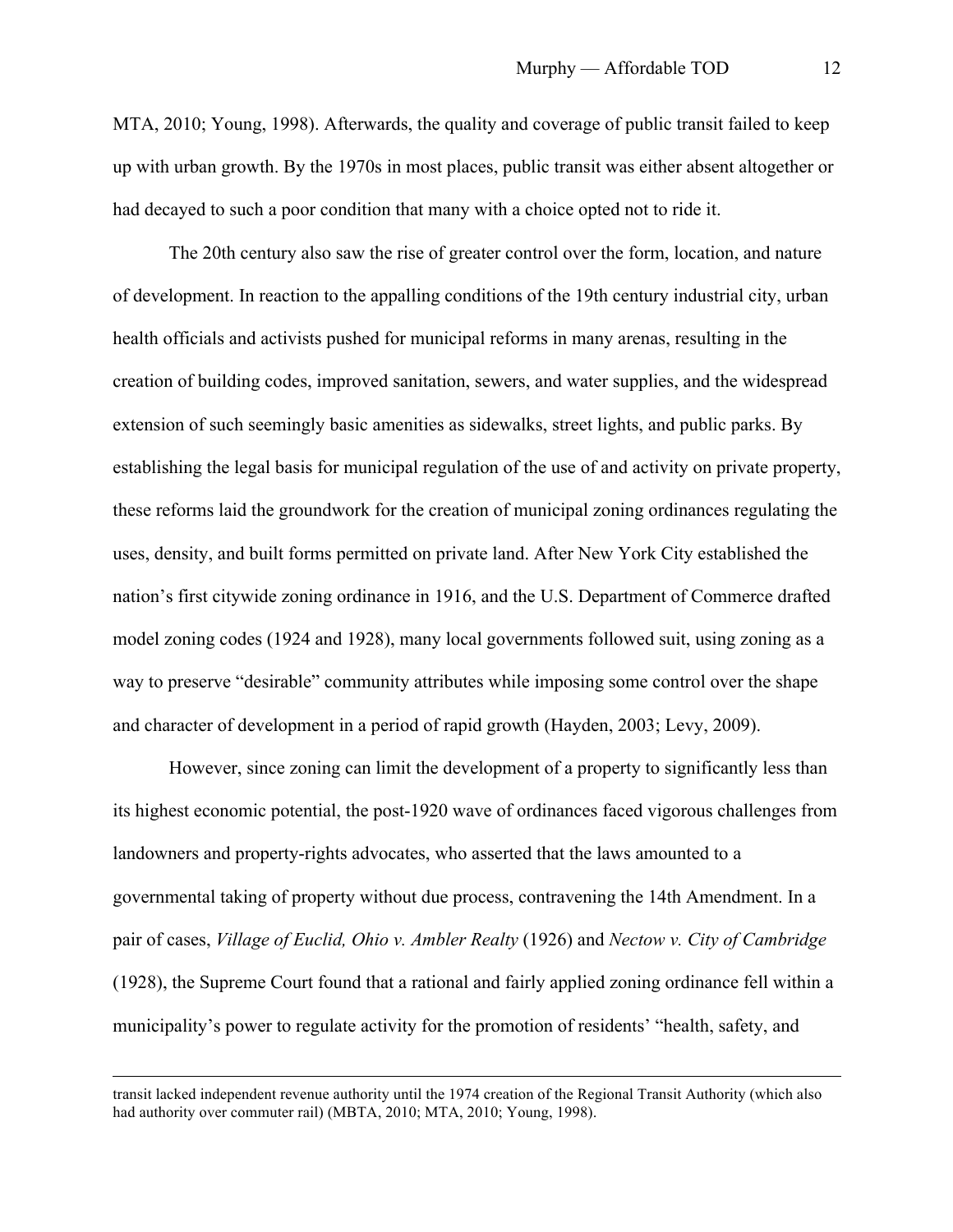MTA, 2010; Young, 1998). Afterwards, the quality and coverage of public transit failed to keep up with urban growth. By the 1970s in most places, public transit was either absent altogether or had decayed to such a poor condition that many with a choice opted not to ride it.

The 20th century also saw the rise of greater control over the form, location, and nature of development. In reaction to the appalling conditions of the 19th century industrial city, urban health officials and activists pushed for municipal reforms in many arenas, resulting in the creation of building codes, improved sanitation, sewers, and water supplies, and the widespread extension of such seemingly basic amenities as sidewalks, street lights, and public parks. By establishing the legal basis for municipal regulation of the use of and activity on private property, these reforms laid the groundwork for the creation of municipal zoning ordinances regulating the uses, density, and built forms permitted on private land. After New York City established the nation's first citywide zoning ordinance in 1916, and the U.S. Department of Commerce drafted model zoning codes (1924 and 1928), many local governments followed suit, using zoning as a way to preserve "desirable" community attributes while imposing some control over the shape and character of development in a period of rapid growth (Hayden, 2003; Levy, 2009).

However, since zoning can limit the development of a property to significantly less than its highest economic potential, the post-1920 wave of ordinances faced vigorous challenges from landowners and property-rights advocates, who asserted that the laws amounted to a governmental taking of property without due process, contravening the 14th Amendment. In a pair of cases, *Village of Euclid, Ohio v. Ambler Realty* (1926) and *Nectow v. City of Cambridge* (1928), the Supreme Court found that a rational and fairly applied zoning ordinance fell within a municipality's power to regulate activity for the promotion of residents' "health, safety, and

transit lacked independent revenue authority until the 1974 creation of the Regional Transit Authority (which also had authority over commuter rail) (MBTA, 2010; MTA, 2010; Young, 1998).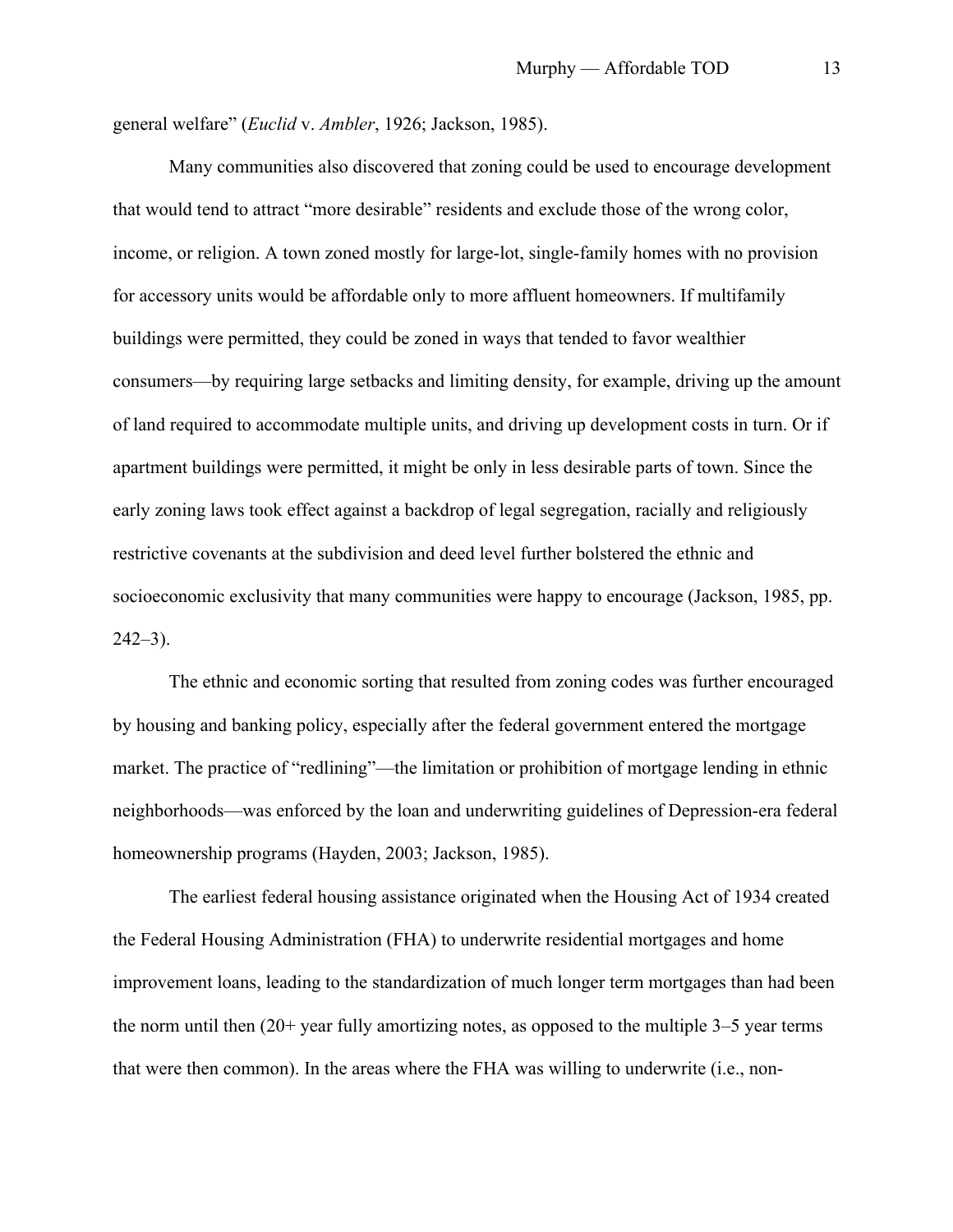general welfare" (*Euclid* v. *Ambler*, 1926; Jackson, 1985).

Many communities also discovered that zoning could be used to encourage development that would tend to attract "more desirable" residents and exclude those of the wrong color, income, or religion. A town zoned mostly for large-lot, single-family homes with no provision for accessory units would be affordable only to more affluent homeowners. If multifamily buildings were permitted, they could be zoned in ways that tended to favor wealthier consumers—by requiring large setbacks and limiting density, for example, driving up the amount of land required to accommodate multiple units, and driving up development costs in turn. Or if apartment buildings were permitted, it might be only in less desirable parts of town. Since the early zoning laws took effect against a backdrop of legal segregation, racially and religiously restrictive covenants at the subdivision and deed level further bolstered the ethnic and socioeconomic exclusivity that many communities were happy to encourage (Jackson, 1985, pp.  $242-3$ ).

The ethnic and economic sorting that resulted from zoning codes was further encouraged by housing and banking policy, especially after the federal government entered the mortgage market. The practice of "redlining"—the limitation or prohibition of mortgage lending in ethnic neighborhoods—was enforced by the loan and underwriting guidelines of Depression-era federal homeownership programs (Hayden, 2003; Jackson, 1985).

The earliest federal housing assistance originated when the Housing Act of 1934 created the Federal Housing Administration (FHA) to underwrite residential mortgages and home improvement loans, leading to the standardization of much longer term mortgages than had been the norm until then (20+ year fully amortizing notes, as opposed to the multiple 3–5 year terms that were then common). In the areas where the FHA was willing to underwrite (i.e., non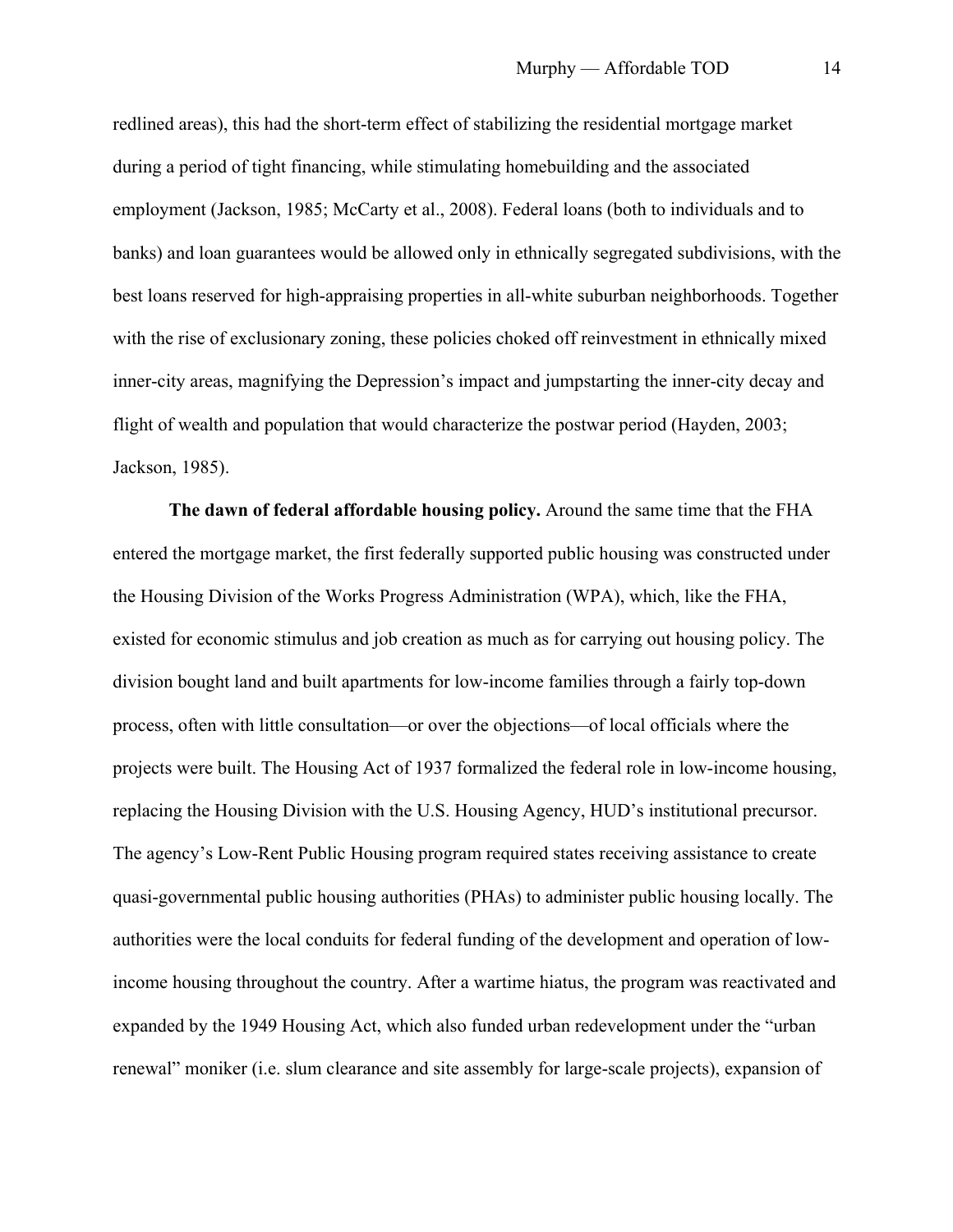redlined areas), this had the short-term effect of stabilizing the residential mortgage market during a period of tight financing, while stimulating homebuilding and the associated employment (Jackson, 1985; McCarty et al., 2008). Federal loans (both to individuals and to banks) and loan guarantees would be allowed only in ethnically segregated subdivisions, with the best loans reserved for high-appraising properties in all-white suburban neighborhoods. Together with the rise of exclusionary zoning, these policies choked off reinvestment in ethnically mixed inner-city areas, magnifying the Depression's impact and jumpstarting the inner-city decay and flight of wealth and population that would characterize the postwar period (Hayden, 2003; Jackson, 1985).

**The dawn of federal affordable housing policy.** Around the same time that the FHA entered the mortgage market, the first federally supported public housing was constructed under the Housing Division of the Works Progress Administration (WPA), which, like the FHA, existed for economic stimulus and job creation as much as for carrying out housing policy. The division bought land and built apartments for low-income families through a fairly top-down process, often with little consultation—or over the objections—of local officials where the projects were built. The Housing Act of 1937 formalized the federal role in low-income housing, replacing the Housing Division with the U.S. Housing Agency, HUD's institutional precursor. The agency's Low-Rent Public Housing program required states receiving assistance to create quasi-governmental public housing authorities (PHAs) to administer public housing locally. The authorities were the local conduits for federal funding of the development and operation of lowincome housing throughout the country. After a wartime hiatus, the program was reactivated and expanded by the 1949 Housing Act, which also funded urban redevelopment under the "urban renewal" moniker (i.e. slum clearance and site assembly for large-scale projects), expansion of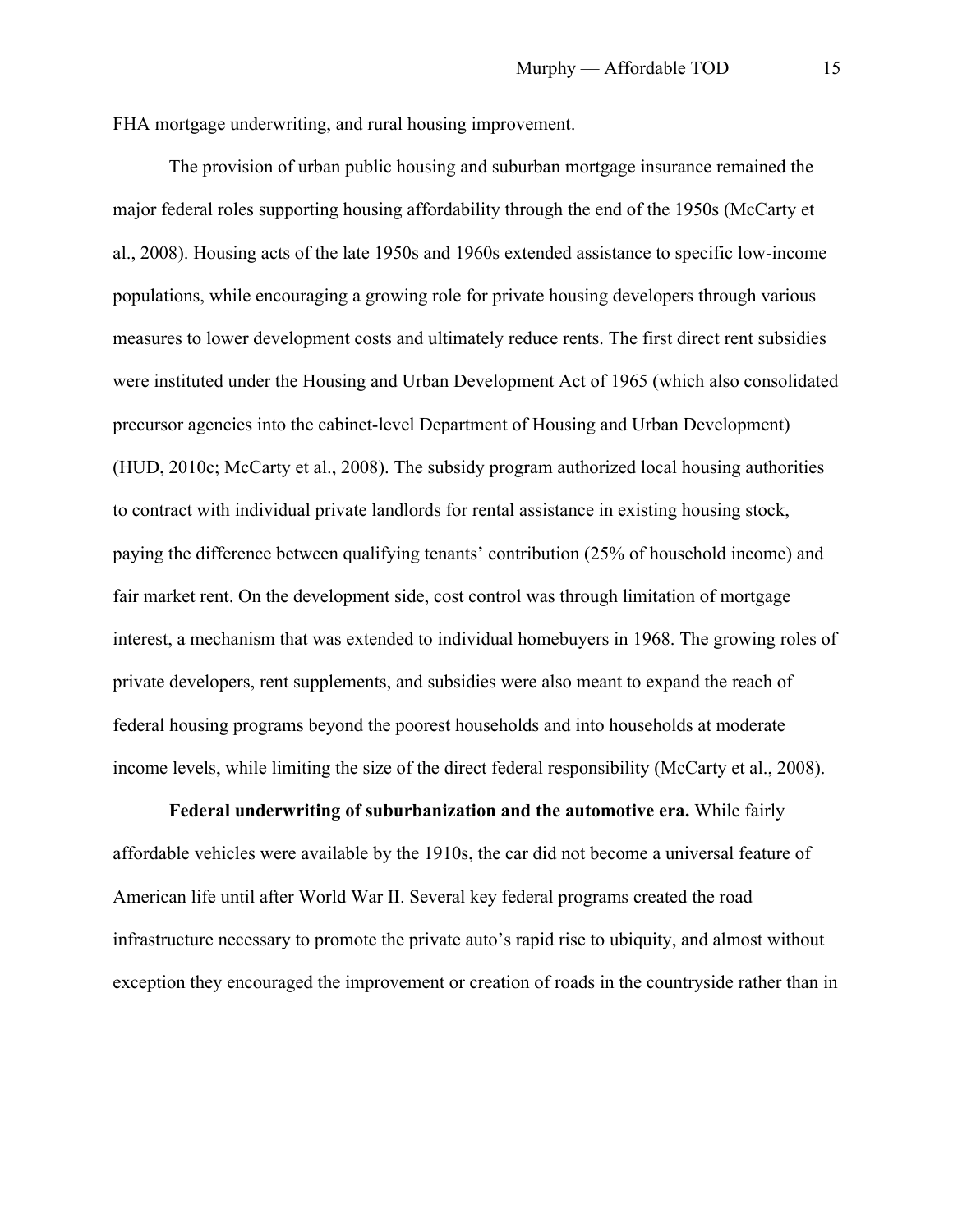FHA mortgage underwriting, and rural housing improvement.

The provision of urban public housing and suburban mortgage insurance remained the major federal roles supporting housing affordability through the end of the 1950s (McCarty et al., 2008). Housing acts of the late 1950s and 1960s extended assistance to specific low-income populations, while encouraging a growing role for private housing developers through various measures to lower development costs and ultimately reduce rents. The first direct rent subsidies were instituted under the Housing and Urban Development Act of 1965 (which also consolidated precursor agencies into the cabinet-level Department of Housing and Urban Development) (HUD, 2010c; McCarty et al., 2008). The subsidy program authorized local housing authorities to contract with individual private landlords for rental assistance in existing housing stock, paying the difference between qualifying tenants' contribution (25% of household income) and fair market rent. On the development side, cost control was through limitation of mortgage interest, a mechanism that was extended to individual homebuyers in 1968. The growing roles of private developers, rent supplements, and subsidies were also meant to expand the reach of federal housing programs beyond the poorest households and into households at moderate income levels, while limiting the size of the direct federal responsibility (McCarty et al., 2008).

**Federal underwriting of suburbanization and the automotive era.** While fairly affordable vehicles were available by the 1910s, the car did not become a universal feature of American life until after World War II. Several key federal programs created the road infrastructure necessary to promote the private auto's rapid rise to ubiquity, and almost without exception they encouraged the improvement or creation of roads in the countryside rather than in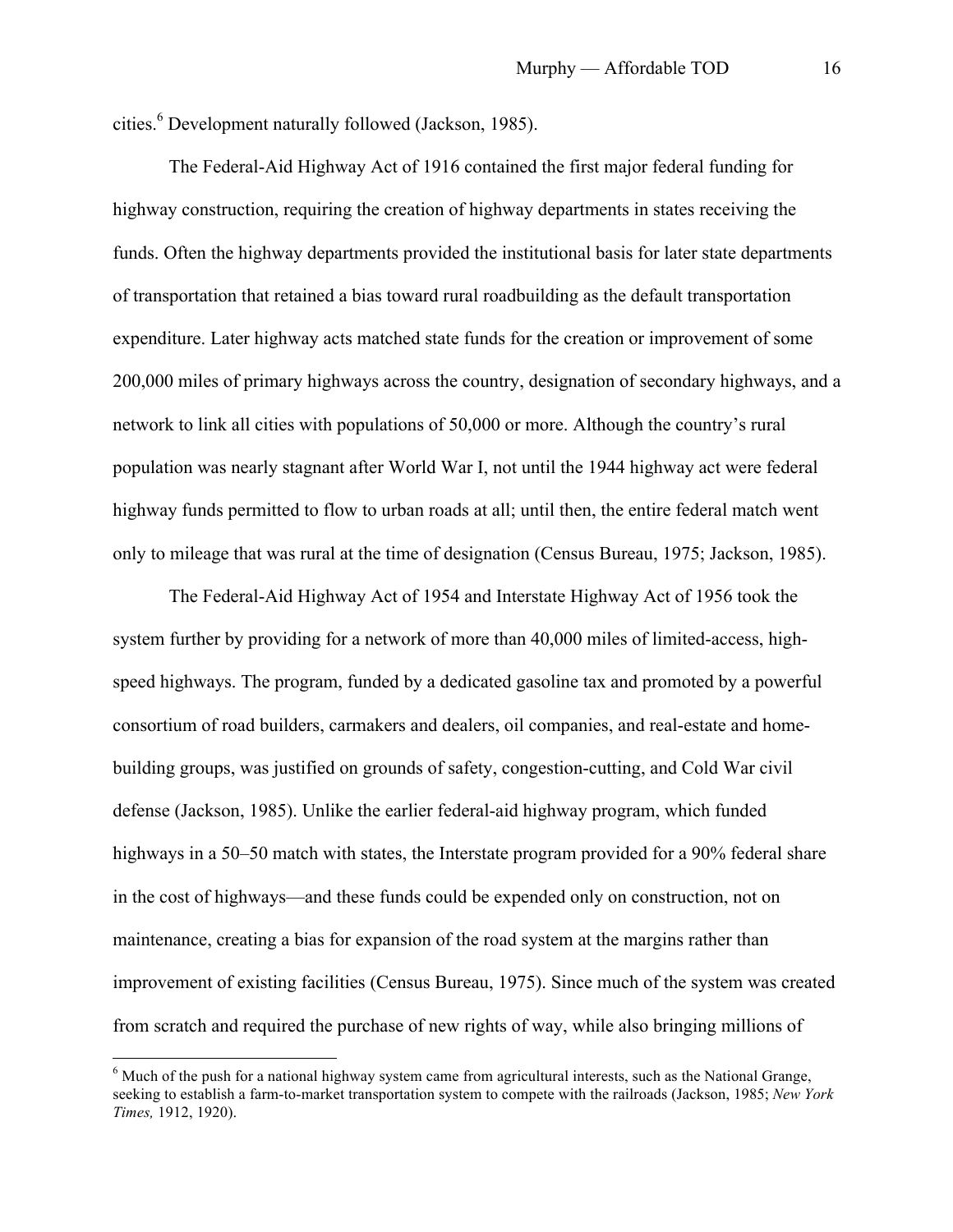cities. <sup>6</sup> Development naturally followed (Jackson, 1985).

The Federal-Aid Highway Act of 1916 contained the first major federal funding for highway construction, requiring the creation of highway departments in states receiving the funds. Often the highway departments provided the institutional basis for later state departments of transportation that retained a bias toward rural roadbuilding as the default transportation expenditure. Later highway acts matched state funds for the creation or improvement of some 200,000 miles of primary highways across the country, designation of secondary highways, and a network to link all cities with populations of 50,000 or more. Although the country's rural population was nearly stagnant after World War I, not until the 1944 highway act were federal highway funds permitted to flow to urban roads at all; until then, the entire federal match went only to mileage that was rural at the time of designation (Census Bureau, 1975; Jackson, 1985).

The Federal-Aid Highway Act of 1954 and Interstate Highway Act of 1956 took the system further by providing for a network of more than 40,000 miles of limited-access, highspeed highways. The program, funded by a dedicated gasoline tax and promoted by a powerful consortium of road builders, carmakers and dealers, oil companies, and real-estate and homebuilding groups, was justified on grounds of safety, congestion-cutting, and Cold War civil defense (Jackson, 1985). Unlike the earlier federal-aid highway program, which funded highways in a 50–50 match with states, the Interstate program provided for a 90% federal share in the cost of highways—and these funds could be expended only on construction, not on maintenance, creating a bias for expansion of the road system at the margins rather than improvement of existing facilities (Census Bureau, 1975). Since much of the system was created from scratch and required the purchase of new rights of way, while also bringing millions of

<sup>&</sup>lt;sup>6</sup> Much of the push for a national highway system came from agricultural interests, such as the National Grange, seeking to establish a farm-to-market transportation system to compete with the railroads (Jackson, 1985; *New York Times,* 1912, 1920).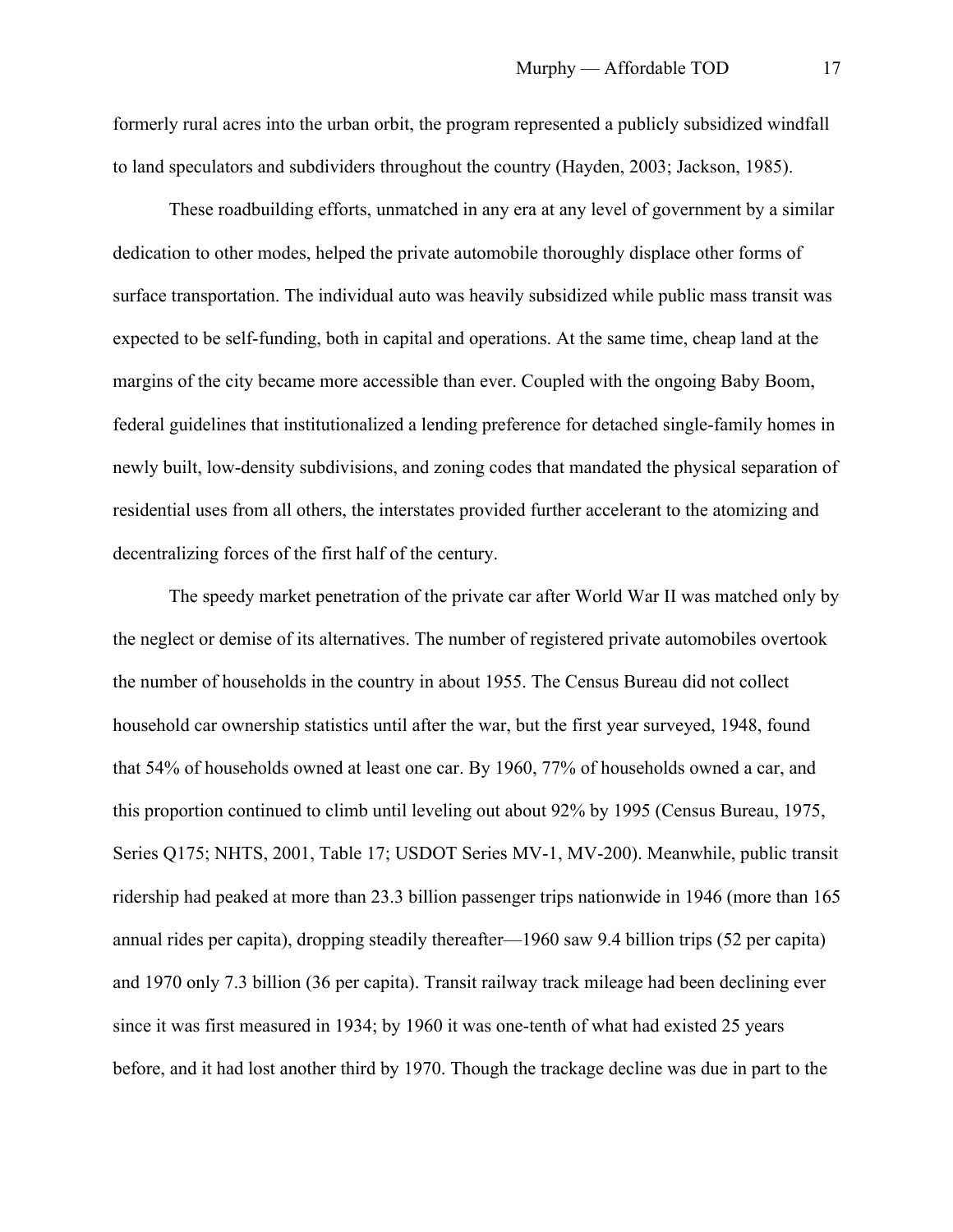formerly rural acres into the urban orbit, the program represented a publicly subsidized windfall to land speculators and subdividers throughout the country (Hayden, 2003; Jackson, 1985).

These roadbuilding efforts, unmatched in any era at any level of government by a similar dedication to other modes, helped the private automobile thoroughly displace other forms of surface transportation. The individual auto was heavily subsidized while public mass transit was expected to be self-funding, both in capital and operations. At the same time, cheap land at the margins of the city became more accessible than ever. Coupled with the ongoing Baby Boom, federal guidelines that institutionalized a lending preference for detached single-family homes in newly built, low-density subdivisions, and zoning codes that mandated the physical separation of residential uses from all others, the interstates provided further accelerant to the atomizing and decentralizing forces of the first half of the century.

The speedy market penetration of the private car after World War II was matched only by the neglect or demise of its alternatives. The number of registered private automobiles overtook the number of households in the country in about 1955. The Census Bureau did not collect household car ownership statistics until after the war, but the first year surveyed, 1948, found that 54% of households owned at least one car. By 1960, 77% of households owned a car, and this proportion continued to climb until leveling out about 92% by 1995 (Census Bureau, 1975, Series Q175; NHTS, 2001, Table 17; USDOT Series MV-1, MV-200). Meanwhile, public transit ridership had peaked at more than 23.3 billion passenger trips nationwide in 1946 (more than 165 annual rides per capita), dropping steadily thereafter—1960 saw 9.4 billion trips (52 per capita) and 1970 only 7.3 billion (36 per capita). Transit railway track mileage had been declining ever since it was first measured in 1934; by 1960 it was one-tenth of what had existed 25 years before, and it had lost another third by 1970. Though the trackage decline was due in part to the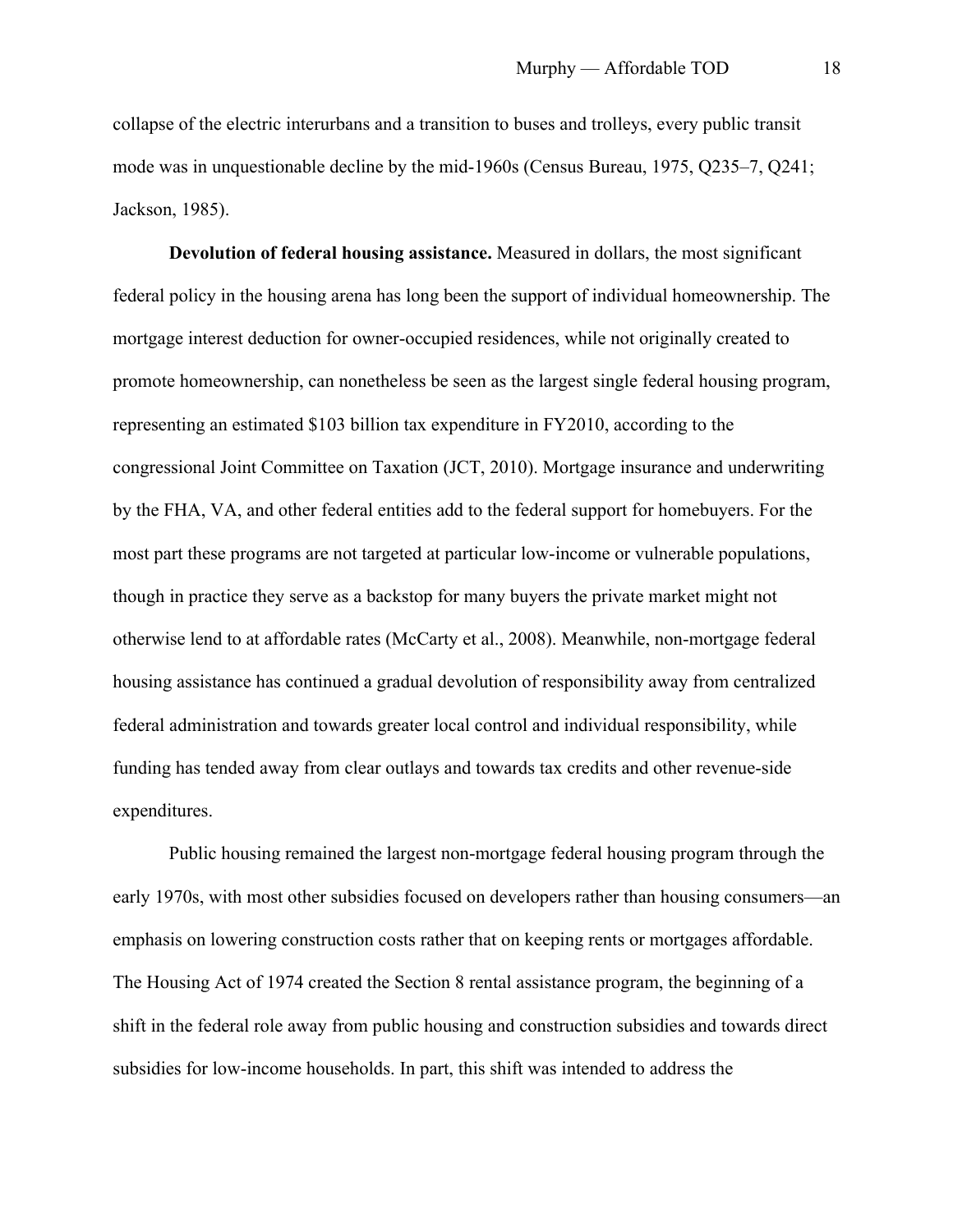collapse of the electric interurbans and a transition to buses and trolleys, every public transit mode was in unquestionable decline by the mid-1960s (Census Bureau, 1975, Q235–7, Q241; Jackson, 1985).

**Devolution of federal housing assistance.** Measured in dollars, the most significant federal policy in the housing arena has long been the support of individual homeownership. The mortgage interest deduction for owner-occupied residences, while not originally created to promote homeownership, can nonetheless be seen as the largest single federal housing program, representing an estimated \$103 billion tax expenditure in FY2010, according to the congressional Joint Committee on Taxation (JCT, 2010). Mortgage insurance and underwriting by the FHA, VA, and other federal entities add to the federal support for homebuyers. For the most part these programs are not targeted at particular low-income or vulnerable populations, though in practice they serve as a backstop for many buyers the private market might not otherwise lend to at affordable rates (McCarty et al., 2008). Meanwhile, non-mortgage federal housing assistance has continued a gradual devolution of responsibility away from centralized federal administration and towards greater local control and individual responsibility, while funding has tended away from clear outlays and towards tax credits and other revenue-side expenditures.

Public housing remained the largest non-mortgage federal housing program through the early 1970s, with most other subsidies focused on developers rather than housing consumers—an emphasis on lowering construction costs rather that on keeping rents or mortgages affordable. The Housing Act of 1974 created the Section 8 rental assistance program, the beginning of a shift in the federal role away from public housing and construction subsidies and towards direct subsidies for low-income households. In part, this shift was intended to address the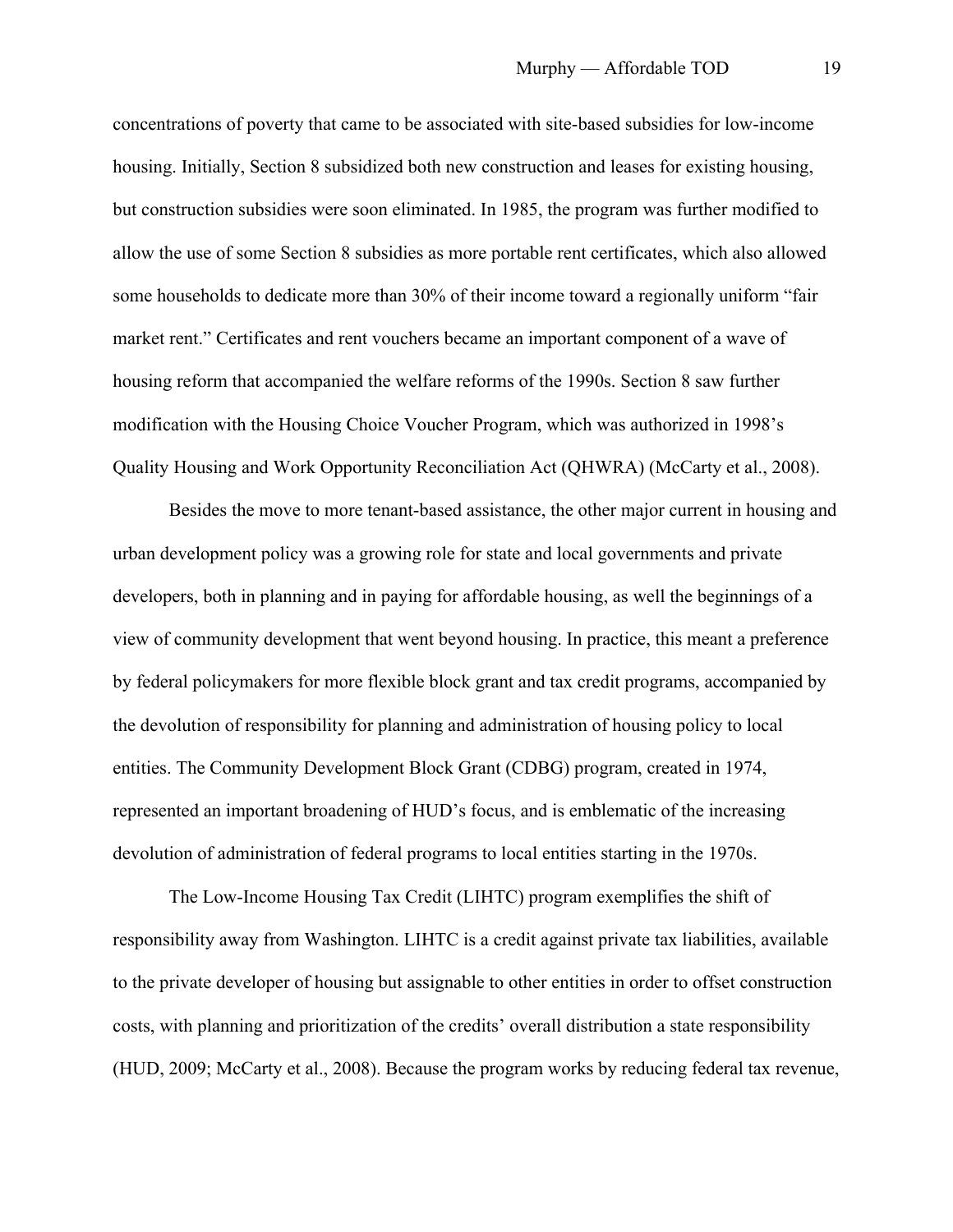concentrations of poverty that came to be associated with site-based subsidies for low-income housing. Initially, Section 8 subsidized both new construction and leases for existing housing, but construction subsidies were soon eliminated. In 1985, the program was further modified to allow the use of some Section 8 subsidies as more portable rent certificates, which also allowed some households to dedicate more than 30% of their income toward a regionally uniform "fair market rent." Certificates and rent vouchers became an important component of a wave of housing reform that accompanied the welfare reforms of the 1990s. Section 8 saw further modification with the Housing Choice Voucher Program, which was authorized in 1998's Quality Housing and Work Opportunity Reconciliation Act (QHWRA) (McCarty et al., 2008).

Besides the move to more tenant-based assistance, the other major current in housing and urban development policy was a growing role for state and local governments and private developers, both in planning and in paying for affordable housing, as well the beginnings of a view of community development that went beyond housing. In practice, this meant a preference by federal policymakers for more flexible block grant and tax credit programs, accompanied by the devolution of responsibility for planning and administration of housing policy to local entities. The Community Development Block Grant (CDBG) program, created in 1974, represented an important broadening of HUD's focus, and is emblematic of the increasing devolution of administration of federal programs to local entities starting in the 1970s.

The Low-Income Housing Tax Credit (LIHTC) program exemplifies the shift of responsibility away from Washington. LIHTC is a credit against private tax liabilities, available to the private developer of housing but assignable to other entities in order to offset construction costs, with planning and prioritization of the credits' overall distribution a state responsibility (HUD, 2009; McCarty et al., 2008). Because the program works by reducing federal tax revenue,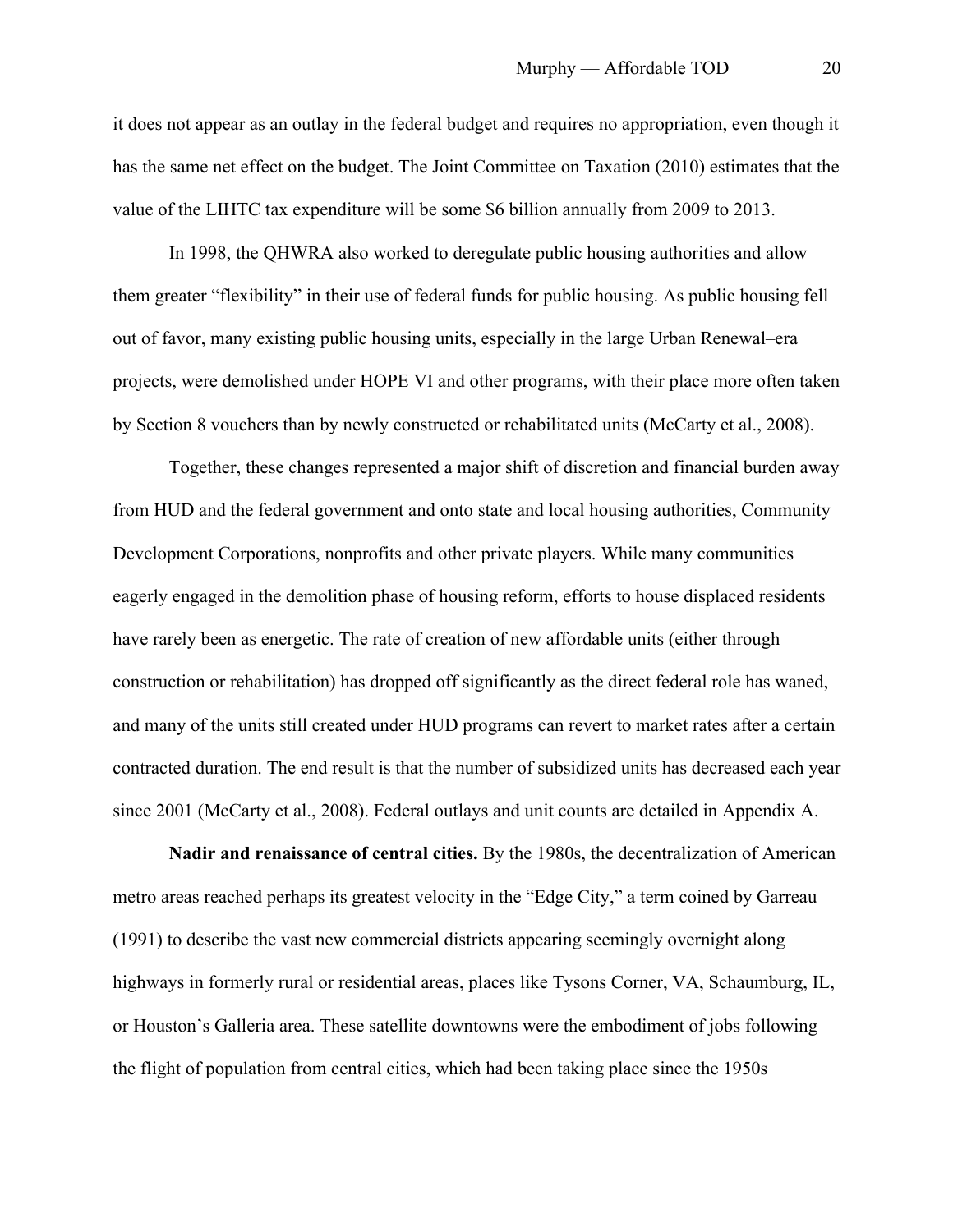it does not appear as an outlay in the federal budget and requires no appropriation, even though it has the same net effect on the budget. The Joint Committee on Taxation (2010) estimates that the value of the LIHTC tax expenditure will be some \$6 billion annually from 2009 to 2013.

In 1998, the QHWRA also worked to deregulate public housing authorities and allow them greater "flexibility" in their use of federal funds for public housing. As public housing fell out of favor, many existing public housing units, especially in the large Urban Renewal–era projects, were demolished under HOPE VI and other programs, with their place more often taken by Section 8 vouchers than by newly constructed or rehabilitated units (McCarty et al., 2008).

Together, these changes represented a major shift of discretion and financial burden away from HUD and the federal government and onto state and local housing authorities, Community Development Corporations, nonprofits and other private players. While many communities eagerly engaged in the demolition phase of housing reform, efforts to house displaced residents have rarely been as energetic. The rate of creation of new affordable units (either through construction or rehabilitation) has dropped off significantly as the direct federal role has waned, and many of the units still created under HUD programs can revert to market rates after a certain contracted duration. The end result is that the number of subsidized units has decreased each year since 2001 (McCarty et al., 2008). Federal outlays and unit counts are detailed in Appendix A.

**Nadir and renaissance of central cities.** By the 1980s, the decentralization of American metro areas reached perhaps its greatest velocity in the "Edge City," a term coined by Garreau (1991) to describe the vast new commercial districts appearing seemingly overnight along highways in formerly rural or residential areas, places like Tysons Corner, VA, Schaumburg, IL, or Houston's Galleria area. These satellite downtowns were the embodiment of jobs following the flight of population from central cities, which had been taking place since the 1950s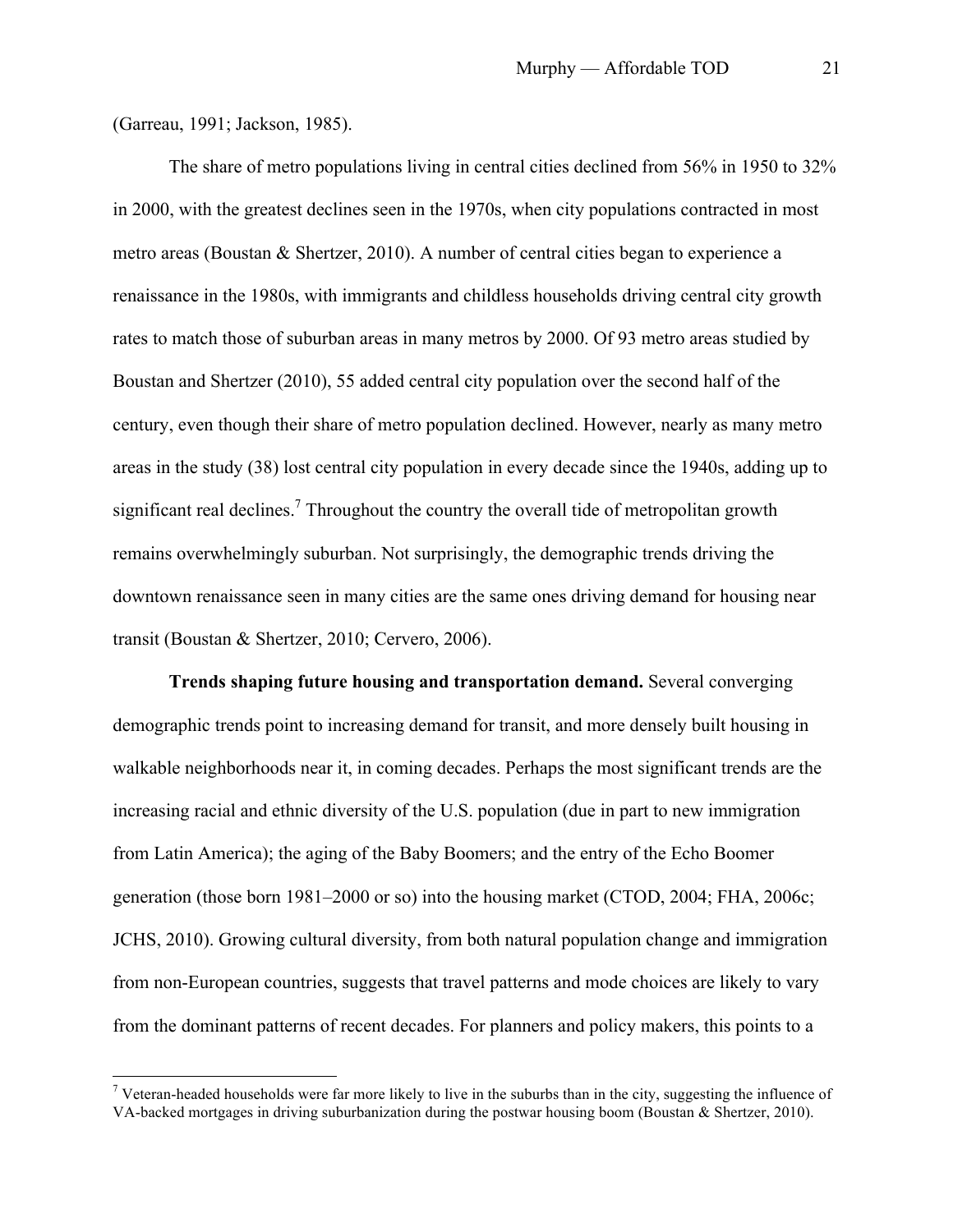(Garreau, 1991; Jackson, 1985).

The share of metro populations living in central cities declined from 56% in 1950 to 32% in 2000, with the greatest declines seen in the 1970s, when city populations contracted in most metro areas (Boustan & Shertzer, 2010). A number of central cities began to experience a renaissance in the 1980s, with immigrants and childless households driving central city growth rates to match those of suburban areas in many metros by 2000. Of 93 metro areas studied by Boustan and Shertzer (2010), 55 added central city population over the second half of the century, even though their share of metro population declined. However, nearly as many metro areas in the study (38) lost central city population in every decade since the 1940s, adding up to significant real declines.<sup>7</sup> Throughout the country the overall tide of metropolitan growth remains overwhelmingly suburban. Not surprisingly, the demographic trends driving the downtown renaissance seen in many cities are the same ones driving demand for housing near transit (Boustan & Shertzer, 2010; Cervero, 2006).

**Trends shaping future housing and transportation demand.** Several converging demographic trends point to increasing demand for transit, and more densely built housing in walkable neighborhoods near it, in coming decades. Perhaps the most significant trends are the increasing racial and ethnic diversity of the U.S. population (due in part to new immigration from Latin America); the aging of the Baby Boomers; and the entry of the Echo Boomer generation (those born 1981–2000 or so) into the housing market (CTOD, 2004; FHA, 2006c; JCHS, 2010). Growing cultural diversity, from both natural population change and immigration from non-European countries, suggests that travel patterns and mode choices are likely to vary from the dominant patterns of recent decades. For planners and policy makers, this points to a

<sup>&</sup>lt;sup>7</sup> Veteran-headed households were far more likely to live in the suburbs than in the city, suggesting the influence of VA-backed mortgages in driving suburbanization during the postwar housing boom (Boustan & Shertzer, 2010).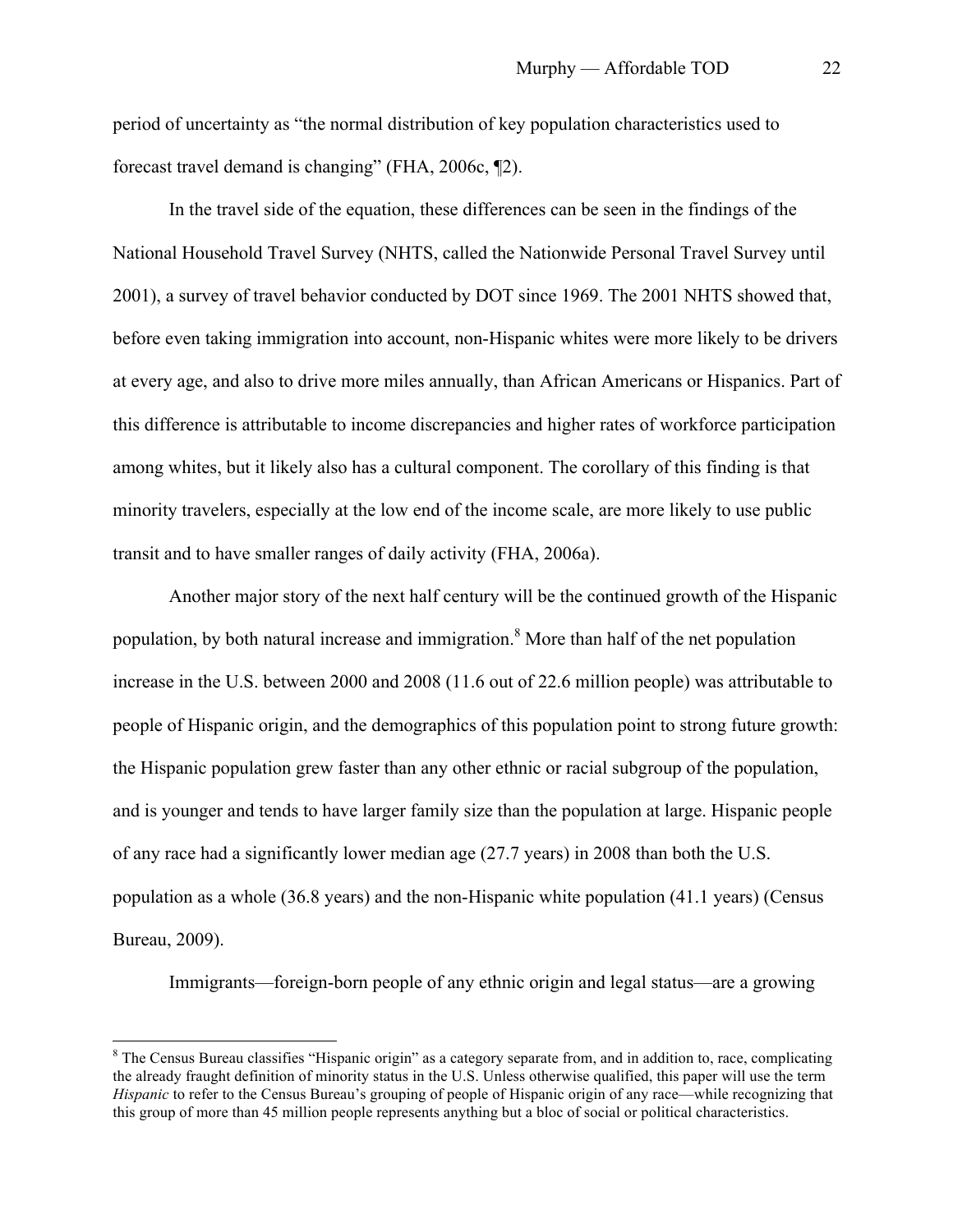period of uncertainty as "the normal distribution of key population characteristics used to forecast travel demand is changing" (FHA, 2006c, ¶2).

In the travel side of the equation, these differences can be seen in the findings of the National Household Travel Survey (NHTS, called the Nationwide Personal Travel Survey until 2001), a survey of travel behavior conducted by DOT since 1969. The 2001 NHTS showed that, before even taking immigration into account, non-Hispanic whites were more likely to be drivers at every age, and also to drive more miles annually, than African Americans or Hispanics. Part of this difference is attributable to income discrepancies and higher rates of workforce participation among whites, but it likely also has a cultural component. The corollary of this finding is that minority travelers, especially at the low end of the income scale, are more likely to use public transit and to have smaller ranges of daily activity (FHA, 2006a).

Another major story of the next half century will be the continued growth of the Hispanic population, by both natural increase and immigration.<sup>8</sup> More than half of the net population increase in the U.S. between 2000 and 2008 (11.6 out of 22.6 million people) was attributable to people of Hispanic origin, and the demographics of this population point to strong future growth: the Hispanic population grew faster than any other ethnic or racial subgroup of the population, and is younger and tends to have larger family size than the population at large. Hispanic people of any race had a significantly lower median age (27.7 years) in 2008 than both the U.S. population as a whole (36.8 years) and the non-Hispanic white population (41.1 years) (Census Bureau, 2009).

Immigrants—foreign-born people of any ethnic origin and legal status—are a growing

<sup>&</sup>lt;sup>8</sup> The Census Bureau classifies "Hispanic origin" as a category separate from, and in addition to, race, complicating the already fraught definition of minority status in the U.S. Unless otherwise qualified, this paper will use the term *Hispanic* to refer to the Census Bureau's grouping of people of Hispanic origin of any race—while recognizing that this group of more than 45 million people represents anything but a bloc of social or political characteristics.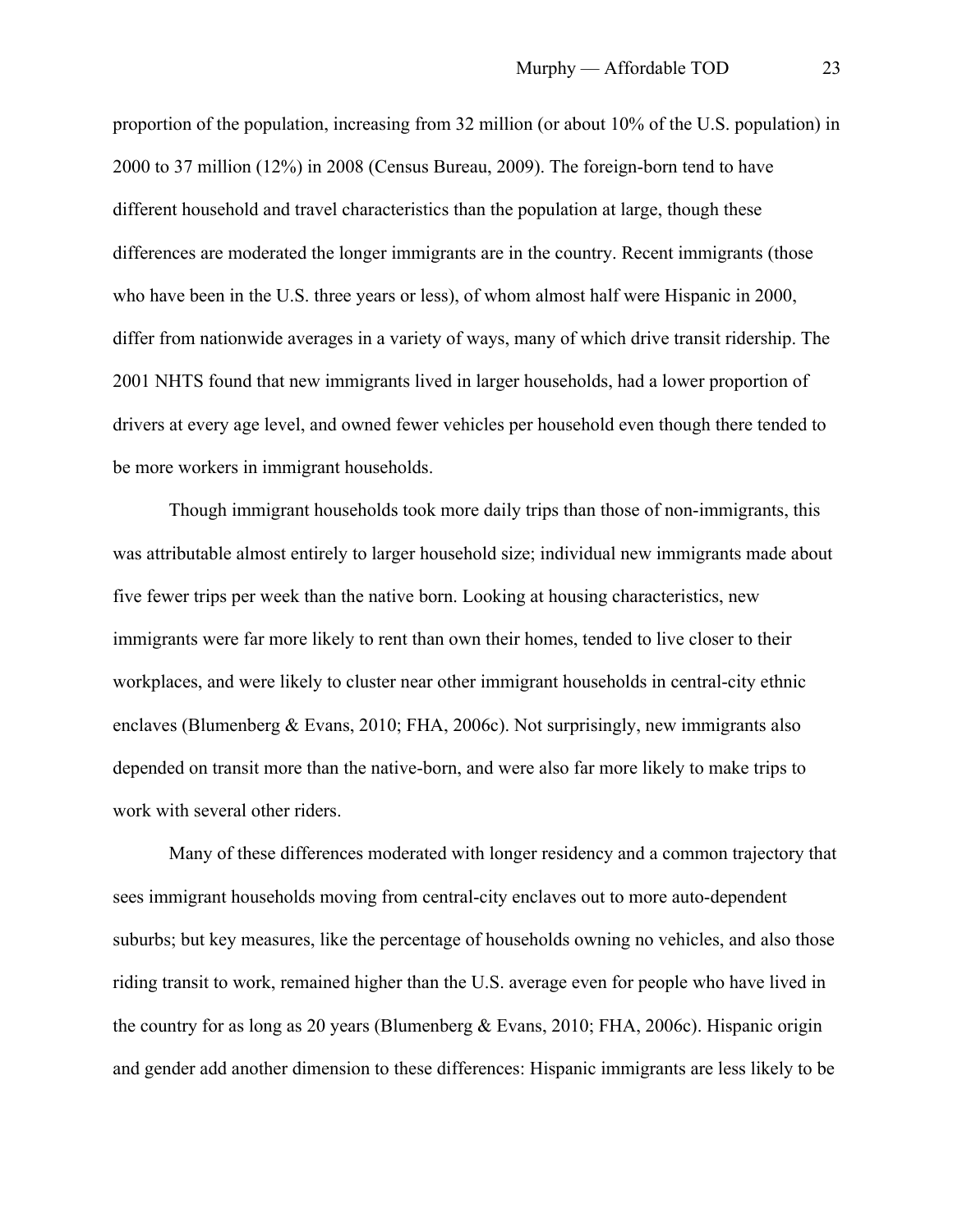proportion of the population, increasing from 32 million (or about 10% of the U.S. population) in 2000 to 37 million (12%) in 2008 (Census Bureau, 2009). The foreign-born tend to have different household and travel characteristics than the population at large, though these differences are moderated the longer immigrants are in the country. Recent immigrants (those who have been in the U.S. three years or less), of whom almost half were Hispanic in 2000, differ from nationwide averages in a variety of ways, many of which drive transit ridership. The 2001 NHTS found that new immigrants lived in larger households, had a lower proportion of drivers at every age level, and owned fewer vehicles per household even though there tended to be more workers in immigrant households.

Though immigrant households took more daily trips than those of non-immigrants, this was attributable almost entirely to larger household size; individual new immigrants made about five fewer trips per week than the native born. Looking at housing characteristics, new immigrants were far more likely to rent than own their homes, tended to live closer to their workplaces, and were likely to cluster near other immigrant households in central-city ethnic enclaves (Blumenberg & Evans, 2010; FHA, 2006c). Not surprisingly, new immigrants also depended on transit more than the native-born, and were also far more likely to make trips to work with several other riders.

Many of these differences moderated with longer residency and a common trajectory that sees immigrant households moving from central-city enclaves out to more auto-dependent suburbs; but key measures, like the percentage of households owning no vehicles, and also those riding transit to work, remained higher than the U.S. average even for people who have lived in the country for as long as 20 years (Blumenberg & Evans, 2010; FHA, 2006c). Hispanic origin and gender add another dimension to these differences: Hispanic immigrants are less likely to be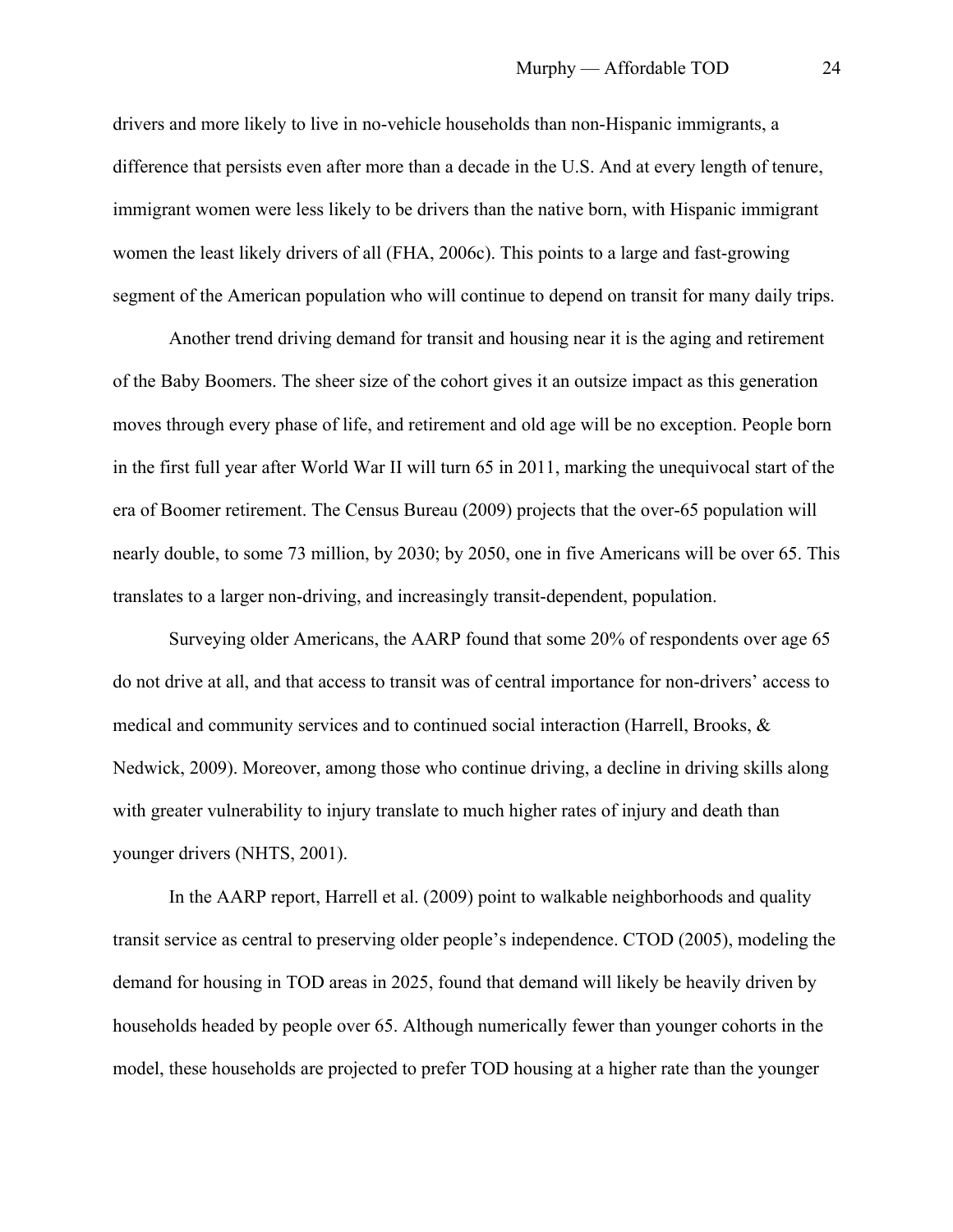drivers and more likely to live in no-vehicle households than non-Hispanic immigrants, a difference that persists even after more than a decade in the U.S. And at every length of tenure, immigrant women were less likely to be drivers than the native born, with Hispanic immigrant women the least likely drivers of all (FHA, 2006c). This points to a large and fast-growing segment of the American population who will continue to depend on transit for many daily trips.

Another trend driving demand for transit and housing near it is the aging and retirement of the Baby Boomers. The sheer size of the cohort gives it an outsize impact as this generation moves through every phase of life, and retirement and old age will be no exception. People born in the first full year after World War II will turn 65 in 2011, marking the unequivocal start of the era of Boomer retirement. The Census Bureau (2009) projects that the over-65 population will nearly double, to some 73 million, by 2030; by 2050, one in five Americans will be over 65. This translates to a larger non-driving, and increasingly transit-dependent, population.

Surveying older Americans, the AARP found that some 20% of respondents over age 65 do not drive at all, and that access to transit was of central importance for non-drivers' access to medical and community services and to continued social interaction (Harrell, Brooks, & Nedwick, 2009). Moreover, among those who continue driving, a decline in driving skills along with greater vulnerability to injury translate to much higher rates of injury and death than younger drivers (NHTS, 2001).

In the AARP report, Harrell et al. (2009) point to walkable neighborhoods and quality transit service as central to preserving older people's independence. CTOD (2005), modeling the demand for housing in TOD areas in 2025, found that demand will likely be heavily driven by households headed by people over 65. Although numerically fewer than younger cohorts in the model, these households are projected to prefer TOD housing at a higher rate than the younger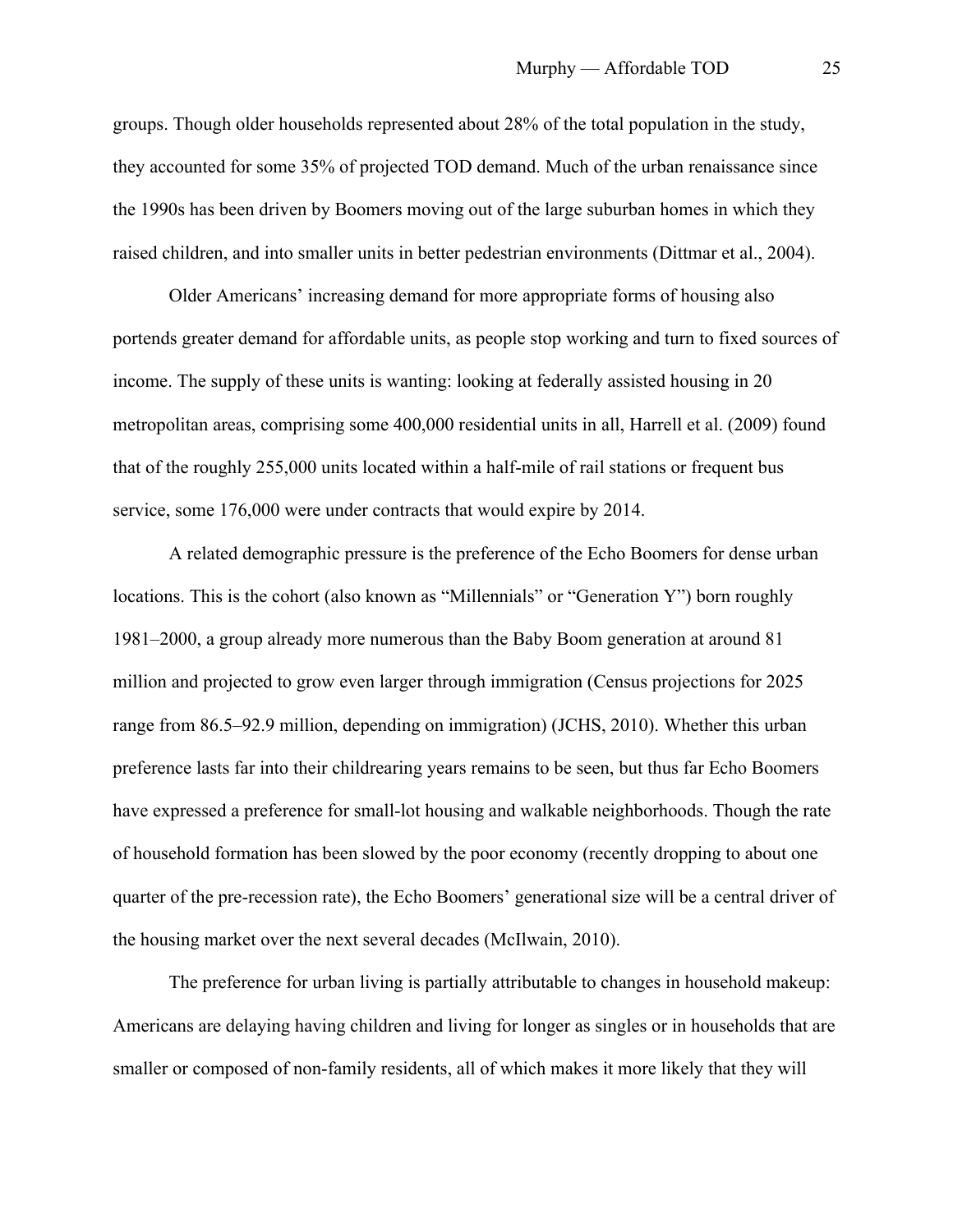groups. Though older households represented about 28% of the total population in the study, they accounted for some 35% of projected TOD demand. Much of the urban renaissance since the 1990s has been driven by Boomers moving out of the large suburban homes in which they raised children, and into smaller units in better pedestrian environments (Dittmar et al., 2004).

Older Americans' increasing demand for more appropriate forms of housing also portends greater demand for affordable units, as people stop working and turn to fixed sources of income. The supply of these units is wanting: looking at federally assisted housing in 20 metropolitan areas, comprising some 400,000 residential units in all, Harrell et al. (2009) found that of the roughly 255,000 units located within a half-mile of rail stations or frequent bus service, some 176,000 were under contracts that would expire by 2014.

A related demographic pressure is the preference of the Echo Boomers for dense urban locations. This is the cohort (also known as "Millennials" or "Generation Y") born roughly 1981–2000, a group already more numerous than the Baby Boom generation at around 81 million and projected to grow even larger through immigration (Census projections for 2025 range from 86.5–92.9 million, depending on immigration) (JCHS, 2010). Whether this urban preference lasts far into their childrearing years remains to be seen, but thus far Echo Boomers have expressed a preference for small-lot housing and walkable neighborhoods. Though the rate of household formation has been slowed by the poor economy (recently dropping to about one quarter of the pre-recession rate), the Echo Boomers' generational size will be a central driver of the housing market over the next several decades (McIlwain, 2010).

The preference for urban living is partially attributable to changes in household makeup: Americans are delaying having children and living for longer as singles or in households that are smaller or composed of non-family residents, all of which makes it more likely that they will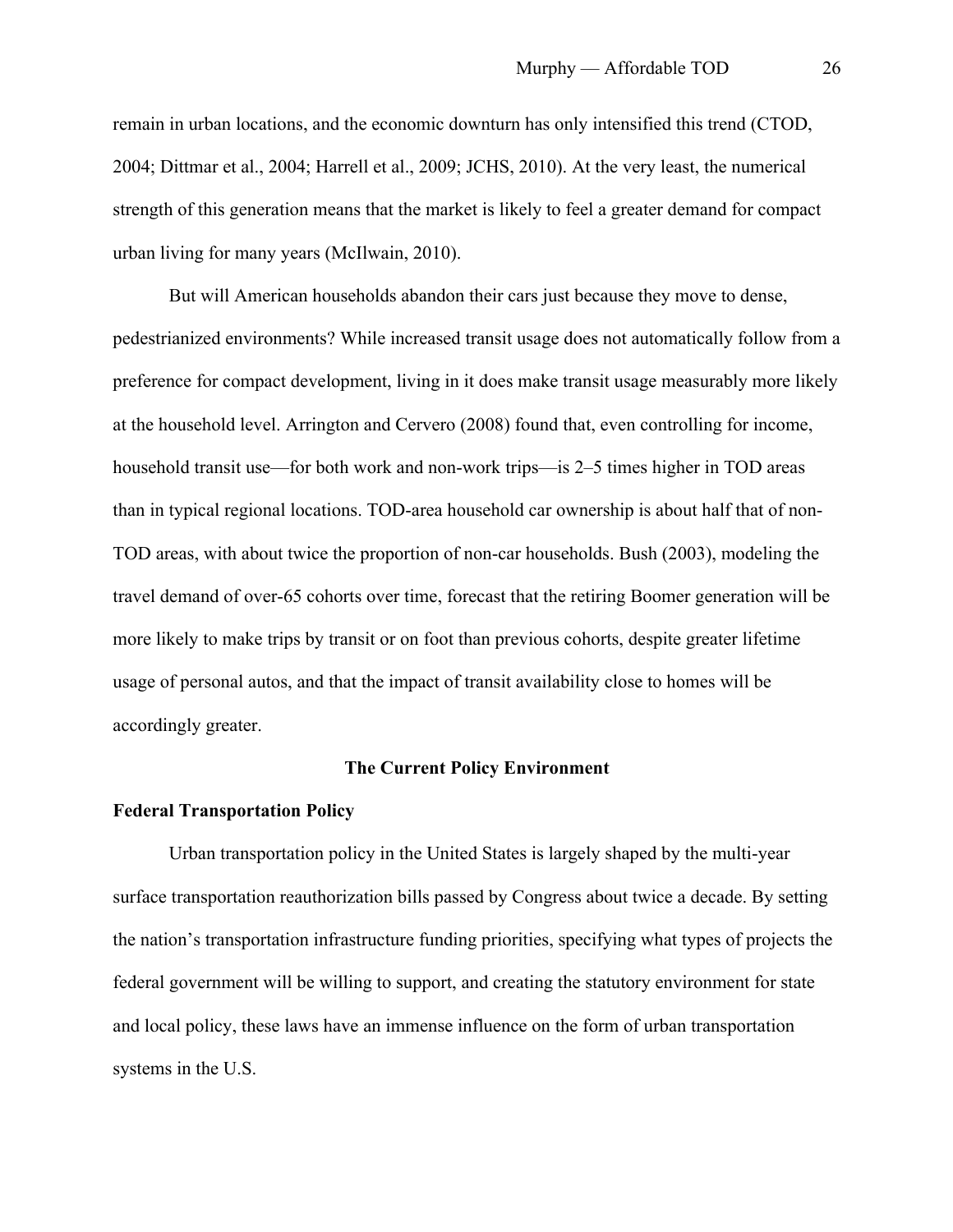remain in urban locations, and the economic downturn has only intensified this trend (CTOD, 2004; Dittmar et al., 2004; Harrell et al., 2009; JCHS, 2010). At the very least, the numerical strength of this generation means that the market is likely to feel a greater demand for compact urban living for many years (McIlwain, 2010).

But will American households abandon their cars just because they move to dense, pedestrianized environments? While increased transit usage does not automatically follow from a preference for compact development, living in it does make transit usage measurably more likely at the household level. Arrington and Cervero (2008) found that, even controlling for income, household transit use—for both work and non-work trips—is 2–5 times higher in TOD areas than in typical regional locations. TOD-area household car ownership is about half that of non-TOD areas, with about twice the proportion of non-car households. Bush (2003), modeling the travel demand of over-65 cohorts over time, forecast that the retiring Boomer generation will be more likely to make trips by transit or on foot than previous cohorts, despite greater lifetime usage of personal autos, and that the impact of transit availability close to homes will be accordingly greater.

# **The Current Policy Environment**

#### **Federal Transportation Policy**

Urban transportation policy in the United States is largely shaped by the multi-year surface transportation reauthorization bills passed by Congress about twice a decade. By setting the nation's transportation infrastructure funding priorities, specifying what types of projects the federal government will be willing to support, and creating the statutory environment for state and local policy, these laws have an immense influence on the form of urban transportation systems in the U.S.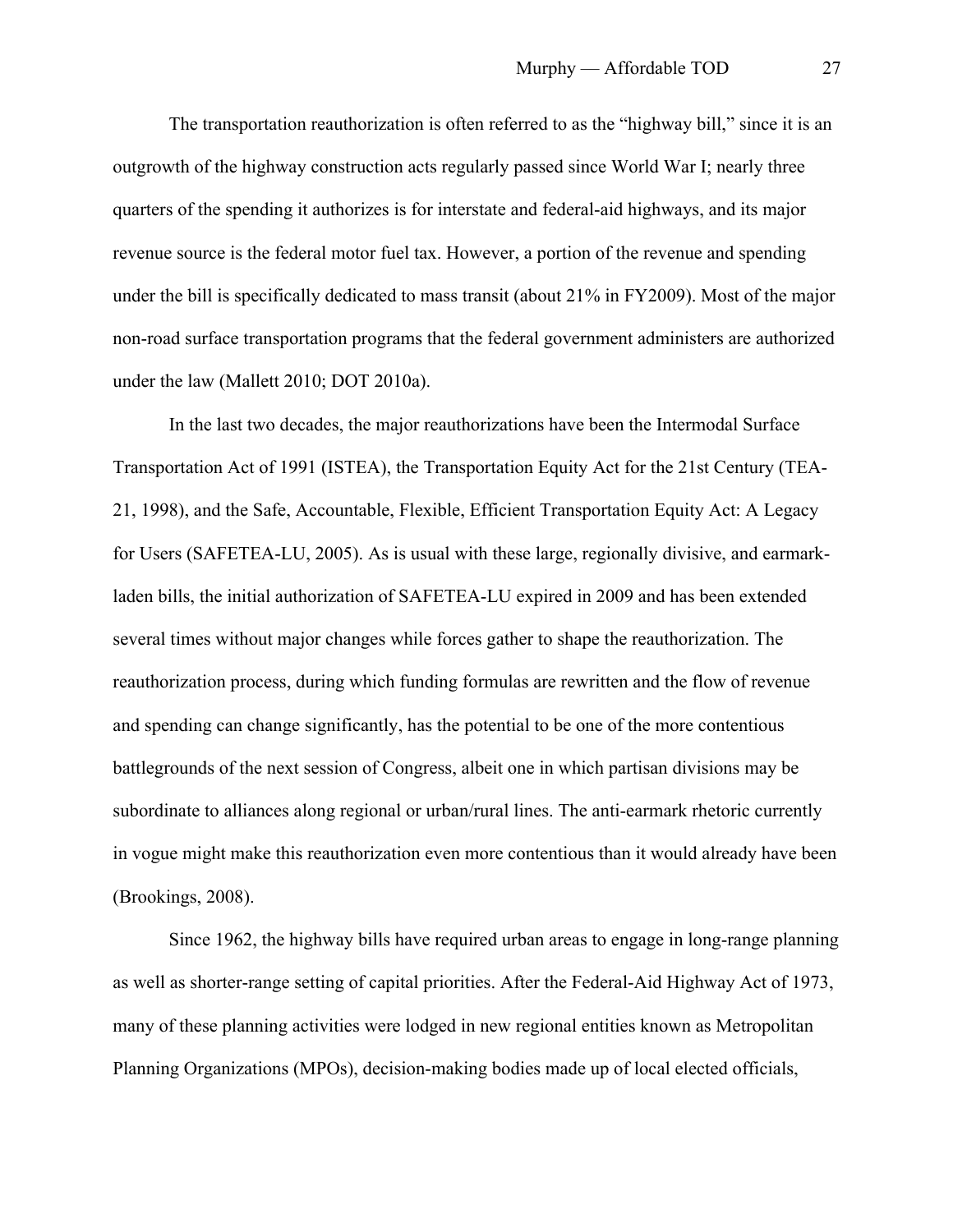The transportation reauthorization is often referred to as the "highway bill," since it is an outgrowth of the highway construction acts regularly passed since World War I; nearly three quarters of the spending it authorizes is for interstate and federal-aid highways, and its major revenue source is the federal motor fuel tax. However, a portion of the revenue and spending under the bill is specifically dedicated to mass transit (about 21% in FY2009). Most of the major non-road surface transportation programs that the federal government administers are authorized under the law (Mallett 2010; DOT 2010a).

In the last two decades, the major reauthorizations have been the Intermodal Surface Transportation Act of 1991 (ISTEA), the Transportation Equity Act for the 21st Century (TEA-21, 1998), and the Safe, Accountable, Flexible, Efficient Transportation Equity Act: A Legacy for Users (SAFETEA-LU, 2005). As is usual with these large, regionally divisive, and earmarkladen bills, the initial authorization of SAFETEA-LU expired in 2009 and has been extended several times without major changes while forces gather to shape the reauthorization. The reauthorization process, during which funding formulas are rewritten and the flow of revenue and spending can change significantly, has the potential to be one of the more contentious battlegrounds of the next session of Congress, albeit one in which partisan divisions may be subordinate to alliances along regional or urban/rural lines. The anti-earmark rhetoric currently in vogue might make this reauthorization even more contentious than it would already have been (Brookings, 2008).

Since 1962, the highway bills have required urban areas to engage in long-range planning as well as shorter-range setting of capital priorities. After the Federal-Aid Highway Act of 1973, many of these planning activities were lodged in new regional entities known as Metropolitan Planning Organizations (MPOs), decision-making bodies made up of local elected officials,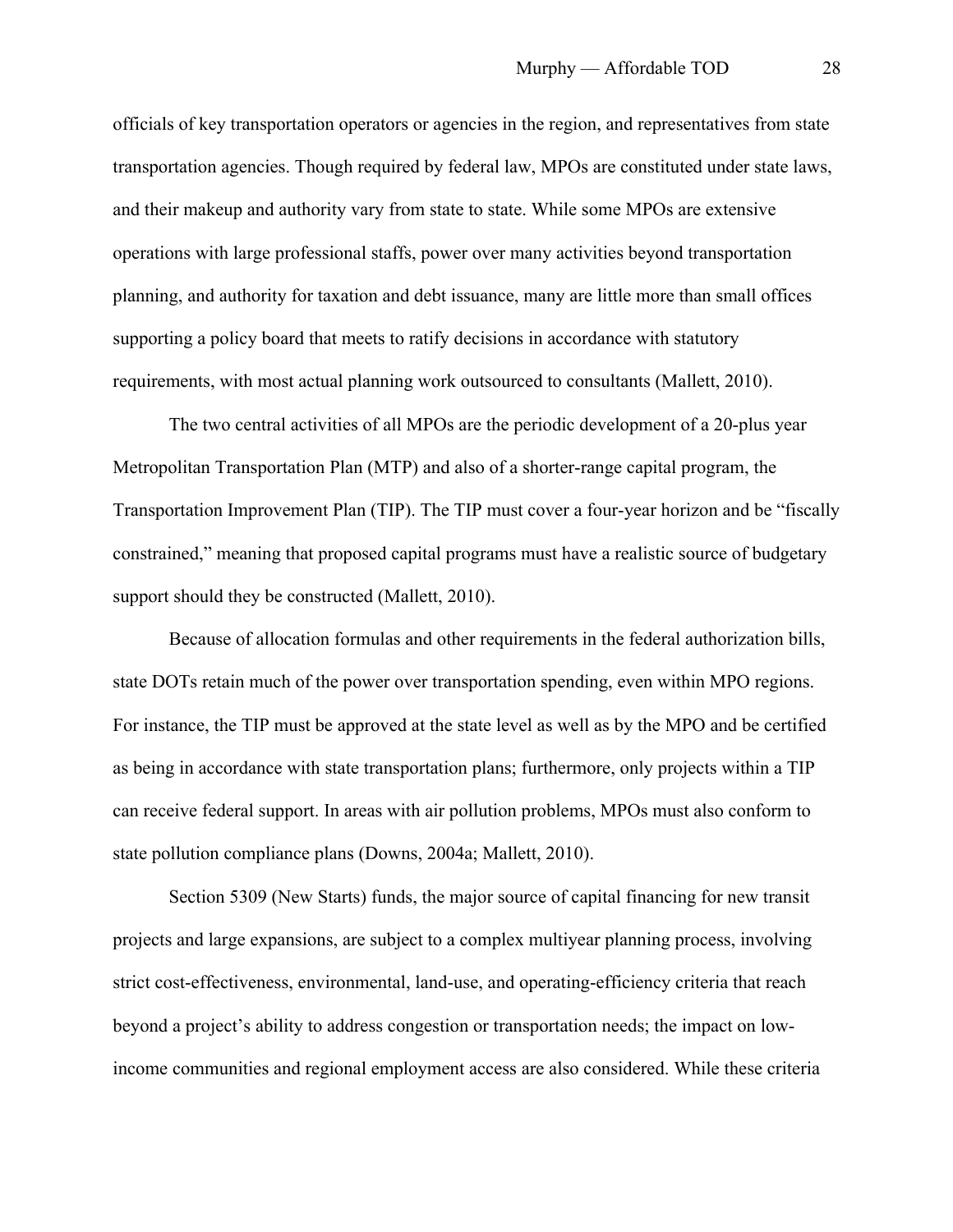officials of key transportation operators or agencies in the region, and representatives from state transportation agencies. Though required by federal law, MPOs are constituted under state laws, and their makeup and authority vary from state to state. While some MPOs are extensive operations with large professional staffs, power over many activities beyond transportation planning, and authority for taxation and debt issuance, many are little more than small offices supporting a policy board that meets to ratify decisions in accordance with statutory requirements, with most actual planning work outsourced to consultants (Mallett, 2010).

The two central activities of all MPOs are the periodic development of a 20-plus year Metropolitan Transportation Plan (MTP) and also of a shorter-range capital program, the Transportation Improvement Plan (TIP). The TIP must cover a four-year horizon and be "fiscally constrained," meaning that proposed capital programs must have a realistic source of budgetary support should they be constructed (Mallett, 2010).

Because of allocation formulas and other requirements in the federal authorization bills, state DOTs retain much of the power over transportation spending, even within MPO regions. For instance, the TIP must be approved at the state level as well as by the MPO and be certified as being in accordance with state transportation plans; furthermore, only projects within a TIP can receive federal support. In areas with air pollution problems, MPOs must also conform to state pollution compliance plans (Downs, 2004a; Mallett, 2010).

Section 5309 (New Starts) funds, the major source of capital financing for new transit projects and large expansions, are subject to a complex multiyear planning process, involving strict cost-effectiveness, environmental, land-use, and operating-efficiency criteria that reach beyond a project's ability to address congestion or transportation needs; the impact on lowincome communities and regional employment access are also considered. While these criteria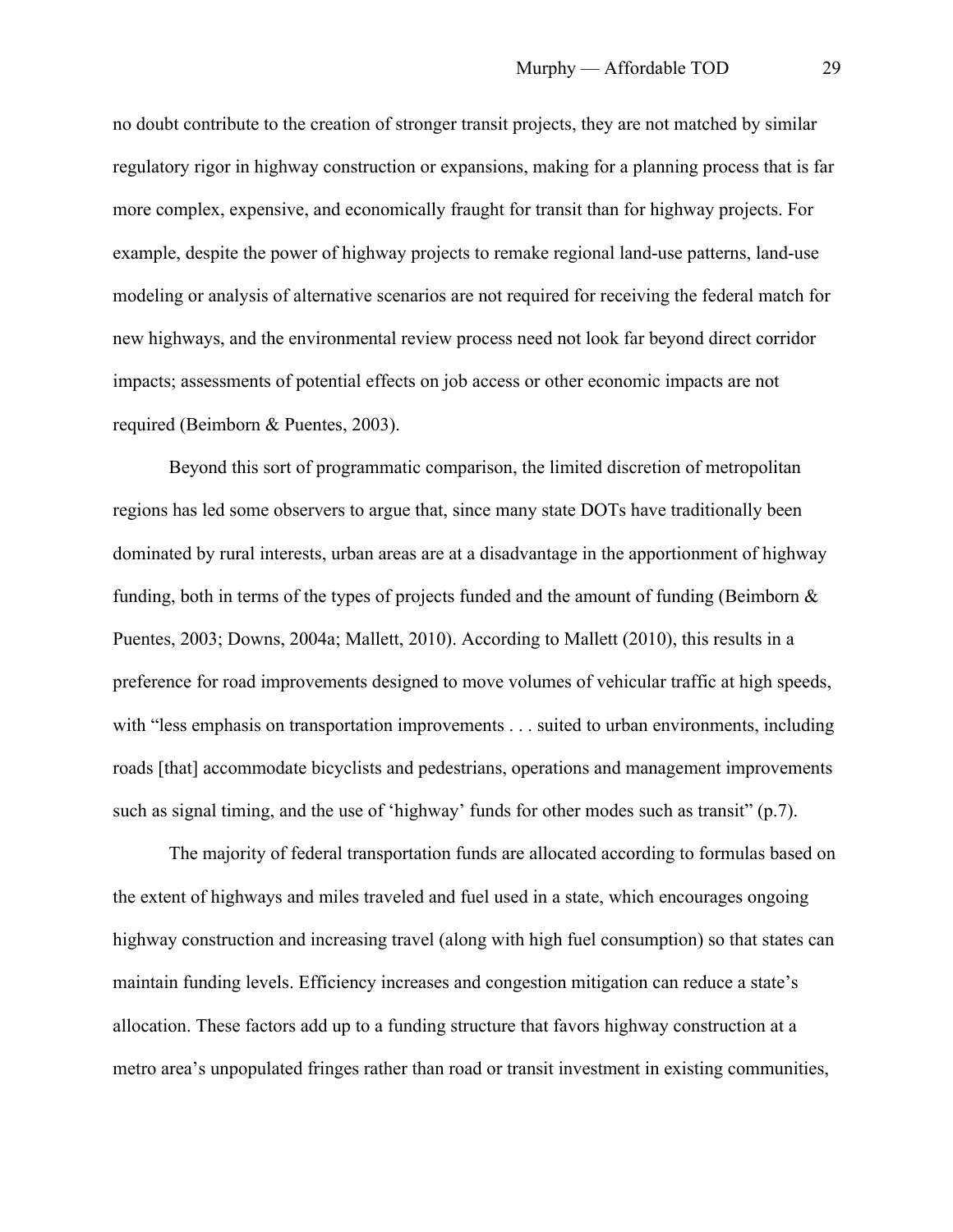no doubt contribute to the creation of stronger transit projects, they are not matched by similar regulatory rigor in highway construction or expansions, making for a planning process that is far more complex, expensive, and economically fraught for transit than for highway projects. For example, despite the power of highway projects to remake regional land-use patterns, land-use modeling or analysis of alternative scenarios are not required for receiving the federal match for new highways, and the environmental review process need not look far beyond direct corridor impacts; assessments of potential effects on job access or other economic impacts are not required (Beimborn & Puentes, 2003).

Beyond this sort of programmatic comparison, the limited discretion of metropolitan regions has led some observers to argue that, since many state DOTs have traditionally been dominated by rural interests, urban areas are at a disadvantage in the apportionment of highway funding, both in terms of the types of projects funded and the amount of funding (Beimborn  $\&$ Puentes, 2003; Downs, 2004a; Mallett, 2010). According to Mallett (2010), this results in a preference for road improvements designed to move volumes of vehicular traffic at high speeds, with "less emphasis on transportation improvements . . . suited to urban environments, including roads [that] accommodate bicyclists and pedestrians, operations and management improvements such as signal timing, and the use of 'highway' funds for other modes such as transit" (p.7).

The majority of federal transportation funds are allocated according to formulas based on the extent of highways and miles traveled and fuel used in a state, which encourages ongoing highway construction and increasing travel (along with high fuel consumption) so that states can maintain funding levels. Efficiency increases and congestion mitigation can reduce a state's allocation. These factors add up to a funding structure that favors highway construction at a metro area's unpopulated fringes rather than road or transit investment in existing communities,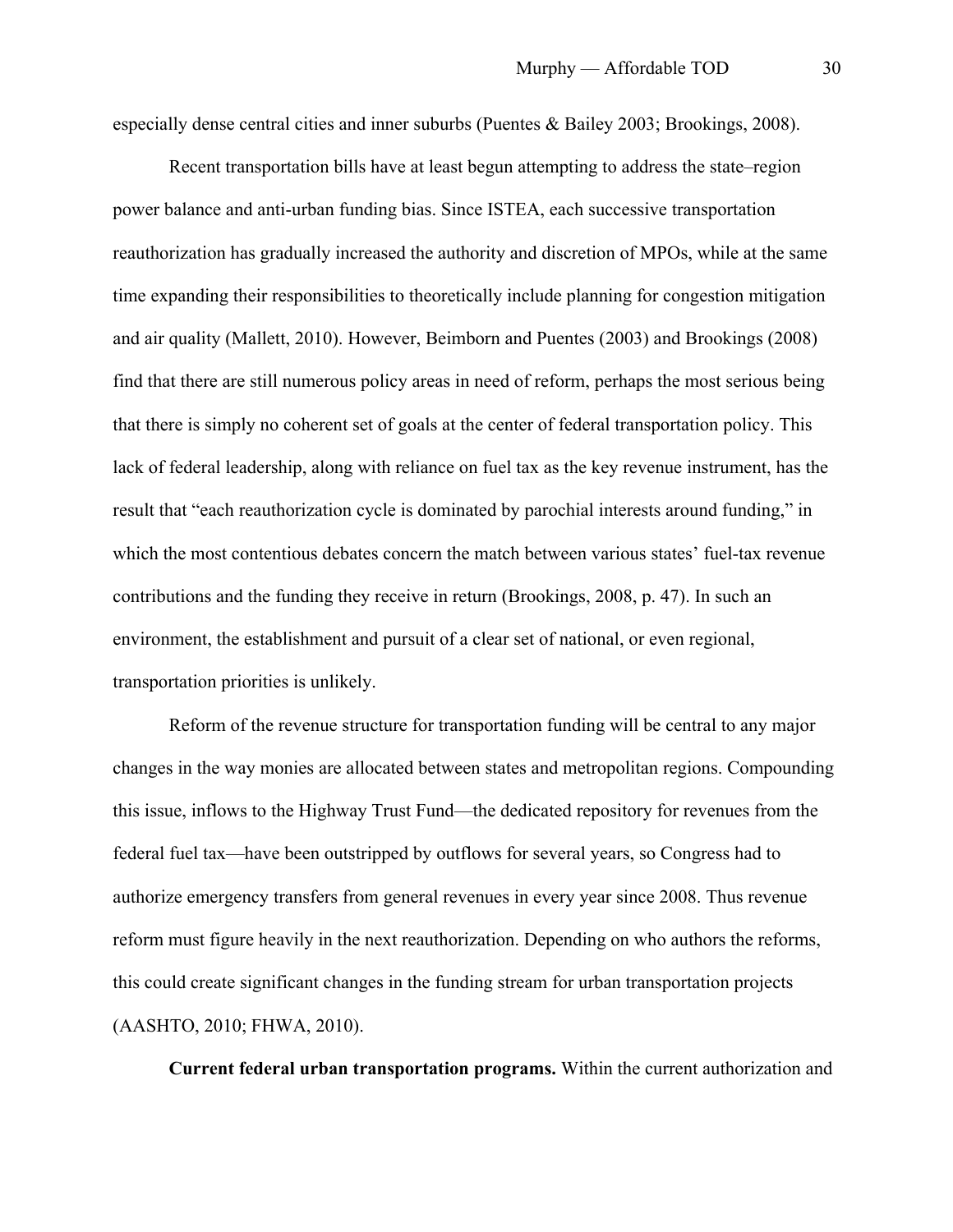especially dense central cities and inner suburbs (Puentes & Bailey 2003; Brookings, 2008).

Recent transportation bills have at least begun attempting to address the state–region power balance and anti-urban funding bias. Since ISTEA, each successive transportation reauthorization has gradually increased the authority and discretion of MPOs, while at the same time expanding their responsibilities to theoretically include planning for congestion mitigation and air quality (Mallett, 2010). However, Beimborn and Puentes (2003) and Brookings (2008) find that there are still numerous policy areas in need of reform, perhaps the most serious being that there is simply no coherent set of goals at the center of federal transportation policy. This lack of federal leadership, along with reliance on fuel tax as the key revenue instrument, has the result that "each reauthorization cycle is dominated by parochial interests around funding," in which the most contentious debates concern the match between various states' fuel-tax revenue contributions and the funding they receive in return (Brookings, 2008, p. 47). In such an environment, the establishment and pursuit of a clear set of national, or even regional, transportation priorities is unlikely.

Reform of the revenue structure for transportation funding will be central to any major changes in the way monies are allocated between states and metropolitan regions. Compounding this issue, inflows to the Highway Trust Fund—the dedicated repository for revenues from the federal fuel tax—have been outstripped by outflows for several years, so Congress had to authorize emergency transfers from general revenues in every year since 2008. Thus revenue reform must figure heavily in the next reauthorization. Depending on who authors the reforms, this could create significant changes in the funding stream for urban transportation projects (AASHTO, 2010; FHWA, 2010).

**Current federal urban transportation programs.** Within the current authorization and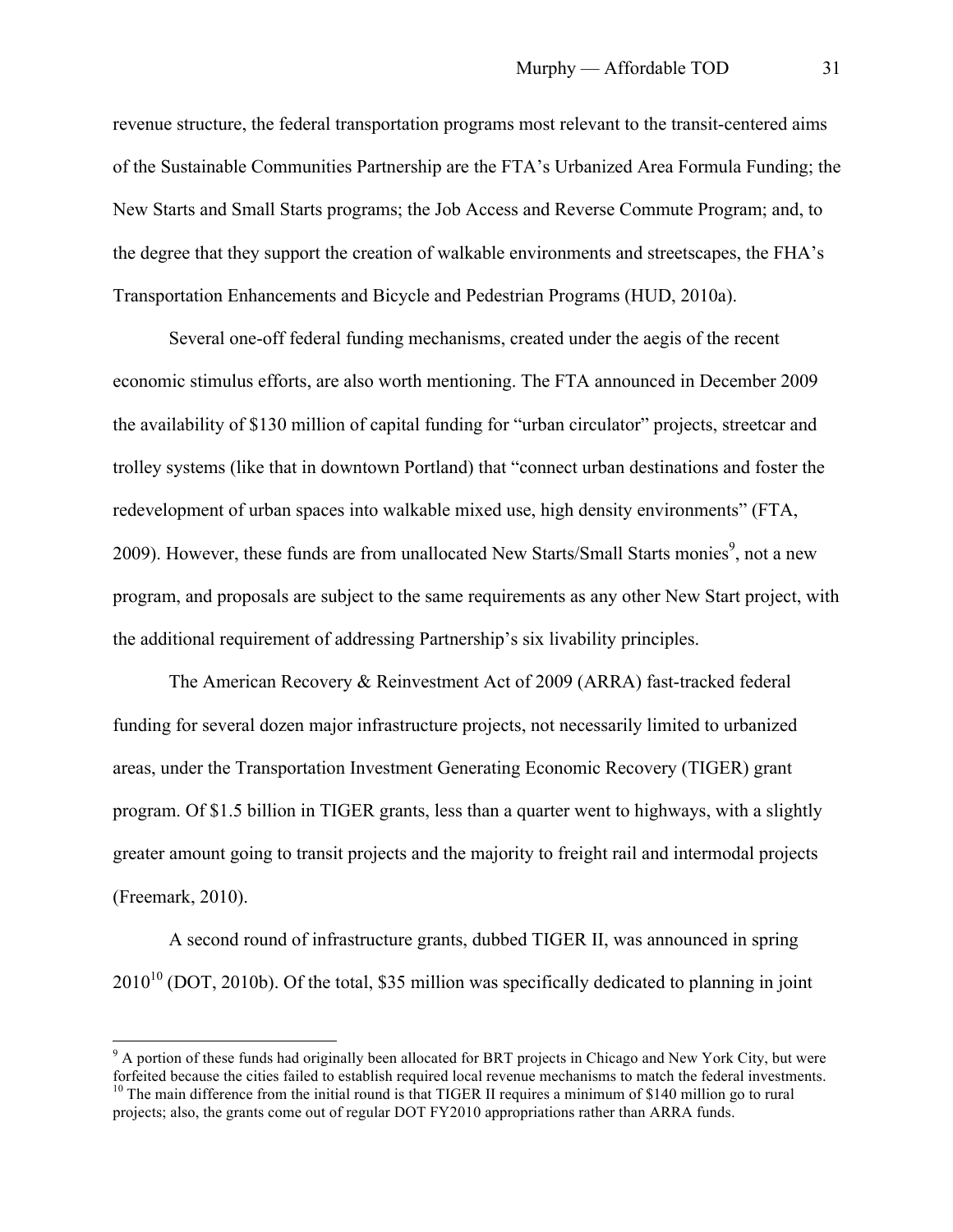revenue structure, the federal transportation programs most relevant to the transit-centered aims of the Sustainable Communities Partnership are the FTA's Urbanized Area Formula Funding; the New Starts and Small Starts programs; the Job Access and Reverse Commute Program; and, to the degree that they support the creation of walkable environments and streetscapes, the FHA's Transportation Enhancements and Bicycle and Pedestrian Programs (HUD, 2010a).

Several one-off federal funding mechanisms, created under the aegis of the recent economic stimulus efforts, are also worth mentioning. The FTA announced in December 2009 the availability of \$130 million of capital funding for "urban circulator" projects, streetcar and trolley systems (like that in downtown Portland) that "connect urban destinations and foster the redevelopment of urban spaces into walkable mixed use, high density environments" (FTA, 2009). However, these funds are from unallocated New Starts/Small Starts monies<sup>9</sup>, not a new program, and proposals are subject to the same requirements as any other New Start project, with the additional requirement of addressing Partnership's six livability principles.

The American Recovery & Reinvestment Act of 2009 (ARRA) fast-tracked federal funding for several dozen major infrastructure projects, not necessarily limited to urbanized areas, under the Transportation Investment Generating Economic Recovery (TIGER) grant program. Of \$1.5 billion in TIGER grants, less than a quarter went to highways, with a slightly greater amount going to transit projects and the majority to freight rail and intermodal projects (Freemark, 2010).

A second round of infrastructure grants, dubbed TIGER II, was announced in spring  $2010^{10}$  (DOT, 2010b). Of the total, \$35 million was specifically dedicated to planning in joint

<sup>&</sup>lt;sup>9</sup> A portion of these funds had originally been allocated for BRT projects in Chicago and New York City, but were forfeited because the cities failed to establish required local revenue mechanisms to match the federal investments. <sup>10</sup> The main difference from the initial round is that TIGER II requires a minimum of \$140 million go to rural projects; also, the grants come out of regular DOT FY2010 appropriations rather than ARRA funds.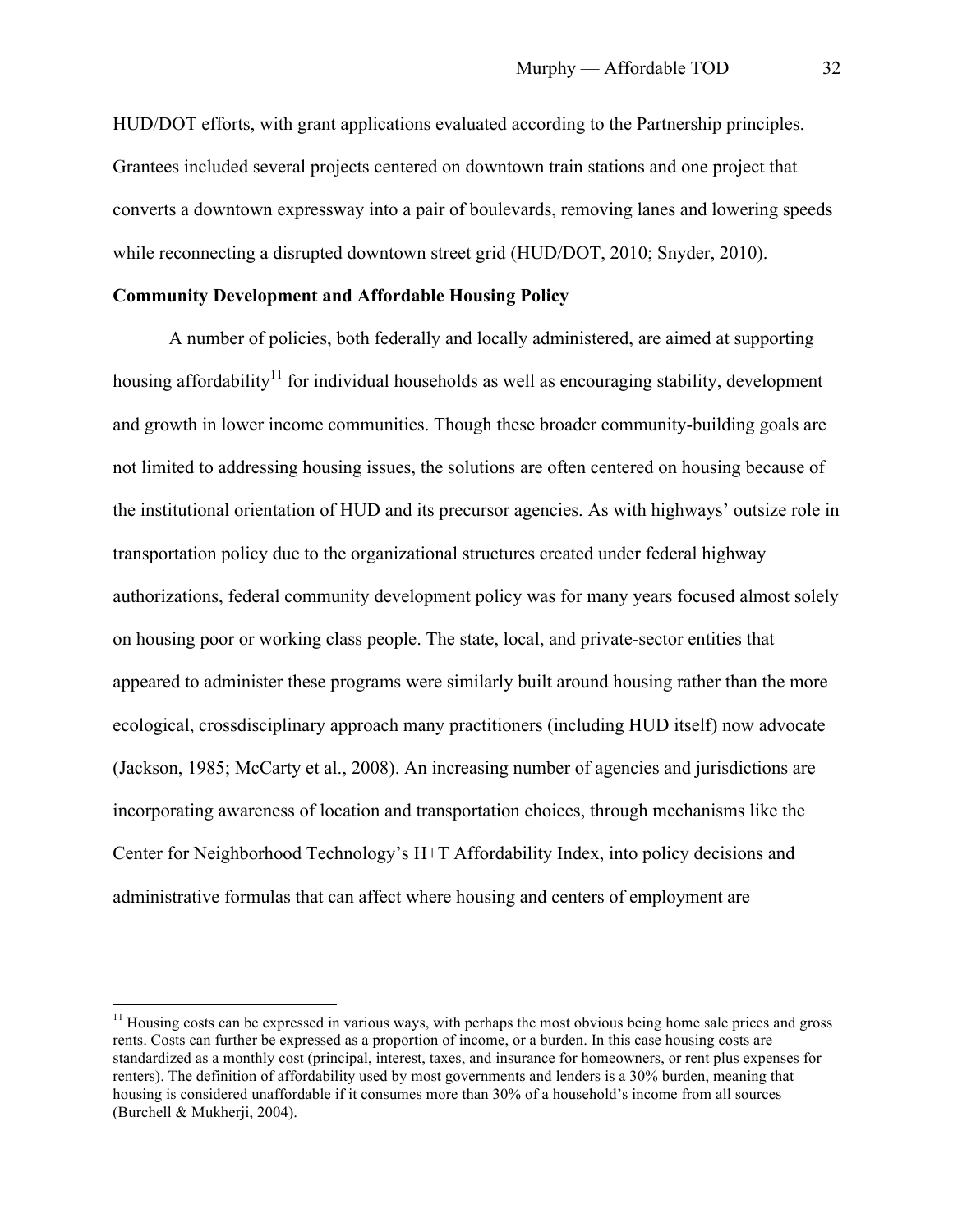HUD/DOT efforts, with grant applications evaluated according to the Partnership principles. Grantees included several projects centered on downtown train stations and one project that converts a downtown expressway into a pair of boulevards, removing lanes and lowering speeds while reconnecting a disrupted downtown street grid (HUD/DOT, 2010; Snyder, 2010).

# **Community Development and Affordable Housing Policy**

A number of policies, both federally and locally administered, are aimed at supporting housing affordability<sup>11</sup> for individual households as well as encouraging stability, development and growth in lower income communities. Though these broader community-building goals are not limited to addressing housing issues, the solutions are often centered on housing because of the institutional orientation of HUD and its precursor agencies. As with highways' outsize role in transportation policy due to the organizational structures created under federal highway authorizations, federal community development policy was for many years focused almost solely on housing poor or working class people. The state, local, and private-sector entities that appeared to administer these programs were similarly built around housing rather than the more ecological, crossdisciplinary approach many practitioners (including HUD itself) now advocate (Jackson, 1985; McCarty et al., 2008). An increasing number of agencies and jurisdictions are incorporating awareness of location and transportation choices, through mechanisms like the Center for Neighborhood Technology's H+T Affordability Index, into policy decisions and administrative formulas that can affect where housing and centers of employment are

 $11$  Housing costs can be expressed in various ways, with perhaps the most obvious being home sale prices and gross rents. Costs can further be expressed as a proportion of income, or a burden. In this case housing costs are standardized as a monthly cost (principal, interest, taxes, and insurance for homeowners, or rent plus expenses for renters). The definition of affordability used by most governments and lenders is a 30% burden, meaning that housing is considered unaffordable if it consumes more than 30% of a household's income from all sources (Burchell & Mukherji, 2004).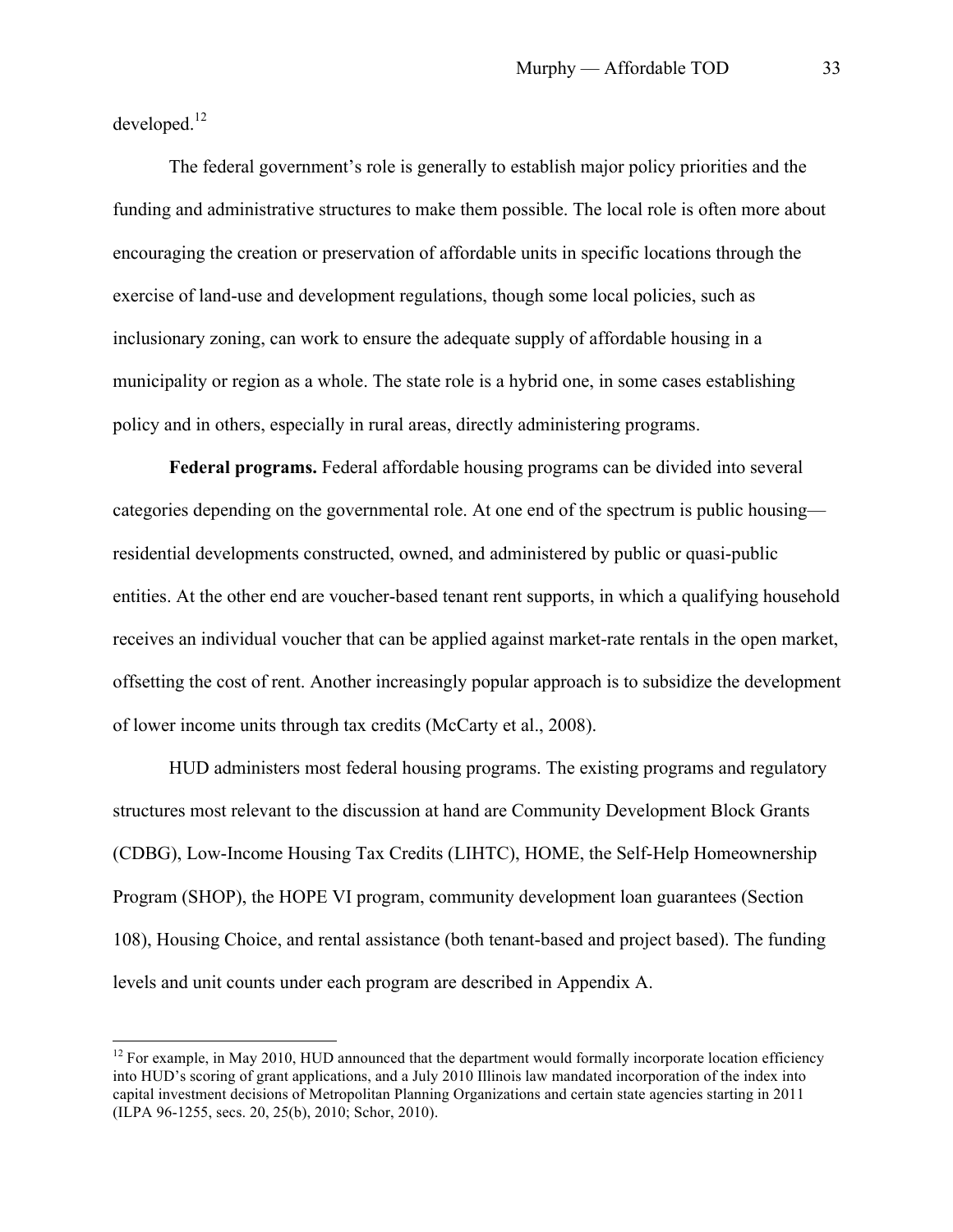developed.<sup>12</sup>

The federal government's role is generally to establish major policy priorities and the funding and administrative structures to make them possible. The local role is often more about encouraging the creation or preservation of affordable units in specific locations through the exercise of land-use and development regulations, though some local policies, such as inclusionary zoning, can work to ensure the adequate supply of affordable housing in a municipality or region as a whole. The state role is a hybrid one, in some cases establishing policy and in others, especially in rural areas, directly administering programs.

**Federal programs.** Federal affordable housing programs can be divided into several categories depending on the governmental role. At one end of the spectrum is public housing residential developments constructed, owned, and administered by public or quasi-public entities. At the other end are voucher-based tenant rent supports, in which a qualifying household receives an individual voucher that can be applied against market-rate rentals in the open market, offsetting the cost of rent. Another increasingly popular approach is to subsidize the development of lower income units through tax credits (McCarty et al., 2008).

HUD administers most federal housing programs. The existing programs and regulatory structures most relevant to the discussion at hand are Community Development Block Grants (CDBG), Low-Income Housing Tax Credits (LIHTC), HOME, the Self-Help Homeownership Program (SHOP), the HOPE VI program, community development loan guarantees (Section 108), Housing Choice, and rental assistance (both tenant-based and project based). The funding levels and unit counts under each program are described in Appendix A.

 $12$  For example, in May 2010, HUD announced that the department would formally incorporate location efficiency into HUD's scoring of grant applications, and a July 2010 Illinois law mandated incorporation of the index into capital investment decisions of Metropolitan Planning Organizations and certain state agencies starting in 2011 (ILPA 96-1255, secs. 20, 25(b), 2010; Schor, 2010).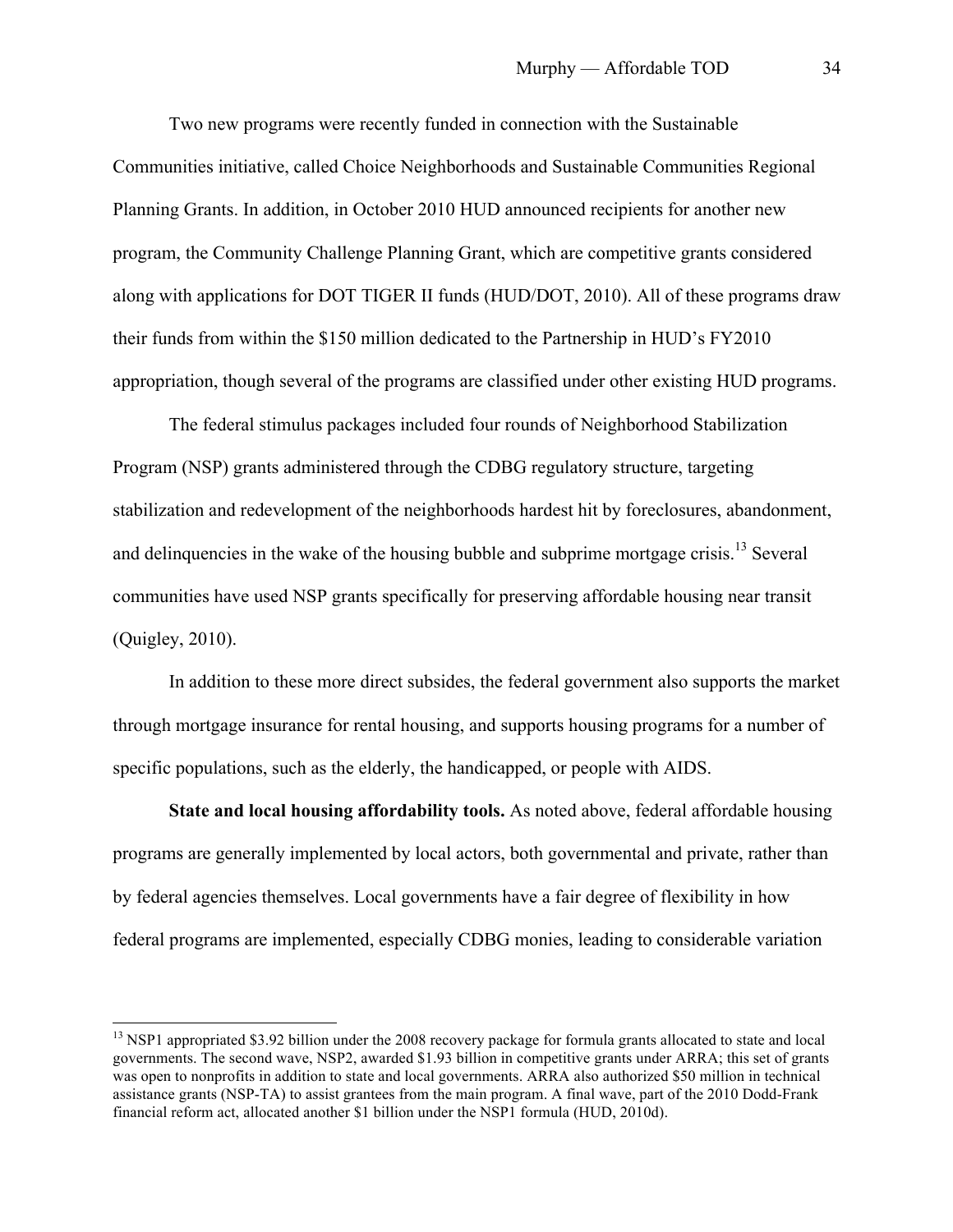Two new programs were recently funded in connection with the Sustainable Communities initiative, called Choice Neighborhoods and Sustainable Communities Regional Planning Grants. In addition, in October 2010 HUD announced recipients for another new program, the Community Challenge Planning Grant, which are competitive grants considered along with applications for DOT TIGER II funds (HUD/DOT, 2010). All of these programs draw their funds from within the \$150 million dedicated to the Partnership in HUD's FY2010 appropriation, though several of the programs are classified under other existing HUD programs.

The federal stimulus packages included four rounds of Neighborhood Stabilization Program (NSP) grants administered through the CDBG regulatory structure, targeting stabilization and redevelopment of the neighborhoods hardest hit by foreclosures, abandonment, and delinquencies in the wake of the housing bubble and subprime mortgage crisis.<sup>13</sup> Several communities have used NSP grants specifically for preserving affordable housing near transit (Quigley, 2010).

In addition to these more direct subsides, the federal government also supports the market through mortgage insurance for rental housing, and supports housing programs for a number of specific populations, such as the elderly, the handicapped, or people with AIDS.

**State and local housing affordability tools.** As noted above, federal affordable housing programs are generally implemented by local actors, both governmental and private, rather than by federal agencies themselves. Local governments have a fair degree of flexibility in how federal programs are implemented, especially CDBG monies, leading to considerable variation

<sup>&</sup>lt;sup>13</sup> NSP1 appropriated \$3.92 billion under the 2008 recovery package for formula grants allocated to state and local governments. The second wave, NSP2, awarded \$1.93 billion in competitive grants under ARRA; this set of grants was open to nonprofits in addition to state and local governments. ARRA also authorized \$50 million in technical assistance grants (NSP-TA) to assist grantees from the main program. A final wave, part of the 2010 Dodd-Frank financial reform act, allocated another \$1 billion under the NSP1 formula (HUD, 2010d).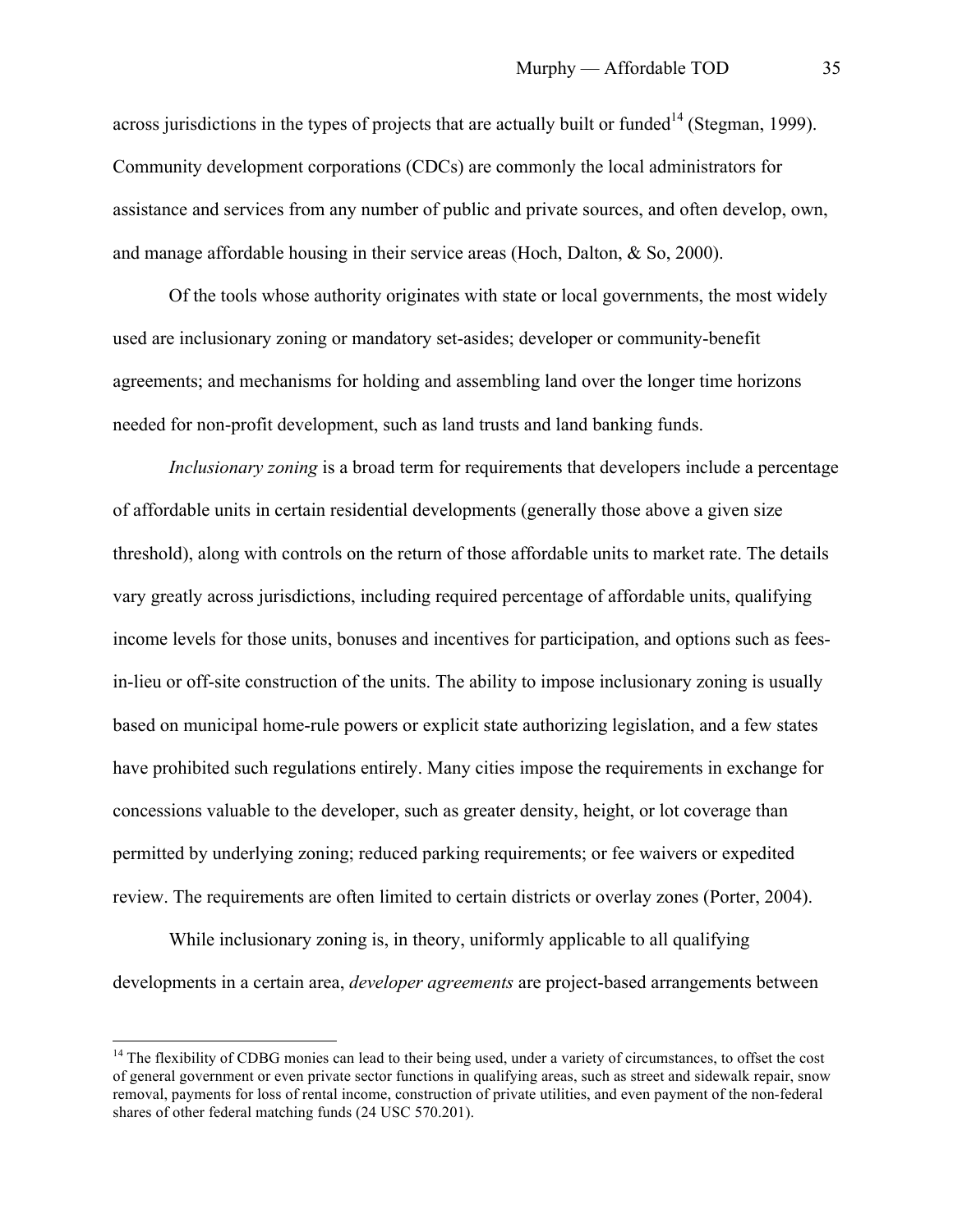across jurisdictions in the types of projects that are actually built or funded<sup>14</sup> (Stegman, 1999). Community development corporations (CDCs) are commonly the local administrators for assistance and services from any number of public and private sources, and often develop, own, and manage affordable housing in their service areas (Hoch, Dalton, & So, 2000).

Of the tools whose authority originates with state or local governments, the most widely used are inclusionary zoning or mandatory set-asides; developer or community-benefit agreements; and mechanisms for holding and assembling land over the longer time horizons needed for non-profit development, such as land trusts and land banking funds.

*Inclusionary zoning* is a broad term for requirements that developers include a percentage of affordable units in certain residential developments (generally those above a given size threshold), along with controls on the return of those affordable units to market rate. The details vary greatly across jurisdictions, including required percentage of affordable units, qualifying income levels for those units, bonuses and incentives for participation, and options such as feesin-lieu or off-site construction of the units. The ability to impose inclusionary zoning is usually based on municipal home-rule powers or explicit state authorizing legislation, and a few states have prohibited such regulations entirely. Many cities impose the requirements in exchange for concessions valuable to the developer, such as greater density, height, or lot coverage than permitted by underlying zoning; reduced parking requirements; or fee waivers or expedited review. The requirements are often limited to certain districts or overlay zones (Porter, 2004).

While inclusionary zoning is, in theory, uniformly applicable to all qualifying developments in a certain area, *developer agreements* are project-based arrangements between

 $14$  The flexibility of CDBG monies can lead to their being used, under a variety of circumstances, to offset the cost of general government or even private sector functions in qualifying areas, such as street and sidewalk repair, snow removal, payments for loss of rental income, construction of private utilities, and even payment of the non-federal shares of other federal matching funds (24 USC 570.201).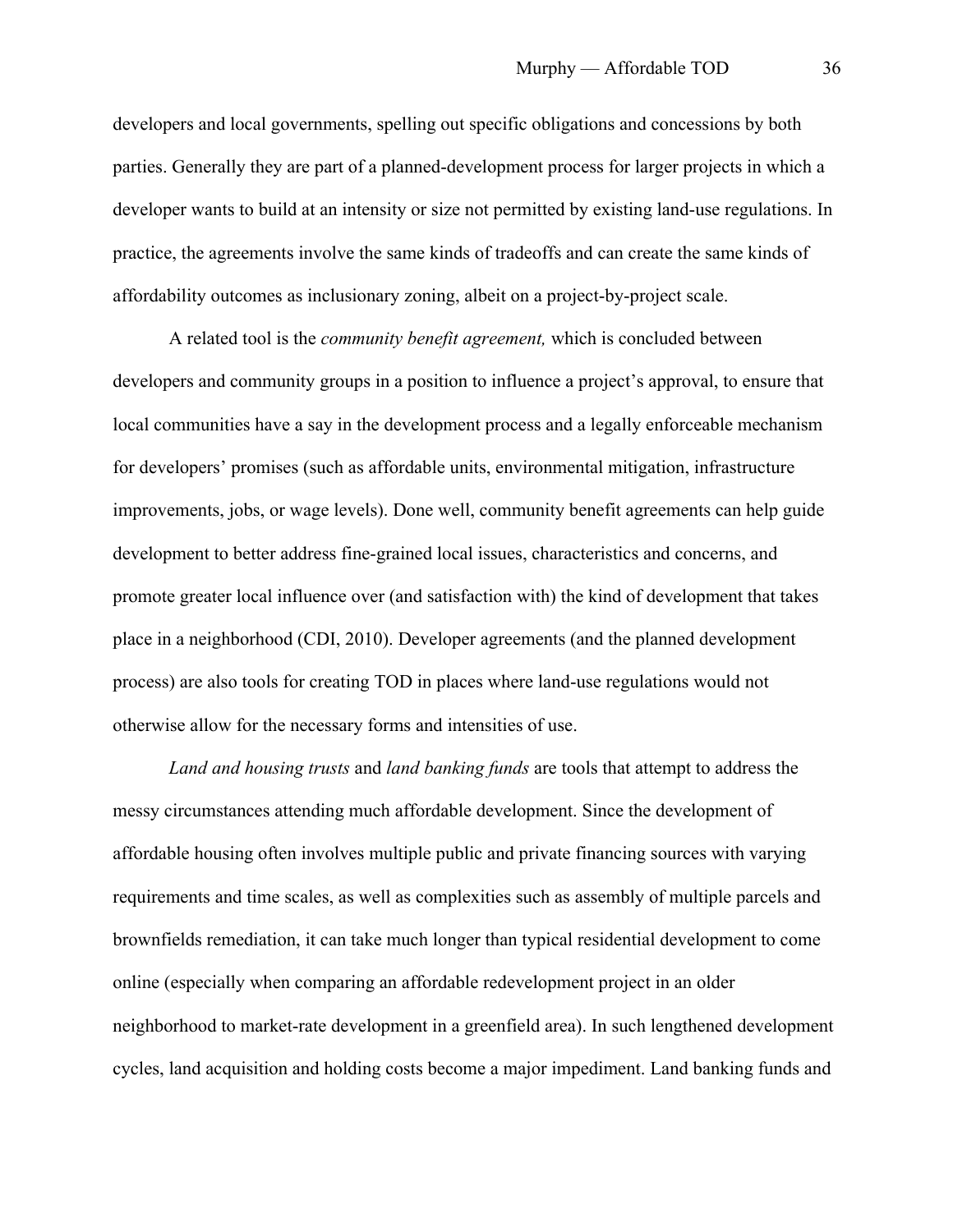developers and local governments, spelling out specific obligations and concessions by both parties. Generally they are part of a planned-development process for larger projects in which a developer wants to build at an intensity or size not permitted by existing land-use regulations. In practice, the agreements involve the same kinds of tradeoffs and can create the same kinds of affordability outcomes as inclusionary zoning, albeit on a project-by-project scale.

A related tool is the *community benefit agreement,* which is concluded between developers and community groups in a position to influence a project's approval, to ensure that local communities have a say in the development process and a legally enforceable mechanism for developers' promises (such as affordable units, environmental mitigation, infrastructure improvements, jobs, or wage levels). Done well, community benefit agreements can help guide development to better address fine-grained local issues, characteristics and concerns, and promote greater local influence over (and satisfaction with) the kind of development that takes place in a neighborhood (CDI, 2010). Developer agreements (and the planned development process) are also tools for creating TOD in places where land-use regulations would not otherwise allow for the necessary forms and intensities of use.

*Land and housing trusts* and *land banking funds* are tools that attempt to address the messy circumstances attending much affordable development. Since the development of affordable housing often involves multiple public and private financing sources with varying requirements and time scales, as well as complexities such as assembly of multiple parcels and brownfields remediation, it can take much longer than typical residential development to come online (especially when comparing an affordable redevelopment project in an older neighborhood to market-rate development in a greenfield area). In such lengthened development cycles, land acquisition and holding costs become a major impediment. Land banking funds and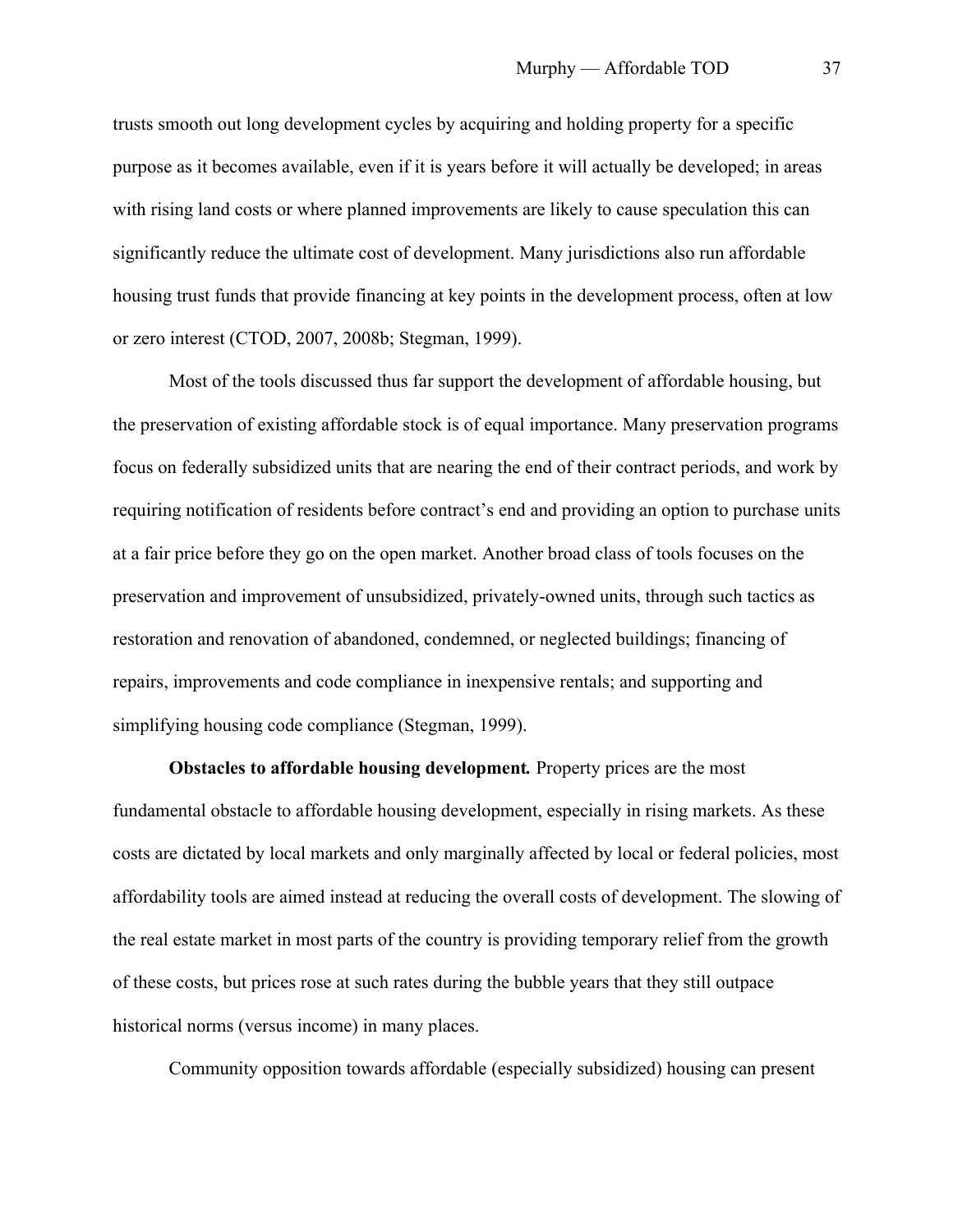trusts smooth out long development cycles by acquiring and holding property for a specific purpose as it becomes available, even if it is years before it will actually be developed; in areas with rising land costs or where planned improvements are likely to cause speculation this can significantly reduce the ultimate cost of development. Many jurisdictions also run affordable housing trust funds that provide financing at key points in the development process, often at low or zero interest (CTOD, 2007, 2008b; Stegman, 1999).

Most of the tools discussed thus far support the development of affordable housing, but the preservation of existing affordable stock is of equal importance. Many preservation programs focus on federally subsidized units that are nearing the end of their contract periods, and work by requiring notification of residents before contract's end and providing an option to purchase units at a fair price before they go on the open market. Another broad class of tools focuses on the preservation and improvement of unsubsidized, privately-owned units, through such tactics as restoration and renovation of abandoned, condemned, or neglected buildings; financing of repairs, improvements and code compliance in inexpensive rentals; and supporting and simplifying housing code compliance (Stegman, 1999).

**Obstacles to affordable housing development***.* Property prices are the most fundamental obstacle to affordable housing development, especially in rising markets. As these costs are dictated by local markets and only marginally affected by local or federal policies, most affordability tools are aimed instead at reducing the overall costs of development. The slowing of the real estate market in most parts of the country is providing temporary relief from the growth of these costs, but prices rose at such rates during the bubble years that they still outpace historical norms (versus income) in many places.

Community opposition towards affordable (especially subsidized) housing can present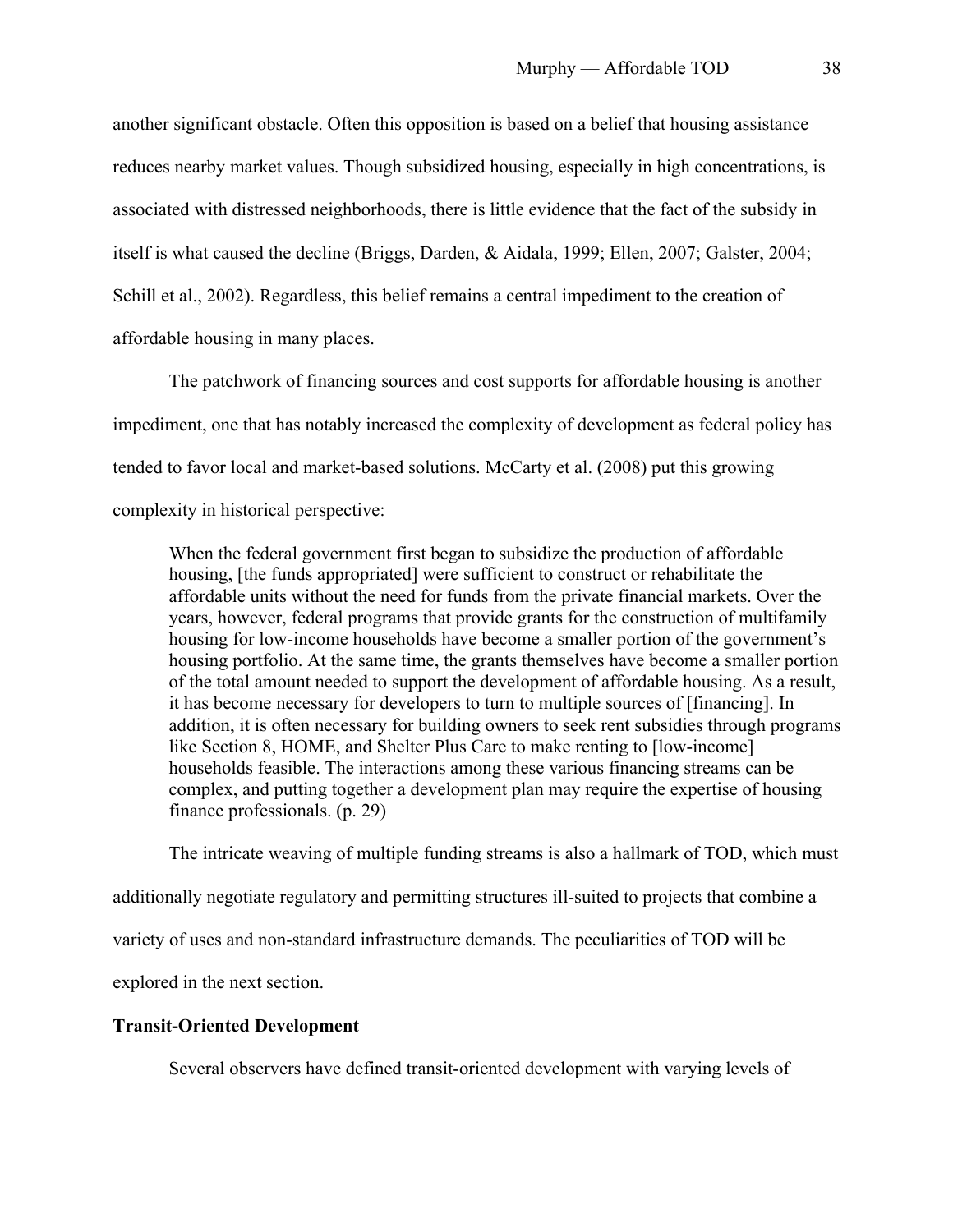another significant obstacle. Often this opposition is based on a belief that housing assistance reduces nearby market values. Though subsidized housing, especially in high concentrations, is associated with distressed neighborhoods, there is little evidence that the fact of the subsidy in itself is what caused the decline (Briggs, Darden, & Aidala, 1999; Ellen, 2007; Galster, 2004; Schill et al., 2002). Regardless, this belief remains a central impediment to the creation of affordable housing in many places.

The patchwork of financing sources and cost supports for affordable housing is another impediment, one that has notably increased the complexity of development as federal policy has tended to favor local and market-based solutions. McCarty et al. (2008) put this growing complexity in historical perspective:

When the federal government first began to subsidize the production of affordable housing, [the funds appropriated] were sufficient to construct or rehabilitate the affordable units without the need for funds from the private financial markets. Over the years, however, federal programs that provide grants for the construction of multifamily housing for low-income households have become a smaller portion of the government's housing portfolio. At the same time, the grants themselves have become a smaller portion of the total amount needed to support the development of affordable housing. As a result, it has become necessary for developers to turn to multiple sources of [financing]. In addition, it is often necessary for building owners to seek rent subsidies through programs like Section 8, HOME, and Shelter Plus Care to make renting to [low-income] households feasible. The interactions among these various financing streams can be complex, and putting together a development plan may require the expertise of housing finance professionals. (p. 29)

The intricate weaving of multiple funding streams is also a hallmark of TOD, which must additionally negotiate regulatory and permitting structures ill-suited to projects that combine a variety of uses and non-standard infrastructure demands. The peculiarities of TOD will be explored in the next section.

## **Transit-Oriented Development**

Several observers have defined transit-oriented development with varying levels of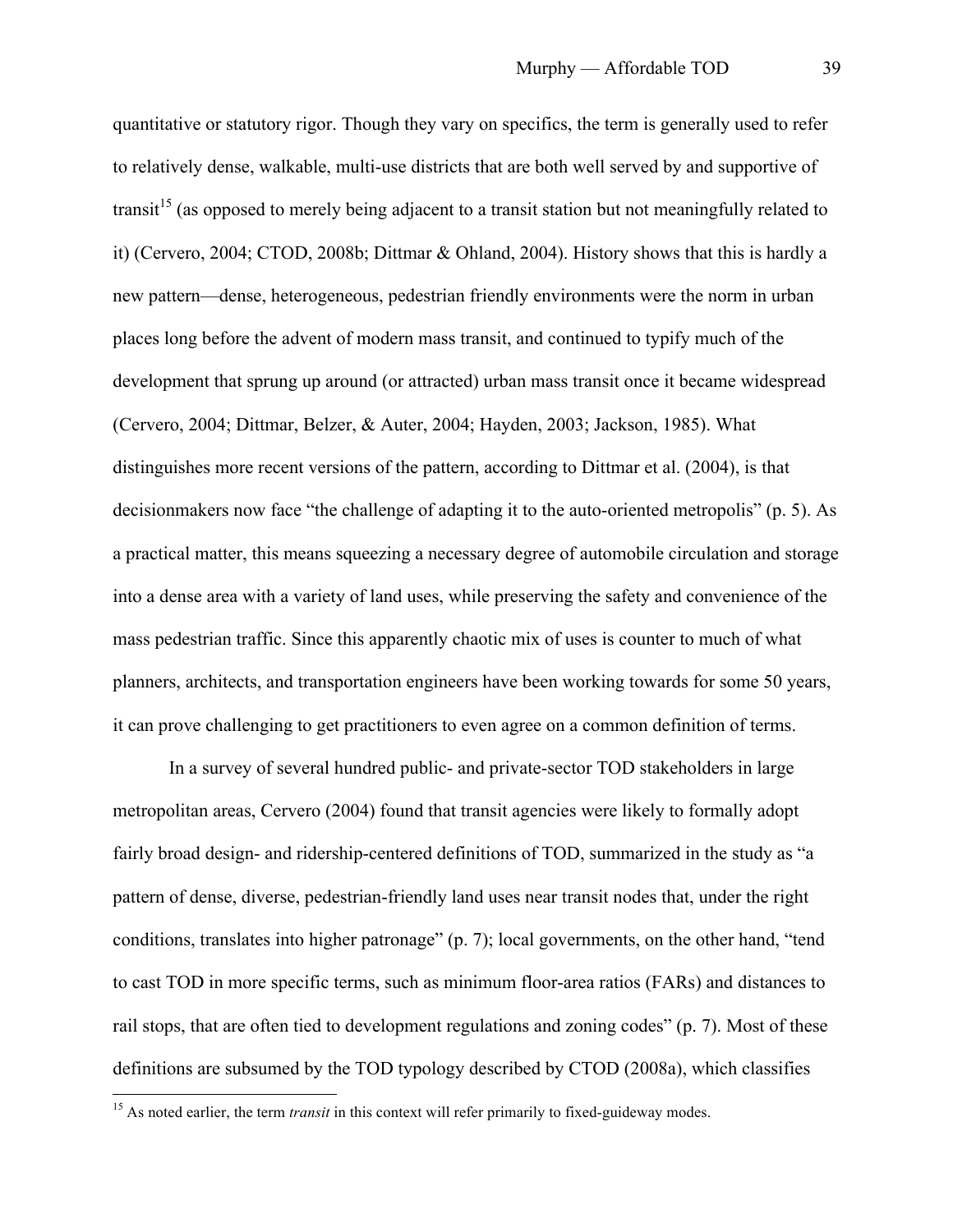quantitative or statutory rigor. Though they vary on specifics, the term is generally used to refer to relatively dense, walkable, multi-use districts that are both well served by and supportive of transit<sup>15</sup> (as opposed to merely being adjacent to a transit station but not meaningfully related to it) (Cervero, 2004; CTOD, 2008b; Dittmar & Ohland, 2004). History shows that this is hardly a new pattern—dense, heterogeneous, pedestrian friendly environments were the norm in urban places long before the advent of modern mass transit, and continued to typify much of the development that sprung up around (or attracted) urban mass transit once it became widespread (Cervero, 2004; Dittmar, Belzer, & Auter, 2004; Hayden, 2003; Jackson, 1985). What distinguishes more recent versions of the pattern, according to Dittmar et al. (2004), is that decisionmakers now face "the challenge of adapting it to the auto-oriented metropolis" (p. 5). As a practical matter, this means squeezing a necessary degree of automobile circulation and storage into a dense area with a variety of land uses, while preserving the safety and convenience of the mass pedestrian traffic. Since this apparently chaotic mix of uses is counter to much of what planners, architects, and transportation engineers have been working towards for some 50 years, it can prove challenging to get practitioners to even agree on a common definition of terms.

In a survey of several hundred public- and private-sector TOD stakeholders in large metropolitan areas, Cervero (2004) found that transit agencies were likely to formally adopt fairly broad design- and ridership-centered definitions of TOD, summarized in the study as "a pattern of dense, diverse, pedestrian-friendly land uses near transit nodes that, under the right conditions, translates into higher patronage" (p. 7); local governments, on the other hand, "tend to cast TOD in more specific terms, such as minimum floor-area ratios (FARs) and distances to rail stops, that are often tied to development regulations and zoning codes" (p. 7). Most of these definitions are subsumed by the TOD typology described by CTOD (2008a), which classifies

<sup>&</sup>lt;sup>15</sup> As noted earlier, the term *transit* in this context will refer primarily to fixed-guideway modes.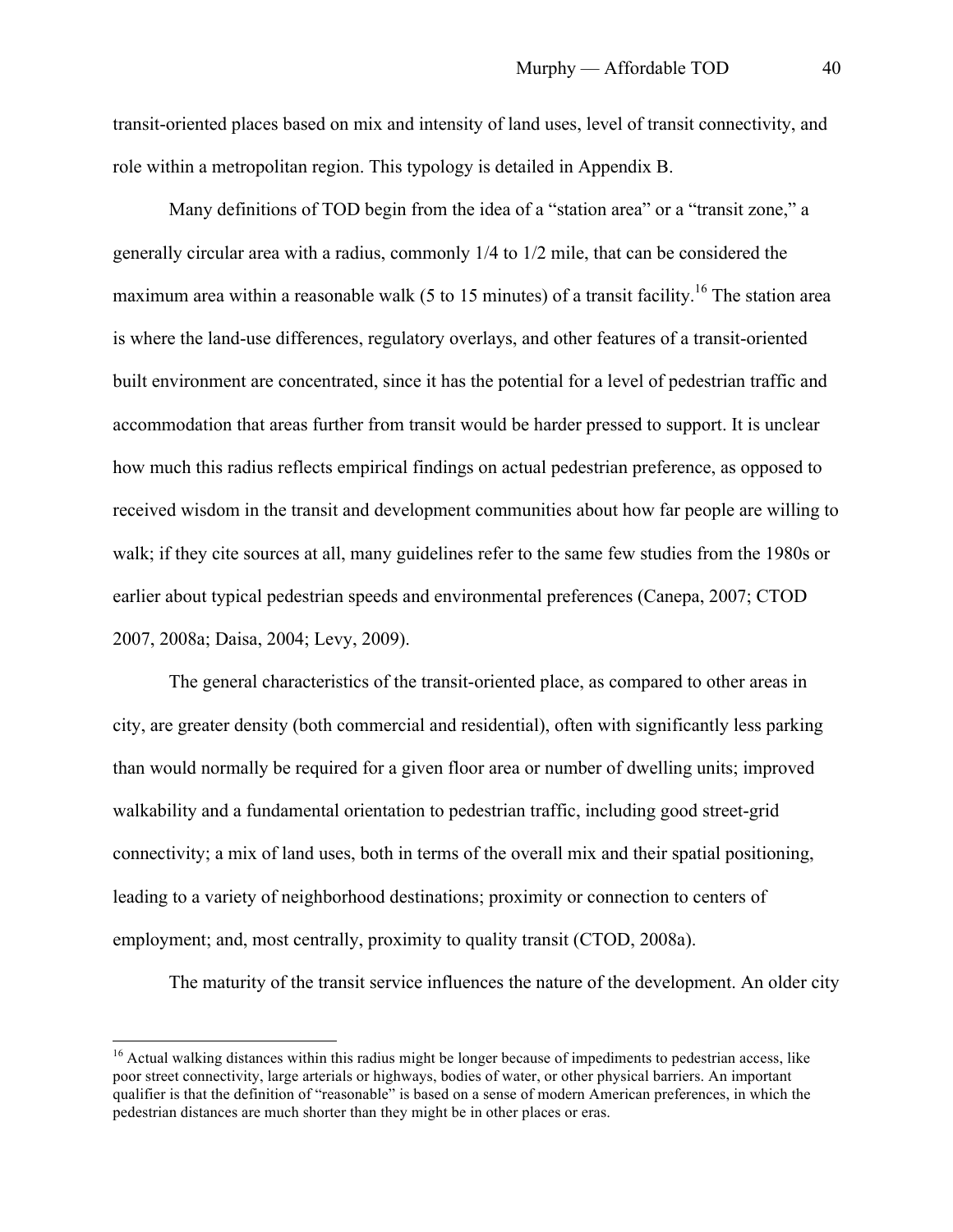transit-oriented places based on mix and intensity of land uses, level of transit connectivity, and role within a metropolitan region. This typology is detailed in Appendix B.

Many definitions of TOD begin from the idea of a "station area" or a "transit zone," a generally circular area with a radius, commonly 1/4 to 1/2 mile, that can be considered the maximum area within a reasonable walk (5 to 15 minutes) of a transit facility.<sup>16</sup> The station area is where the land-use differences, regulatory overlays, and other features of a transit-oriented built environment are concentrated, since it has the potential for a level of pedestrian traffic and accommodation that areas further from transit would be harder pressed to support. It is unclear how much this radius reflects empirical findings on actual pedestrian preference, as opposed to received wisdom in the transit and development communities about how far people are willing to walk; if they cite sources at all, many guidelines refer to the same few studies from the 1980s or earlier about typical pedestrian speeds and environmental preferences (Canepa, 2007; CTOD 2007, 2008a; Daisa, 2004; Levy, 2009).

The general characteristics of the transit-oriented place, as compared to other areas in city, are greater density (both commercial and residential), often with significantly less parking than would normally be required for a given floor area or number of dwelling units; improved walkability and a fundamental orientation to pedestrian traffic, including good street-grid connectivity; a mix of land uses, both in terms of the overall mix and their spatial positioning, leading to a variety of neighborhood destinations; proximity or connection to centers of employment; and, most centrally, proximity to quality transit (CTOD, 2008a).

The maturity of the transit service influences the nature of the development. An older city

<sup>&</sup>lt;sup>16</sup> Actual walking distances within this radius might be longer because of impediments to pedestrian access, like poor street connectivity, large arterials or highways, bodies of water, or other physical barriers. An important qualifier is that the definition of "reasonable" is based on a sense of modern American preferences, in which the pedestrian distances are much shorter than they might be in other places or eras.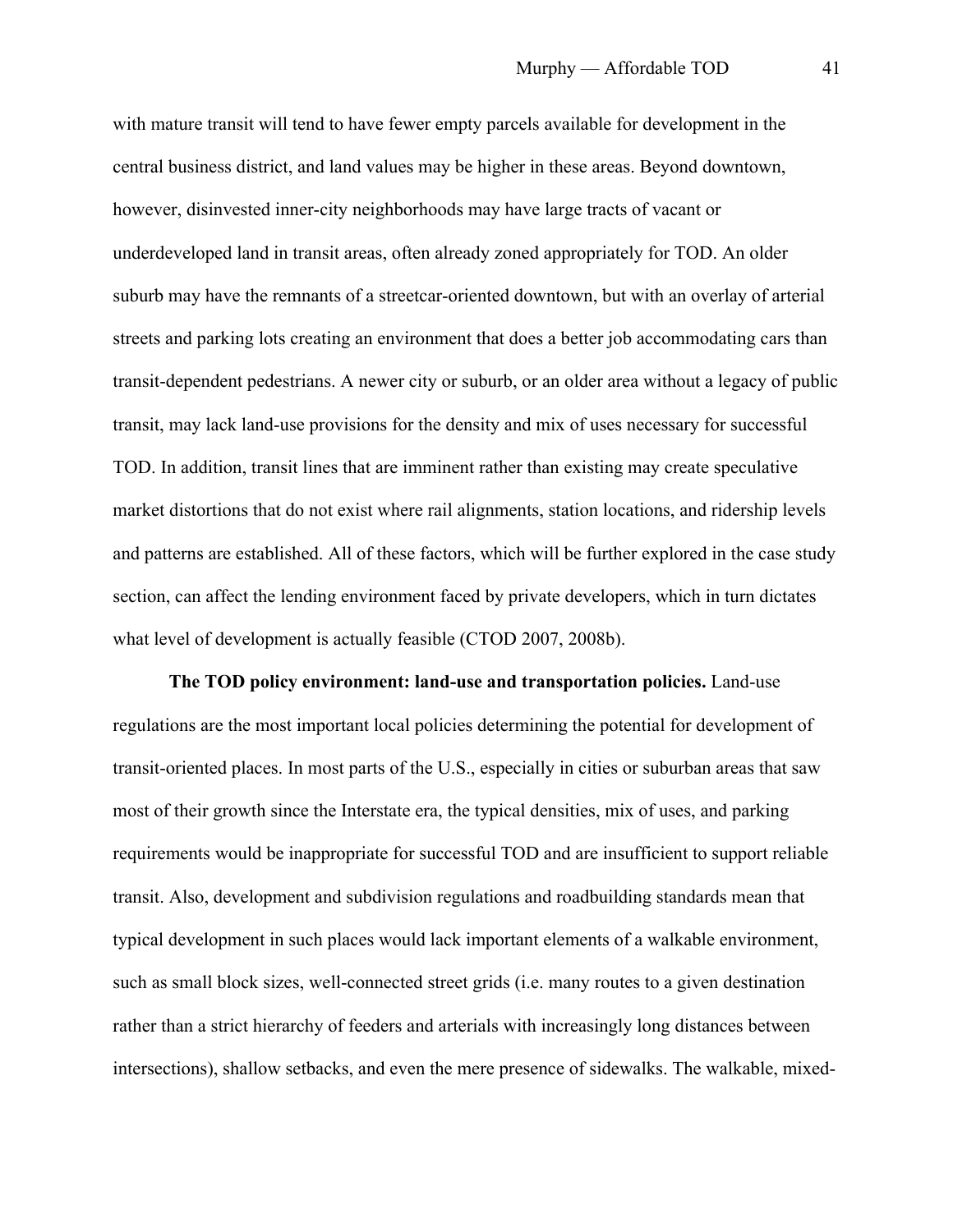with mature transit will tend to have fewer empty parcels available for development in the central business district, and land values may be higher in these areas. Beyond downtown, however, disinvested inner-city neighborhoods may have large tracts of vacant or underdeveloped land in transit areas, often already zoned appropriately for TOD. An older suburb may have the remnants of a streetcar-oriented downtown, but with an overlay of arterial streets and parking lots creating an environment that does a better job accommodating cars than transit-dependent pedestrians. A newer city or suburb, or an older area without a legacy of public transit, may lack land-use provisions for the density and mix of uses necessary for successful TOD. In addition, transit lines that are imminent rather than existing may create speculative market distortions that do not exist where rail alignments, station locations, and ridership levels and patterns are established. All of these factors, which will be further explored in the case study section, can affect the lending environment faced by private developers, which in turn dictates what level of development is actually feasible (CTOD 2007, 2008b).

**The TOD policy environment: land-use and transportation policies.** Land-use regulations are the most important local policies determining the potential for development of transit-oriented places. In most parts of the U.S., especially in cities or suburban areas that saw most of their growth since the Interstate era, the typical densities, mix of uses, and parking requirements would be inappropriate for successful TOD and are insufficient to support reliable transit. Also, development and subdivision regulations and roadbuilding standards mean that typical development in such places would lack important elements of a walkable environment, such as small block sizes, well-connected street grids (i.e. many routes to a given destination rather than a strict hierarchy of feeders and arterials with increasingly long distances between intersections), shallow setbacks, and even the mere presence of sidewalks. The walkable, mixed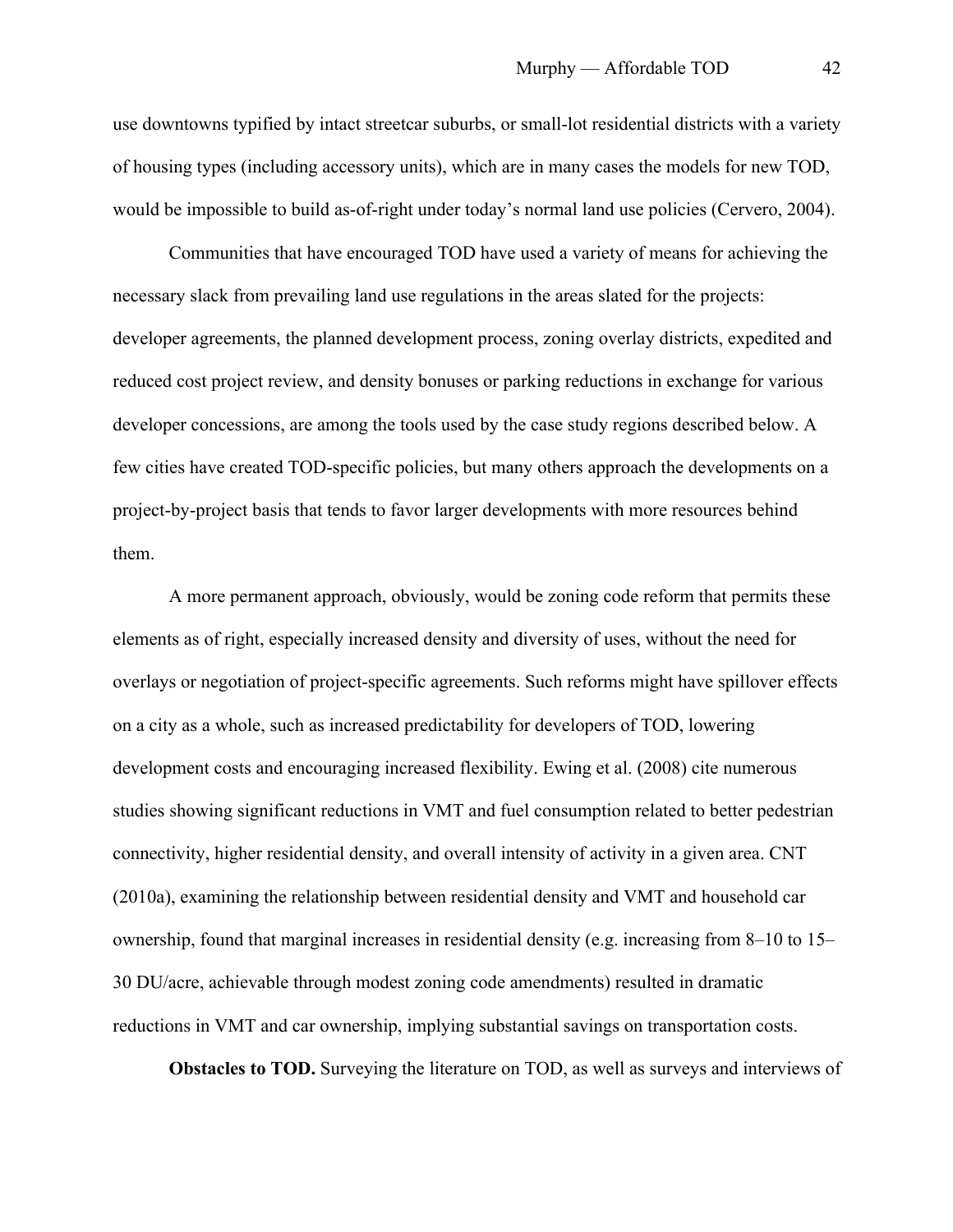use downtowns typified by intact streetcar suburbs, or small-lot residential districts with a variety of housing types (including accessory units), which are in many cases the models for new TOD, would be impossible to build as-of-right under today's normal land use policies (Cervero, 2004).

Communities that have encouraged TOD have used a variety of means for achieving the necessary slack from prevailing land use regulations in the areas slated for the projects: developer agreements, the planned development process, zoning overlay districts, expedited and reduced cost project review, and density bonuses or parking reductions in exchange for various developer concessions, are among the tools used by the case study regions described below. A few cities have created TOD-specific policies, but many others approach the developments on a project-by-project basis that tends to favor larger developments with more resources behind them.

A more permanent approach, obviously, would be zoning code reform that permits these elements as of right, especially increased density and diversity of uses, without the need for overlays or negotiation of project-specific agreements. Such reforms might have spillover effects on a city as a whole, such as increased predictability for developers of TOD, lowering development costs and encouraging increased flexibility. Ewing et al. (2008) cite numerous studies showing significant reductions in VMT and fuel consumption related to better pedestrian connectivity, higher residential density, and overall intensity of activity in a given area. CNT (2010a), examining the relationship between residential density and VMT and household car ownership, found that marginal increases in residential density (e.g. increasing from 8–10 to 15– 30 DU/acre, achievable through modest zoning code amendments) resulted in dramatic reductions in VMT and car ownership, implying substantial savings on transportation costs.

**Obstacles to TOD.** Surveying the literature on TOD, as well as surveys and interviews of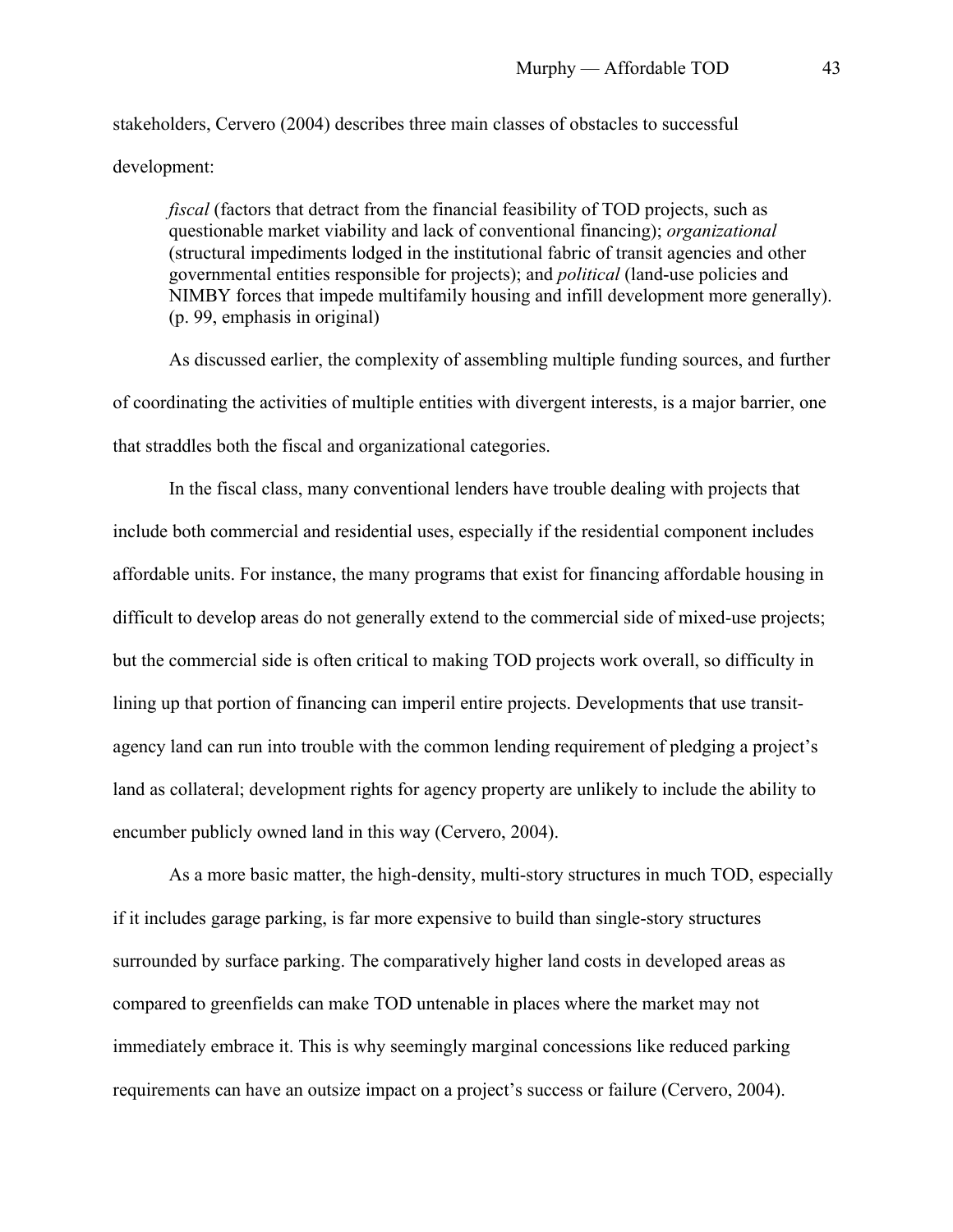stakeholders, Cervero (2004) describes three main classes of obstacles to successful development:

*fiscal* (factors that detract from the financial feasibility of TOD projects, such as questionable market viability and lack of conventional financing); *organizational* (structural impediments lodged in the institutional fabric of transit agencies and other governmental entities responsible for projects); and *political* (land-use policies and NIMBY forces that impede multifamily housing and infill development more generally). (p. 99, emphasis in original)

As discussed earlier, the complexity of assembling multiple funding sources, and further of coordinating the activities of multiple entities with divergent interests, is a major barrier, one that straddles both the fiscal and organizational categories.

In the fiscal class, many conventional lenders have trouble dealing with projects that include both commercial and residential uses, especially if the residential component includes affordable units. For instance, the many programs that exist for financing affordable housing in difficult to develop areas do not generally extend to the commercial side of mixed-use projects; but the commercial side is often critical to making TOD projects work overall, so difficulty in lining up that portion of financing can imperil entire projects. Developments that use transitagency land can run into trouble with the common lending requirement of pledging a project's land as collateral; development rights for agency property are unlikely to include the ability to encumber publicly owned land in this way (Cervero, 2004).

As a more basic matter, the high-density, multi-story structures in much TOD, especially if it includes garage parking, is far more expensive to build than single-story structures surrounded by surface parking. The comparatively higher land costs in developed areas as compared to greenfields can make TOD untenable in places where the market may not immediately embrace it. This is why seemingly marginal concessions like reduced parking requirements can have an outsize impact on a project's success or failure (Cervero, 2004).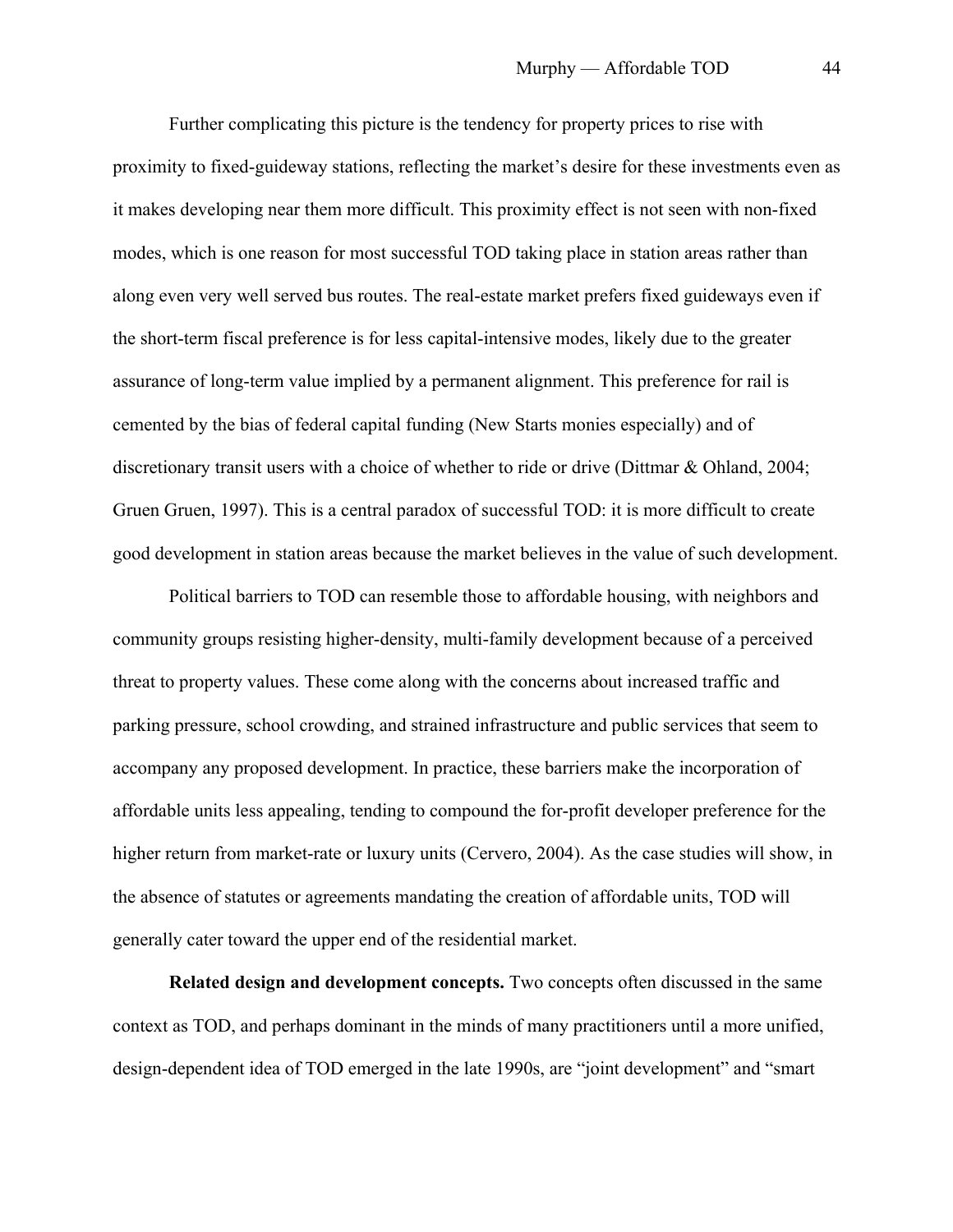Further complicating this picture is the tendency for property prices to rise with proximity to fixed-guideway stations, reflecting the market's desire for these investments even as it makes developing near them more difficult. This proximity effect is not seen with non-fixed modes, which is one reason for most successful TOD taking place in station areas rather than along even very well served bus routes. The real-estate market prefers fixed guideways even if the short-term fiscal preference is for less capital-intensive modes, likely due to the greater assurance of long-term value implied by a permanent alignment. This preference for rail is cemented by the bias of federal capital funding (New Starts monies especially) and of discretionary transit users with a choice of whether to ride or drive (Dittmar & Ohland, 2004; Gruen Gruen, 1997). This is a central paradox of successful TOD: it is more difficult to create good development in station areas because the market believes in the value of such development.

Political barriers to TOD can resemble those to affordable housing, with neighbors and community groups resisting higher-density, multi-family development because of a perceived threat to property values. These come along with the concerns about increased traffic and parking pressure, school crowding, and strained infrastructure and public services that seem to accompany any proposed development. In practice, these barriers make the incorporation of affordable units less appealing, tending to compound the for-profit developer preference for the higher return from market-rate or luxury units (Cervero, 2004). As the case studies will show, in the absence of statutes or agreements mandating the creation of affordable units, TOD will generally cater toward the upper end of the residential market.

**Related design and development concepts.** Two concepts often discussed in the same context as TOD, and perhaps dominant in the minds of many practitioners until a more unified, design-dependent idea of TOD emerged in the late 1990s, are "joint development" and "smart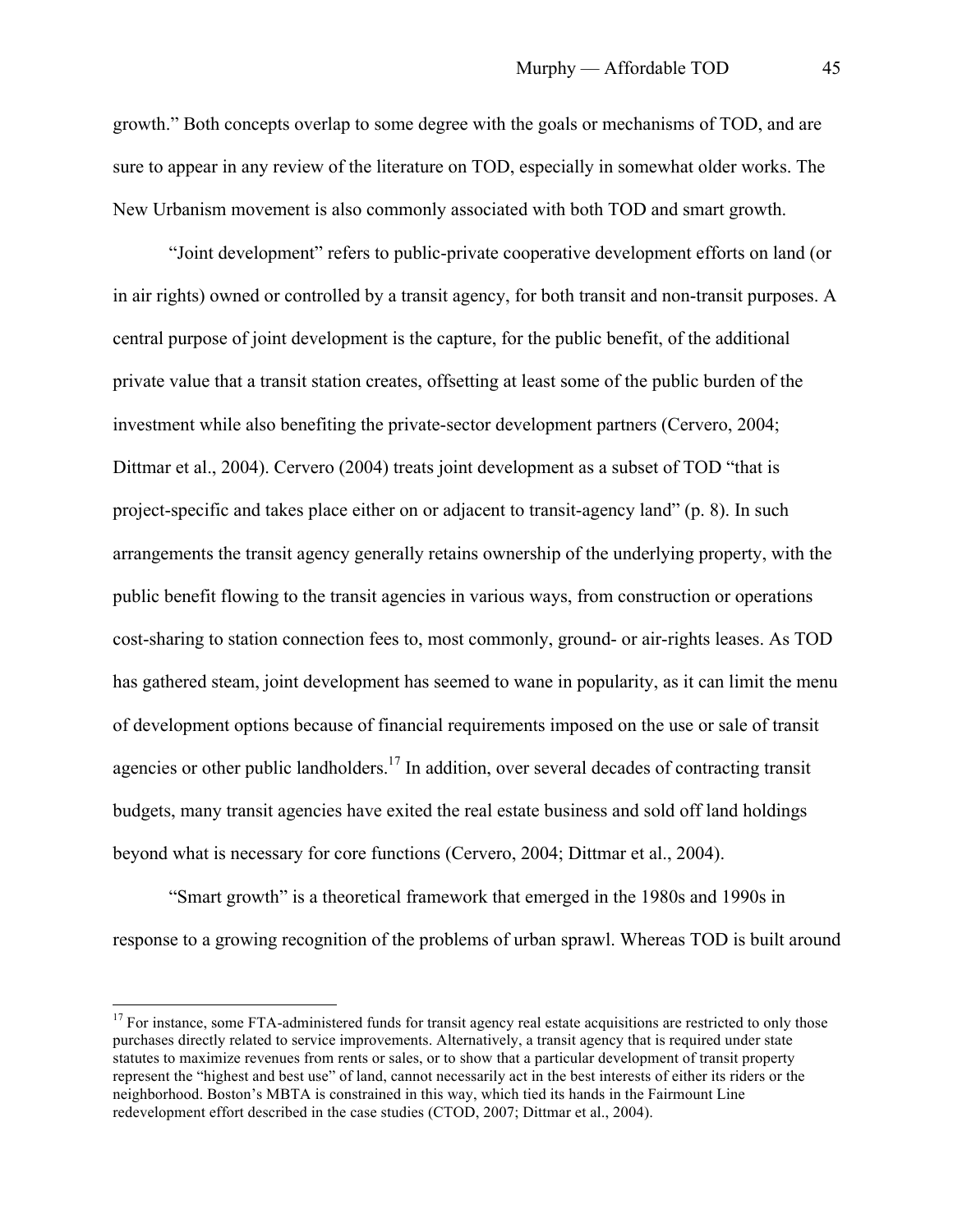growth." Both concepts overlap to some degree with the goals or mechanisms of TOD, and are sure to appear in any review of the literature on TOD, especially in somewhat older works. The New Urbanism movement is also commonly associated with both TOD and smart growth.

"Joint development" refers to public-private cooperative development efforts on land (or in air rights) owned or controlled by a transit agency, for both transit and non-transit purposes. A central purpose of joint development is the capture, for the public benefit, of the additional private value that a transit station creates, offsetting at least some of the public burden of the investment while also benefiting the private-sector development partners (Cervero, 2004; Dittmar et al., 2004). Cervero (2004) treats joint development as a subset of TOD "that is project-specific and takes place either on or adjacent to transit-agency land" (p. 8). In such arrangements the transit agency generally retains ownership of the underlying property, with the public benefit flowing to the transit agencies in various ways, from construction or operations cost-sharing to station connection fees to, most commonly, ground- or air-rights leases. As TOD has gathered steam, joint development has seemed to wane in popularity, as it can limit the menu of development options because of financial requirements imposed on the use or sale of transit agencies or other public landholders.<sup>17</sup> In addition, over several decades of contracting transit budgets, many transit agencies have exited the real estate business and sold off land holdings beyond what is necessary for core functions (Cervero, 2004; Dittmar et al., 2004).

"Smart growth" is a theoretical framework that emerged in the 1980s and 1990s in response to a growing recognition of the problems of urban sprawl. Whereas TOD is built around

 $17$  For instance, some FTA-administered funds for transit agency real estate acquisitions are restricted to only those purchases directly related to service improvements. Alternatively, a transit agency that is required under state statutes to maximize revenues from rents or sales, or to show that a particular development of transit property represent the "highest and best use" of land, cannot necessarily act in the best interests of either its riders or the neighborhood. Boston's MBTA is constrained in this way, which tied its hands in the Fairmount Line redevelopment effort described in the case studies (CTOD, 2007; Dittmar et al., 2004).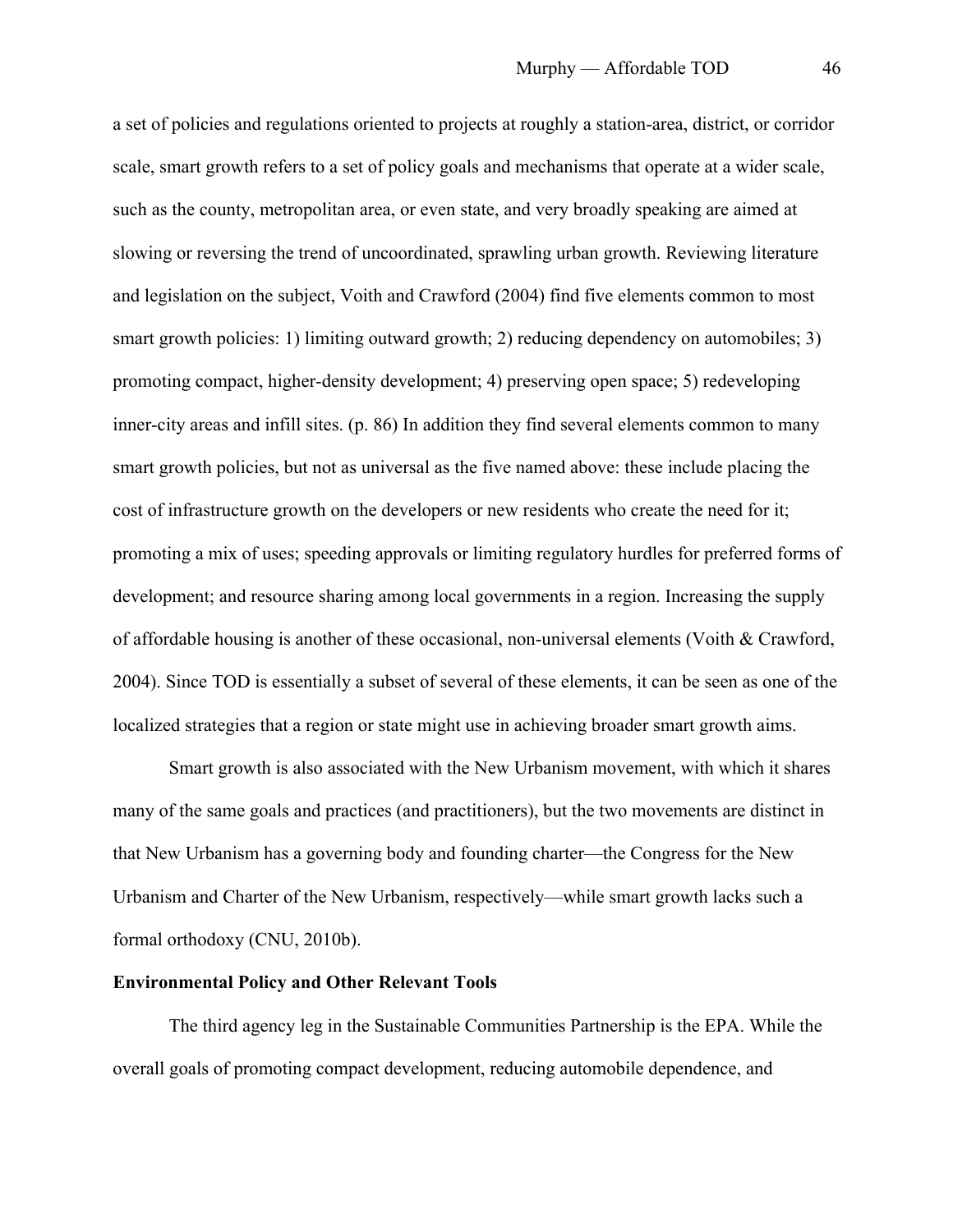a set of policies and regulations oriented to projects at roughly a station-area, district, or corridor scale, smart growth refers to a set of policy goals and mechanisms that operate at a wider scale, such as the county, metropolitan area, or even state, and very broadly speaking are aimed at slowing or reversing the trend of uncoordinated, sprawling urban growth. Reviewing literature and legislation on the subject, Voith and Crawford (2004) find five elements common to most smart growth policies: 1) limiting outward growth; 2) reducing dependency on automobiles; 3) promoting compact, higher-density development; 4) preserving open space; 5) redeveloping inner-city areas and infill sites. (p. 86) In addition they find several elements common to many smart growth policies, but not as universal as the five named above: these include placing the cost of infrastructure growth on the developers or new residents who create the need for it; promoting a mix of uses; speeding approvals or limiting regulatory hurdles for preferred forms of development; and resource sharing among local governments in a region. Increasing the supply of affordable housing is another of these occasional, non-universal elements (Voith & Crawford, 2004). Since TOD is essentially a subset of several of these elements, it can be seen as one of the localized strategies that a region or state might use in achieving broader smart growth aims.

Smart growth is also associated with the New Urbanism movement, with which it shares many of the same goals and practices (and practitioners), but the two movements are distinct in that New Urbanism has a governing body and founding charter—the Congress for the New Urbanism and Charter of the New Urbanism, respectively—while smart growth lacks such a formal orthodoxy (CNU, 2010b).

#### **Environmental Policy and Other Relevant Tools**

The third agency leg in the Sustainable Communities Partnership is the EPA. While the overall goals of promoting compact development, reducing automobile dependence, and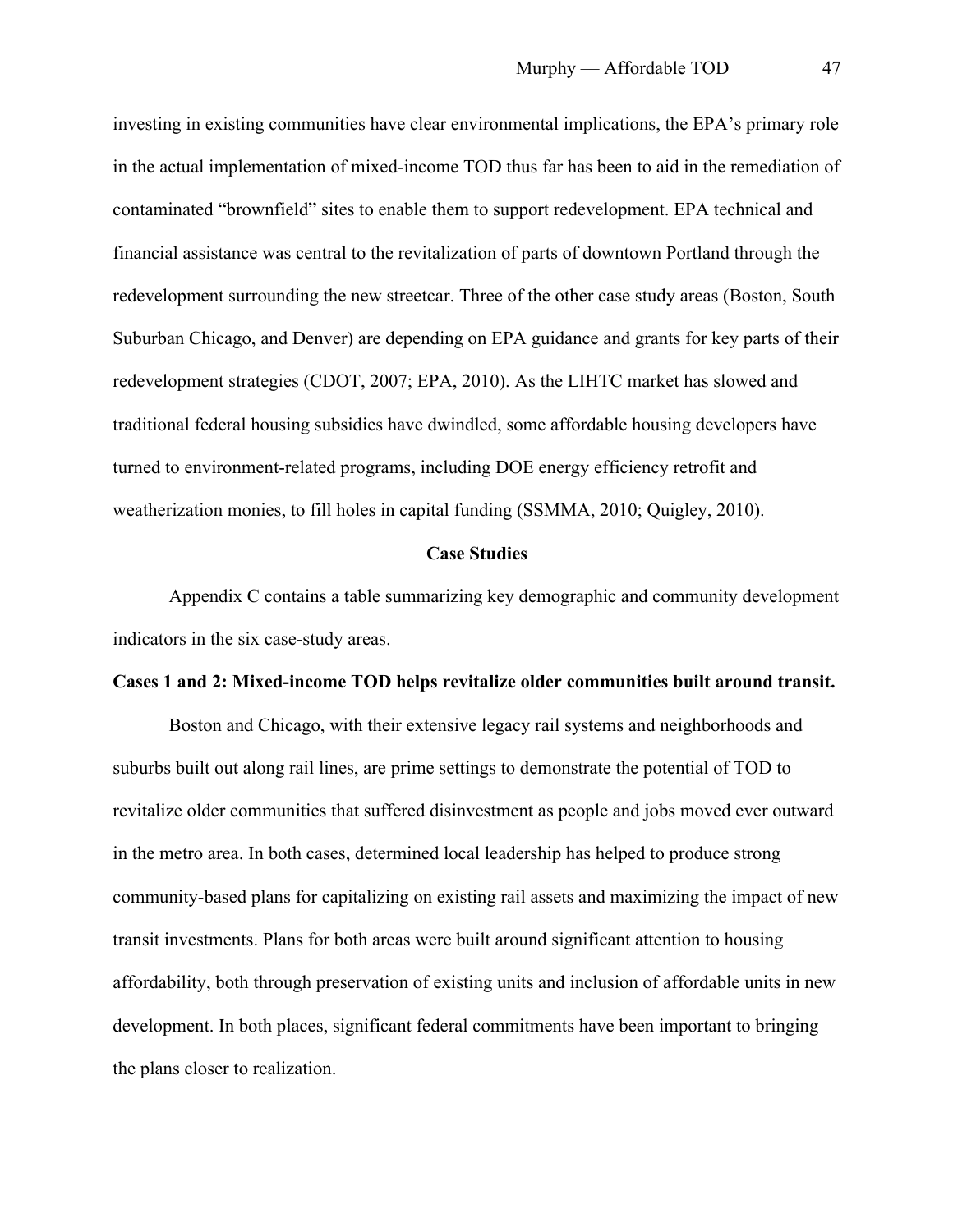investing in existing communities have clear environmental implications, the EPA's primary role in the actual implementation of mixed-income TOD thus far has been to aid in the remediation of contaminated "brownfield" sites to enable them to support redevelopment. EPA technical and financial assistance was central to the revitalization of parts of downtown Portland through the redevelopment surrounding the new streetcar. Three of the other case study areas (Boston, South Suburban Chicago, and Denver) are depending on EPA guidance and grants for key parts of their redevelopment strategies (CDOT, 2007; EPA, 2010). As the LIHTC market has slowed and traditional federal housing subsidies have dwindled, some affordable housing developers have turned to environment-related programs, including DOE energy efficiency retrofit and weatherization monies, to fill holes in capital funding (SSMMA, 2010; Quigley, 2010).

#### **Case Studies**

Appendix C contains a table summarizing key demographic and community development indicators in the six case-study areas.

### **Cases 1 and 2: Mixed-income TOD helps revitalize older communities built around transit.**

Boston and Chicago, with their extensive legacy rail systems and neighborhoods and suburbs built out along rail lines, are prime settings to demonstrate the potential of TOD to revitalize older communities that suffered disinvestment as people and jobs moved ever outward in the metro area. In both cases, determined local leadership has helped to produce strong community-based plans for capitalizing on existing rail assets and maximizing the impact of new transit investments. Plans for both areas were built around significant attention to housing affordability, both through preservation of existing units and inclusion of affordable units in new development. In both places, significant federal commitments have been important to bringing the plans closer to realization.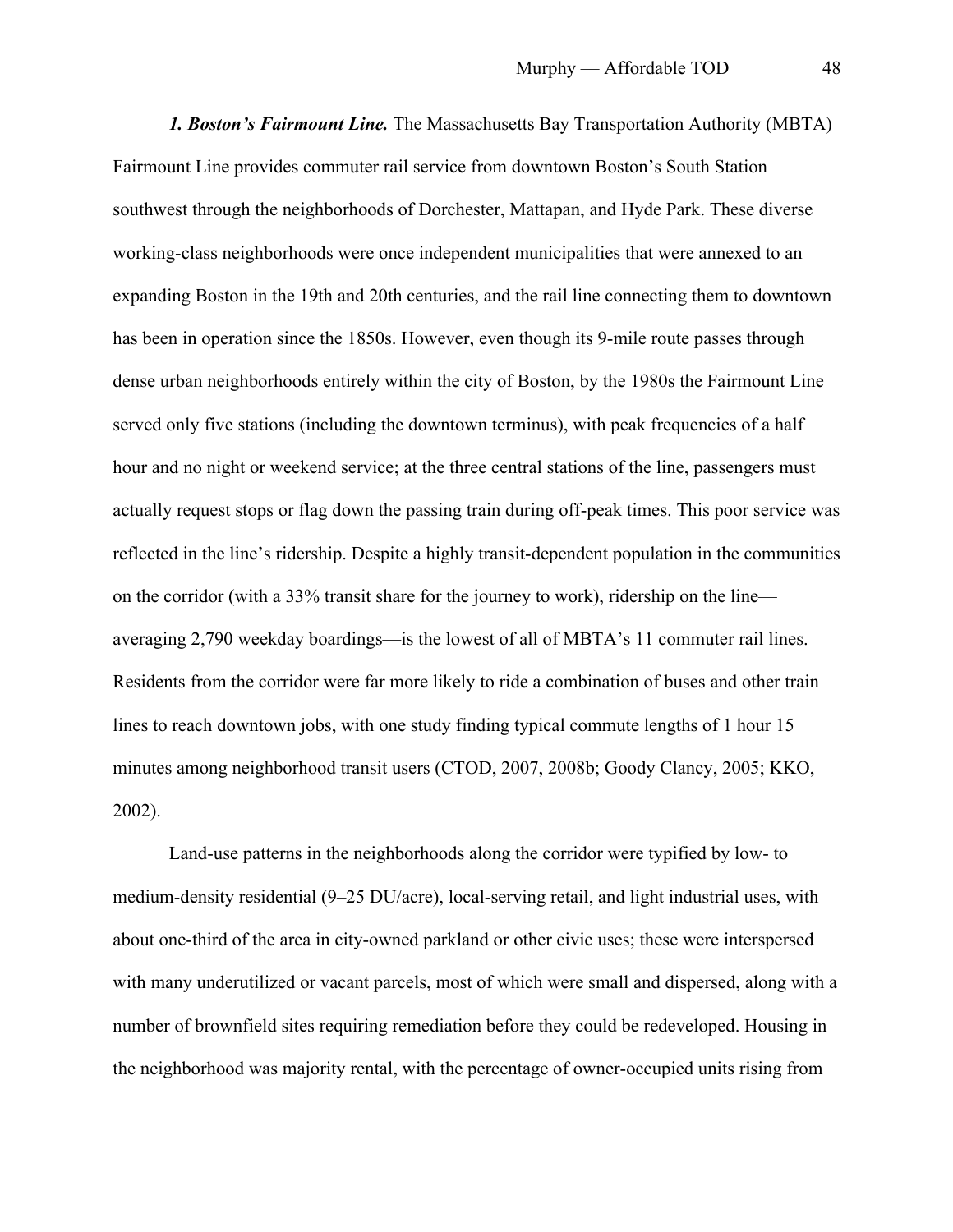*1. Boston's Fairmount Line.* The Massachusetts Bay Transportation Authority (MBTA) Fairmount Line provides commuter rail service from downtown Boston's South Station southwest through the neighborhoods of Dorchester, Mattapan, and Hyde Park. These diverse working-class neighborhoods were once independent municipalities that were annexed to an expanding Boston in the 19th and 20th centuries, and the rail line connecting them to downtown has been in operation since the 1850s. However, even though its 9-mile route passes through dense urban neighborhoods entirely within the city of Boston, by the 1980s the Fairmount Line served only five stations (including the downtown terminus), with peak frequencies of a half hour and no night or weekend service; at the three central stations of the line, passengers must actually request stops or flag down the passing train during off-peak times. This poor service was reflected in the line's ridership. Despite a highly transit-dependent population in the communities on the corridor (with a 33% transit share for the journey to work), ridership on the line averaging 2,790 weekday boardings—is the lowest of all of MBTA's 11 commuter rail lines. Residents from the corridor were far more likely to ride a combination of buses and other train lines to reach downtown jobs, with one study finding typical commute lengths of 1 hour 15 minutes among neighborhood transit users (CTOD, 2007, 2008b; Goody Clancy, 2005; KKO, 2002).

Land-use patterns in the neighborhoods along the corridor were typified by low- to medium-density residential (9–25 DU/acre), local-serving retail, and light industrial uses, with about one-third of the area in city-owned parkland or other civic uses; these were interspersed with many underutilized or vacant parcels, most of which were small and dispersed, along with a number of brownfield sites requiring remediation before they could be redeveloped. Housing in the neighborhood was majority rental, with the percentage of owner-occupied units rising from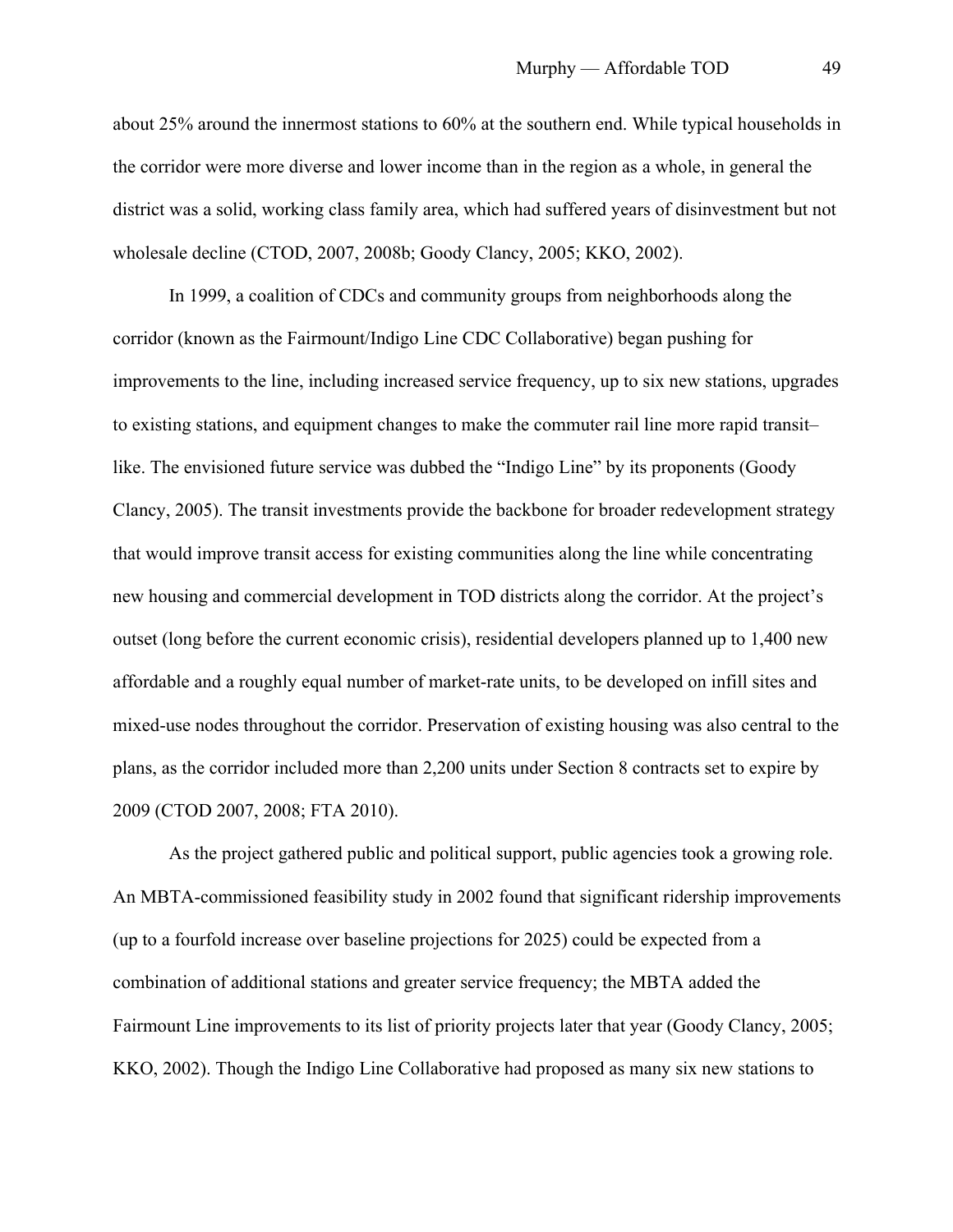about 25% around the innermost stations to 60% at the southern end. While typical households in the corridor were more diverse and lower income than in the region as a whole, in general the district was a solid, working class family area, which had suffered years of disinvestment but not wholesale decline (CTOD, 2007, 2008b; Goody Clancy, 2005; KKO, 2002).

In 1999, a coalition of CDCs and community groups from neighborhoods along the corridor (known as the Fairmount/Indigo Line CDC Collaborative) began pushing for improvements to the line, including increased service frequency, up to six new stations, upgrades to existing stations, and equipment changes to make the commuter rail line more rapid transit– like. The envisioned future service was dubbed the "Indigo Line" by its proponents (Goody Clancy, 2005). The transit investments provide the backbone for broader redevelopment strategy that would improve transit access for existing communities along the line while concentrating new housing and commercial development in TOD districts along the corridor. At the project's outset (long before the current economic crisis), residential developers planned up to 1,400 new affordable and a roughly equal number of market-rate units, to be developed on infill sites and mixed-use nodes throughout the corridor. Preservation of existing housing was also central to the plans, as the corridor included more than 2,200 units under Section 8 contracts set to expire by 2009 (CTOD 2007, 2008; FTA 2010).

As the project gathered public and political support, public agencies took a growing role. An MBTA-commissioned feasibility study in 2002 found that significant ridership improvements (up to a fourfold increase over baseline projections for 2025) could be expected from a combination of additional stations and greater service frequency; the MBTA added the Fairmount Line improvements to its list of priority projects later that year (Goody Clancy, 2005; KKO, 2002). Though the Indigo Line Collaborative had proposed as many six new stations to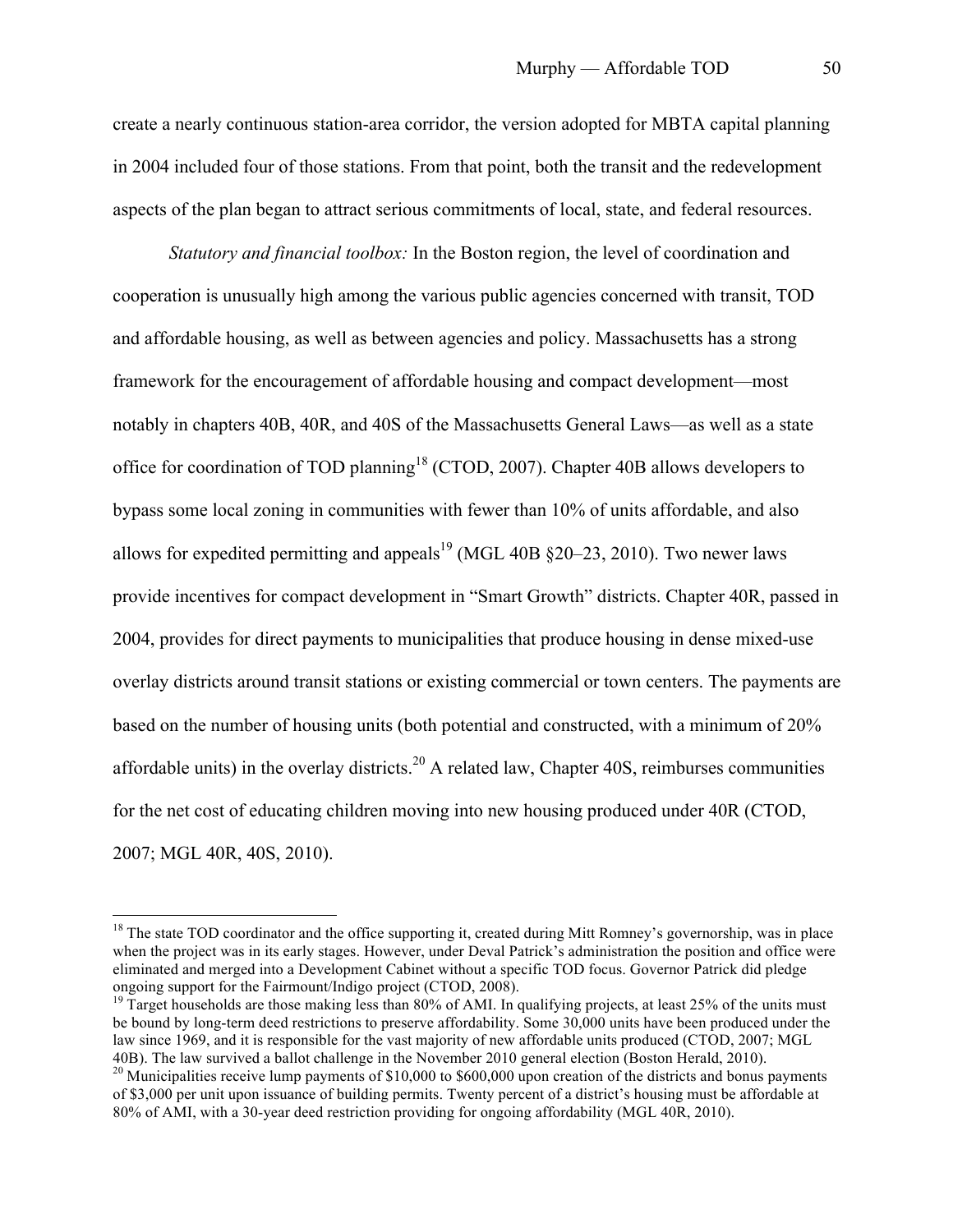create a nearly continuous station-area corridor, the version adopted for MBTA capital planning in 2004 included four of those stations. From that point, both the transit and the redevelopment aspects of the plan began to attract serious commitments of local, state, and federal resources.

*Statutory and financial toolbox:* In the Boston region, the level of coordination and cooperation is unusually high among the various public agencies concerned with transit, TOD and affordable housing, as well as between agencies and policy. Massachusetts has a strong framework for the encouragement of affordable housing and compact development—most notably in chapters 40B, 40R, and 40S of the Massachusetts General Laws—as well as a state office for coordination of TOD planning<sup>18</sup> (CTOD, 2007). Chapter 40B allows developers to bypass some local zoning in communities with fewer than 10% of units affordable, and also allows for expedited permitting and appeals<sup>19</sup> (MGL 40B  $\S20-23$ , 2010). Two newer laws provide incentives for compact development in "Smart Growth" districts. Chapter 40R, passed in 2004, provides for direct payments to municipalities that produce housing in dense mixed-use overlay districts around transit stations or existing commercial or town centers. The payments are based on the number of housing units (both potential and constructed, with a minimum of 20% affordable units) in the overlay districts.<sup>20</sup> A related law, Chapter 40S, reimburses communities for the net cost of educating children moving into new housing produced under 40R (CTOD, 2007; MGL 40R, 40S, 2010).

 $18$  The state TOD coordinator and the office supporting it, created during Mitt Romney's governorship, was in place when the project was in its early stages. However, under Deval Patrick's administration the position and office were eliminated and merged into a Development Cabinet without a specific TOD focus. Governor Patrick did pledge ongoing support for the Fairmount/Indigo project (CTOD, 2008).

<sup>&</sup>lt;sup>19</sup> Target households are those making less than 80% of AMI. In qualifying projects, at least 25% of the units must be bound by long-term deed restrictions to preserve affordability. Some 30,000 units have been produced under the law since 1969, and it is responsible for the vast majority of new affordable units produced (CTOD, 2007; MGL 40B). The law survived a ballot challenge in the November 2010 general election (Boston Herald, 2010).

 $^{20}$  Municipalities receive lump payments of \$10,000 to \$600,000 upon creation of the districts and bonus payments of \$3,000 per unit upon issuance of building permits. Twenty percent of a district's housing must be affordable at 80% of AMI, with a 30-year deed restriction providing for ongoing affordability (MGL 40R, 2010).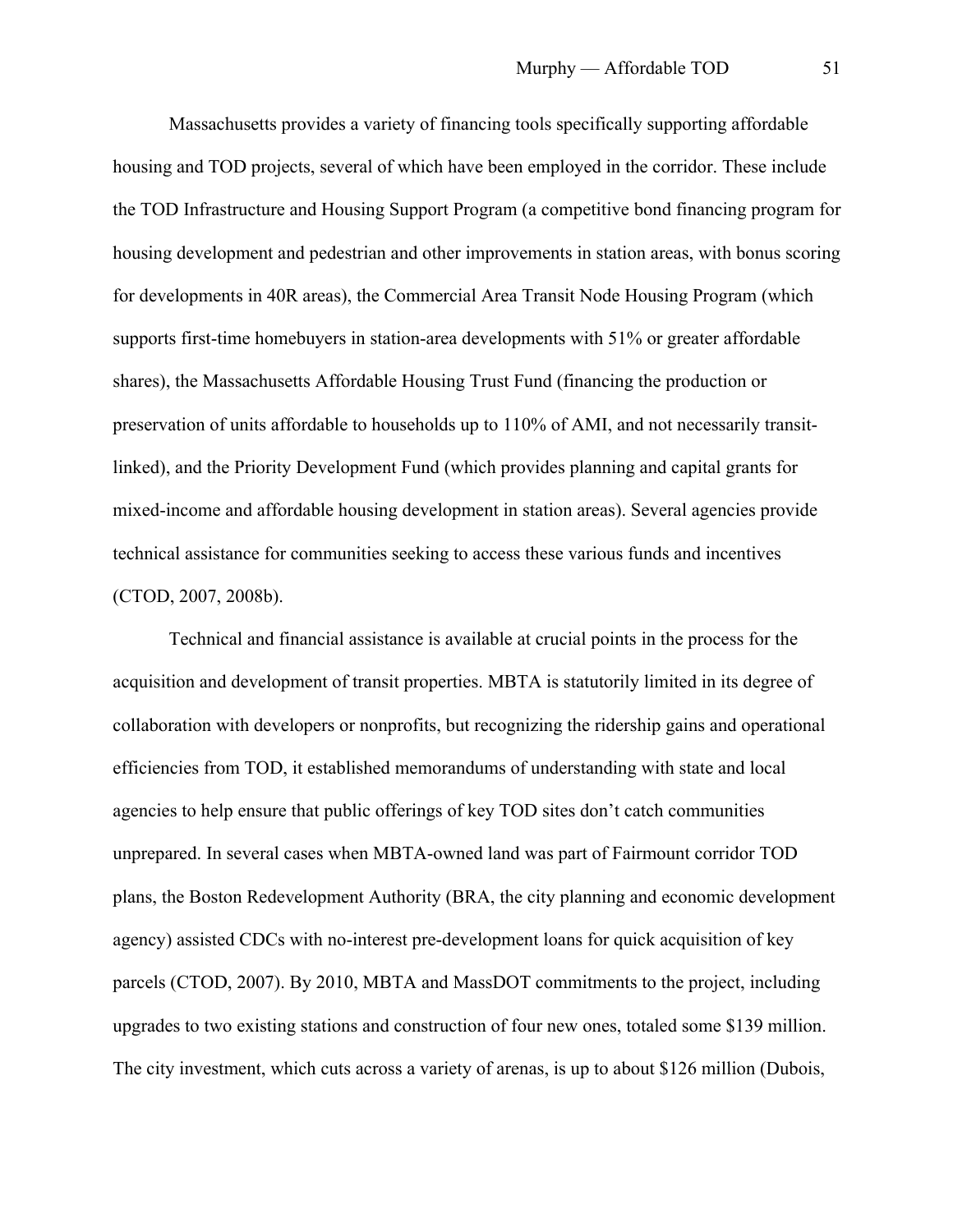Massachusetts provides a variety of financing tools specifically supporting affordable housing and TOD projects, several of which have been employed in the corridor. These include the TOD Infrastructure and Housing Support Program (a competitive bond financing program for housing development and pedestrian and other improvements in station areas, with bonus scoring for developments in 40R areas), the Commercial Area Transit Node Housing Program (which supports first-time homebuyers in station-area developments with 51% or greater affordable shares), the Massachusetts Affordable Housing Trust Fund (financing the production or preservation of units affordable to households up to 110% of AMI, and not necessarily transitlinked), and the Priority Development Fund (which provides planning and capital grants for mixed-income and affordable housing development in station areas). Several agencies provide technical assistance for communities seeking to access these various funds and incentives (CTOD, 2007, 2008b).

Technical and financial assistance is available at crucial points in the process for the acquisition and development of transit properties. MBTA is statutorily limited in its degree of collaboration with developers or nonprofits, but recognizing the ridership gains and operational efficiencies from TOD, it established memorandums of understanding with state and local agencies to help ensure that public offerings of key TOD sites don't catch communities unprepared. In several cases when MBTA-owned land was part of Fairmount corridor TOD plans, the Boston Redevelopment Authority (BRA, the city planning and economic development agency) assisted CDCs with no-interest pre-development loans for quick acquisition of key parcels (CTOD, 2007). By 2010, MBTA and MassDOT commitments to the project, including upgrades to two existing stations and construction of four new ones, totaled some \$139 million. The city investment, which cuts across a variety of arenas, is up to about \$126 million (Dubois,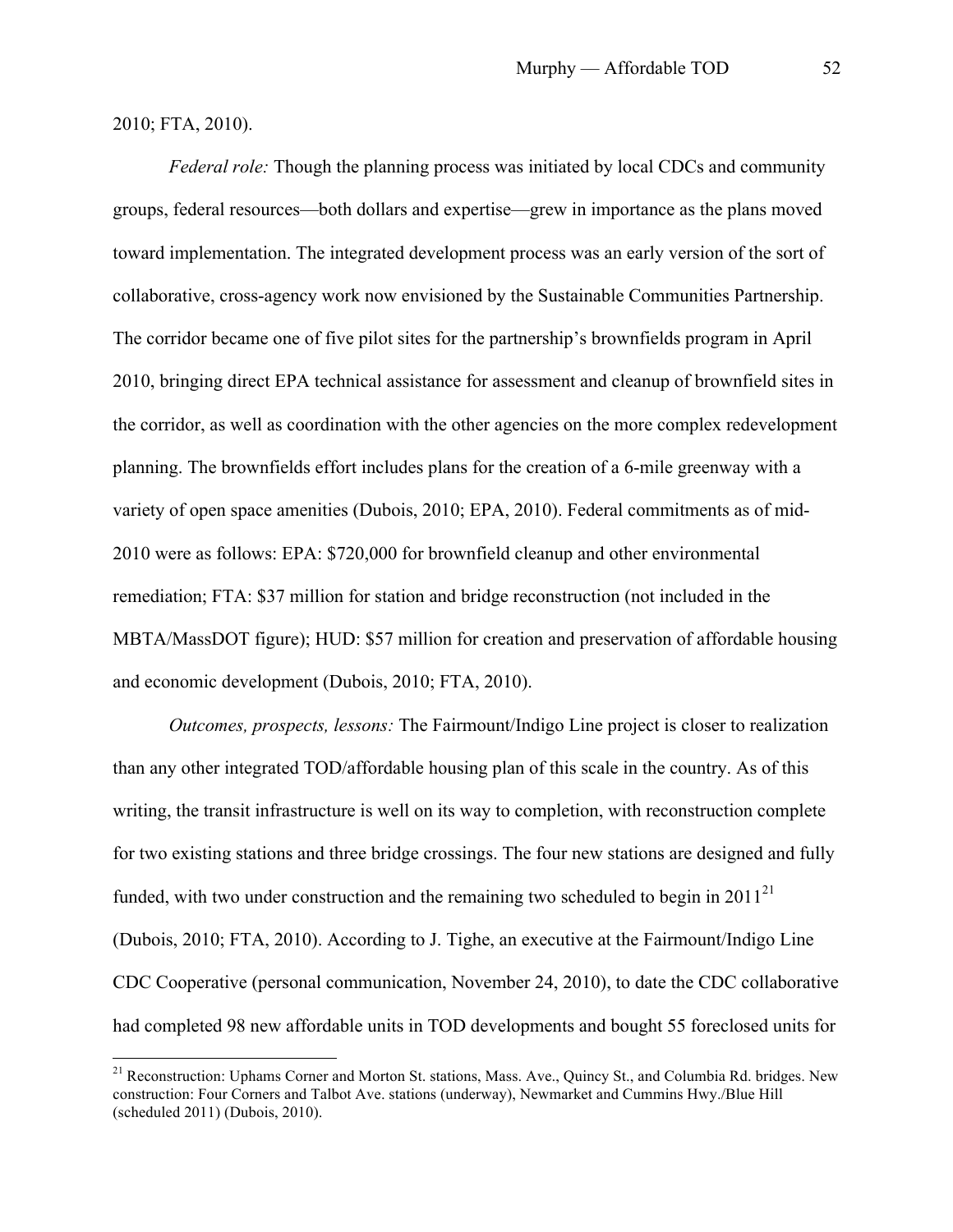### 2010; FTA, 2010).

*Federal role:* Though the planning process was initiated by local CDCs and community groups, federal resources—both dollars and expertise—grew in importance as the plans moved toward implementation. The integrated development process was an early version of the sort of collaborative, cross-agency work now envisioned by the Sustainable Communities Partnership. The corridor became one of five pilot sites for the partnership's brownfields program in April 2010, bringing direct EPA technical assistance for assessment and cleanup of brownfield sites in the corridor, as well as coordination with the other agencies on the more complex redevelopment planning. The brownfields effort includes plans for the creation of a 6-mile greenway with a variety of open space amenities (Dubois, 2010; EPA, 2010). Federal commitments as of mid-2010 were as follows: EPA: \$720,000 for brownfield cleanup and other environmental remediation; FTA: \$37 million for station and bridge reconstruction (not included in the MBTA/MassDOT figure); HUD: \$57 million for creation and preservation of affordable housing and economic development (Dubois, 2010; FTA, 2010).

*Outcomes, prospects, lessons:* The Fairmount/Indigo Line project is closer to realization than any other integrated TOD/affordable housing plan of this scale in the country. As of this writing, the transit infrastructure is well on its way to completion, with reconstruction complete for two existing stations and three bridge crossings. The four new stations are designed and fully funded, with two under construction and the remaining two scheduled to begin in  $2011^{21}$ (Dubois, 2010; FTA, 2010). According to J. Tighe, an executive at the Fairmount/Indigo Line CDC Cooperative (personal communication, November 24, 2010), to date the CDC collaborative had completed 98 new affordable units in TOD developments and bought 55 foreclosed units for

<sup>&</sup>lt;sup>21</sup> Reconstruction: Uphams Corner and Morton St. stations, Mass. Ave., Quincy St., and Columbia Rd. bridges. New construction: Four Corners and Talbot Ave. stations (underway), Newmarket and Cummins Hwy./Blue Hill (scheduled 2011) (Dubois, 2010).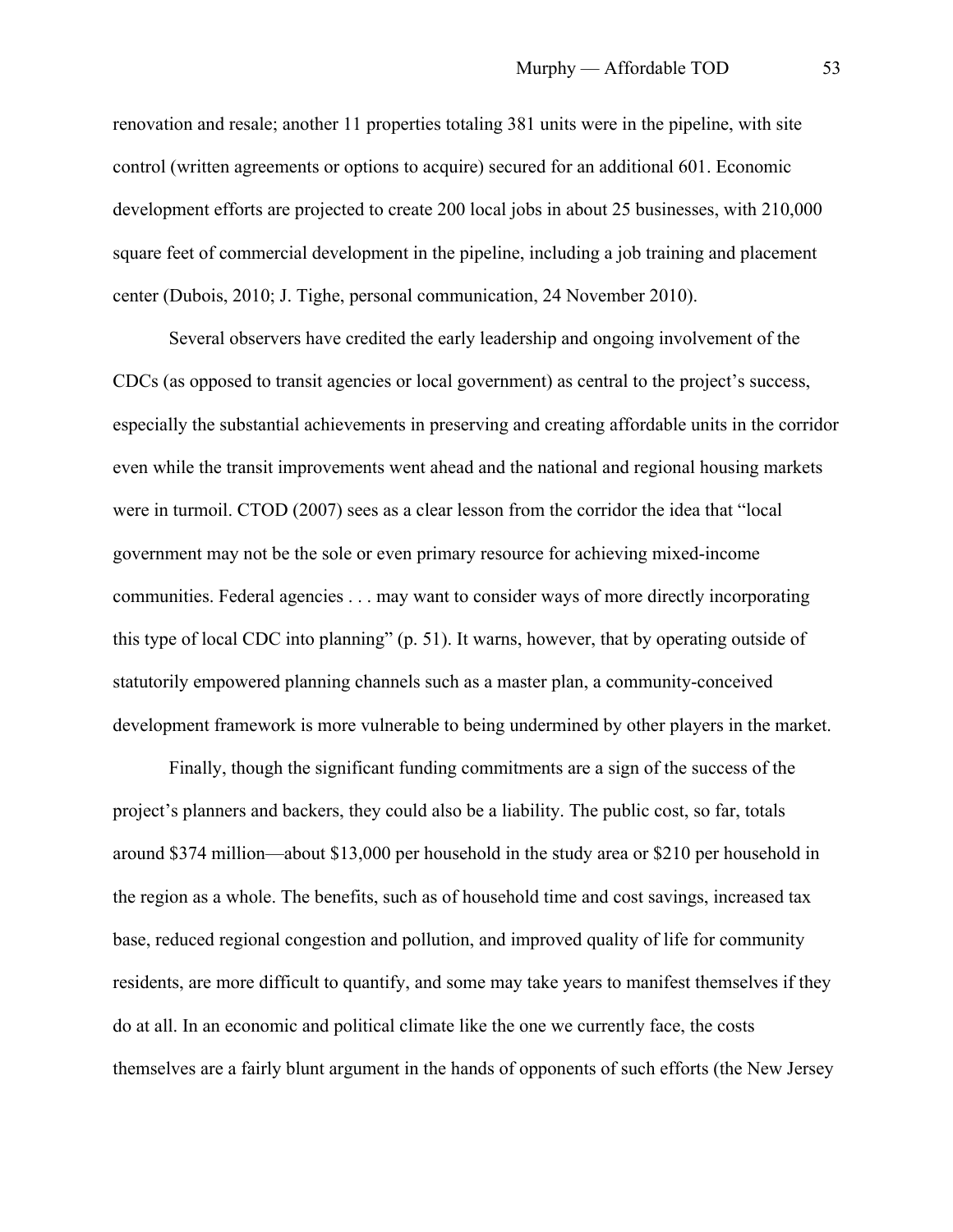renovation and resale; another 11 properties totaling 381 units were in the pipeline, with site control (written agreements or options to acquire) secured for an additional 601. Economic development efforts are projected to create 200 local jobs in about 25 businesses, with 210,000 square feet of commercial development in the pipeline, including a job training and placement center (Dubois, 2010; J. Tighe, personal communication, 24 November 2010).

Several observers have credited the early leadership and ongoing involvement of the CDCs (as opposed to transit agencies or local government) as central to the project's success, especially the substantial achievements in preserving and creating affordable units in the corridor even while the transit improvements went ahead and the national and regional housing markets were in turmoil. CTOD (2007) sees as a clear lesson from the corridor the idea that "local government may not be the sole or even primary resource for achieving mixed-income communities. Federal agencies . . . may want to consider ways of more directly incorporating this type of local CDC into planning" (p. 51). It warns, however, that by operating outside of statutorily empowered planning channels such as a master plan, a community-conceived development framework is more vulnerable to being undermined by other players in the market.

Finally, though the significant funding commitments are a sign of the success of the project's planners and backers, they could also be a liability. The public cost, so far, totals around \$374 million—about \$13,000 per household in the study area or \$210 per household in the region as a whole. The benefits, such as of household time and cost savings, increased tax base, reduced regional congestion and pollution, and improved quality of life for community residents, are more difficult to quantify, and some may take years to manifest themselves if they do at all. In an economic and political climate like the one we currently face, the costs themselves are a fairly blunt argument in the hands of opponents of such efforts (the New Jersey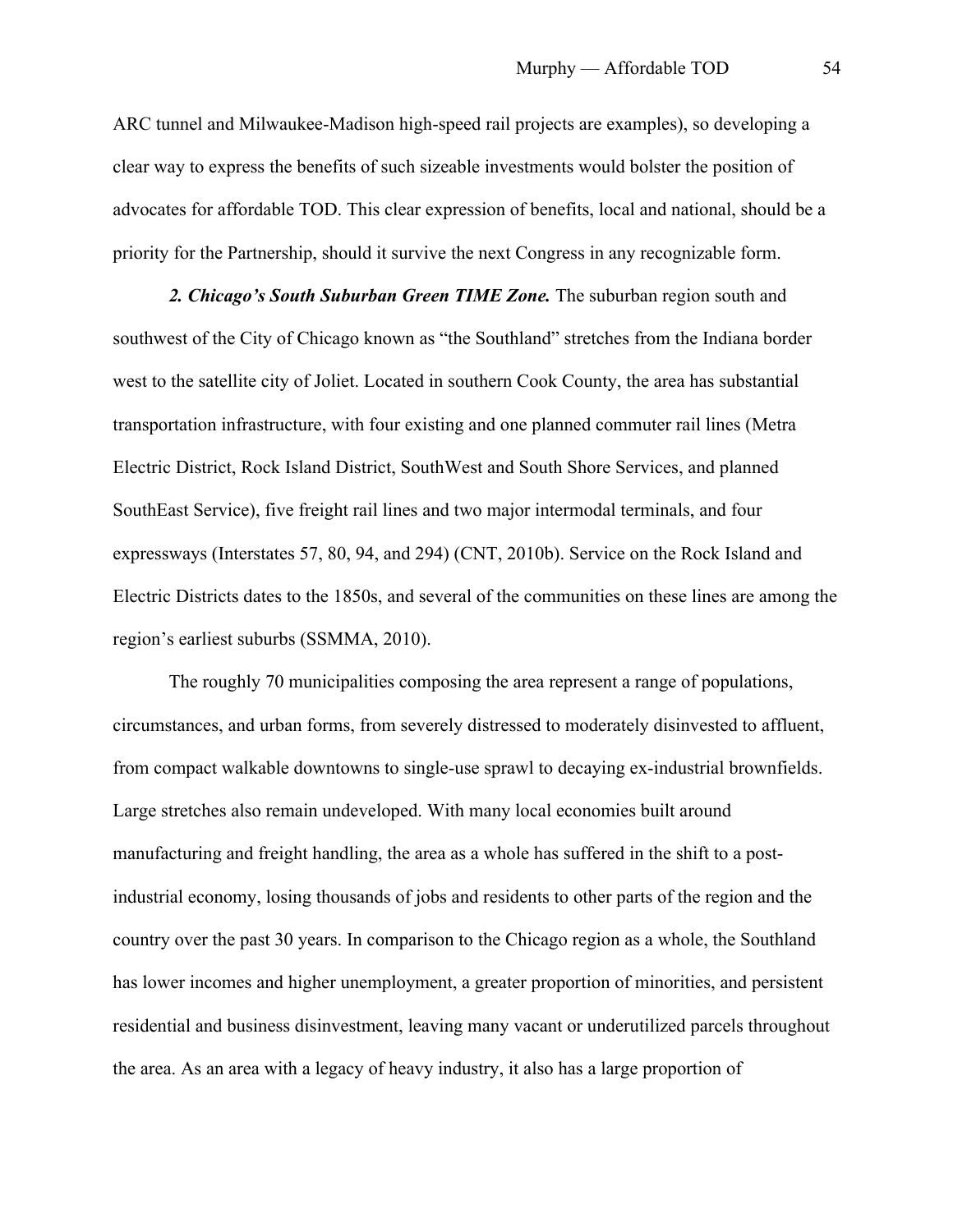ARC tunnel and Milwaukee-Madison high-speed rail projects are examples), so developing a clear way to express the benefits of such sizeable investments would bolster the position of advocates for affordable TOD. This clear expression of benefits, local and national, should be a priority for the Partnership, should it survive the next Congress in any recognizable form.

*2. Chicago's South Suburban Green TIME Zone.* The suburban region south and southwest of the City of Chicago known as "the Southland" stretches from the Indiana border west to the satellite city of Joliet. Located in southern Cook County, the area has substantial transportation infrastructure, with four existing and one planned commuter rail lines (Metra Electric District, Rock Island District, SouthWest and South Shore Services, and planned SouthEast Service), five freight rail lines and two major intermodal terminals, and four expressways (Interstates 57, 80, 94, and 294) (CNT, 2010b). Service on the Rock Island and Electric Districts dates to the 1850s, and several of the communities on these lines are among the region's earliest suburbs (SSMMA, 2010).

The roughly 70 municipalities composing the area represent a range of populations, circumstances, and urban forms, from severely distressed to moderately disinvested to affluent, from compact walkable downtowns to single-use sprawl to decaying ex-industrial brownfields. Large stretches also remain undeveloped. With many local economies built around manufacturing and freight handling, the area as a whole has suffered in the shift to a postindustrial economy, losing thousands of jobs and residents to other parts of the region and the country over the past 30 years. In comparison to the Chicago region as a whole, the Southland has lower incomes and higher unemployment, a greater proportion of minorities, and persistent residential and business disinvestment, leaving many vacant or underutilized parcels throughout the area. As an area with a legacy of heavy industry, it also has a large proportion of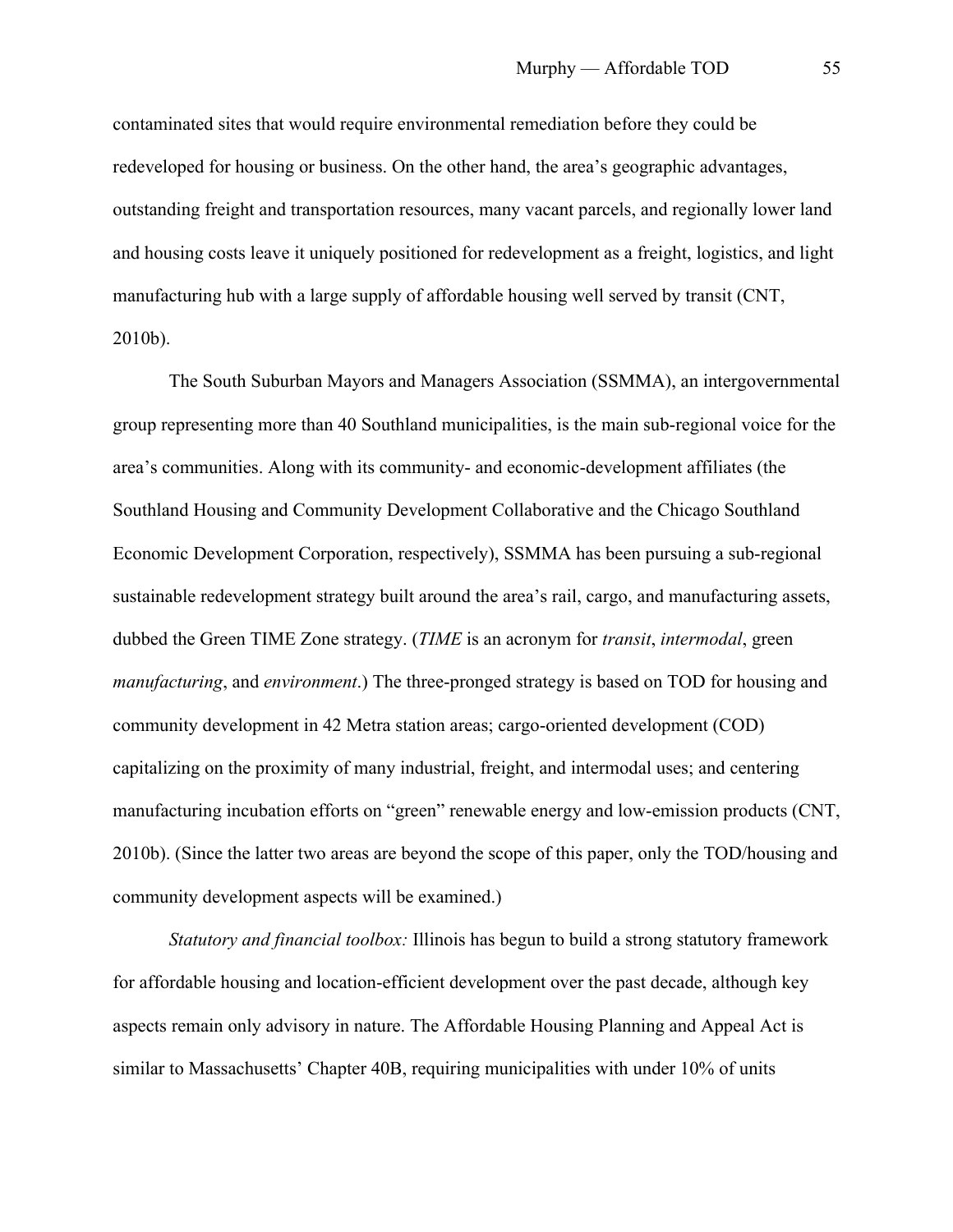contaminated sites that would require environmental remediation before they could be redeveloped for housing or business. On the other hand, the area's geographic advantages, outstanding freight and transportation resources, many vacant parcels, and regionally lower land and housing costs leave it uniquely positioned for redevelopment as a freight, logistics, and light manufacturing hub with a large supply of affordable housing well served by transit (CNT, 2010b).

The South Suburban Mayors and Managers Association (SSMMA), an intergovernmental group representing more than 40 Southland municipalities, is the main sub-regional voice for the area's communities. Along with its community- and economic-development affiliates (the Southland Housing and Community Development Collaborative and the Chicago Southland Economic Development Corporation, respectively), SSMMA has been pursuing a sub-regional sustainable redevelopment strategy built around the area's rail, cargo, and manufacturing assets, dubbed the Green TIME Zone strategy. (*TIME* is an acronym for *transit*, *intermodal*, green *manufacturing*, and *environment*.) The three-pronged strategy is based on TOD for housing and community development in 42 Metra station areas; cargo-oriented development (COD) capitalizing on the proximity of many industrial, freight, and intermodal uses; and centering manufacturing incubation efforts on "green" renewable energy and low-emission products (CNT, 2010b). (Since the latter two areas are beyond the scope of this paper, only the TOD/housing and community development aspects will be examined.)

*Statutory and financial toolbox:* Illinois has begun to build a strong statutory framework for affordable housing and location-efficient development over the past decade, although key aspects remain only advisory in nature. The Affordable Housing Planning and Appeal Act is similar to Massachusetts' Chapter 40B, requiring municipalities with under 10% of units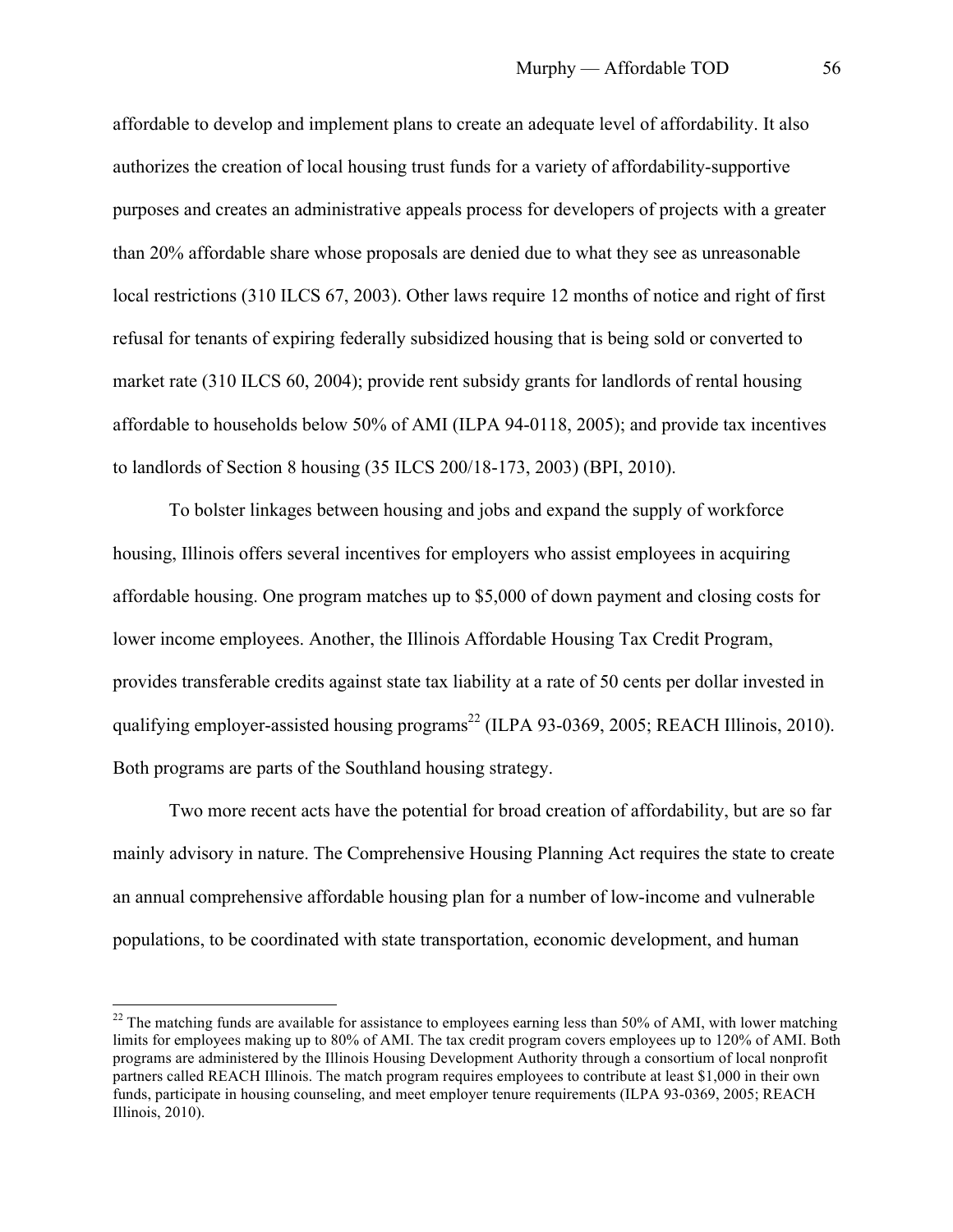affordable to develop and implement plans to create an adequate level of affordability. It also authorizes the creation of local housing trust funds for a variety of affordability-supportive purposes and creates an administrative appeals process for developers of projects with a greater than 20% affordable share whose proposals are denied due to what they see as unreasonable local restrictions (310 ILCS 67, 2003). Other laws require 12 months of notice and right of first refusal for tenants of expiring federally subsidized housing that is being sold or converted to market rate (310 ILCS 60, 2004); provide rent subsidy grants for landlords of rental housing affordable to households below 50% of AMI (ILPA 94-0118, 2005); and provide tax incentives to landlords of Section 8 housing (35 ILCS 200/18-173, 2003) (BPI, 2010).

To bolster linkages between housing and jobs and expand the supply of workforce housing, Illinois offers several incentives for employers who assist employees in acquiring affordable housing. One program matches up to \$5,000 of down payment and closing costs for lower income employees. Another, the Illinois Affordable Housing Tax Credit Program, provides transferable credits against state tax liability at a rate of 50 cents per dollar invested in qualifying employer-assisted housing programs<sup>22</sup> (ILPA 93-0369, 2005; REACH Illinois, 2010). Both programs are parts of the Southland housing strategy.

Two more recent acts have the potential for broad creation of affordability, but are so far mainly advisory in nature. The Comprehensive Housing Planning Act requires the state to create an annual comprehensive affordable housing plan for a number of low-income and vulnerable populations, to be coordinated with state transportation, economic development, and human

<sup>&</sup>lt;sup>22</sup> The matching funds are available for assistance to employees earning less than 50% of AMI, with lower matching limits for employees making up to 80% of AMI. The tax credit program covers employees up to 120% of AMI. Both programs are administered by the Illinois Housing Development Authority through a consortium of local nonprofit partners called REACH Illinois. The match program requires employees to contribute at least \$1,000 in their own funds, participate in housing counseling, and meet employer tenure requirements (ILPA 93-0369, 2005; REACH Illinois, 2010).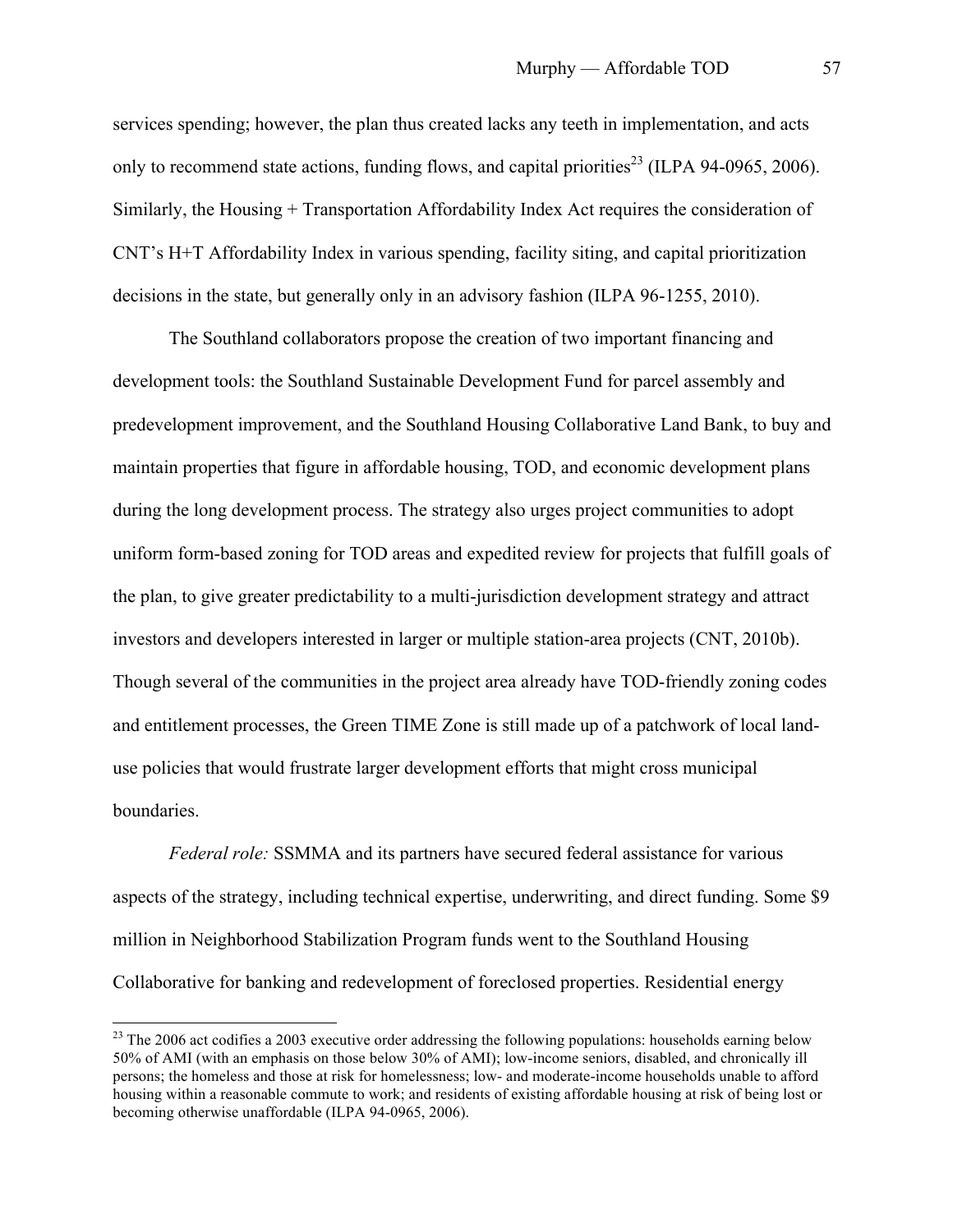services spending; however, the plan thus created lacks any teeth in implementation, and acts only to recommend state actions, funding flows, and capital priorities<sup>23</sup> (ILPA 94-0965, 2006). Similarly, the Housing + Transportation Affordability Index Act requires the consideration of CNT's H+T Affordability Index in various spending, facility siting, and capital prioritization decisions in the state, but generally only in an advisory fashion (ILPA 96-1255, 2010).

The Southland collaborators propose the creation of two important financing and development tools: the Southland Sustainable Development Fund for parcel assembly and predevelopment improvement, and the Southland Housing Collaborative Land Bank, to buy and maintain properties that figure in affordable housing, TOD, and economic development plans during the long development process. The strategy also urges project communities to adopt uniform form-based zoning for TOD areas and expedited review for projects that fulfill goals of the plan, to give greater predictability to a multi-jurisdiction development strategy and attract investors and developers interested in larger or multiple station-area projects (CNT, 2010b). Though several of the communities in the project area already have TOD-friendly zoning codes and entitlement processes, the Green TIME Zone is still made up of a patchwork of local landuse policies that would frustrate larger development efforts that might cross municipal boundaries.

*Federal role:* SSMMA and its partners have secured federal assistance for various aspects of the strategy, including technical expertise, underwriting, and direct funding. Some \$9 million in Neighborhood Stabilization Program funds went to the Southland Housing Collaborative for banking and redevelopment of foreclosed properties. Residential energy

<sup>&</sup>lt;sup>23</sup> The 2006 act codifies a 2003 executive order addressing the following populations: households earning below 50% of AMI (with an emphasis on those below 30% of AMI); low-income seniors, disabled, and chronically ill persons; the homeless and those at risk for homelessness; low- and moderate-income households unable to afford housing within a reasonable commute to work; and residents of existing affordable housing at risk of being lost or becoming otherwise unaffordable (ILPA 94-0965, 2006).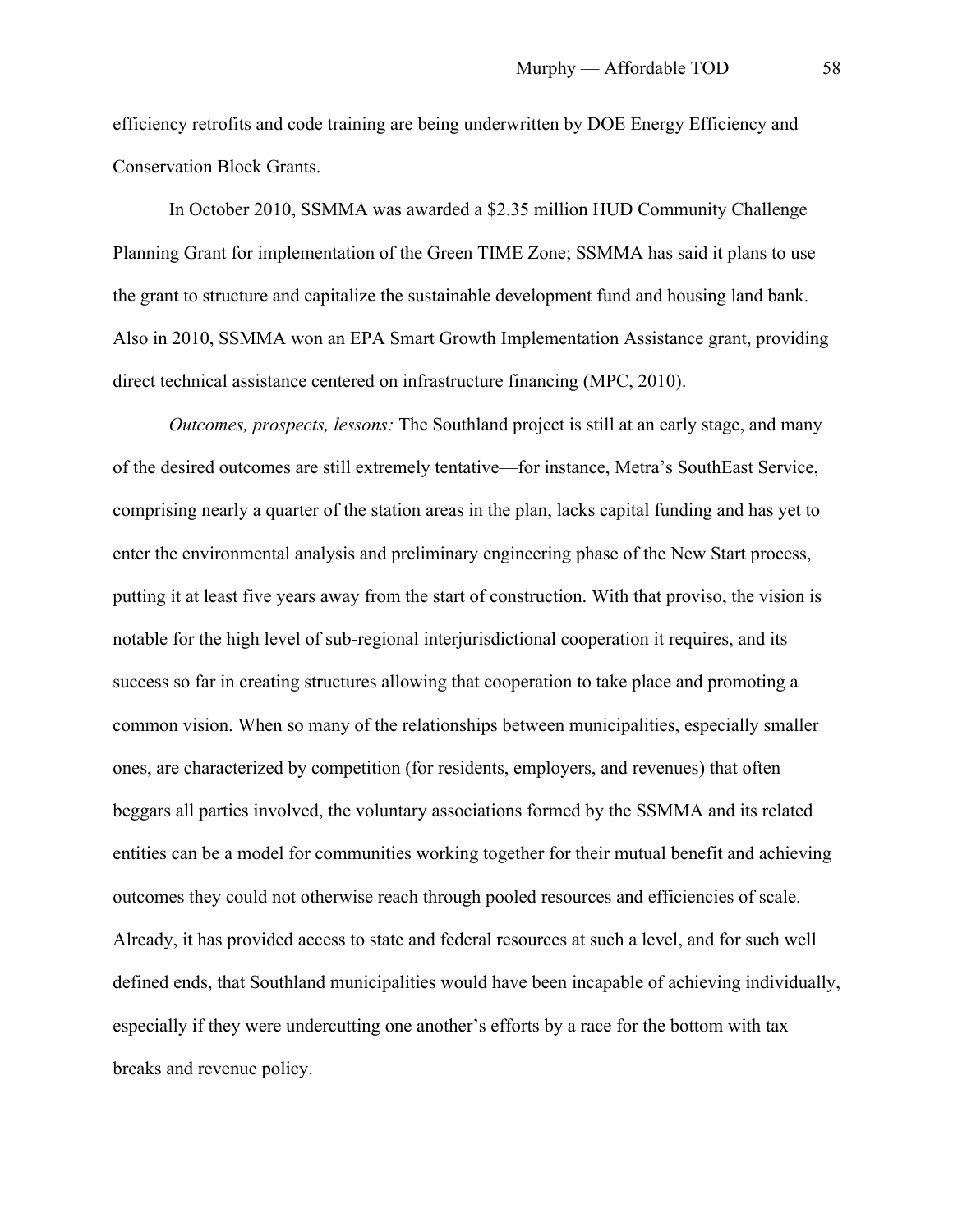efficiency retrofits and code training are being underwritten by DOE Energy Efficiency and Conservation Block Grants.

In October 2010, SSMMA was awarded a \$2.35 million HUD Community Challenge Planning Grant for implementation of the Green TIME Zone; SSMMA has said it plans to use the grant to structure and capitalize the sustainable development fund and housing land bank. Also in 2010, SSMMA won an EPA Smart Growth Implementation Assistance grant, providing direct technical assistance centered on infrastructure financing (MPC, 2010).

*Outcomes, prospects, lessons:* The Southland project is still at an early stage, and many of the desired outcomes are still extremely tentative—for instance, Metra's SouthEast Service, comprising nearly a quarter of the station areas in the plan, lacks capital funding and has yet to enter the environmental analysis and preliminary engineering phase of the New Start process, putting it at least five years away from the start of construction. With that proviso, the vision is notable for the high level of sub-regional interjurisdictional cooperation it requires, and its success so far in creating structures allowing that cooperation to take place and promoting a common vision. When so many of the relationships between municipalities, especially smaller ones, are characterized by competition (for residents, employers, and revenues) that often beggars all parties involved, the voluntary associations formed by the SSMMA and its related entities can be a model for communities working together for their mutual benefit and achieving outcomes they could not otherwise reach through pooled resources and efficiencies of scale. Already, it has provided access to state and federal resources at such a level, and for such well defined ends, that Southland municipalities would have been incapable of achieving individually, especially if they were undercutting one another's efforts by a race for the bottom with tax breaks and revenue policy.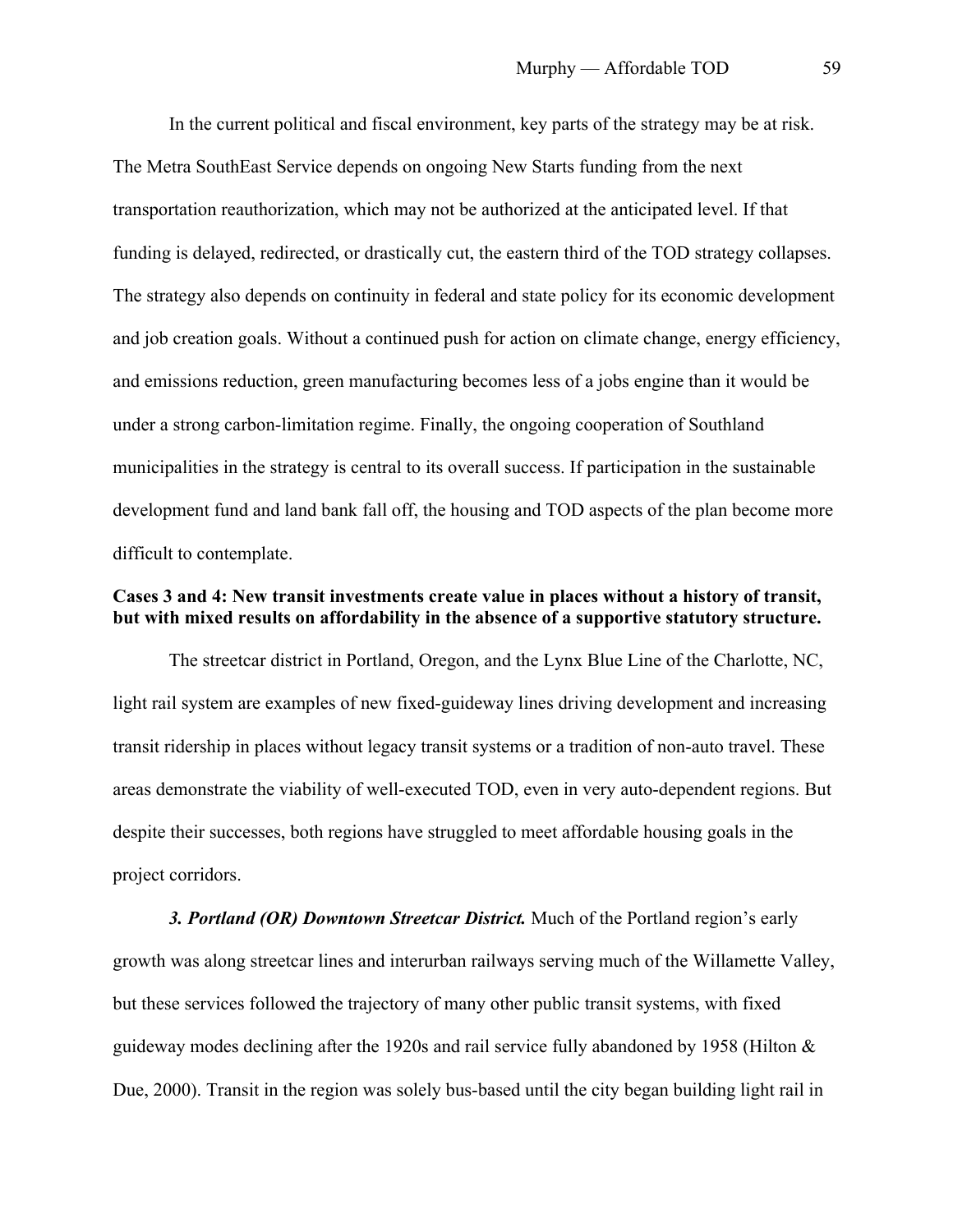In the current political and fiscal environment, key parts of the strategy may be at risk. The Metra SouthEast Service depends on ongoing New Starts funding from the next transportation reauthorization, which may not be authorized at the anticipated level. If that funding is delayed, redirected, or drastically cut, the eastern third of the TOD strategy collapses. The strategy also depends on continuity in federal and state policy for its economic development and job creation goals. Without a continued push for action on climate change, energy efficiency, and emissions reduction, green manufacturing becomes less of a jobs engine than it would be under a strong carbon-limitation regime. Finally, the ongoing cooperation of Southland municipalities in the strategy is central to its overall success. If participation in the sustainable development fund and land bank fall off, the housing and TOD aspects of the plan become more difficult to contemplate.

# **Cases 3 and 4: New transit investments create value in places without a history of transit, but with mixed results on affordability in the absence of a supportive statutory structure.**

The streetcar district in Portland, Oregon, and the Lynx Blue Line of the Charlotte, NC, light rail system are examples of new fixed-guideway lines driving development and increasing transit ridership in places without legacy transit systems or a tradition of non-auto travel. These areas demonstrate the viability of well-executed TOD, even in very auto-dependent regions. But despite their successes, both regions have struggled to meet affordable housing goals in the project corridors.

*3. Portland (OR) Downtown Streetcar District.* Much of the Portland region's early growth was along streetcar lines and interurban railways serving much of the Willamette Valley, but these services followed the trajectory of many other public transit systems, with fixed guideway modes declining after the 1920s and rail service fully abandoned by 1958 (Hilton  $\&$ Due, 2000). Transit in the region was solely bus-based until the city began building light rail in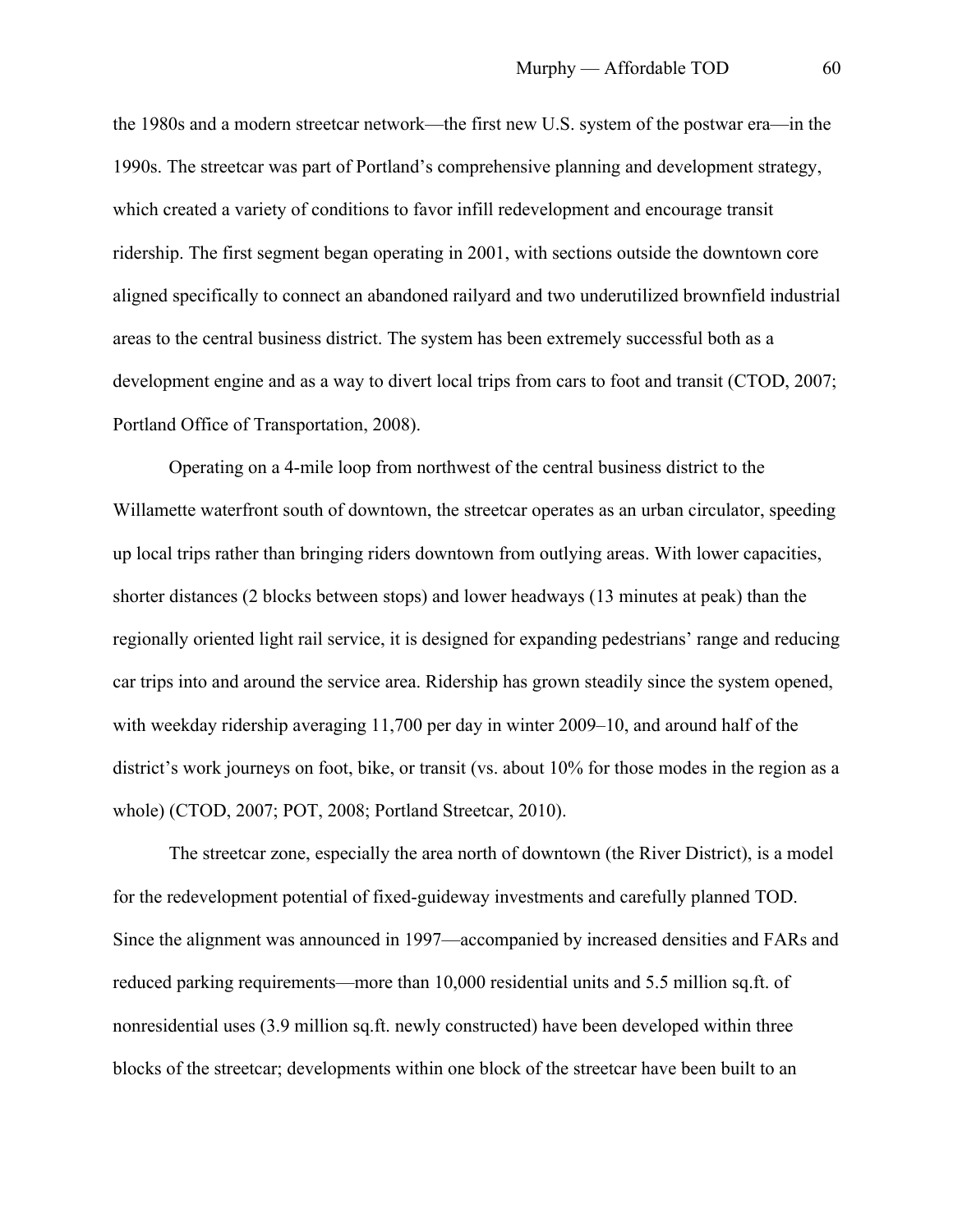the 1980s and a modern streetcar network—the first new U.S. system of the postwar era—in the 1990s. The streetcar was part of Portland's comprehensive planning and development strategy, which created a variety of conditions to favor infill redevelopment and encourage transit ridership. The first segment began operating in 2001, with sections outside the downtown core aligned specifically to connect an abandoned railyard and two underutilized brownfield industrial areas to the central business district. The system has been extremely successful both as a development engine and as a way to divert local trips from cars to foot and transit (CTOD, 2007; Portland Office of Transportation, 2008).

Operating on a 4-mile loop from northwest of the central business district to the Willamette waterfront south of downtown, the streetcar operates as an urban circulator, speeding up local trips rather than bringing riders downtown from outlying areas. With lower capacities, shorter distances (2 blocks between stops) and lower headways (13 minutes at peak) than the regionally oriented light rail service, it is designed for expanding pedestrians' range and reducing car trips into and around the service area. Ridership has grown steadily since the system opened, with weekday ridership averaging 11,700 per day in winter 2009–10, and around half of the district's work journeys on foot, bike, or transit (vs. about 10% for those modes in the region as a whole) (CTOD, 2007; POT, 2008; Portland Streetcar, 2010).

The streetcar zone, especially the area north of downtown (the River District), is a model for the redevelopment potential of fixed-guideway investments and carefully planned TOD. Since the alignment was announced in 1997—accompanied by increased densities and FARs and reduced parking requirements—more than 10,000 residential units and 5.5 million sq.ft. of nonresidential uses (3.9 million sq.ft. newly constructed) have been developed within three blocks of the streetcar; developments within one block of the streetcar have been built to an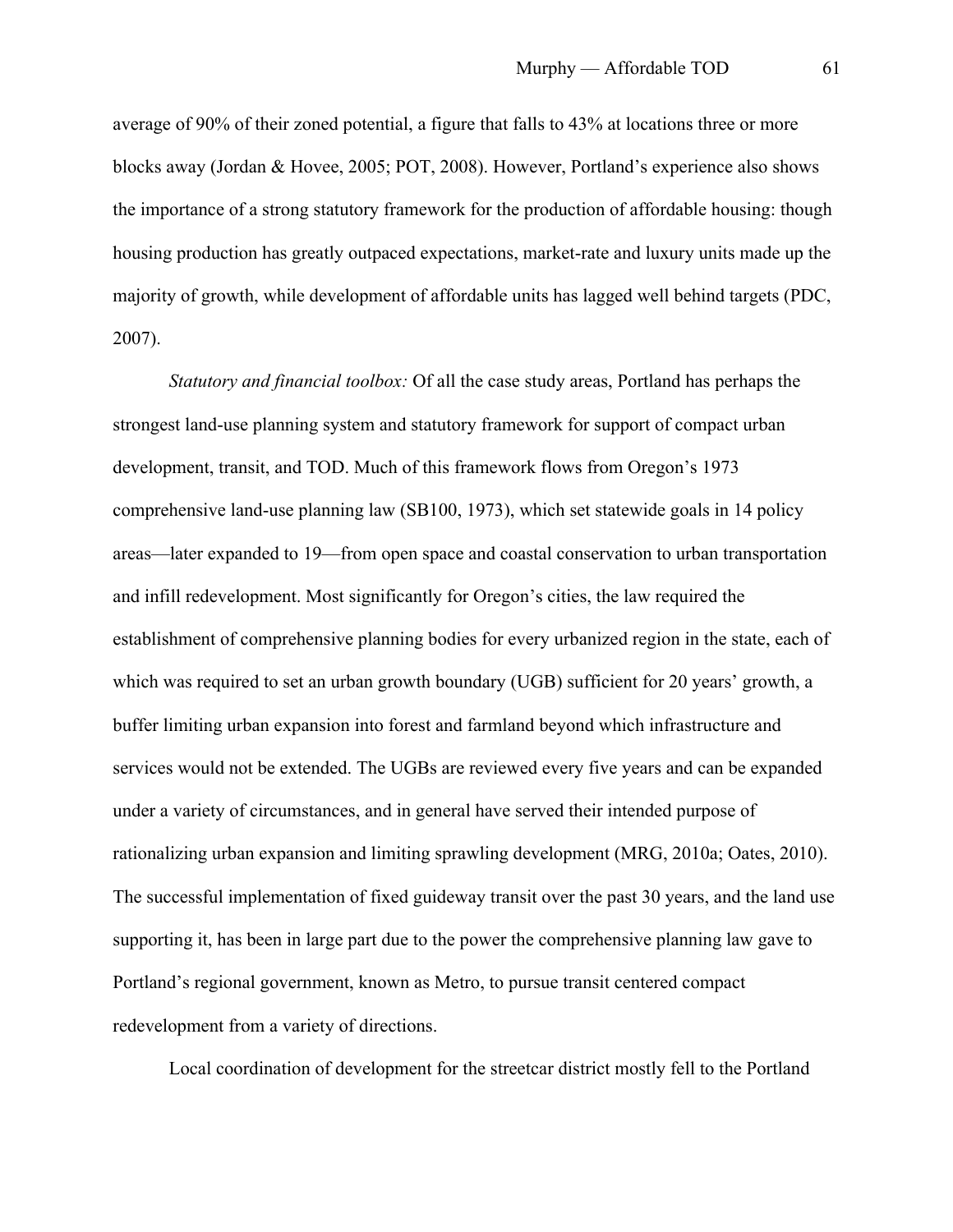average of 90% of their zoned potential, a figure that falls to 43% at locations three or more blocks away (Jordan & Hovee, 2005; POT, 2008). However, Portland's experience also shows the importance of a strong statutory framework for the production of affordable housing: though housing production has greatly outpaced expectations, market-rate and luxury units made up the majority of growth, while development of affordable units has lagged well behind targets (PDC, 2007).

*Statutory and financial toolbox:* Of all the case study areas, Portland has perhaps the strongest land-use planning system and statutory framework for support of compact urban development, transit, and TOD. Much of this framework flows from Oregon's 1973 comprehensive land-use planning law (SB100, 1973), which set statewide goals in 14 policy areas—later expanded to 19—from open space and coastal conservation to urban transportation and infill redevelopment. Most significantly for Oregon's cities, the law required the establishment of comprehensive planning bodies for every urbanized region in the state, each of which was required to set an urban growth boundary (UGB) sufficient for 20 years' growth, a buffer limiting urban expansion into forest and farmland beyond which infrastructure and services would not be extended. The UGBs are reviewed every five years and can be expanded under a variety of circumstances, and in general have served their intended purpose of rationalizing urban expansion and limiting sprawling development (MRG, 2010a; Oates, 2010). The successful implementation of fixed guideway transit over the past 30 years, and the land use supporting it, has been in large part due to the power the comprehensive planning law gave to Portland's regional government, known as Metro, to pursue transit centered compact redevelopment from a variety of directions.

Local coordination of development for the streetcar district mostly fell to the Portland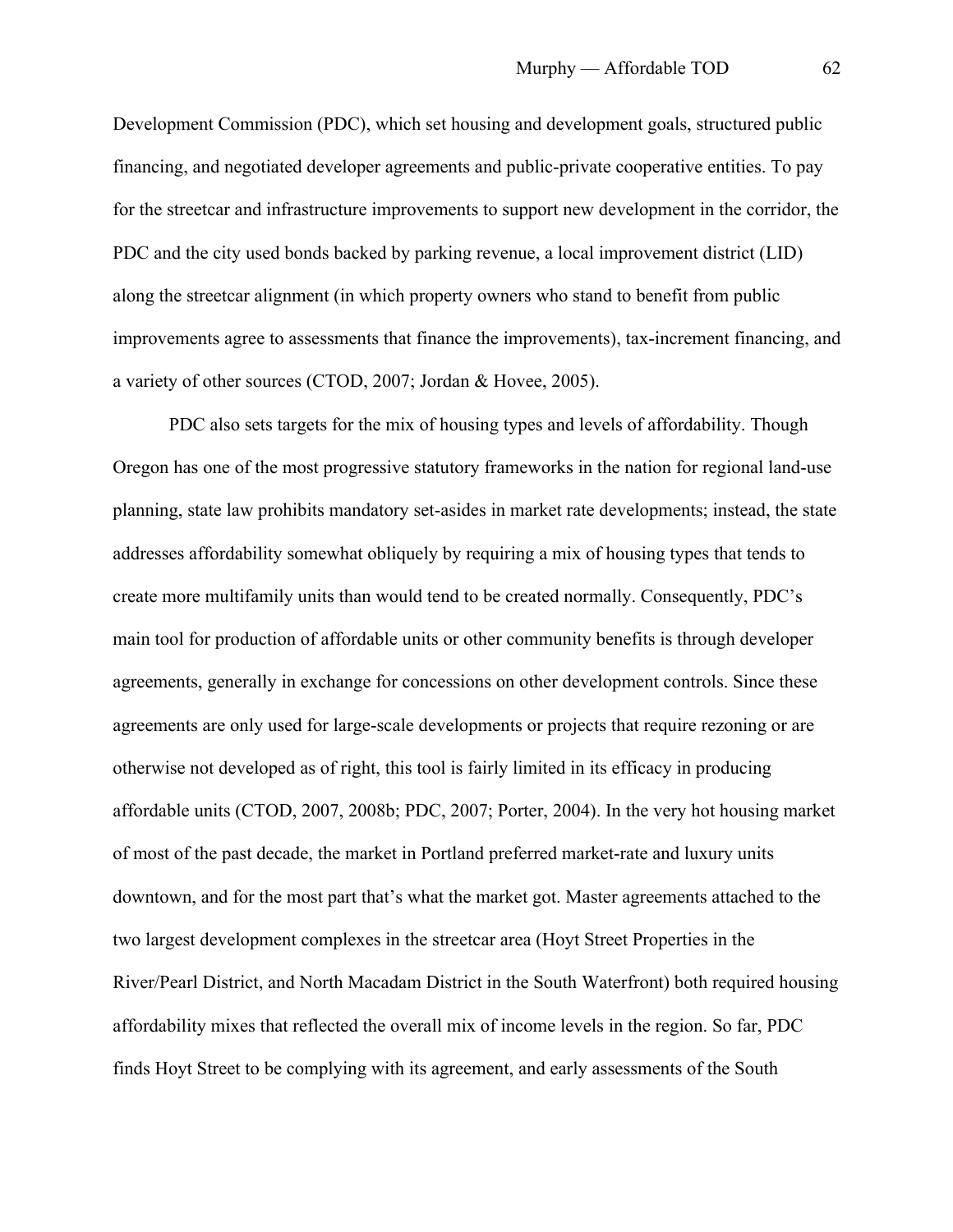Development Commission (PDC), which set housing and development goals, structured public financing, and negotiated developer agreements and public-private cooperative entities. To pay for the streetcar and infrastructure improvements to support new development in the corridor, the PDC and the city used bonds backed by parking revenue, a local improvement district (LID) along the streetcar alignment (in which property owners who stand to benefit from public improvements agree to assessments that finance the improvements), tax-increment financing, and a variety of other sources (CTOD, 2007; Jordan & Hovee, 2005).

PDC also sets targets for the mix of housing types and levels of affordability. Though Oregon has one of the most progressive statutory frameworks in the nation for regional land-use planning, state law prohibits mandatory set-asides in market rate developments; instead, the state addresses affordability somewhat obliquely by requiring a mix of housing types that tends to create more multifamily units than would tend to be created normally. Consequently, PDC's main tool for production of affordable units or other community benefits is through developer agreements, generally in exchange for concessions on other development controls. Since these agreements are only used for large-scale developments or projects that require rezoning or are otherwise not developed as of right, this tool is fairly limited in its efficacy in producing affordable units (CTOD, 2007, 2008b; PDC, 2007; Porter, 2004). In the very hot housing market of most of the past decade, the market in Portland preferred market-rate and luxury units downtown, and for the most part that's what the market got. Master agreements attached to the two largest development complexes in the streetcar area (Hoyt Street Properties in the River/Pearl District, and North Macadam District in the South Waterfront) both required housing affordability mixes that reflected the overall mix of income levels in the region. So far, PDC finds Hoyt Street to be complying with its agreement, and early assessments of the South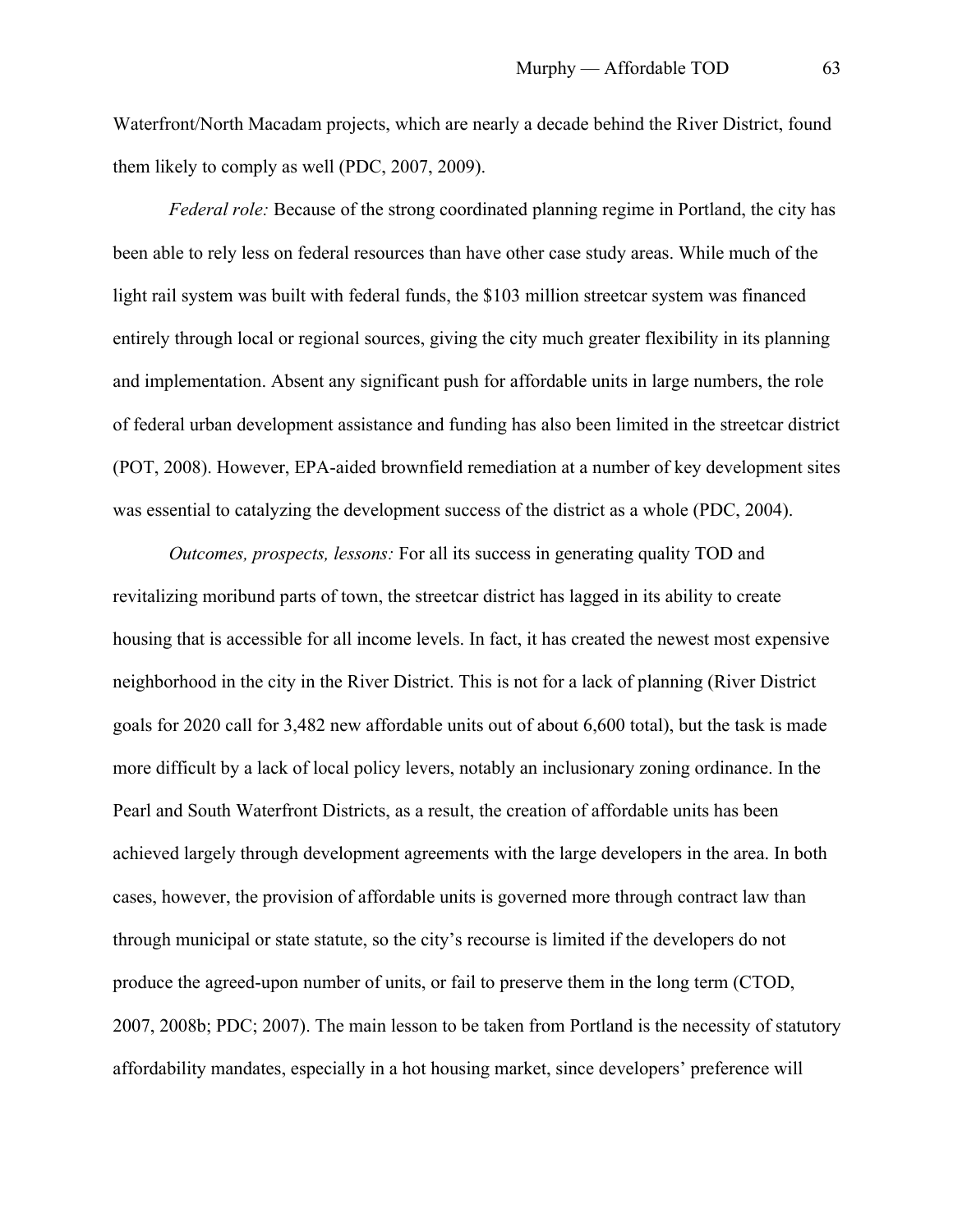Waterfront/North Macadam projects, which are nearly a decade behind the River District, found them likely to comply as well (PDC, 2007, 2009).

*Federal role:* Because of the strong coordinated planning regime in Portland, the city has been able to rely less on federal resources than have other case study areas. While much of the light rail system was built with federal funds, the \$103 million streetcar system was financed entirely through local or regional sources, giving the city much greater flexibility in its planning and implementation. Absent any significant push for affordable units in large numbers, the role of federal urban development assistance and funding has also been limited in the streetcar district (POT, 2008). However, EPA-aided brownfield remediation at a number of key development sites was essential to catalyzing the development success of the district as a whole (PDC, 2004).

*Outcomes, prospects, lessons:* For all its success in generating quality TOD and revitalizing moribund parts of town, the streetcar district has lagged in its ability to create housing that is accessible for all income levels. In fact, it has created the newest most expensive neighborhood in the city in the River District. This is not for a lack of planning (River District goals for 2020 call for 3,482 new affordable units out of about 6,600 total), but the task is made more difficult by a lack of local policy levers, notably an inclusionary zoning ordinance. In the Pearl and South Waterfront Districts, as a result, the creation of affordable units has been achieved largely through development agreements with the large developers in the area. In both cases, however, the provision of affordable units is governed more through contract law than through municipal or state statute, so the city's recourse is limited if the developers do not produce the agreed-upon number of units, or fail to preserve them in the long term (CTOD, 2007, 2008b; PDC; 2007). The main lesson to be taken from Portland is the necessity of statutory affordability mandates, especially in a hot housing market, since developers' preference will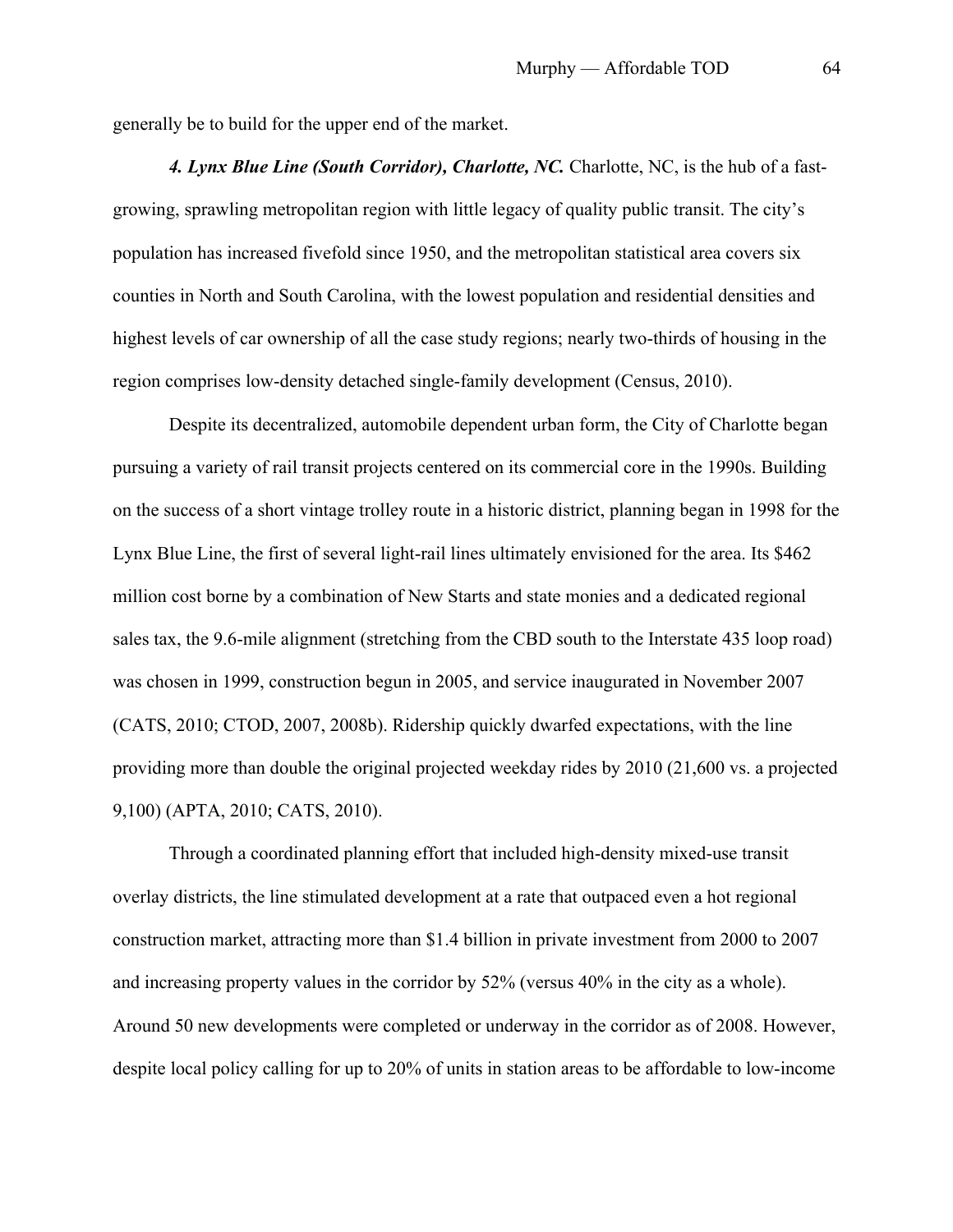generally be to build for the upper end of the market.

*4. Lynx Blue Line (South Corridor), Charlotte, NC.* Charlotte, NC, is the hub of a fastgrowing, sprawling metropolitan region with little legacy of quality public transit. The city's population has increased fivefold since 1950, and the metropolitan statistical area covers six counties in North and South Carolina, with the lowest population and residential densities and highest levels of car ownership of all the case study regions; nearly two-thirds of housing in the region comprises low-density detached single-family development (Census, 2010).

Despite its decentralized, automobile dependent urban form, the City of Charlotte began pursuing a variety of rail transit projects centered on its commercial core in the 1990s. Building on the success of a short vintage trolley route in a historic district, planning began in 1998 for the Lynx Blue Line, the first of several light-rail lines ultimately envisioned for the area. Its \$462 million cost borne by a combination of New Starts and state monies and a dedicated regional sales tax, the 9.6-mile alignment (stretching from the CBD south to the Interstate 435 loop road) was chosen in 1999, construction begun in 2005, and service inaugurated in November 2007 (CATS, 2010; CTOD, 2007, 2008b). Ridership quickly dwarfed expectations, with the line providing more than double the original projected weekday rides by 2010 (21,600 vs. a projected 9,100) (APTA, 2010; CATS, 2010).

Through a coordinated planning effort that included high-density mixed-use transit overlay districts, the line stimulated development at a rate that outpaced even a hot regional construction market, attracting more than \$1.4 billion in private investment from 2000 to 2007 and increasing property values in the corridor by 52% (versus 40% in the city as a whole). Around 50 new developments were completed or underway in the corridor as of 2008. However, despite local policy calling for up to 20% of units in station areas to be affordable to low-income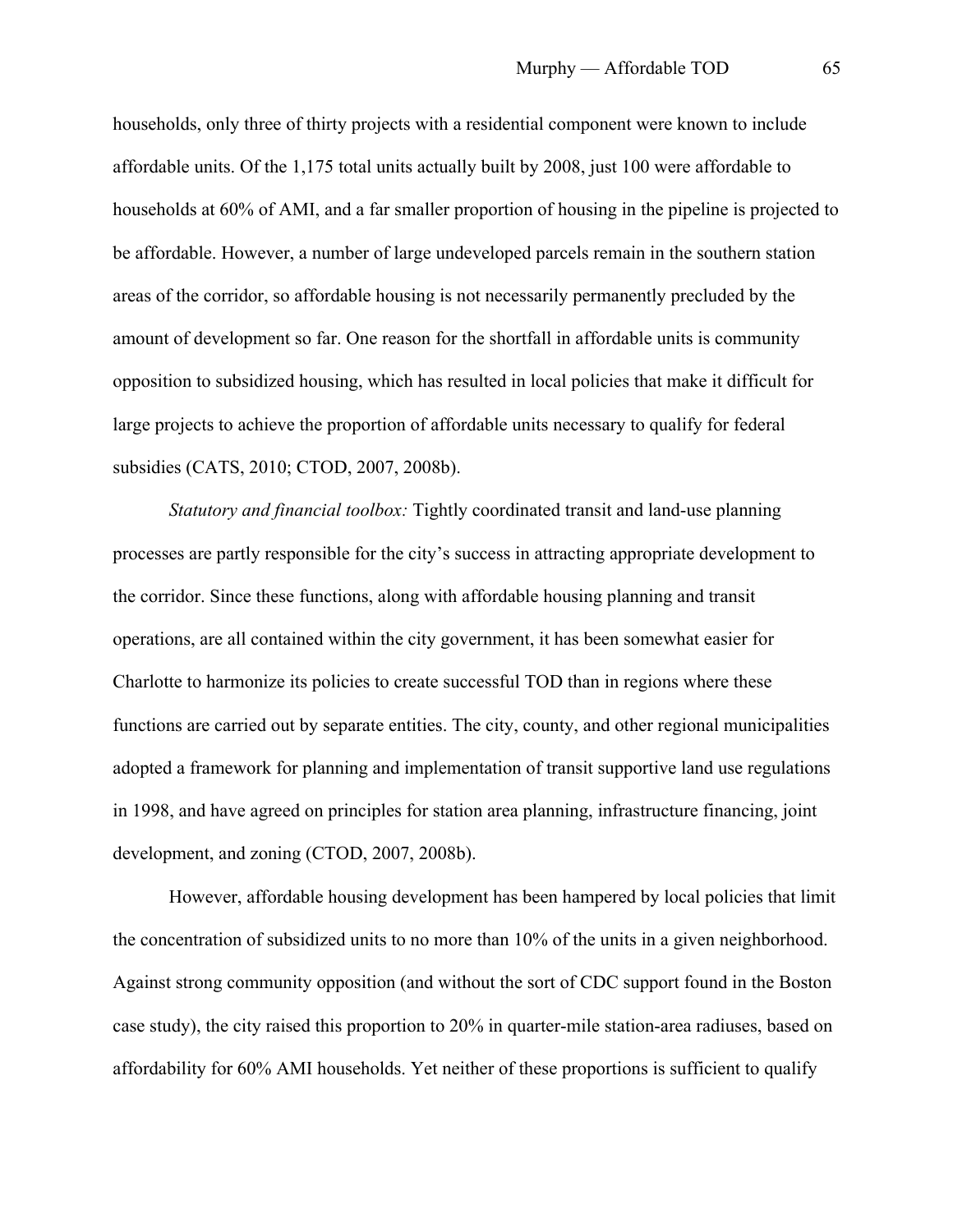households, only three of thirty projects with a residential component were known to include affordable units. Of the 1,175 total units actually built by 2008, just 100 were affordable to households at 60% of AMI, and a far smaller proportion of housing in the pipeline is projected to be affordable. However, a number of large undeveloped parcels remain in the southern station areas of the corridor, so affordable housing is not necessarily permanently precluded by the amount of development so far. One reason for the shortfall in affordable units is community opposition to subsidized housing, which has resulted in local policies that make it difficult for large projects to achieve the proportion of affordable units necessary to qualify for federal subsidies (CATS, 2010; CTOD, 2007, 2008b).

*Statutory and financial toolbox:* Tightly coordinated transit and land-use planning processes are partly responsible for the city's success in attracting appropriate development to the corridor. Since these functions, along with affordable housing planning and transit operations, are all contained within the city government, it has been somewhat easier for Charlotte to harmonize its policies to create successful TOD than in regions where these functions are carried out by separate entities. The city, county, and other regional municipalities adopted a framework for planning and implementation of transit supportive land use regulations in 1998, and have agreed on principles for station area planning, infrastructure financing, joint development, and zoning (CTOD, 2007, 2008b).

However, affordable housing development has been hampered by local policies that limit the concentration of subsidized units to no more than 10% of the units in a given neighborhood. Against strong community opposition (and without the sort of CDC support found in the Boston case study), the city raised this proportion to 20% in quarter-mile station-area radiuses, based on affordability for 60% AMI households. Yet neither of these proportions is sufficient to qualify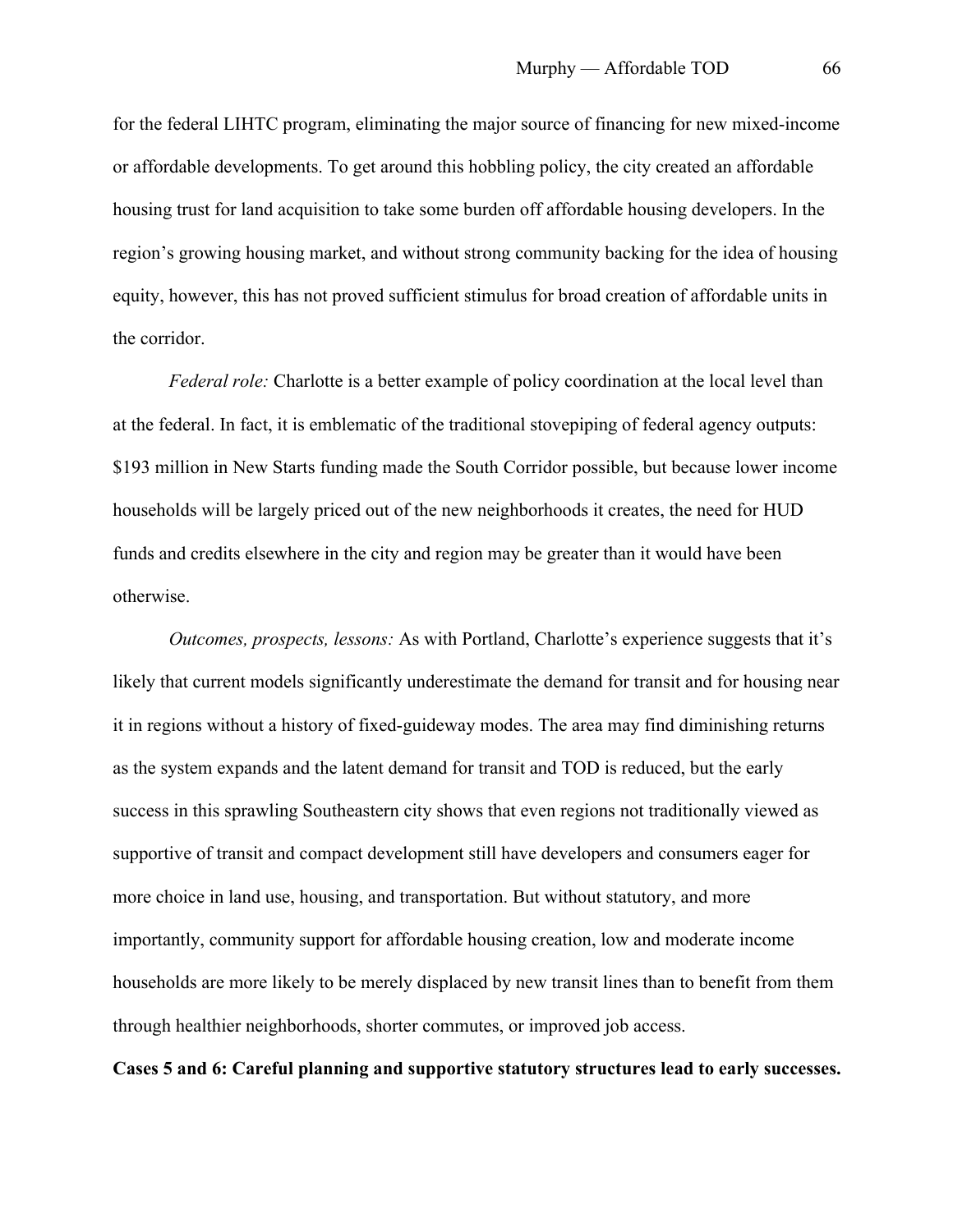for the federal LIHTC program, eliminating the major source of financing for new mixed-income or affordable developments. To get around this hobbling policy, the city created an affordable housing trust for land acquisition to take some burden off affordable housing developers. In the region's growing housing market, and without strong community backing for the idea of housing equity, however, this has not proved sufficient stimulus for broad creation of affordable units in the corridor.

*Federal role:* Charlotte is a better example of policy coordination at the local level than at the federal. In fact, it is emblematic of the traditional stovepiping of federal agency outputs: \$193 million in New Starts funding made the South Corridor possible, but because lower income households will be largely priced out of the new neighborhoods it creates, the need for HUD funds and credits elsewhere in the city and region may be greater than it would have been otherwise.

*Outcomes, prospects, lessons:* As with Portland, Charlotte's experience suggests that it's likely that current models significantly underestimate the demand for transit and for housing near it in regions without a history of fixed-guideway modes. The area may find diminishing returns as the system expands and the latent demand for transit and TOD is reduced, but the early success in this sprawling Southeastern city shows that even regions not traditionally viewed as supportive of transit and compact development still have developers and consumers eager for more choice in land use, housing, and transportation. But without statutory, and more importantly, community support for affordable housing creation, low and moderate income households are more likely to be merely displaced by new transit lines than to benefit from them through healthier neighborhoods, shorter commutes, or improved job access.

**Cases 5 and 6: Careful planning and supportive statutory structures lead to early successes.**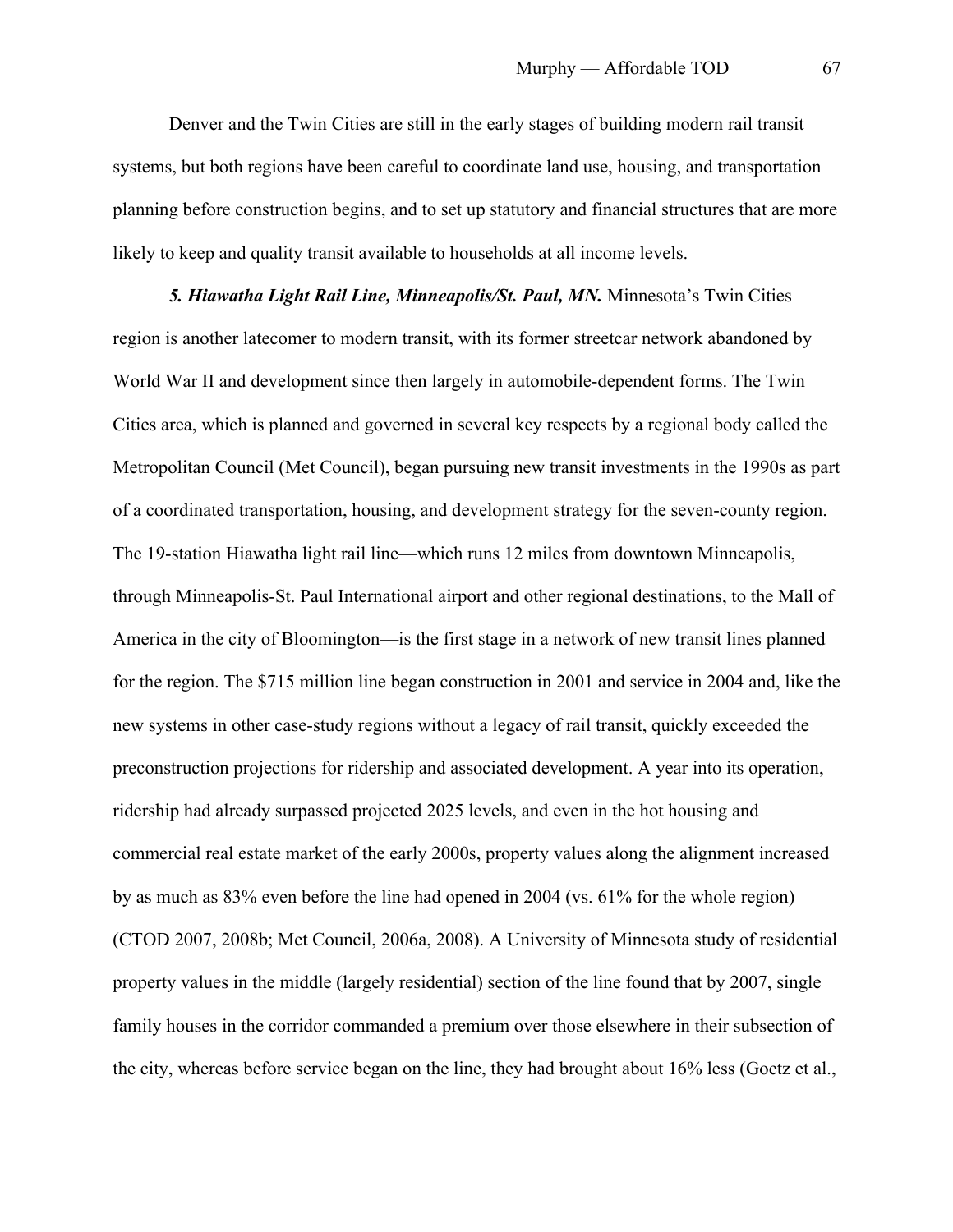Denver and the Twin Cities are still in the early stages of building modern rail transit systems, but both regions have been careful to coordinate land use, housing, and transportation planning before construction begins, and to set up statutory and financial structures that are more likely to keep and quality transit available to households at all income levels.

*5. Hiawatha Light Rail Line, Minneapolis/St. Paul, MN.* Minnesota's Twin Cities region is another latecomer to modern transit, with its former streetcar network abandoned by World War II and development since then largely in automobile-dependent forms. The Twin Cities area, which is planned and governed in several key respects by a regional body called the Metropolitan Council (Met Council), began pursuing new transit investments in the 1990s as part of a coordinated transportation, housing, and development strategy for the seven-county region. The 19-station Hiawatha light rail line—which runs 12 miles from downtown Minneapolis, through Minneapolis-St. Paul International airport and other regional destinations, to the Mall of America in the city of Bloomington—is the first stage in a network of new transit lines planned for the region. The \$715 million line began construction in 2001 and service in 2004 and, like the new systems in other case-study regions without a legacy of rail transit, quickly exceeded the preconstruction projections for ridership and associated development. A year into its operation, ridership had already surpassed projected 2025 levels, and even in the hot housing and commercial real estate market of the early 2000s, property values along the alignment increased by as much as 83% even before the line had opened in 2004 (vs. 61% for the whole region) (CTOD 2007, 2008b; Met Council, 2006a, 2008). A University of Minnesota study of residential property values in the middle (largely residential) section of the line found that by 2007, single family houses in the corridor commanded a premium over those elsewhere in their subsection of the city, whereas before service began on the line, they had brought about 16% less (Goetz et al.,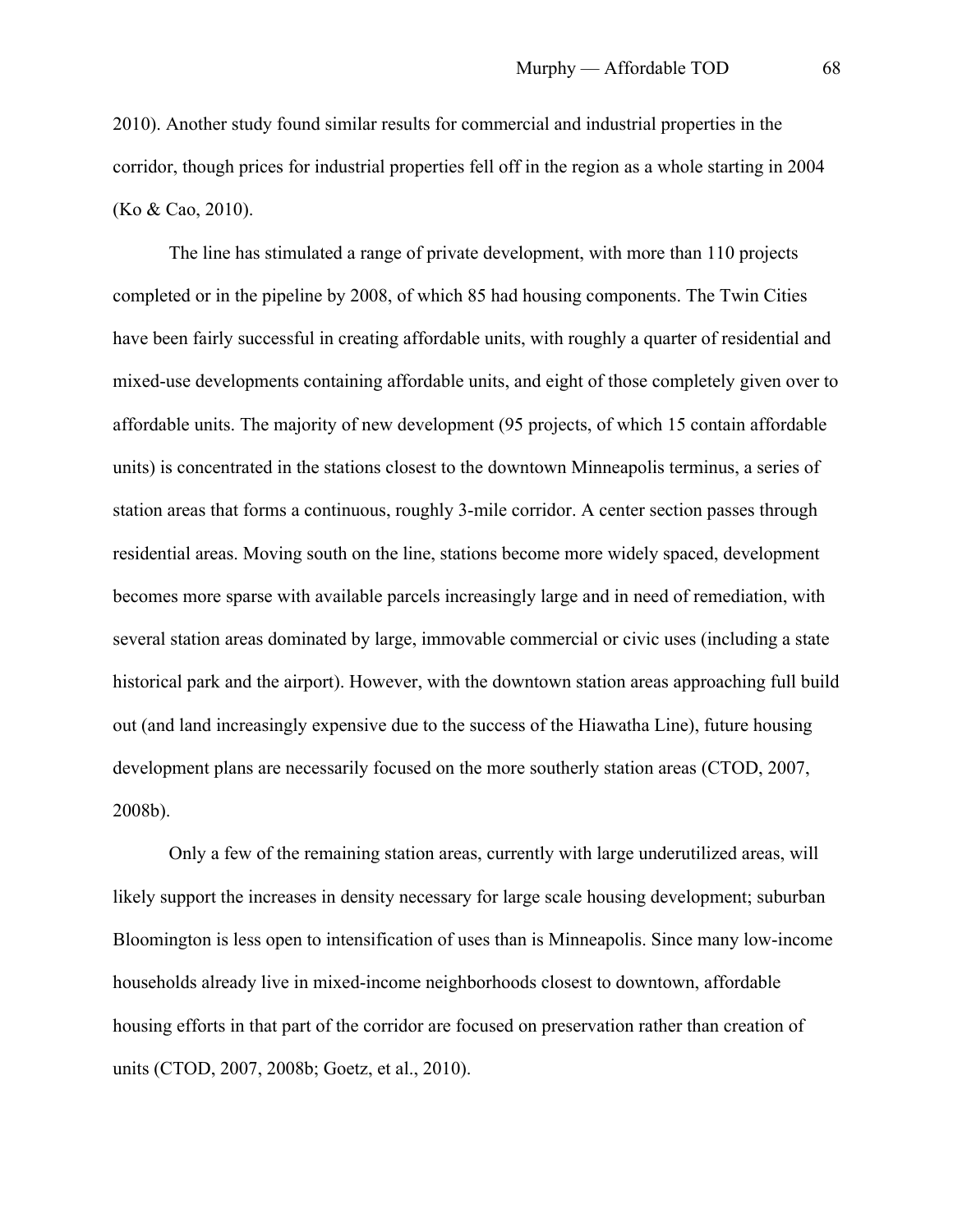2010). Another study found similar results for commercial and industrial properties in the corridor, though prices for industrial properties fell off in the region as a whole starting in 2004 (Ko & Cao, 2010).

The line has stimulated a range of private development, with more than 110 projects completed or in the pipeline by 2008, of which 85 had housing components. The Twin Cities have been fairly successful in creating affordable units, with roughly a quarter of residential and mixed-use developments containing affordable units, and eight of those completely given over to affordable units. The majority of new development (95 projects, of which 15 contain affordable units) is concentrated in the stations closest to the downtown Minneapolis terminus, a series of station areas that forms a continuous, roughly 3-mile corridor. A center section passes through residential areas. Moving south on the line, stations become more widely spaced, development becomes more sparse with available parcels increasingly large and in need of remediation, with several station areas dominated by large, immovable commercial or civic uses (including a state historical park and the airport). However, with the downtown station areas approaching full build out (and land increasingly expensive due to the success of the Hiawatha Line), future housing development plans are necessarily focused on the more southerly station areas (CTOD, 2007, 2008b).

Only a few of the remaining station areas, currently with large underutilized areas, will likely support the increases in density necessary for large scale housing development; suburban Bloomington is less open to intensification of uses than is Minneapolis. Since many low-income households already live in mixed-income neighborhoods closest to downtown, affordable housing efforts in that part of the corridor are focused on preservation rather than creation of units (CTOD, 2007, 2008b; Goetz, et al., 2010).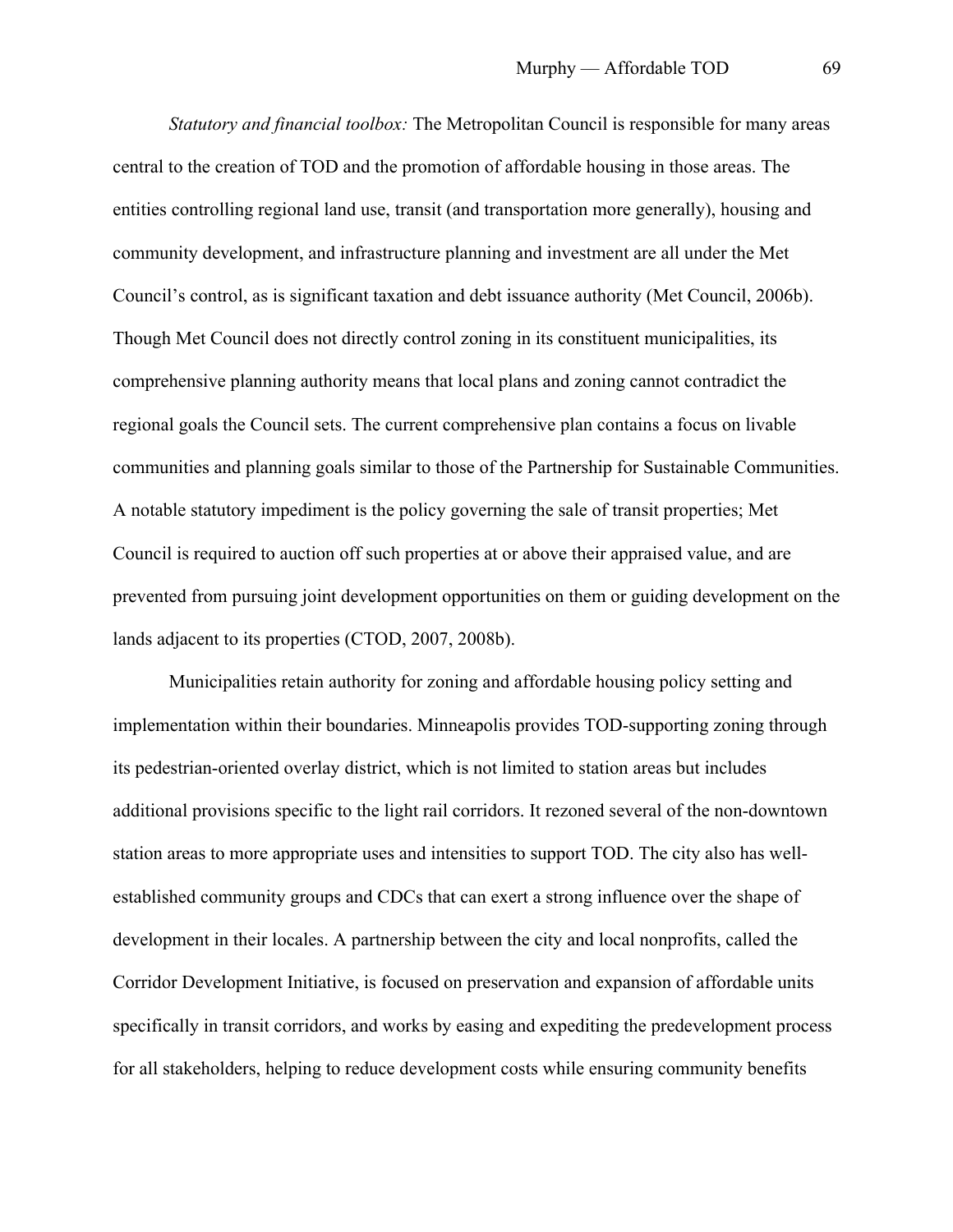*Statutory and financial toolbox:* The Metropolitan Council is responsible for many areas central to the creation of TOD and the promotion of affordable housing in those areas. The entities controlling regional land use, transit (and transportation more generally), housing and community development, and infrastructure planning and investment are all under the Met Council's control, as is significant taxation and debt issuance authority (Met Council, 2006b). Though Met Council does not directly control zoning in its constituent municipalities, its comprehensive planning authority means that local plans and zoning cannot contradict the regional goals the Council sets. The current comprehensive plan contains a focus on livable communities and planning goals similar to those of the Partnership for Sustainable Communities. A notable statutory impediment is the policy governing the sale of transit properties; Met Council is required to auction off such properties at or above their appraised value, and are prevented from pursuing joint development opportunities on them or guiding development on the lands adjacent to its properties (CTOD, 2007, 2008b).

Municipalities retain authority for zoning and affordable housing policy setting and implementation within their boundaries. Minneapolis provides TOD-supporting zoning through its pedestrian-oriented overlay district, which is not limited to station areas but includes additional provisions specific to the light rail corridors. It rezoned several of the non-downtown station areas to more appropriate uses and intensities to support TOD. The city also has wellestablished community groups and CDCs that can exert a strong influence over the shape of development in their locales. A partnership between the city and local nonprofits, called the Corridor Development Initiative, is focused on preservation and expansion of affordable units specifically in transit corridors, and works by easing and expediting the predevelopment process for all stakeholders, helping to reduce development costs while ensuring community benefits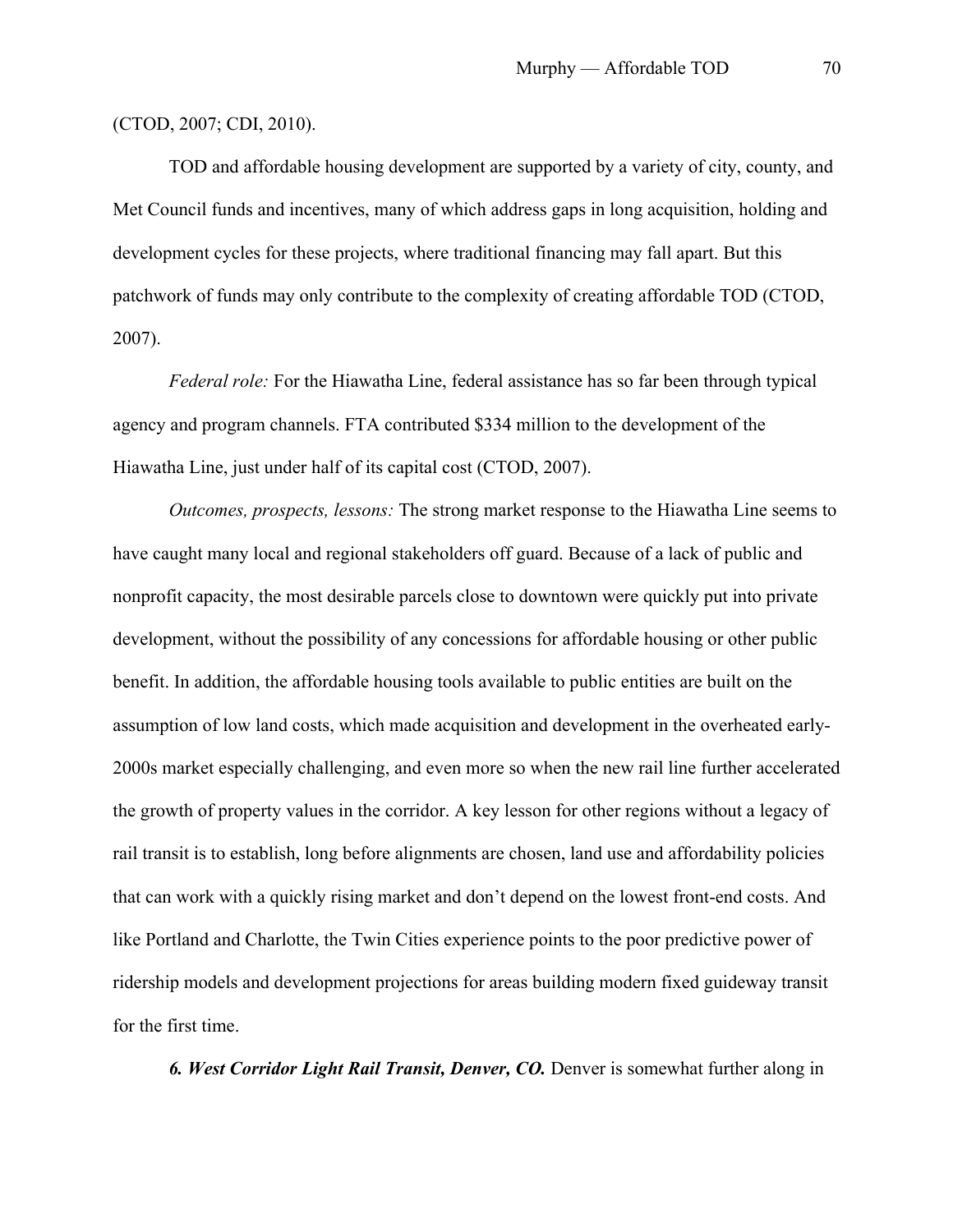### (CTOD, 2007; CDI, 2010).

TOD and affordable housing development are supported by a variety of city, county, and Met Council funds and incentives, many of which address gaps in long acquisition, holding and development cycles for these projects, where traditional financing may fall apart. But this patchwork of funds may only contribute to the complexity of creating affordable TOD (CTOD, 2007).

*Federal role:* For the Hiawatha Line, federal assistance has so far been through typical agency and program channels. FTA contributed \$334 million to the development of the Hiawatha Line, just under half of its capital cost (CTOD, 2007).

*Outcomes, prospects, lessons:* The strong market response to the Hiawatha Line seems to have caught many local and regional stakeholders off guard. Because of a lack of public and nonprofit capacity, the most desirable parcels close to downtown were quickly put into private development, without the possibility of any concessions for affordable housing or other public benefit. In addition, the affordable housing tools available to public entities are built on the assumption of low land costs, which made acquisition and development in the overheated early-2000s market especially challenging, and even more so when the new rail line further accelerated the growth of property values in the corridor. A key lesson for other regions without a legacy of rail transit is to establish, long before alignments are chosen, land use and affordability policies that can work with a quickly rising market and don't depend on the lowest front-end costs. And like Portland and Charlotte, the Twin Cities experience points to the poor predictive power of ridership models and development projections for areas building modern fixed guideway transit for the first time.

*6. West Corridor Light Rail Transit, Denver, CO.* Denver is somewhat further along in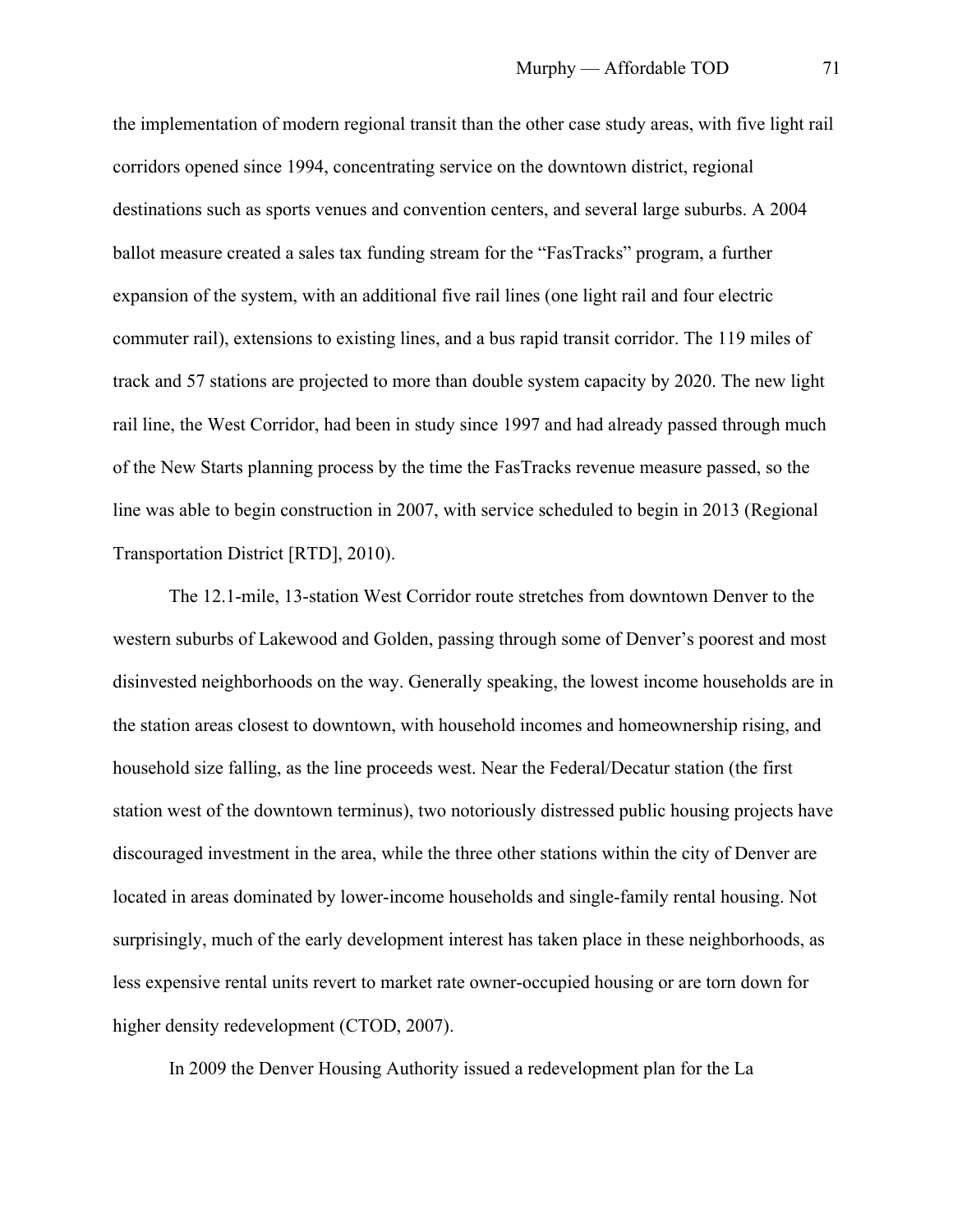the implementation of modern regional transit than the other case study areas, with five light rail corridors opened since 1994, concentrating service on the downtown district, regional destinations such as sports venues and convention centers, and several large suburbs. A 2004 ballot measure created a sales tax funding stream for the "FasTracks" program, a further expansion of the system, with an additional five rail lines (one light rail and four electric commuter rail), extensions to existing lines, and a bus rapid transit corridor. The 119 miles of track and 57 stations are projected to more than double system capacity by 2020. The new light rail line, the West Corridor, had been in study since 1997 and had already passed through much of the New Starts planning process by the time the FasTracks revenue measure passed, so the line was able to begin construction in 2007, with service scheduled to begin in 2013 (Regional Transportation District [RTD], 2010).

The 12.1-mile, 13-station West Corridor route stretches from downtown Denver to the western suburbs of Lakewood and Golden, passing through some of Denver's poorest and most disinvested neighborhoods on the way. Generally speaking, the lowest income households are in the station areas closest to downtown, with household incomes and homeownership rising, and household size falling, as the line proceeds west. Near the Federal/Decatur station (the first station west of the downtown terminus), two notoriously distressed public housing projects have discouraged investment in the area, while the three other stations within the city of Denver are located in areas dominated by lower-income households and single-family rental housing. Not surprisingly, much of the early development interest has taken place in these neighborhoods, as less expensive rental units revert to market rate owner-occupied housing or are torn down for higher density redevelopment (CTOD, 2007).

In 2009 the Denver Housing Authority issued a redevelopment plan for the La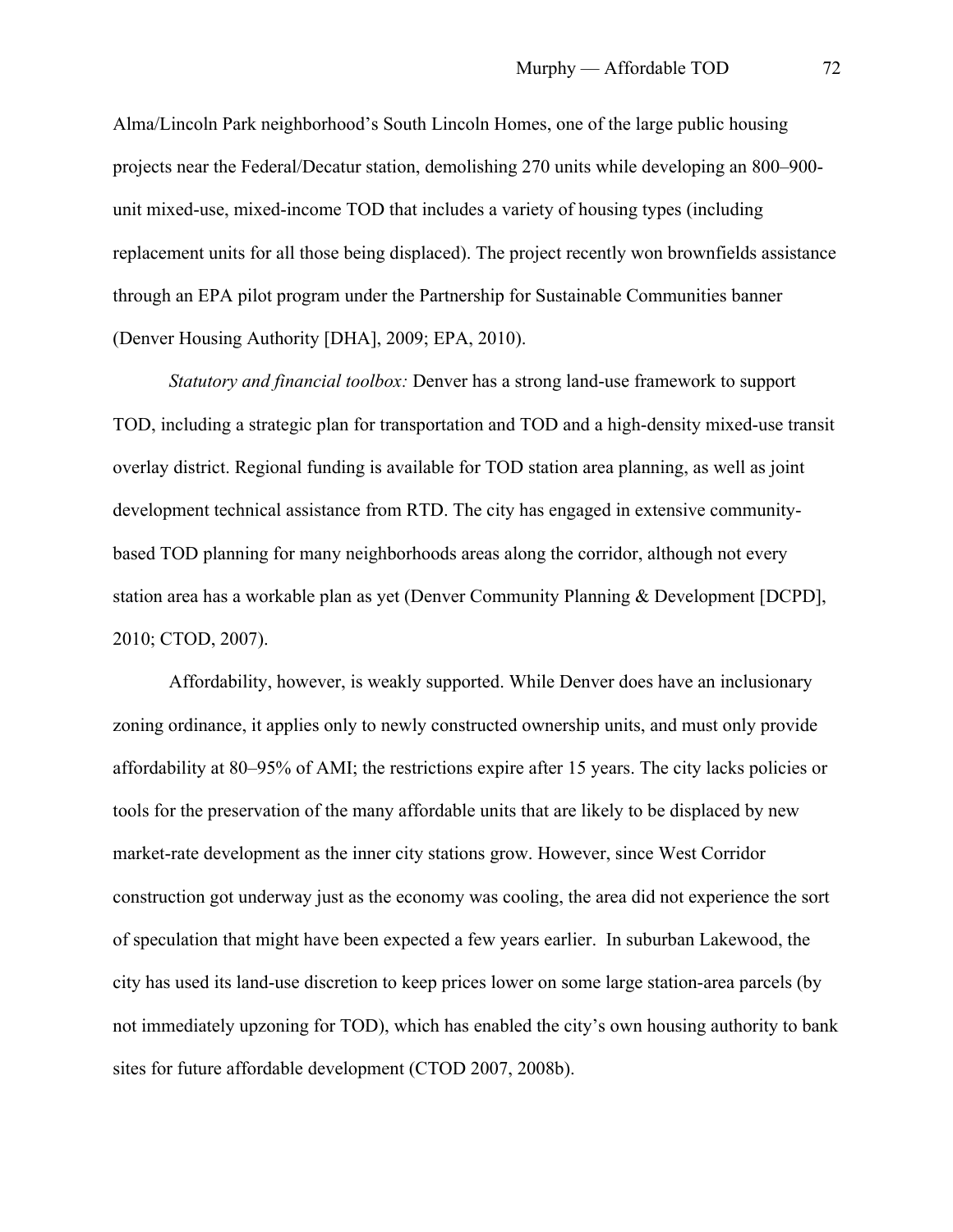Alma/Lincoln Park neighborhood's South Lincoln Homes, one of the large public housing projects near the Federal/Decatur station, demolishing 270 units while developing an 800–900 unit mixed-use, mixed-income TOD that includes a variety of housing types (including replacement units for all those being displaced). The project recently won brownfields assistance through an EPA pilot program under the Partnership for Sustainable Communities banner (Denver Housing Authority [DHA], 2009; EPA, 2010).

*Statutory and financial toolbox:* Denver has a strong land-use framework to support TOD, including a strategic plan for transportation and TOD and a high-density mixed-use transit overlay district. Regional funding is available for TOD station area planning, as well as joint development technical assistance from RTD. The city has engaged in extensive communitybased TOD planning for many neighborhoods areas along the corridor, although not every station area has a workable plan as yet (Denver Community Planning & Development [DCPD], 2010; CTOD, 2007).

Affordability, however, is weakly supported. While Denver does have an inclusionary zoning ordinance, it applies only to newly constructed ownership units, and must only provide affordability at 80–95% of AMI; the restrictions expire after 15 years. The city lacks policies or tools for the preservation of the many affordable units that are likely to be displaced by new market-rate development as the inner city stations grow. However, since West Corridor construction got underway just as the economy was cooling, the area did not experience the sort of speculation that might have been expected a few years earlier. In suburban Lakewood, the city has used its land-use discretion to keep prices lower on some large station-area parcels (by not immediately upzoning for TOD), which has enabled the city's own housing authority to bank sites for future affordable development (CTOD 2007, 2008b).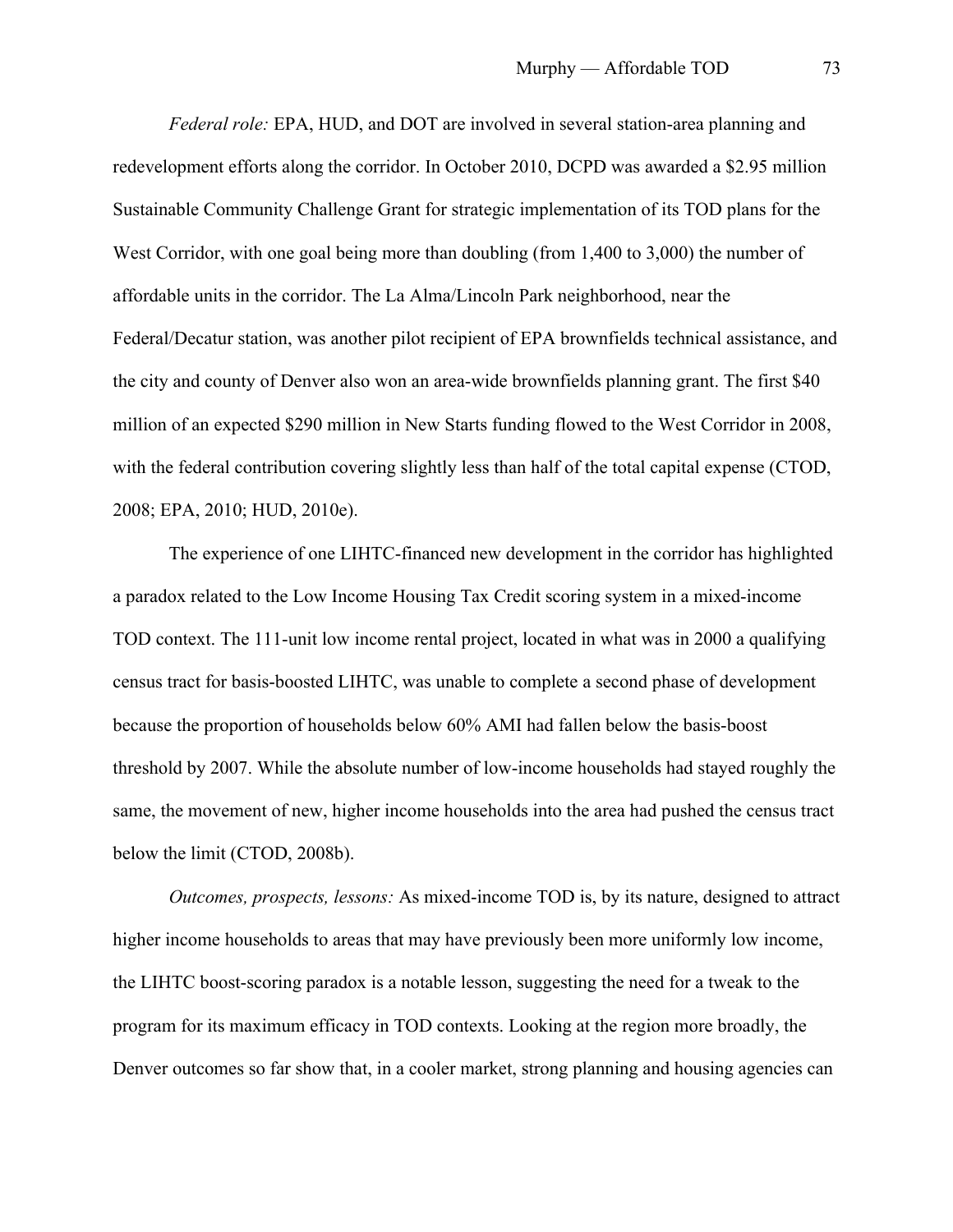*Federal role:* EPA, HUD, and DOT are involved in several station-area planning and redevelopment efforts along the corridor. In October 2010, DCPD was awarded a \$2.95 million Sustainable Community Challenge Grant for strategic implementation of its TOD plans for the West Corridor, with one goal being more than doubling (from 1,400 to 3,000) the number of affordable units in the corridor. The La Alma/Lincoln Park neighborhood, near the Federal/Decatur station, was another pilot recipient of EPA brownfields technical assistance, and the city and county of Denver also won an area-wide brownfields planning grant. The first \$40 million of an expected \$290 million in New Starts funding flowed to the West Corridor in 2008, with the federal contribution covering slightly less than half of the total capital expense (CTOD, 2008; EPA, 2010; HUD, 2010e).

The experience of one LIHTC-financed new development in the corridor has highlighted a paradox related to the Low Income Housing Tax Credit scoring system in a mixed-income TOD context. The 111-unit low income rental project, located in what was in 2000 a qualifying census tract for basis-boosted LIHTC, was unable to complete a second phase of development because the proportion of households below 60% AMI had fallen below the basis-boost threshold by 2007. While the absolute number of low-income households had stayed roughly the same, the movement of new, higher income households into the area had pushed the census tract below the limit (CTOD, 2008b).

*Outcomes, prospects, lessons:* As mixed-income TOD is, by its nature, designed to attract higher income households to areas that may have previously been more uniformly low income, the LIHTC boost-scoring paradox is a notable lesson, suggesting the need for a tweak to the program for its maximum efficacy in TOD contexts. Looking at the region more broadly, the Denver outcomes so far show that, in a cooler market, strong planning and housing agencies can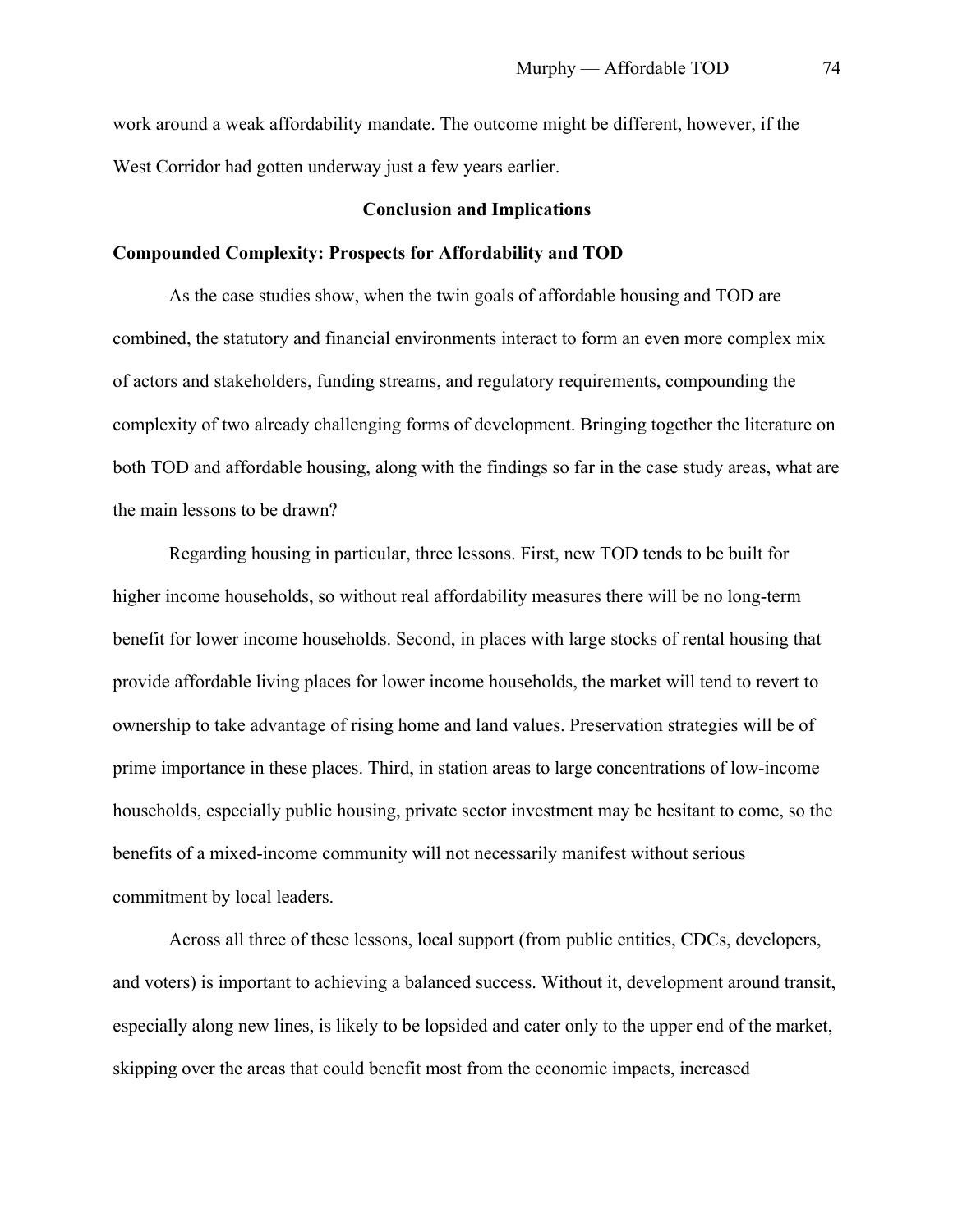work around a weak affordability mandate. The outcome might be different, however, if the West Corridor had gotten underway just a few years earlier.

## **Conclusion and Implications**

## **Compounded Complexity: Prospects for Affordability and TOD**

As the case studies show, when the twin goals of affordable housing and TOD are combined, the statutory and financial environments interact to form an even more complex mix of actors and stakeholders, funding streams, and regulatory requirements, compounding the complexity of two already challenging forms of development. Bringing together the literature on both TOD and affordable housing, along with the findings so far in the case study areas, what are the main lessons to be drawn?

Regarding housing in particular, three lessons. First, new TOD tends to be built for higher income households, so without real affordability measures there will be no long-term benefit for lower income households. Second, in places with large stocks of rental housing that provide affordable living places for lower income households, the market will tend to revert to ownership to take advantage of rising home and land values. Preservation strategies will be of prime importance in these places. Third, in station areas to large concentrations of low-income households, especially public housing, private sector investment may be hesitant to come, so the benefits of a mixed-income community will not necessarily manifest without serious commitment by local leaders.

Across all three of these lessons, local support (from public entities, CDCs, developers, and voters) is important to achieving a balanced success. Without it, development around transit, especially along new lines, is likely to be lopsided and cater only to the upper end of the market, skipping over the areas that could benefit most from the economic impacts, increased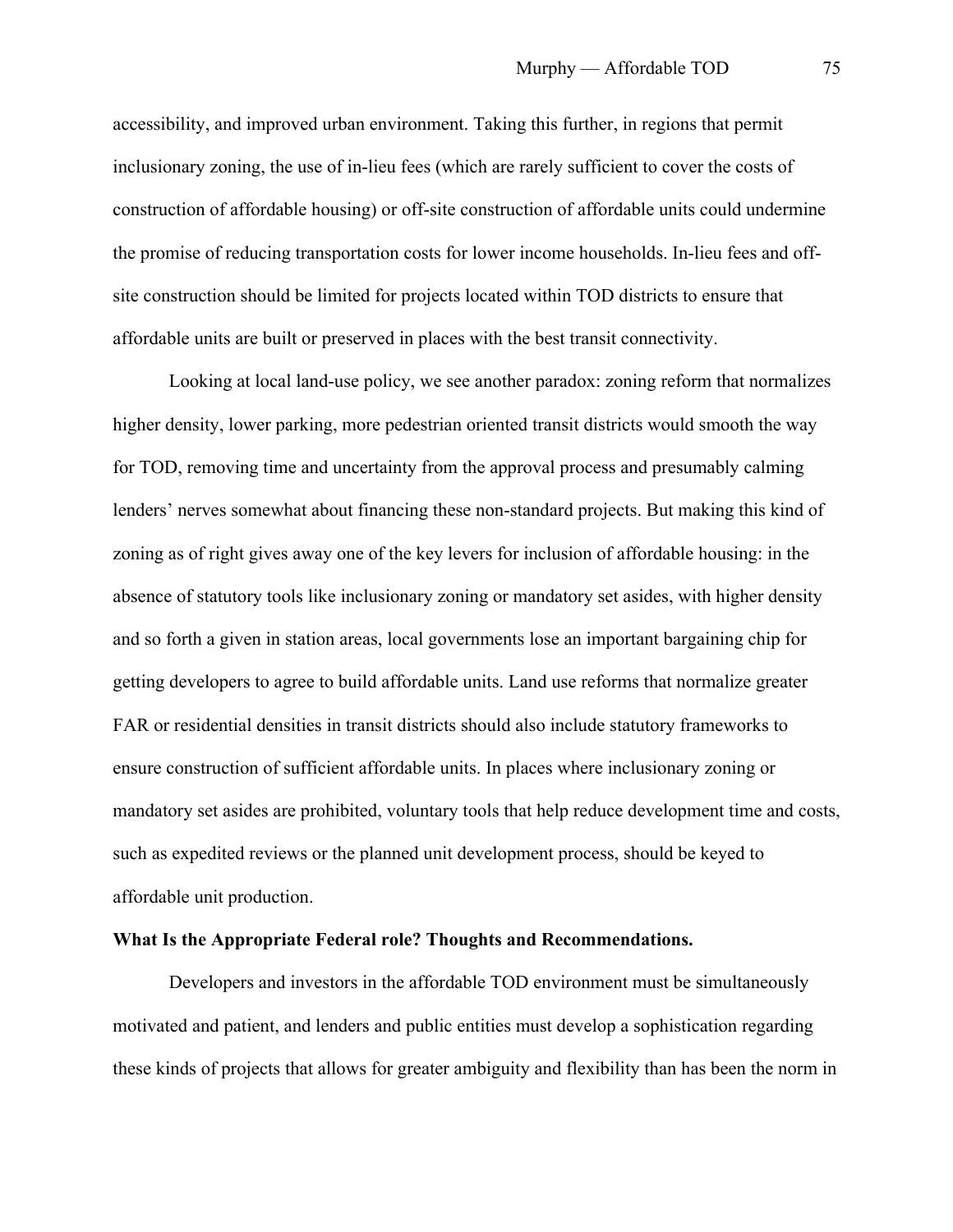accessibility, and improved urban environment. Taking this further, in regions that permit inclusionary zoning, the use of in-lieu fees (which are rarely sufficient to cover the costs of construction of affordable housing) or off-site construction of affordable units could undermine the promise of reducing transportation costs for lower income households. In-lieu fees and offsite construction should be limited for projects located within TOD districts to ensure that affordable units are built or preserved in places with the best transit connectivity.

Looking at local land-use policy, we see another paradox: zoning reform that normalizes higher density, lower parking, more pedestrian oriented transit districts would smooth the way for TOD, removing time and uncertainty from the approval process and presumably calming lenders' nerves somewhat about financing these non-standard projects. But making this kind of zoning as of right gives away one of the key levers for inclusion of affordable housing: in the absence of statutory tools like inclusionary zoning or mandatory set asides, with higher density and so forth a given in station areas, local governments lose an important bargaining chip for getting developers to agree to build affordable units. Land use reforms that normalize greater FAR or residential densities in transit districts should also include statutory frameworks to ensure construction of sufficient affordable units. In places where inclusionary zoning or mandatory set asides are prohibited, voluntary tools that help reduce development time and costs, such as expedited reviews or the planned unit development process, should be keyed to affordable unit production.

# **What Is the Appropriate Federal role? Thoughts and Recommendations.**

Developers and investors in the affordable TOD environment must be simultaneously motivated and patient, and lenders and public entities must develop a sophistication regarding these kinds of projects that allows for greater ambiguity and flexibility than has been the norm in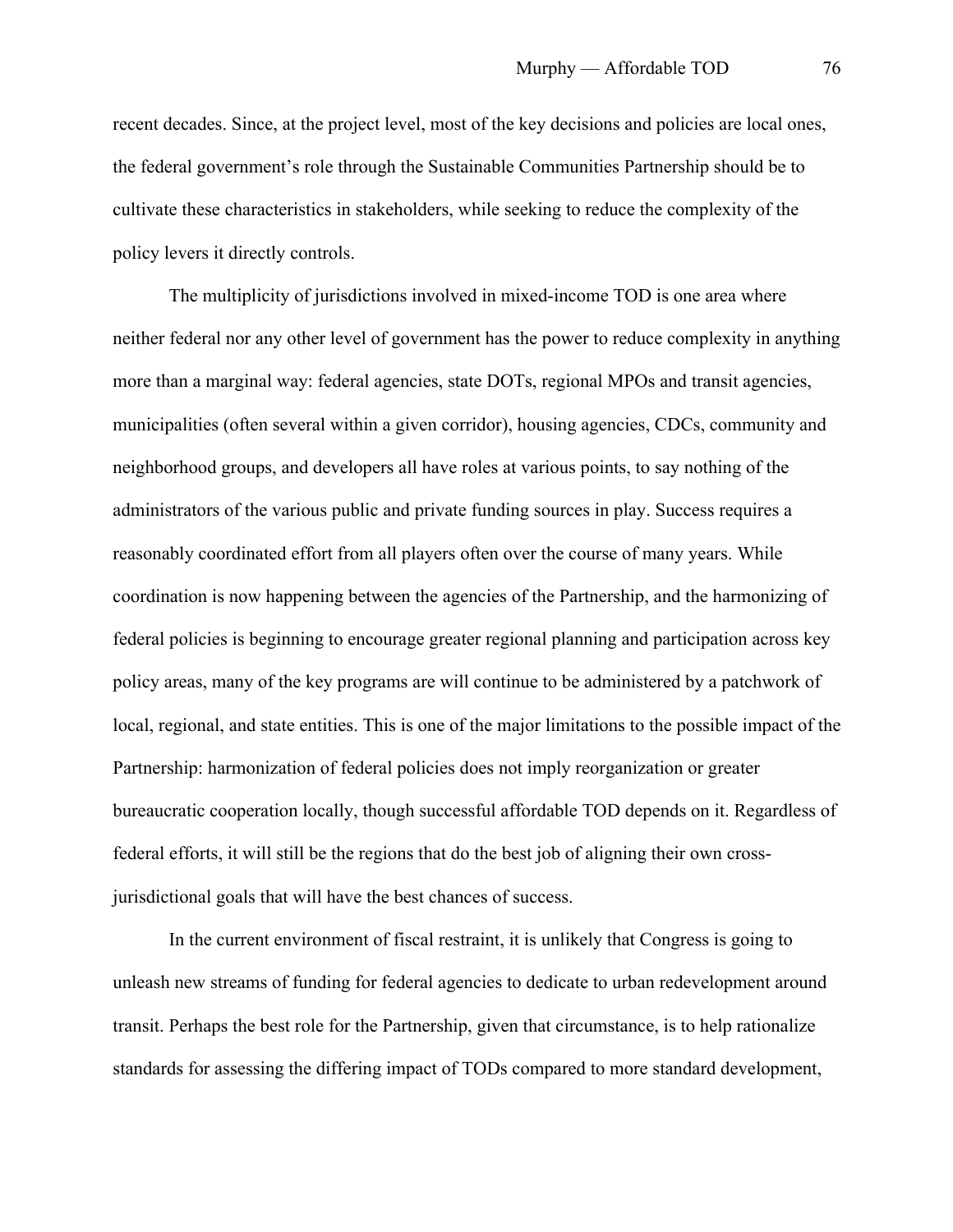recent decades. Since, at the project level, most of the key decisions and policies are local ones, the federal government's role through the Sustainable Communities Partnership should be to cultivate these characteristics in stakeholders, while seeking to reduce the complexity of the policy levers it directly controls.

The multiplicity of jurisdictions involved in mixed-income TOD is one area where neither federal nor any other level of government has the power to reduce complexity in anything more than a marginal way: federal agencies, state DOTs, regional MPOs and transit agencies, municipalities (often several within a given corridor), housing agencies, CDCs, community and neighborhood groups, and developers all have roles at various points, to say nothing of the administrators of the various public and private funding sources in play. Success requires a reasonably coordinated effort from all players often over the course of many years. While coordination is now happening between the agencies of the Partnership, and the harmonizing of federal policies is beginning to encourage greater regional planning and participation across key policy areas, many of the key programs are will continue to be administered by a patchwork of local, regional, and state entities. This is one of the major limitations to the possible impact of the Partnership: harmonization of federal policies does not imply reorganization or greater bureaucratic cooperation locally, though successful affordable TOD depends on it. Regardless of federal efforts, it will still be the regions that do the best job of aligning their own crossjurisdictional goals that will have the best chances of success.

In the current environment of fiscal restraint, it is unlikely that Congress is going to unleash new streams of funding for federal agencies to dedicate to urban redevelopment around transit. Perhaps the best role for the Partnership, given that circumstance, is to help rationalize standards for assessing the differing impact of TODs compared to more standard development,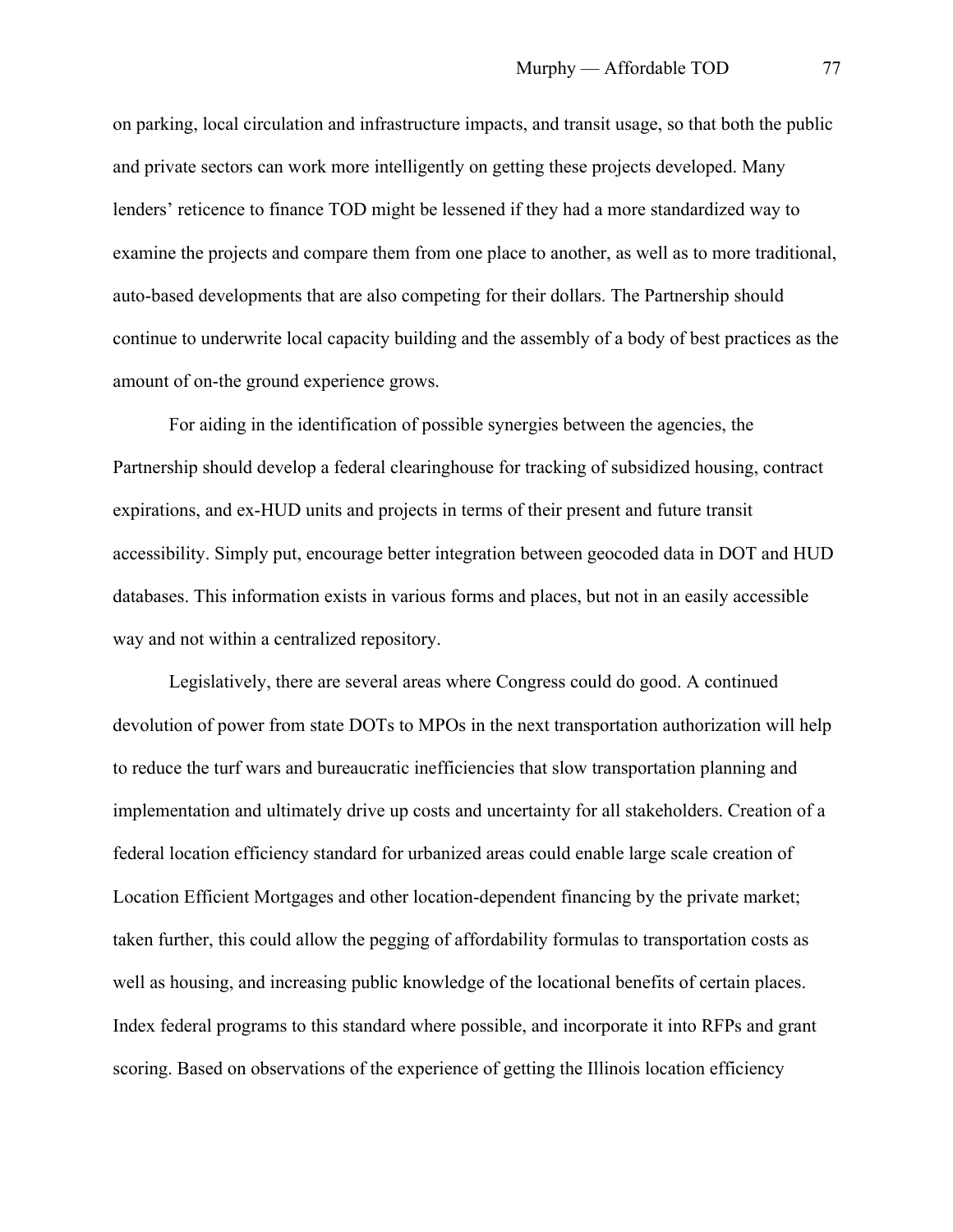on parking, local circulation and infrastructure impacts, and transit usage, so that both the public and private sectors can work more intelligently on getting these projects developed. Many lenders' reticence to finance TOD might be lessened if they had a more standardized way to examine the projects and compare them from one place to another, as well as to more traditional, auto-based developments that are also competing for their dollars. The Partnership should continue to underwrite local capacity building and the assembly of a body of best practices as the amount of on-the ground experience grows.

For aiding in the identification of possible synergies between the agencies, the Partnership should develop a federal clearinghouse for tracking of subsidized housing, contract expirations, and ex-HUD units and projects in terms of their present and future transit accessibility. Simply put, encourage better integration between geocoded data in DOT and HUD databases. This information exists in various forms and places, but not in an easily accessible way and not within a centralized repository.

Legislatively, there are several areas where Congress could do good. A continued devolution of power from state DOTs to MPOs in the next transportation authorization will help to reduce the turf wars and bureaucratic inefficiencies that slow transportation planning and implementation and ultimately drive up costs and uncertainty for all stakeholders. Creation of a federal location efficiency standard for urbanized areas could enable large scale creation of Location Efficient Mortgages and other location-dependent financing by the private market; taken further, this could allow the pegging of affordability formulas to transportation costs as well as housing, and increasing public knowledge of the locational benefits of certain places. Index federal programs to this standard where possible, and incorporate it into RFPs and grant scoring. Based on observations of the experience of getting the Illinois location efficiency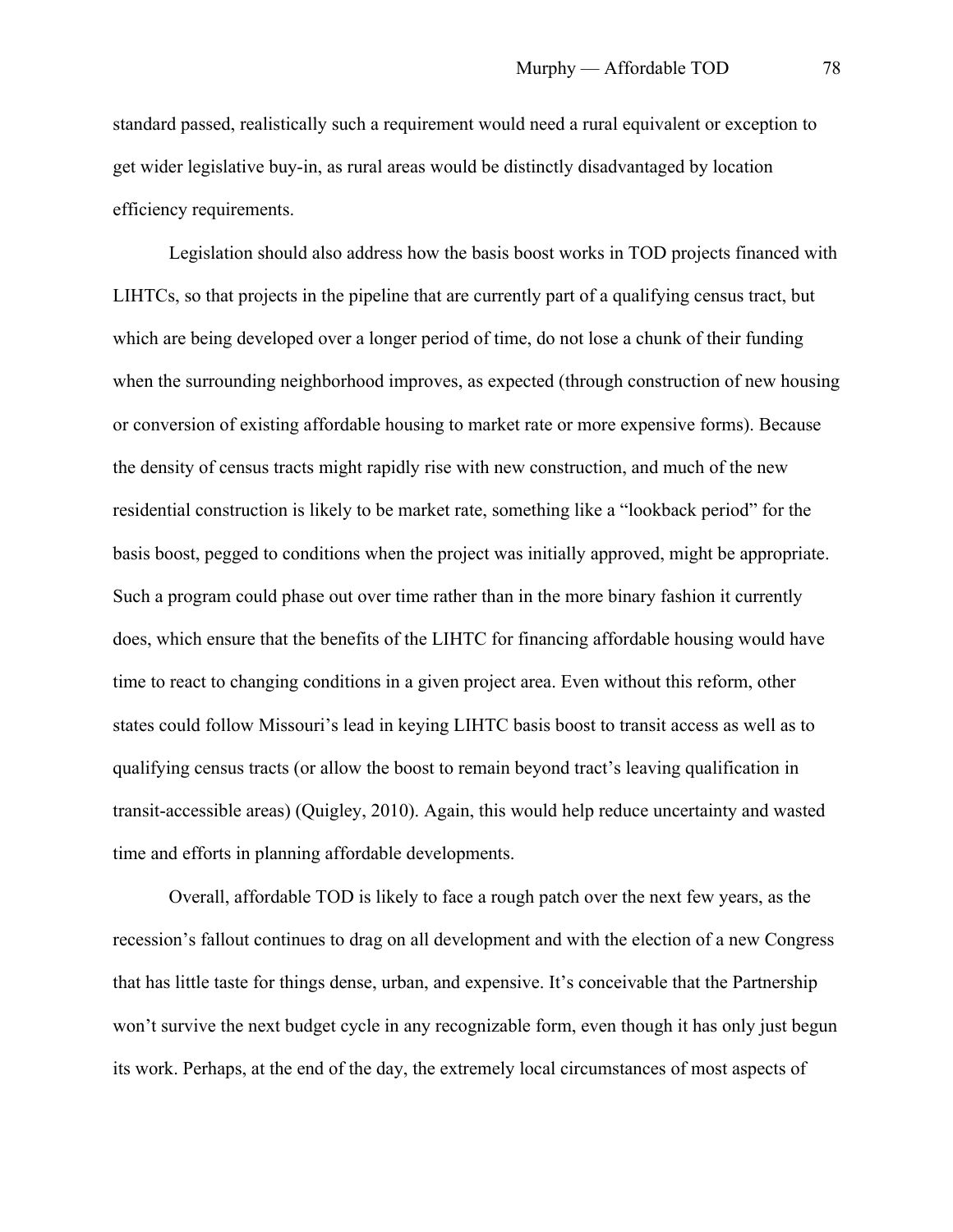standard passed, realistically such a requirement would need a rural equivalent or exception to get wider legislative buy-in, as rural areas would be distinctly disadvantaged by location efficiency requirements.

Legislation should also address how the basis boost works in TOD projects financed with LIHTCs, so that projects in the pipeline that are currently part of a qualifying census tract, but which are being developed over a longer period of time, do not lose a chunk of their funding when the surrounding neighborhood improves, as expected (through construction of new housing or conversion of existing affordable housing to market rate or more expensive forms). Because the density of census tracts might rapidly rise with new construction, and much of the new residential construction is likely to be market rate, something like a "lookback period" for the basis boost, pegged to conditions when the project was initially approved, might be appropriate. Such a program could phase out over time rather than in the more binary fashion it currently does, which ensure that the benefits of the LIHTC for financing affordable housing would have time to react to changing conditions in a given project area. Even without this reform, other states could follow Missouri's lead in keying LIHTC basis boost to transit access as well as to qualifying census tracts (or allow the boost to remain beyond tract's leaving qualification in transit-accessible areas) (Quigley, 2010). Again, this would help reduce uncertainty and wasted time and efforts in planning affordable developments.

Overall, affordable TOD is likely to face a rough patch over the next few years, as the recession's fallout continues to drag on all development and with the election of a new Congress that has little taste for things dense, urban, and expensive. It's conceivable that the Partnership won't survive the next budget cycle in any recognizable form, even though it has only just begun its work. Perhaps, at the end of the day, the extremely local circumstances of most aspects of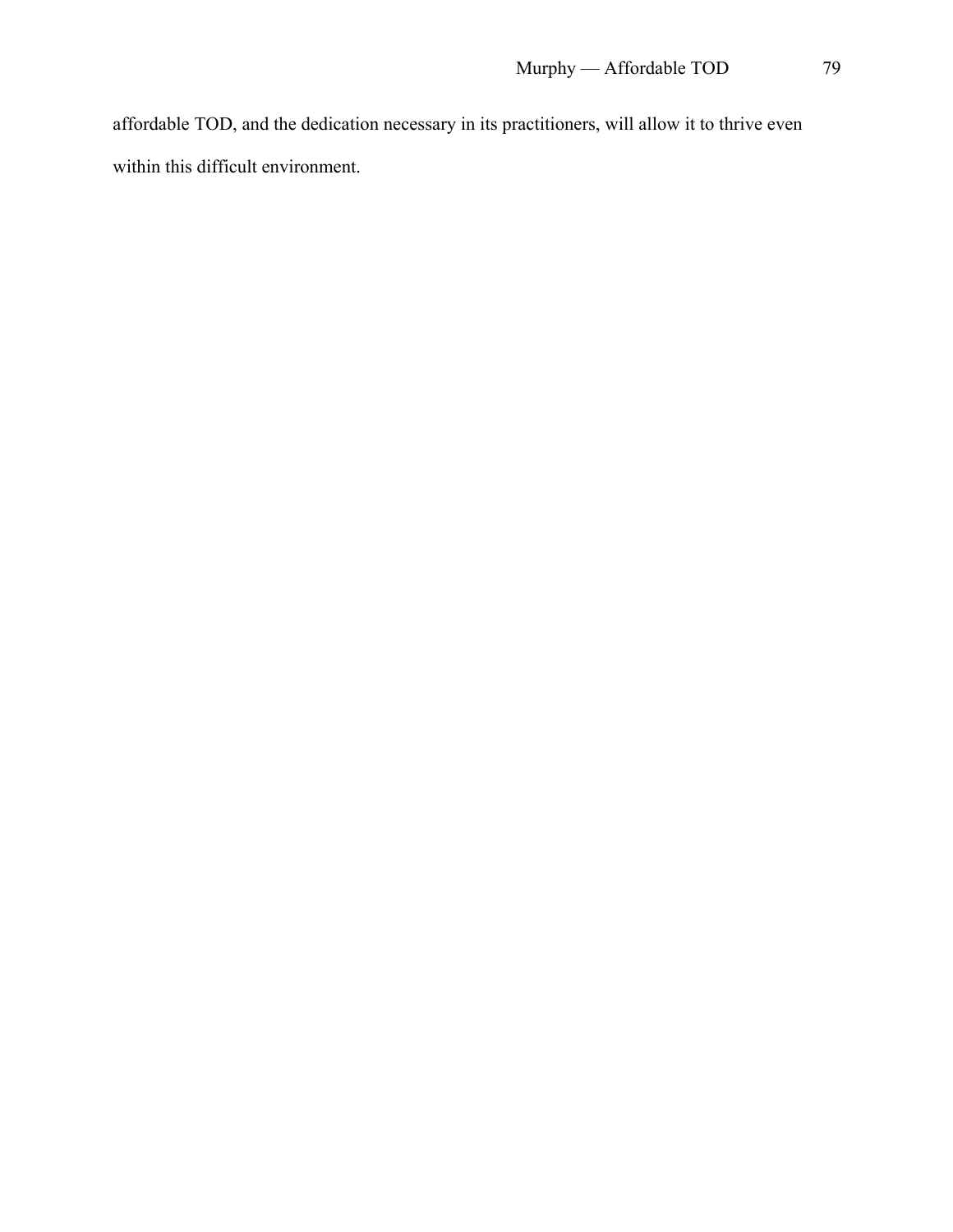affordable TOD, and the dedication necessary in its practitioners, will allow it to thrive even within this difficult environment.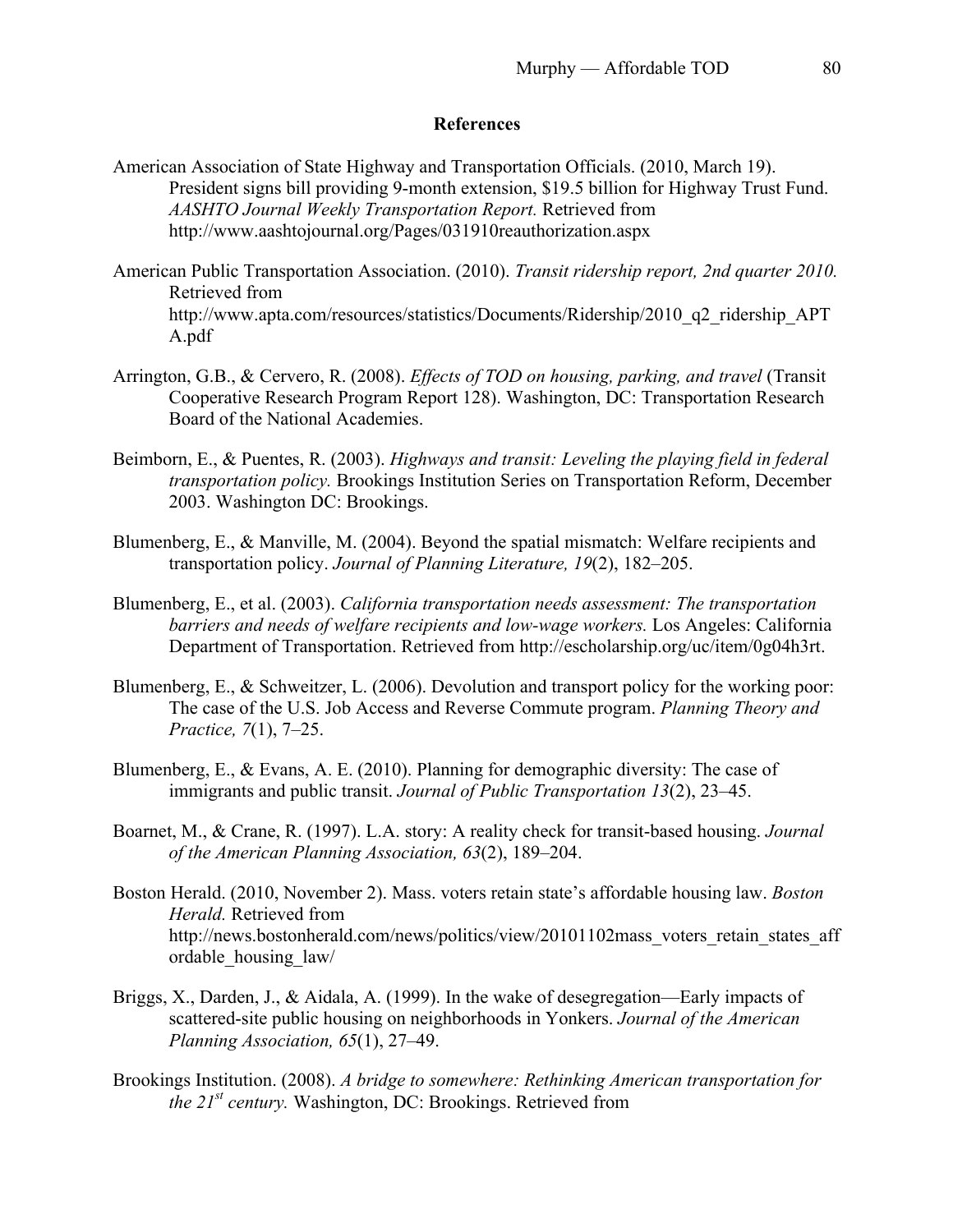# **References**

- American Association of State Highway and Transportation Officials. (2010, March 19). President signs bill providing 9-month extension, \$19.5 billion for Highway Trust Fund. *AASHTO Journal Weekly Transportation Report.* Retrieved from http://www.aashtojournal.org/Pages/031910reauthorization.aspx
- American Public Transportation Association. (2010). *Transit ridership report, 2nd quarter 2010.*  Retrieved from http://www.apta.com/resources/statistics/Documents/Ridership/2010\_q2\_ridership\_APT A.pdf
- Arrington, G.B., & Cervero, R. (2008). *Effects of TOD on housing, parking, and travel* (Transit Cooperative Research Program Report 128). Washington, DC: Transportation Research Board of the National Academies.
- Beimborn, E., & Puentes, R. (2003). *Highways and transit: Leveling the playing field in federal transportation policy.* Brookings Institution Series on Transportation Reform, December 2003. Washington DC: Brookings.
- Blumenberg, E., & Manville, M. (2004). Beyond the spatial mismatch: Welfare recipients and transportation policy. *Journal of Planning Literature, 19*(2), 182–205.
- Blumenberg, E., et al. (2003). *California transportation needs assessment: The transportation barriers and needs of welfare recipients and low-wage workers.* Los Angeles: California Department of Transportation. Retrieved from http://escholarship.org/uc/item/0g04h3rt.
- Blumenberg, E., & Schweitzer, L. (2006). Devolution and transport policy for the working poor: The case of the U.S. Job Access and Reverse Commute program. *Planning Theory and Practice, 7*(1), 7–25.
- Blumenberg, E., & Evans, A. E. (2010). Planning for demographic diversity: The case of immigrants and public transit. *Journal of Public Transportation 13*(2), 23–45.
- Boarnet, M., & Crane, R. (1997). L.A. story: A reality check for transit-based housing. *Journal of the American Planning Association, 63*(2), 189–204.
- Boston Herald. (2010, November 2). Mass. voters retain state's affordable housing law. *Boston Herald.* Retrieved from http://news.bostonherald.com/news/politics/view/20101102mass\_voters\_retain\_states\_aff ordable\_housing\_law/
- Briggs, X., Darden, J., & Aidala, A. (1999). In the wake of desegregation—Early impacts of scattered-site public housing on neighborhoods in Yonkers. *Journal of the American Planning Association, 65*(1), 27–49.
- Brookings Institution. (2008). *A bridge to somewhere: Rethinking American transportation for the 21st century.* Washington, DC: Brookings. Retrieved from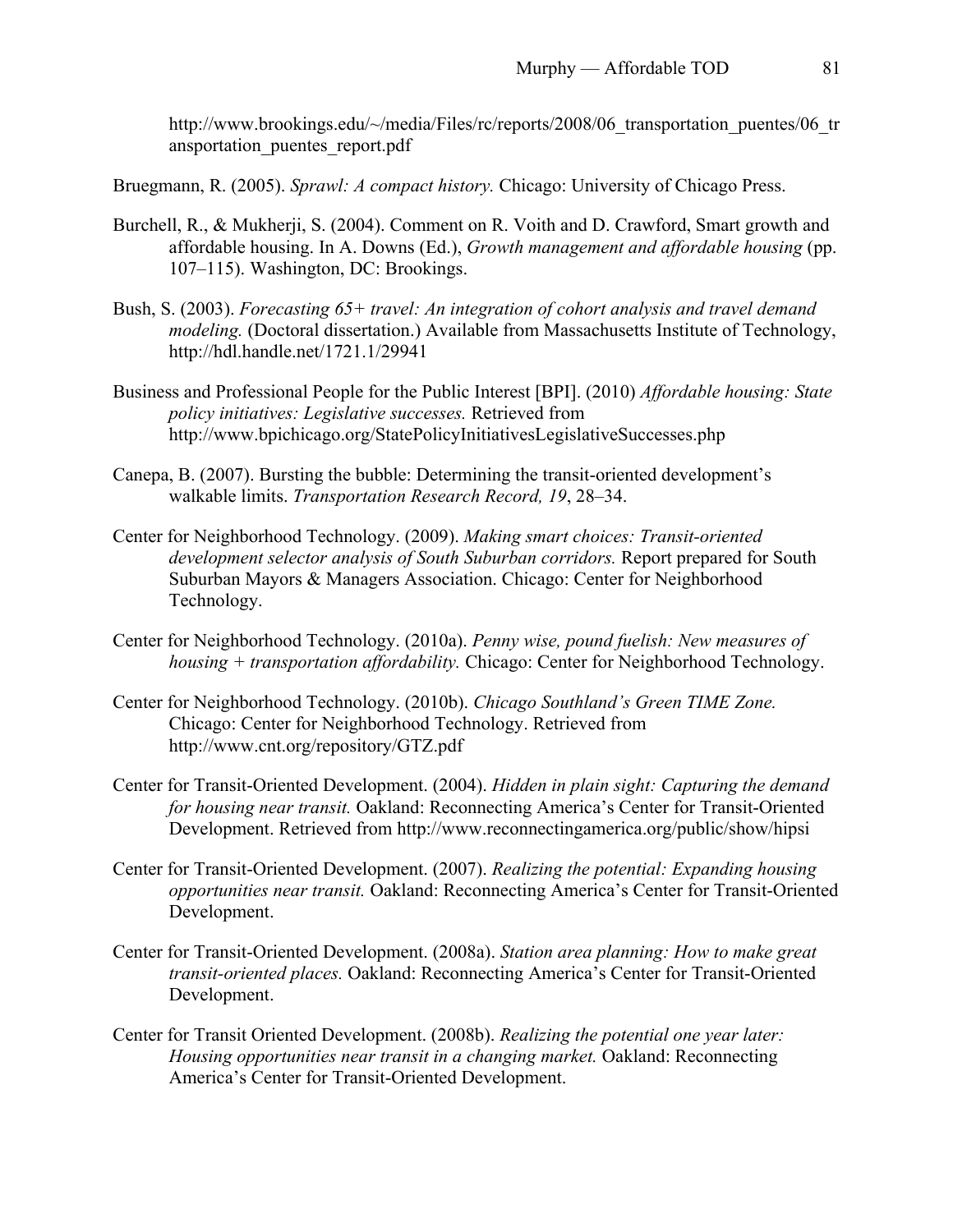http://www.brookings.edu/~/media/Files/rc/reports/2008/06 transportation puentes/06 tr ansportation\_puentes\_report.pdf

Bruegmann, R. (2005). *Sprawl: A compact history.* Chicago: University of Chicago Press.

- Burchell, R., & Mukherji, S. (2004). Comment on R. Voith and D. Crawford, Smart growth and affordable housing. In A. Downs (Ed.), *Growth management and affordable housing* (pp. 107–115). Washington, DC: Brookings.
- Bush, S. (2003). *Forecasting 65+ travel: An integration of cohort analysis and travel demand modeling.* (Doctoral dissertation.) Available from Massachusetts Institute of Technology, http://hdl.handle.net/1721.1/29941
- Business and Professional People for the Public Interest [BPI]. (2010) *Affordable housing: State policy initiatives: Legislative successes.* Retrieved from http://www.bpichicago.org/StatePolicyInitiativesLegislativeSuccesses.php
- Canepa, B. (2007). Bursting the bubble: Determining the transit-oriented development's walkable limits. *Transportation Research Record, 19*, 28–34.
- Center for Neighborhood Technology. (2009). *Making smart choices: Transit-oriented development selector analysis of South Suburban corridors.* Report prepared for South Suburban Mayors & Managers Association. Chicago: Center for Neighborhood Technology.
- Center for Neighborhood Technology. (2010a). *Penny wise, pound fuelish: New measures of housing + transportation affordability.* Chicago: Center for Neighborhood Technology.
- Center for Neighborhood Technology. (2010b). *Chicago Southland's Green TIME Zone.* Chicago: Center for Neighborhood Technology. Retrieved from http://www.cnt.org/repository/GTZ.pdf
- Center for Transit-Oriented Development. (2004). *Hidden in plain sight: Capturing the demand for housing near transit.* Oakland: Reconnecting America's Center for Transit-Oriented Development. Retrieved from http://www.reconnectingamerica.org/public/show/hipsi
- Center for Transit-Oriented Development. (2007). *Realizing the potential: Expanding housing opportunities near transit.* Oakland: Reconnecting America's Center for Transit-Oriented Development.
- Center for Transit-Oriented Development. (2008a). *Station area planning: How to make great transit-oriented places.* Oakland: Reconnecting America's Center for Transit-Oriented Development.
- Center for Transit Oriented Development. (2008b). *Realizing the potential one year later: Housing opportunities near transit in a changing market.* Oakland: Reconnecting America's Center for Transit-Oriented Development.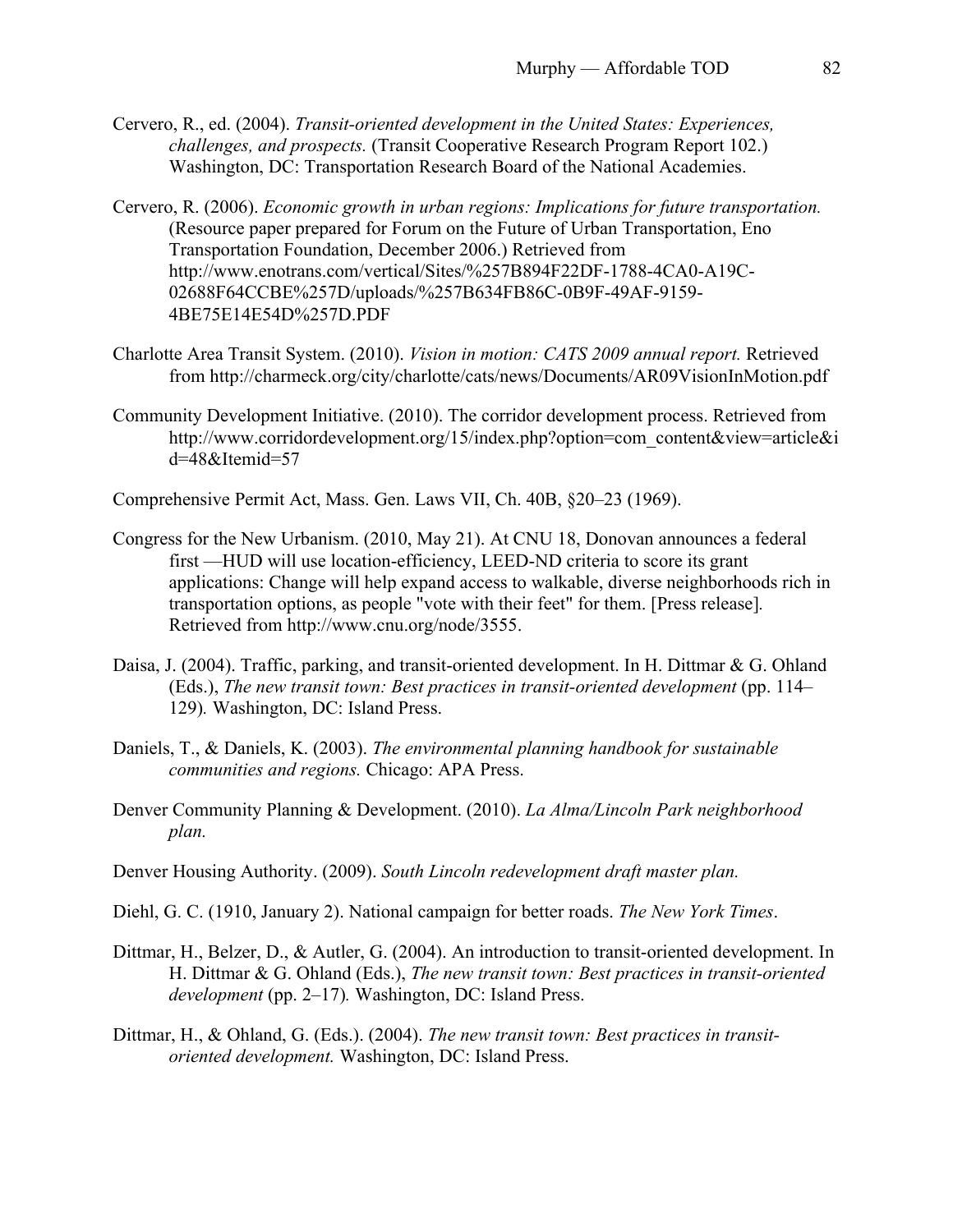- Cervero, R., ed. (2004). *Transit-oriented development in the United States: Experiences, challenges, and prospects.* (Transit Cooperative Research Program Report 102.) Washington, DC: Transportation Research Board of the National Academies.
- Cervero, R. (2006). *Economic growth in urban regions: Implications for future transportation.*  (Resource paper prepared for Forum on the Future of Urban Transportation, Eno Transportation Foundation, December 2006.) Retrieved from http://www.enotrans.com/vertical/Sites/%257B894F22DF-1788-4CA0-A19C-02688F64CCBE%257D/uploads/%257B634FB86C-0B9F-49AF-9159- 4BE75E14E54D%257D.PDF
- Charlotte Area Transit System. (2010). *Vision in motion: CATS 2009 annual report.* Retrieved from http://charmeck.org/city/charlotte/cats/news/Documents/AR09VisionInMotion.pdf
- Community Development Initiative. (2010). The corridor development process. Retrieved from http://www.corridordevelopment.org/15/index.php?option=com\_content&view=article&i d=48&Itemid=57

Comprehensive Permit Act, Mass. Gen. Laws VII, Ch. 40B, §20–23 (1969).

- Congress for the New Urbanism. (2010, May 21). At CNU 18, Donovan announces a federal first —HUD will use location-efficiency, LEED-ND criteria to score its grant applications: Change will help expand access to walkable, diverse neighborhoods rich in transportation options, as people "vote with their feet" for them. [Press release]*.*  Retrieved from http://www.cnu.org/node/3555.
- Daisa, J. (2004). Traffic, parking, and transit-oriented development. In H. Dittmar & G. Ohland (Eds.), *The new transit town: Best practices in transit-oriented development* (pp. 114– 129)*.* Washington, DC: Island Press.
- Daniels, T., & Daniels, K. (2003). *The environmental planning handbook for sustainable communities and regions.* Chicago: APA Press.
- Denver Community Planning & Development. (2010). *La Alma/Lincoln Park neighborhood plan.*
- Denver Housing Authority. (2009). *South Lincoln redevelopment draft master plan.*
- Diehl, G. C. (1910, January 2). National campaign for better roads. *The New York Times*.
- Dittmar, H., Belzer, D., & Autler, G. (2004). An introduction to transit-oriented development. In H. Dittmar & G. Ohland (Eds.), *The new transit town: Best practices in transit-oriented development* (pp. 2–17)*.* Washington, DC: Island Press.
- Dittmar, H., & Ohland, G. (Eds.). (2004). *The new transit town: Best practices in transitoriented development.* Washington, DC: Island Press.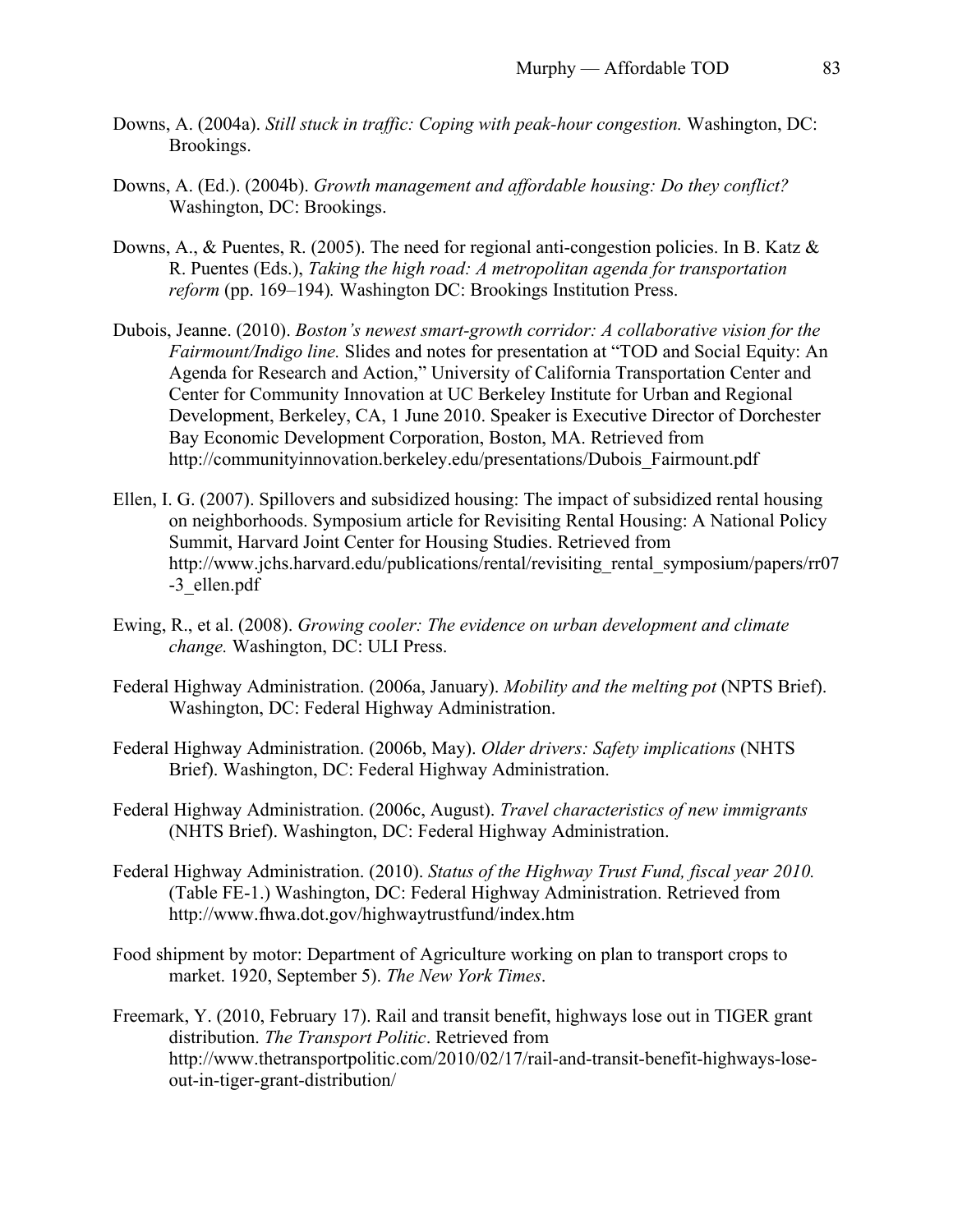- Downs, A. (2004a). *Still stuck in traffic: Coping with peak-hour congestion.* Washington, DC: Brookings.
- Downs, A. (Ed.). (2004b). *Growth management and affordable housing: Do they conflict?* Washington, DC: Brookings.
- Downs, A., & Puentes, R. (2005). The need for regional anti-congestion policies. In B. Katz & R. Puentes (Eds.), *Taking the high road: A metropolitan agenda for transportation reform* (pp. 169–194)*.* Washington DC: Brookings Institution Press.
- Dubois, Jeanne. (2010). *Boston's newest smart-growth corridor: A collaborative vision for the Fairmount/Indigo line.* Slides and notes for presentation at "TOD and Social Equity: An Agenda for Research and Action," University of California Transportation Center and Center for Community Innovation at UC Berkeley Institute for Urban and Regional Development, Berkeley, CA, 1 June 2010. Speaker is Executive Director of Dorchester Bay Economic Development Corporation, Boston, MA. Retrieved from http://communityinnovation.berkeley.edu/presentations/Dubois\_Fairmount.pdf
- Ellen, I. G. (2007). Spillovers and subsidized housing: The impact of subsidized rental housing on neighborhoods. Symposium article for Revisiting Rental Housing: A National Policy Summit, Harvard Joint Center for Housing Studies. Retrieved from http://www.jchs.harvard.edu/publications/rental/revisiting\_rental\_symposium/papers/rr07 -3\_ellen.pdf
- Ewing, R., et al. (2008). *Growing cooler: The evidence on urban development and climate change.* Washington, DC: ULI Press.
- Federal Highway Administration. (2006a, January). *Mobility and the melting pot* (NPTS Brief). Washington, DC: Federal Highway Administration.
- Federal Highway Administration. (2006b, May). *Older drivers: Safety implications* (NHTS Brief). Washington, DC: Federal Highway Administration.
- Federal Highway Administration. (2006c, August). *Travel characteristics of new immigrants* (NHTS Brief). Washington, DC: Federal Highway Administration.
- Federal Highway Administration. (2010). *Status of the Highway Trust Fund, fiscal year 2010.* (Table FE-1.) Washington, DC: Federal Highway Administration. Retrieved from http://www.fhwa.dot.gov/highwaytrustfund/index.htm
- Food shipment by motor: Department of Agriculture working on plan to transport crops to market. 1920, September 5). *The New York Times*.
- Freemark, Y. (2010, February 17). Rail and transit benefit, highways lose out in TIGER grant distribution. *The Transport Politic*. Retrieved from http://www.thetransportpolitic.com/2010/02/17/rail-and-transit-benefit-highways-loseout-in-tiger-grant-distribution/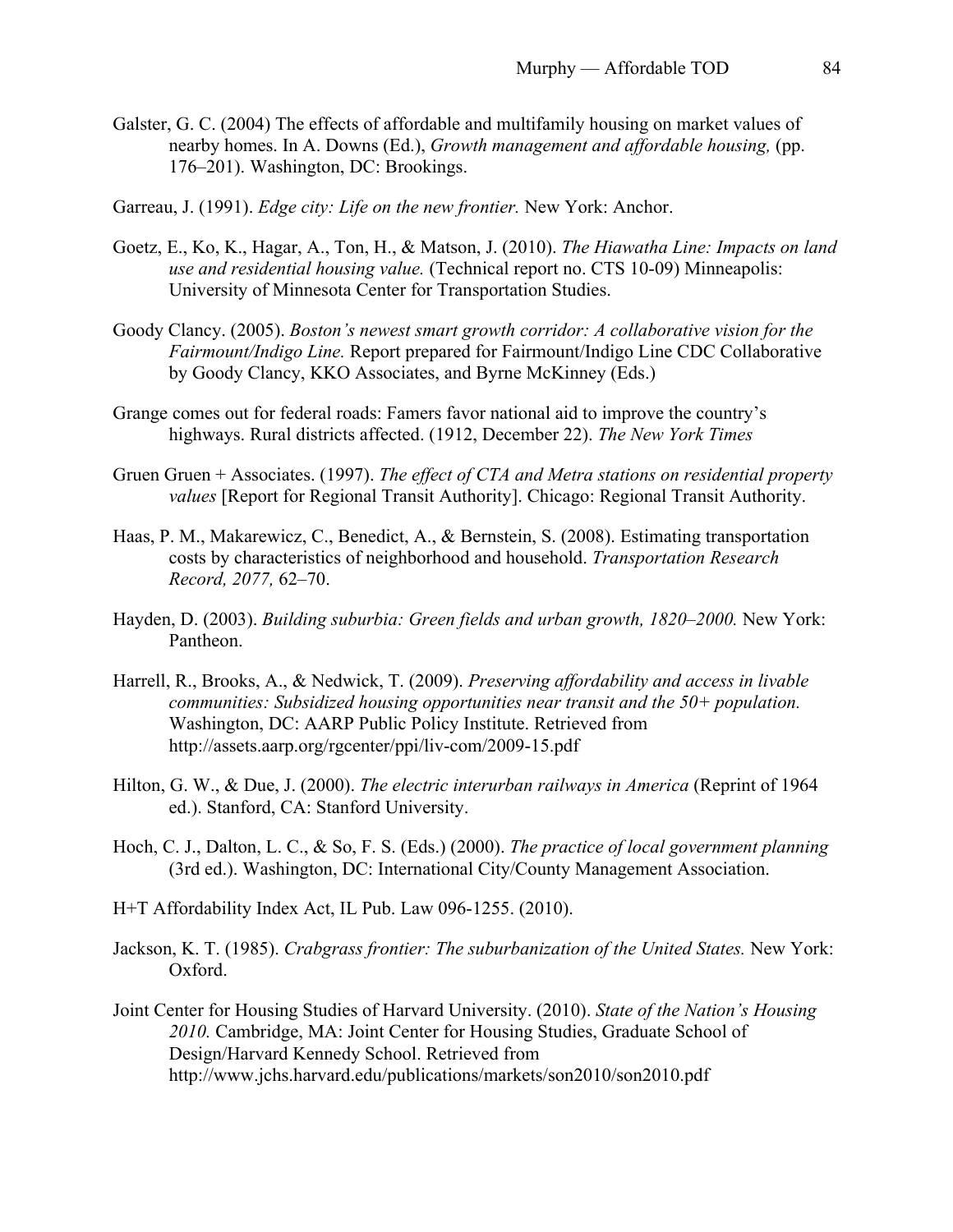- Galster, G. C. (2004) The effects of affordable and multifamily housing on market values of nearby homes. In A. Downs (Ed.), *Growth management and affordable housing,* (pp. 176–201). Washington, DC: Brookings.
- Garreau, J. (1991). *Edge city: Life on the new frontier.* New York: Anchor.
- Goetz, E., Ko, K., Hagar, A., Ton, H., & Matson, J. (2010). *The Hiawatha Line: Impacts on land use and residential housing value.* (Technical report no. CTS 10-09) Minneapolis: University of Minnesota Center for Transportation Studies.
- Goody Clancy. (2005). *Boston's newest smart growth corridor: A collaborative vision for the Fairmount/Indigo Line.* Report prepared for Fairmount/Indigo Line CDC Collaborative by Goody Clancy, KKO Associates, and Byrne McKinney (Eds.)
- Grange comes out for federal roads: Famers favor national aid to improve the country's highways. Rural districts affected. (1912, December 22). *The New York Times*
- Gruen Gruen + Associates. (1997). *The effect of CTA and Metra stations on residential property values* [Report for Regional Transit Authority]. Chicago: Regional Transit Authority.
- Haas, P. M., Makarewicz, C., Benedict, A., & Bernstein, S. (2008). Estimating transportation costs by characteristics of neighborhood and household. *Transportation Research Record, 2077,* 62–70.
- Hayden, D. (2003). *Building suburbia: Green fields and urban growth, 1820–2000.* New York: Pantheon.
- Harrell, R., Brooks, A., & Nedwick, T. (2009). *Preserving affordability and access in livable communities: Subsidized housing opportunities near transit and the 50+ population.*  Washington, DC: AARP Public Policy Institute. Retrieved from http://assets.aarp.org/rgcenter/ppi/liv-com/2009-15.pdf
- Hilton, G. W., & Due, J. (2000). *The electric interurban railways in America* (Reprint of 1964 ed.). Stanford, CA: Stanford University.
- Hoch, C. J., Dalton, L. C., & So, F. S. (Eds.) (2000). *The practice of local government planning*  (3rd ed.). Washington, DC: International City/County Management Association.
- H+T Affordability Index Act, IL Pub. Law 096-1255. (2010).
- Jackson, K. T. (1985). *Crabgrass frontier: The suburbanization of the United States.* New York: Oxford.
- Joint Center for Housing Studies of Harvard University. (2010). *State of the Nation's Housing 2010.* Cambridge, MA: Joint Center for Housing Studies, Graduate School of Design/Harvard Kennedy School. Retrieved from http://www.jchs.harvard.edu/publications/markets/son2010/son2010.pdf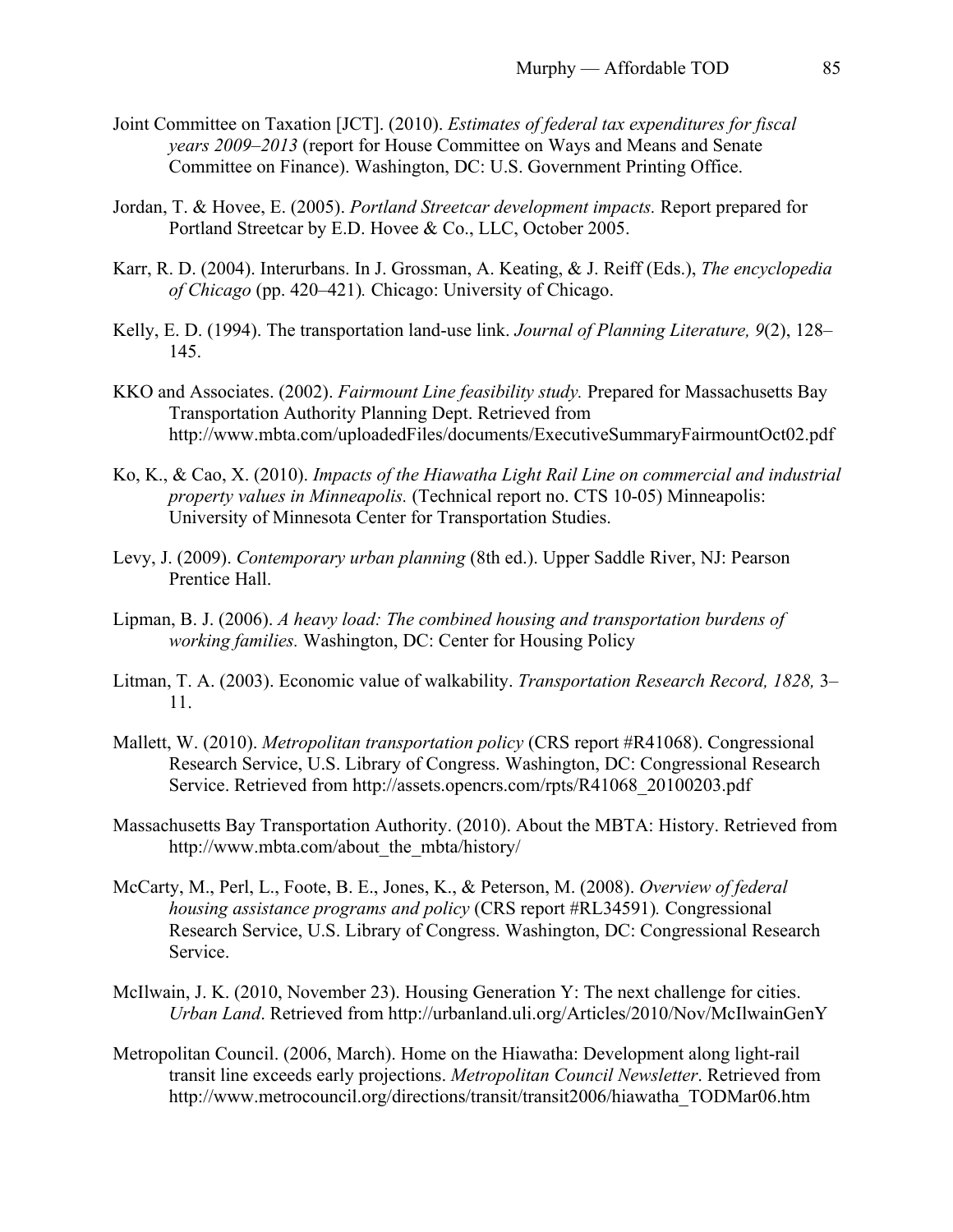- Joint Committee on Taxation [JCT]. (2010). *Estimates of federal tax expenditures for fiscal years 2009–2013* (report for House Committee on Ways and Means and Senate Committee on Finance). Washington, DC: U.S. Government Printing Office.
- Jordan, T. & Hovee, E. (2005). *Portland Streetcar development impacts.* Report prepared for Portland Streetcar by E.D. Hovee & Co., LLC, October 2005.
- Karr, R. D. (2004). Interurbans. In J. Grossman, A. Keating, & J. Reiff (Eds.), *The encyclopedia of Chicago* (pp. 420–421)*.* Chicago: University of Chicago.
- Kelly, E. D. (1994). The transportation land-use link. *Journal of Planning Literature, 9*(2), 128– 145.
- KKO and Associates. (2002). *Fairmount Line feasibility study.* Prepared for Massachusetts Bay Transportation Authority Planning Dept. Retrieved from http://www.mbta.com/uploadedFiles/documents/ExecutiveSummaryFairmountOct02.pdf
- Ko, K., & Cao, X. (2010). *Impacts of the Hiawatha Light Rail Line on commercial and industrial property values in Minneapolis.* (Technical report no. CTS 10-05) Minneapolis: University of Minnesota Center for Transportation Studies.
- Levy, J. (2009). *Contemporary urban planning* (8th ed.). Upper Saddle River, NJ: Pearson Prentice Hall.
- Lipman, B. J. (2006). *A heavy load: The combined housing and transportation burdens of working families.* Washington, DC: Center for Housing Policy
- Litman, T. A. (2003). Economic value of walkability. *Transportation Research Record, 1828,* 3– 11.
- Mallett, W. (2010). *Metropolitan transportation policy* (CRS report #R41068). Congressional Research Service, U.S. Library of Congress. Washington, DC: Congressional Research Service. Retrieved from http://assets.opencrs.com/rpts/R41068\_20100203.pdf
- Massachusetts Bay Transportation Authority. (2010). About the MBTA: History. Retrieved from http://www.mbta.com/about\_the\_mbta/history/
- McCarty, M., Perl, L., Foote, B. E., Jones, K., & Peterson, M. (2008). *Overview of federal housing assistance programs and policy* (CRS report #RL34591)*.* Congressional Research Service, U.S. Library of Congress. Washington, DC: Congressional Research Service.
- McIlwain, J. K. (2010, November 23). Housing Generation Y: The next challenge for cities. *Urban Land*. Retrieved from http://urbanland.uli.org/Articles/2010/Nov/McIlwainGenY
- Metropolitan Council. (2006, March). Home on the Hiawatha: Development along light-rail transit line exceeds early projections. *Metropolitan Council Newsletter*. Retrieved from http://www.metrocouncil.org/directions/transit/transit2006/hiawatha\_TODMar06.htm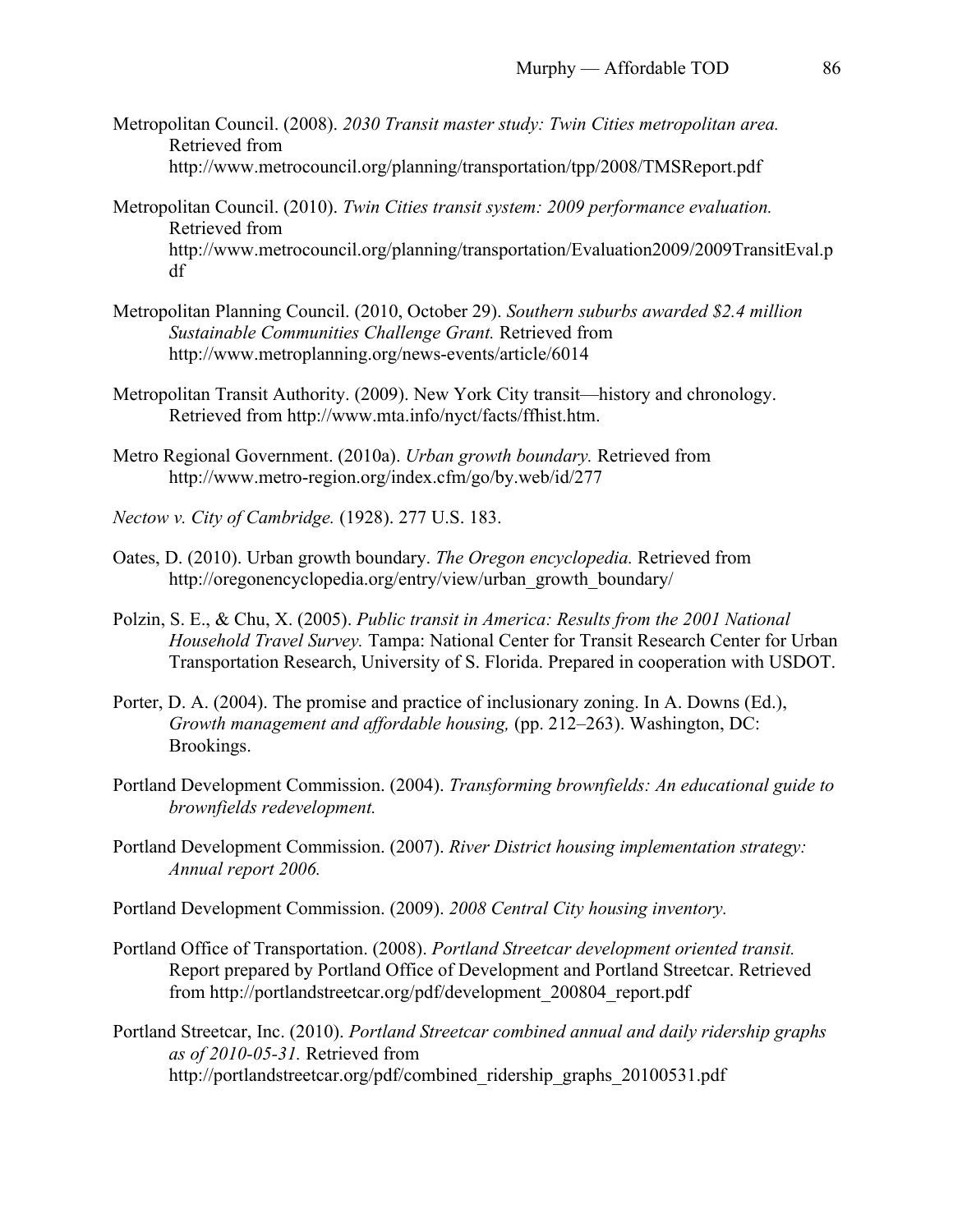- Metropolitan Council. (2008). *2030 Transit master study: Twin Cities metropolitan area.*  Retrieved from http://www.metrocouncil.org/planning/transportation/tpp/2008/TMSReport.pdf
- Metropolitan Council. (2010). *Twin Cities transit system: 2009 performance evaluation.*  Retrieved from http://www.metrocouncil.org/planning/transportation/Evaluation2009/2009TransitEval.p df
- Metropolitan Planning Council. (2010, October 29). *Southern suburbs awarded \$2.4 million Sustainable Communities Challenge Grant.* Retrieved from http://www.metroplanning.org/news-events/article/6014
- Metropolitan Transit Authority. (2009). New York City transit—history and chronology. Retrieved from http://www.mta.info/nyct/facts/ffhist.htm.
- Metro Regional Government. (2010a). *Urban growth boundary.* Retrieved from http://www.metro-region.org/index.cfm/go/by.web/id/277
- *Nectow v. City of Cambridge.* (1928). 277 U.S. 183.
- Oates, D. (2010). Urban growth boundary. *The Oregon encyclopedia.* Retrieved from http://oregonencyclopedia.org/entry/view/urban\_growth\_boundary/
- Polzin, S. E., & Chu, X. (2005). *Public transit in America: Results from the 2001 National Household Travel Survey.* Tampa: National Center for Transit Research Center for Urban Transportation Research, University of S. Florida. Prepared in cooperation with USDOT.
- Porter, D. A. (2004). The promise and practice of inclusionary zoning. In A. Downs (Ed.), *Growth management and affordable housing,* (pp. 212–263). Washington, DC: Brookings.
- Portland Development Commission. (2004). *Transforming brownfields: An educational guide to brownfields redevelopment.*
- Portland Development Commission. (2007). *River District housing implementation strategy: Annual report 2006.*
- Portland Development Commission. (2009). *2008 Central City housing inventory.*
- Portland Office of Transportation. (2008). *Portland Streetcar development oriented transit.* Report prepared by Portland Office of Development and Portland Streetcar. Retrieved from http://portlandstreetcar.org/pdf/development\_200804\_report.pdf
- Portland Streetcar, Inc. (2010). *Portland Streetcar combined annual and daily ridership graphs as of 2010-05-31.* Retrieved from http://portlandstreetcar.org/pdf/combined\_ridership\_graphs\_20100531.pdf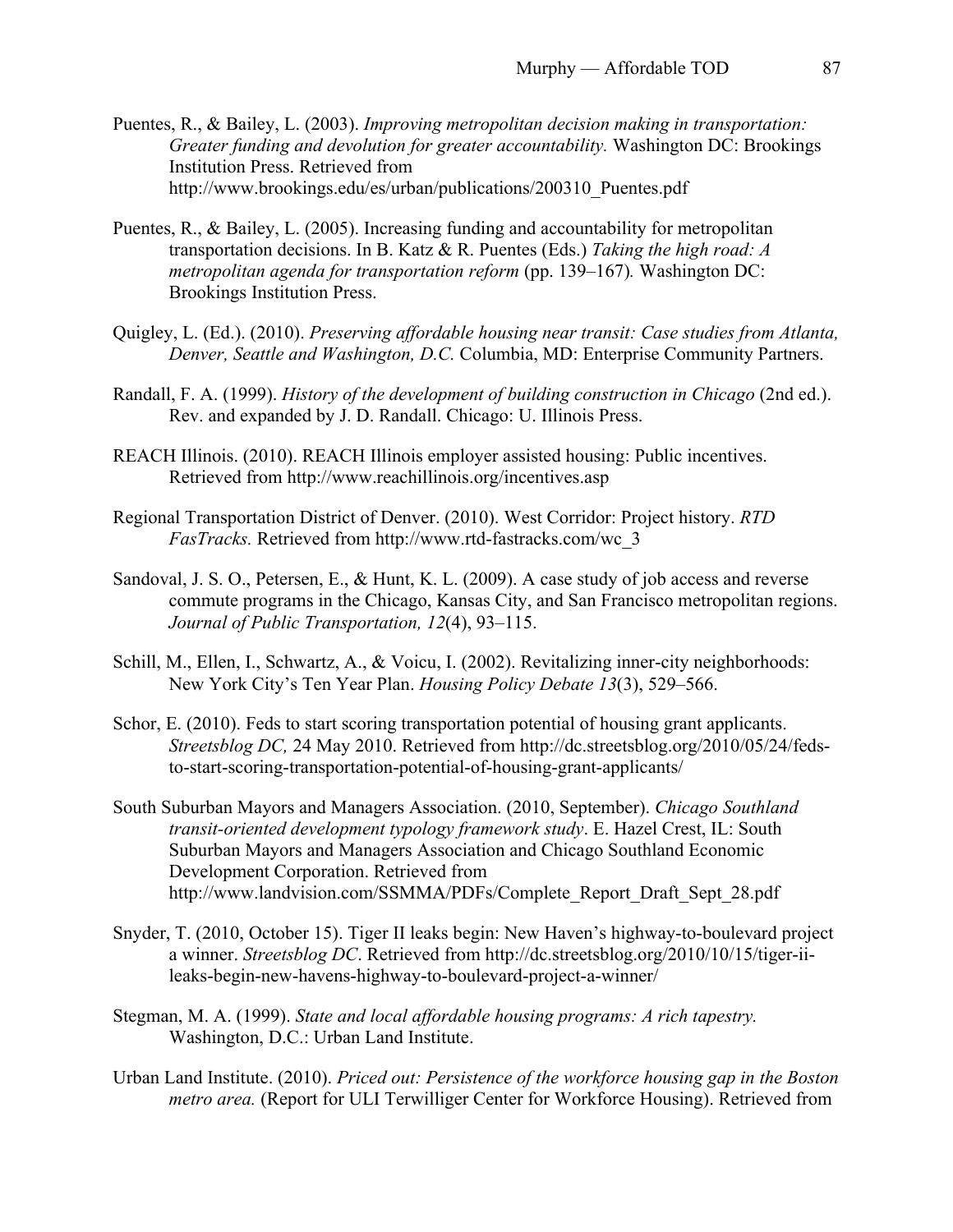- Puentes, R., & Bailey, L. (2003). *Improving metropolitan decision making in transportation: Greater funding and devolution for greater accountability.* Washington DC: Brookings Institution Press. Retrieved from http://www.brookings.edu/es/urban/publications/200310\_Puentes.pdf
- Puentes, R., & Bailey, L. (2005). Increasing funding and accountability for metropolitan transportation decisions. In B. Katz & R. Puentes (Eds.) *Taking the high road: A metropolitan agenda for transportation reform* (pp. 139–167)*.* Washington DC: Brookings Institution Press.
- Quigley, L. (Ed.). (2010). *Preserving affordable housing near transit: Case studies from Atlanta, Denver, Seattle and Washington, D.C.* Columbia, MD: Enterprise Community Partners.
- Randall, F. A. (1999). *History of the development of building construction in Chicago* (2nd ed.). Rev. and expanded by J. D. Randall. Chicago: U. Illinois Press.
- REACH Illinois. (2010). REACH Illinois employer assisted housing: Public incentives. Retrieved from http://www.reachillinois.org/incentives.asp
- Regional Transportation District of Denver. (2010). West Corridor: Project history. *RTD FasTracks.* Retrieved from http://www.rtd-fastracks.com/wc\_3
- Sandoval, J. S. O., Petersen, E., & Hunt, K. L. (2009). A case study of job access and reverse commute programs in the Chicago, Kansas City, and San Francisco metropolitan regions. *Journal of Public Transportation, 12*(4), 93–115.
- Schill, M., Ellen, I., Schwartz, A., & Voicu, I. (2002). Revitalizing inner-city neighborhoods: New York City's Ten Year Plan. *Housing Policy Debate 13*(3), 529–566.
- Schor, E. (2010). Feds to start scoring transportation potential of housing grant applicants. *Streetsblog DC,* 24 May 2010. Retrieved from http://dc.streetsblog.org/2010/05/24/fedsto-start-scoring-transportation-potential-of-housing-grant-applicants/
- South Suburban Mayors and Managers Association. (2010, September). *Chicago Southland transit-oriented development typology framework study*. E. Hazel Crest, IL: South Suburban Mayors and Managers Association and Chicago Southland Economic Development Corporation. Retrieved from http://www.landvision.com/SSMMA/PDFs/Complete\_Report\_Draft\_Sept\_28.pdf
- Snyder, T. (2010, October 15). Tiger II leaks begin: New Haven's highway-to-boulevard project a winner. *Streetsblog DC*. Retrieved from http://dc.streetsblog.org/2010/10/15/tiger-iileaks-begin-new-havens-highway-to-boulevard-project-a-winner/
- Stegman, M. A. (1999). *State and local affordable housing programs: A rich tapestry.*  Washington, D.C.: Urban Land Institute.
- Urban Land Institute. (2010). *Priced out: Persistence of the workforce housing gap in the Boston metro area.* (Report for ULI Terwilliger Center for Workforce Housing). Retrieved from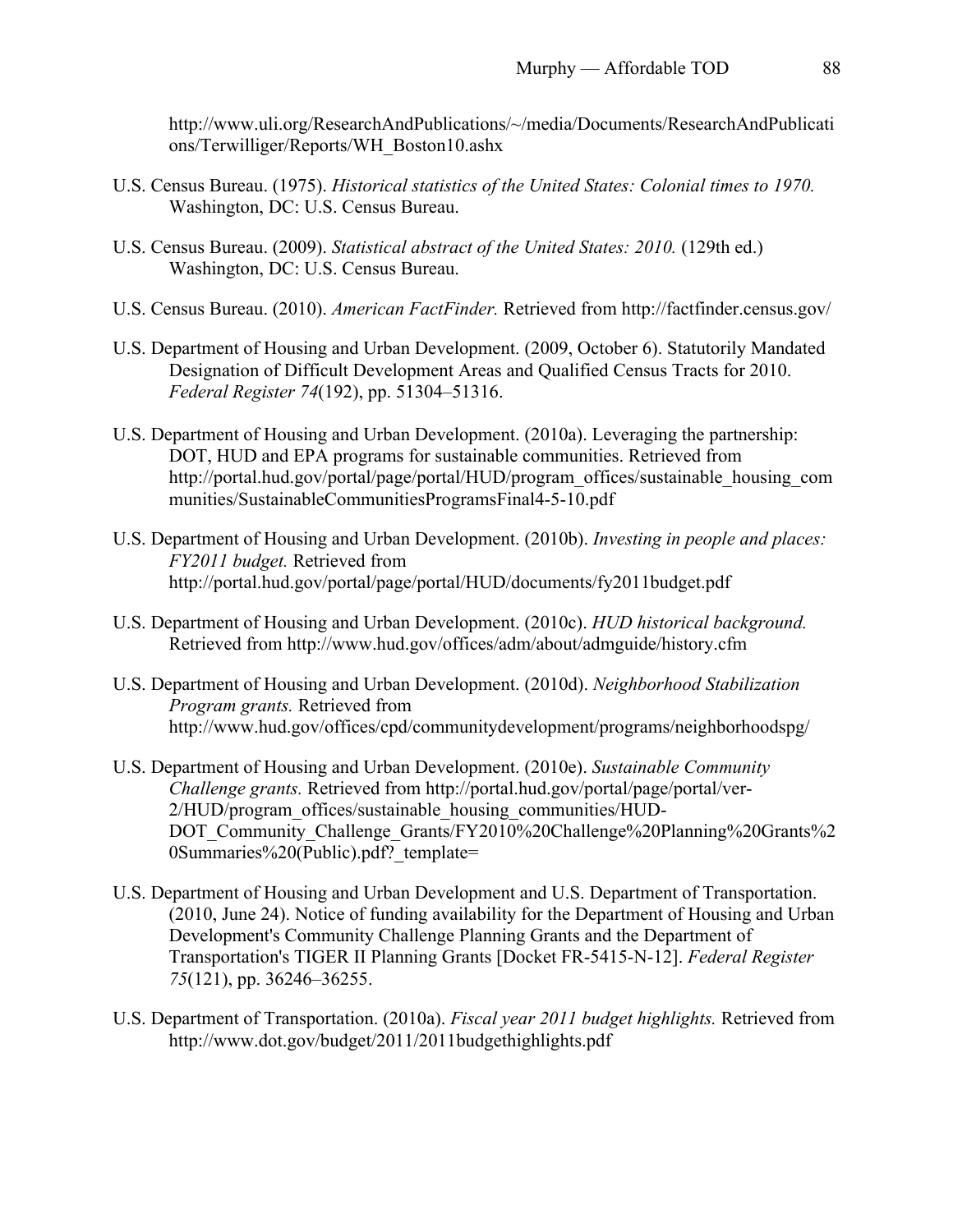http://www.uli.org/ResearchAndPublications/~/media/Documents/ResearchAndPublicati ons/Terwilliger/Reports/WH\_Boston10.ashx

- U.S. Census Bureau. (1975). *Historical statistics of the United States: Colonial times to 1970.* Washington, DC: U.S. Census Bureau.
- U.S. Census Bureau. (2009). *Statistical abstract of the United States: 2010.* (129th ed.) Washington, DC: U.S. Census Bureau.
- U.S. Census Bureau. (2010). *American FactFinder.* Retrieved from http://factfinder.census.gov/
- U.S. Department of Housing and Urban Development. (2009, October 6). Statutorily Mandated Designation of Difficult Development Areas and Qualified Census Tracts for 2010. *Federal Register 74*(192), pp. 51304–51316.
- U.S. Department of Housing and Urban Development. (2010a). Leveraging the partnership: DOT, HUD and EPA programs for sustainable communities. Retrieved from http://portal.hud.gov/portal/page/portal/HUD/program\_offices/sustainable\_housing\_com munities/SustainableCommunitiesProgramsFinal4-5-10.pdf
- U.S. Department of Housing and Urban Development. (2010b). *Investing in people and places: FY2011 budget.* Retrieved from http://portal.hud.gov/portal/page/portal/HUD/documents/fy2011budget.pdf
- U.S. Department of Housing and Urban Development. (2010c). *HUD historical background.*  Retrieved from http://www.hud.gov/offices/adm/about/admguide/history.cfm
- U.S. Department of Housing and Urban Development. (2010d). *Neighborhood Stabilization Program grants.* Retrieved from http://www.hud.gov/offices/cpd/communitydevelopment/programs/neighborhoodspg/
- U.S. Department of Housing and Urban Development. (2010e). *Sustainable Community Challenge grants.* Retrieved from http://portal.hud.gov/portal/page/portal/ver-2/HUD/program\_offices/sustainable\_housing\_communities/HUD-DOT\_Community\_Challenge\_Grants/FY2010%20Challenge%20Planning%20Grants%2 0Summaries%20(Public).pdf? template=
- U.S. Department of Housing and Urban Development and U.S. Department of Transportation. (2010, June 24). Notice of funding availability for the Department of Housing and Urban Development's Community Challenge Planning Grants and the Department of Transportation's TIGER II Planning Grants [Docket FR-5415-N-12]. *Federal Register 75*(121), pp. 36246–36255.
- U.S. Department of Transportation. (2010a). *Fiscal year 2011 budget highlights.* Retrieved from http://www.dot.gov/budget/2011/2011budgethighlights.pdf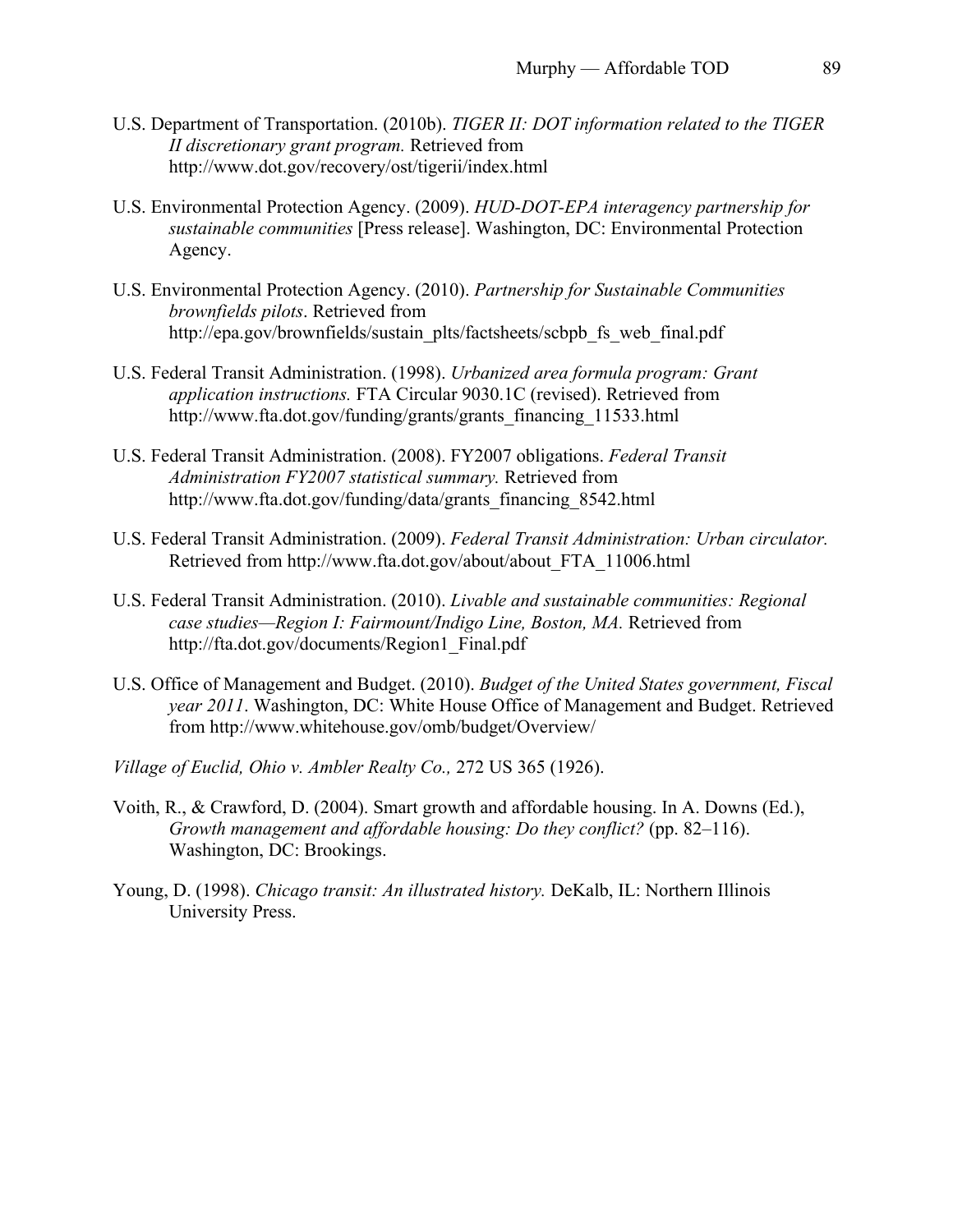- U.S. Department of Transportation. (2010b). *TIGER II: DOT information related to the TIGER II discretionary grant program.* Retrieved from http://www.dot.gov/recovery/ost/tigerii/index.html
- U.S. Environmental Protection Agency. (2009). *HUD-DOT-EPA interagency partnership for sustainable communities* [Press release]. Washington, DC: Environmental Protection Agency.
- U.S. Environmental Protection Agency. (2010). *Partnership for Sustainable Communities brownfields pilots*. Retrieved from http://epa.gov/brownfields/sustain\_plts/factsheets/scbpb\_fs\_web\_final.pdf
- U.S. Federal Transit Administration. (1998). *Urbanized area formula program: Grant application instructions.* FTA Circular 9030.1C (revised). Retrieved from http://www.fta.dot.gov/funding/grants/grants\_financing\_11533.html
- U.S. Federal Transit Administration. (2008). FY2007 obligations. *Federal Transit Administration FY2007 statistical summary.* Retrieved from http://www.fta.dot.gov/funding/data/grants\_financing\_8542.html
- U.S. Federal Transit Administration. (2009). *Federal Transit Administration: Urban circulator.* Retrieved from http://www.fta.dot.gov/about/about\_FTA\_11006.html
- U.S. Federal Transit Administration. (2010). *Livable and sustainable communities: Regional case studies—Region I: Fairmount/Indigo Line, Boston, MA.* Retrieved from http://fta.dot.gov/documents/Region1\_Final.pdf
- U.S. Office of Management and Budget. (2010). *Budget of the United States government, Fiscal year 2011*. Washington, DC: White House Office of Management and Budget. Retrieved from http://www.whitehouse.gov/omb/budget/Overview/
- *Village of Euclid, Ohio v. Ambler Realty Co.,* 272 US 365 (1926).
- Voith, R., & Crawford, D. (2004). Smart growth and affordable housing. In A. Downs (Ed.), *Growth management and affordable housing: Do they conflict?* (pp. 82–116). Washington, DC: Brookings.
- Young, D. (1998). *Chicago transit: An illustrated history.* DeKalb, IL: Northern Illinois University Press.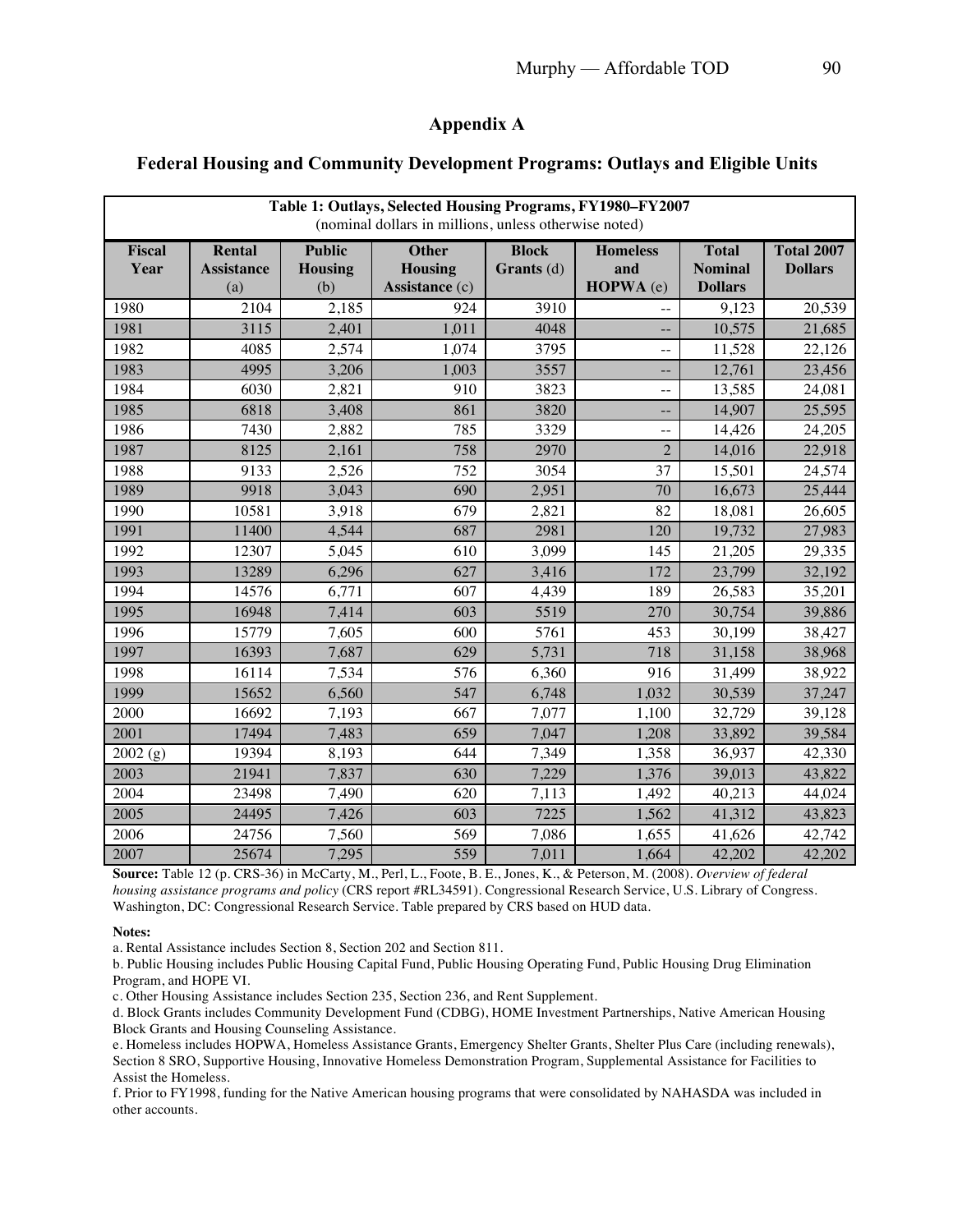# **Appendix A**

### **Federal Housing and Community Development Programs: Outlays and Eligible Units**

| Table 1: Outlays, Selected Housing Programs, FY1980-FY2007<br>(nominal dollars in millions, unless otherwise noted) |                                    |                                        |                                                  |                                   |                                     |                                                  |                                     |  |
|---------------------------------------------------------------------------------------------------------------------|------------------------------------|----------------------------------------|--------------------------------------------------|-----------------------------------|-------------------------------------|--------------------------------------------------|-------------------------------------|--|
| Fiscal<br>Year                                                                                                      | Rental<br><b>Assistance</b><br>(a) | <b>Public</b><br><b>Housing</b><br>(b) | <b>Other</b><br><b>Housing</b><br>Assistance (c) | <b>Block</b><br><b>Grants</b> (d) | <b>Homeless</b><br>and<br>HOPWA (e) | <b>Total</b><br><b>Nominal</b><br><b>Dollars</b> | <b>Total 2007</b><br><b>Dollars</b> |  |
| 1980                                                                                                                | 2104                               | 2,185                                  | 924                                              | 3910                              |                                     | 9,123                                            | 20,539                              |  |
| 1981                                                                                                                | 3115                               | 2,401                                  | 1,011                                            | 4048                              |                                     | 10,575                                           | 21,685                              |  |
| 1982                                                                                                                | 4085                               | 2,574                                  | 1,074                                            | 3795                              |                                     | 11,528                                           | 22,126                              |  |
| 1983                                                                                                                | 4995                               | 3,206                                  | 1,003                                            | 3557                              | $-$                                 | 12,761                                           | 23,456                              |  |
| 1984                                                                                                                | 6030                               | 2,821                                  | 910                                              | 3823                              | $\overline{a}$                      | 13,585                                           | 24,081                              |  |
| 1985                                                                                                                | 6818                               | 3,408                                  | 861                                              | 3820                              | $-$                                 | 14,907                                           | 25,595                              |  |
| 1986                                                                                                                | 7430                               | 2,882                                  | 785                                              | 3329                              |                                     | 14,426                                           | 24,205                              |  |
| 1987                                                                                                                | 8125                               | 2,161                                  | 758                                              | 2970                              | $\overline{2}$                      | 14,016                                           | 22,918                              |  |
| 1988                                                                                                                | 9133                               | 2,526                                  | 752                                              | 3054                              | 37                                  | 15,501                                           | 24,574                              |  |
| 1989                                                                                                                | 9918                               | 3,043                                  | 690                                              | 2,951                             | 70                                  | 16,673                                           | 25,444                              |  |
| 1990                                                                                                                | 10581                              | 3,918                                  | 679                                              | 2,821                             | 82                                  | 18,081                                           | 26,605                              |  |
| 1991                                                                                                                | 11400                              | 4,544                                  | 687                                              | 2981                              | 120                                 | 19,732                                           | 27,983                              |  |
| 1992                                                                                                                | 12307                              | 5,045                                  | 610                                              | 3,099                             | 145                                 | 21,205                                           | 29,335                              |  |
| 1993                                                                                                                | 13289                              | 6,296                                  | 627                                              | 3,416                             | 172                                 | 23,799                                           | 32,192                              |  |
| 1994                                                                                                                | 14576                              | 6,771                                  | 607                                              | 4,439                             | 189                                 | 26,583                                           | 35,201                              |  |
| 1995                                                                                                                | 16948                              | 7,414                                  | 603                                              | 5519                              | 270                                 | 30,754                                           | 39,886                              |  |
| 1996                                                                                                                | 15779                              | 7,605                                  | 600                                              | 5761                              | 453                                 | 30,199                                           | 38,427                              |  |
| 1997                                                                                                                | 16393                              | 7,687                                  | 629                                              | 5,731                             | 718                                 | 31,158                                           | 38,968                              |  |
| 1998                                                                                                                | 16114                              | 7,534                                  | 576                                              | 6,360                             | 916                                 | 31,499                                           | 38,922                              |  |
| 1999                                                                                                                | 15652                              | 6,560                                  | 547                                              | 6,748                             | 1,032                               | 30,539                                           | 37,247                              |  |
| 2000                                                                                                                | 16692                              | 7,193                                  | 667                                              | 7,077                             | 1,100                               | 32,729                                           | 39,128                              |  |
| 2001                                                                                                                | 17494                              | 7,483                                  | 659                                              | 7,047                             | 1,208                               | 33,892                                           | 39,584                              |  |
| 2002(g)                                                                                                             | 19394                              | 8,193                                  | 644                                              | 7,349                             | 1,358                               | 36,937                                           | 42,330                              |  |
| 2003                                                                                                                | 21941                              | 7,837                                  | 630                                              | 7,229                             | 1,376                               | 39,013                                           | 43,822                              |  |
| 2004                                                                                                                | 23498                              | 7,490                                  | 620                                              | 7,113                             | 1,492                               | 40,213                                           | 44,024                              |  |
| 2005                                                                                                                | 24495                              | 7,426                                  | 603                                              | 7225                              | 1,562                               | 41,312                                           | 43,823                              |  |
| 2006                                                                                                                | 24756                              | 7,560                                  | 569                                              | 7,086                             | 1,655                               | 41,626                                           | 42,742                              |  |
| 2007                                                                                                                | 25674                              | 7,295                                  | 559                                              | 7,011                             | 1,664                               | 42,202                                           | 42,202                              |  |

**Source:** Table 12 (p. CRS-36) in McCarty, M., Perl, L., Foote, B. E., Jones, K., & Peterson, M. (2008). *Overview of federal housing assistance programs and policy* (CRS report #RL34591)*.* Congressional Research Service, U.S. Library of Congress. Washington, DC: Congressional Research Service. Table prepared by CRS based on HUD data.

**Notes:**

a. Rental Assistance includes Section 8, Section 202 and Section 811.

b. Public Housing includes Public Housing Capital Fund, Public Housing Operating Fund, Public Housing Drug Elimination Program, and HOPE VI.

c. Other Housing Assistance includes Section 235, Section 236, and Rent Supplement.

d. Block Grants includes Community Development Fund (CDBG), HOME Investment Partnerships, Native American Housing Block Grants and Housing Counseling Assistance.

e. Homeless includes HOPWA, Homeless Assistance Grants, Emergency Shelter Grants, Shelter Plus Care (including renewals), Section 8 SRO, Supportive Housing, Innovative Homeless Demonstration Program, Supplemental Assistance for Facilities to Assist the Homeless.

f. Prior to FY1998, funding for the Native American housing programs that were consolidated by NAHASDA was included in other accounts.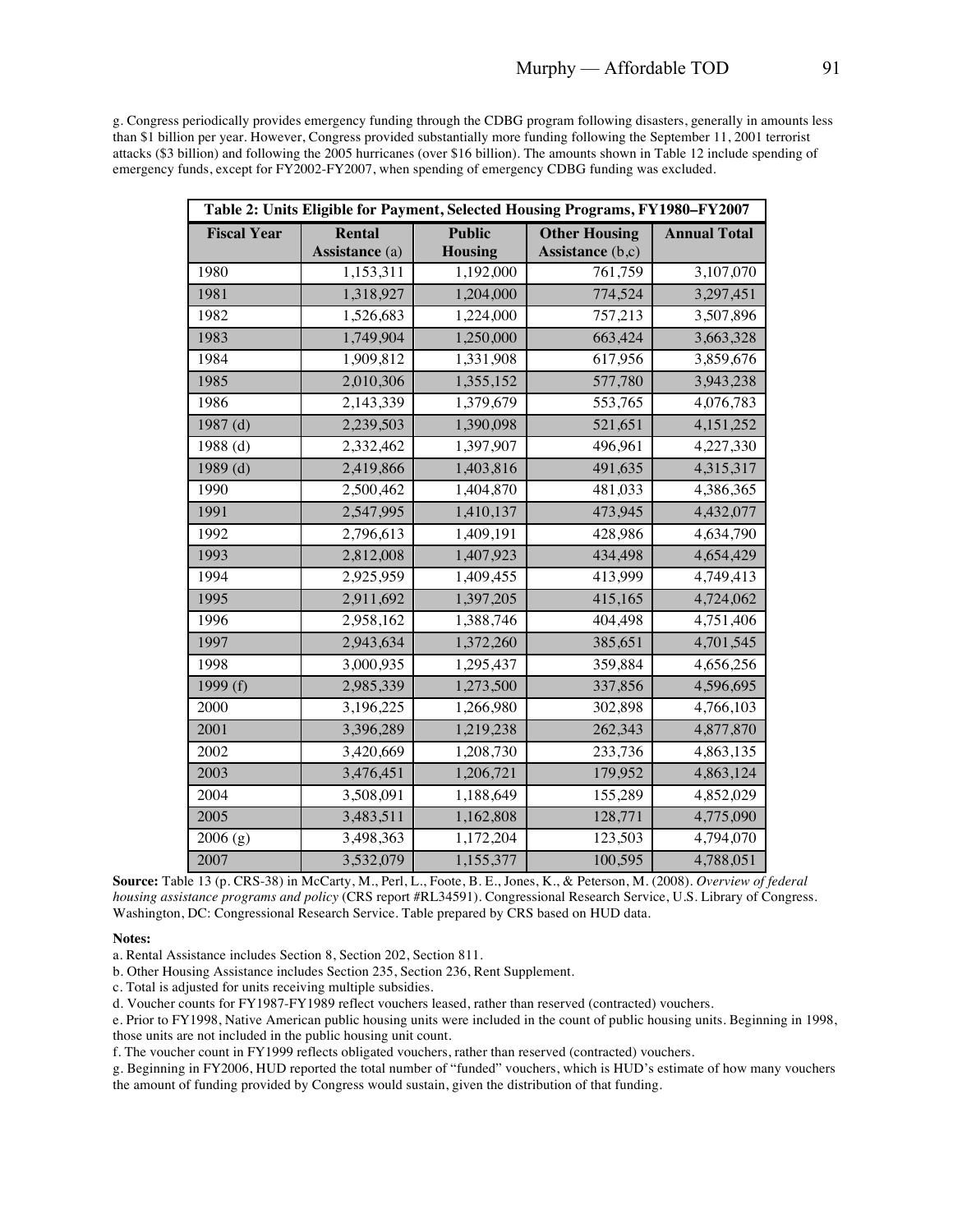g. Congress periodically provides emergency funding through the CDBG program following disasters, generally in amounts less than \$1 billion per year. However, Congress provided substantially more funding following the September 11, 2001 terrorist attacks (\$3 billion) and following the 2005 hurricanes (over \$16 billion). The amounts shown in Table 12 include spending of emergency funds, except for FY2002-FY2007, when spending of emergency CDBG funding was excluded.

| Table 2: Units Eligible for Payment, Selected Housing Programs, FY1980-FY2007 |                |               |                      |                     |  |  |  |
|-------------------------------------------------------------------------------|----------------|---------------|----------------------|---------------------|--|--|--|
| <b>Fiscal Year</b>                                                            | Rental         | <b>Public</b> | <b>Other Housing</b> | <b>Annual Total</b> |  |  |  |
|                                                                               | Assistance (a) | Housing       | Assistance (b,c)     |                     |  |  |  |
| 1980                                                                          | 1,153,311      | 1,192,000     | 761,759              | 3,107,070           |  |  |  |
| 1981                                                                          | 1,318,927      | 1,204,000     | 774,524              | 3,297,451           |  |  |  |
| 1982                                                                          | 1,526,683      | 1,224,000     | 757,213              | 3,507,896           |  |  |  |
| 1983                                                                          | 1,749,904      | 1,250,000     | 663,424              | 3,663,328           |  |  |  |
| 1984                                                                          | 1,909,812      | 1,331,908     | 617,956              | 3,859,676           |  |  |  |
| 1985                                                                          | 2,010,306      | 1,355,152     | 577,780              | 3,943,238           |  |  |  |
| 1986                                                                          | 2,143,339      | 1,379,679     | 553,765              | 4,076,783           |  |  |  |
| 1987 $(d)$                                                                    | 2,239,503      | 1,390,098     | 521,651              | 4, 151, 252         |  |  |  |
| 1988(d)                                                                       | 2,332,462      | 1,397,907     | 496,961              | 4,227,330           |  |  |  |
| $1989$ (d)                                                                    | 2,419,866      | 1,403,816     | 491,635              | 4,315,317           |  |  |  |
| 1990                                                                          | 2,500,462      | 1,404,870     | 481,033              | 4,386,365           |  |  |  |
| 1991                                                                          | 2,547,995      | 1,410,137     | 473,945              | 4,432,077           |  |  |  |
| 1992                                                                          | 2,796,613      | 1,409,191     | 428,986              | 4,634,790           |  |  |  |
| 1993                                                                          | 2,812,008      | 1,407,923     | 434,498              | 4,654,429           |  |  |  |
| 1994                                                                          | 2,925,959      | 1,409,455     | 413,999              | 4,749,413           |  |  |  |
| 1995                                                                          | 2,911,692      | 1,397,205     | 415,165              | 4,724,062           |  |  |  |
| 1996                                                                          | 2,958,162      | 1,388,746     | 404,498              | 4,751,406           |  |  |  |
| 1997                                                                          | 2,943,634      | 1,372,260     | 385,651              | 4,701,545           |  |  |  |
| 1998                                                                          | 3,000,935      | 1,295,437     | 359,884              | 4,656,256           |  |  |  |
| 1999 $(f)$                                                                    | 2,985,339      | 1,273,500     | 337,856              | 4,596,695           |  |  |  |
| 2000                                                                          | 3,196,225      | 1,266,980     | 302,898              | 4,766,103           |  |  |  |
| 2001                                                                          | 3,396,289      | 1,219,238     | 262,343              | 4,877,870           |  |  |  |
| 2002                                                                          | 3,420,669      | 1,208,730     | 233,736              | 4,863,135           |  |  |  |
| 2003                                                                          | 3,476,451      | 1,206,721     | 179,952              | 4,863,124           |  |  |  |
| 2004                                                                          | 3,508,091      | 1,188,649     | 155,289              | 4,852,029           |  |  |  |
| 2005                                                                          | 3,483,511      | 1,162,808     | 128,771              | 4,775,090           |  |  |  |
| 2006(g)                                                                       | 3,498,363      | 1,172,204     | 123,503              | 4,794,070           |  |  |  |
| 2007                                                                          | 3,532,079      | 1,155,377     | 100,595              | 4,788,051           |  |  |  |

**Source:** Table 13 (p. CRS-38) in McCarty, M., Perl, L., Foote, B. E., Jones, K., & Peterson, M. (2008). *Overview of federal housing assistance programs and policy* (CRS report #RL34591)*.* Congressional Research Service, U.S. Library of Congress. Washington, DC: Congressional Research Service. Table prepared by CRS based on HUD data.

#### **Notes:**

a. Rental Assistance includes Section 8, Section 202, Section 811.

b. Other Housing Assistance includes Section 235, Section 236, Rent Supplement.

c. Total is adjusted for units receiving multiple subsidies.

d. Voucher counts for FY1987-FY1989 reflect vouchers leased, rather than reserved (contracted) vouchers.

e. Prior to FY1998, Native American public housing units were included in the count of public housing units. Beginning in 1998, those units are not included in the public housing unit count.

f. The voucher count in FY1999 reflects obligated vouchers, rather than reserved (contracted) vouchers.

g. Beginning in FY2006, HUD reported the total number of "funded" vouchers, which is HUD's estimate of how many vouchers the amount of funding provided by Congress would sustain, given the distribution of that funding.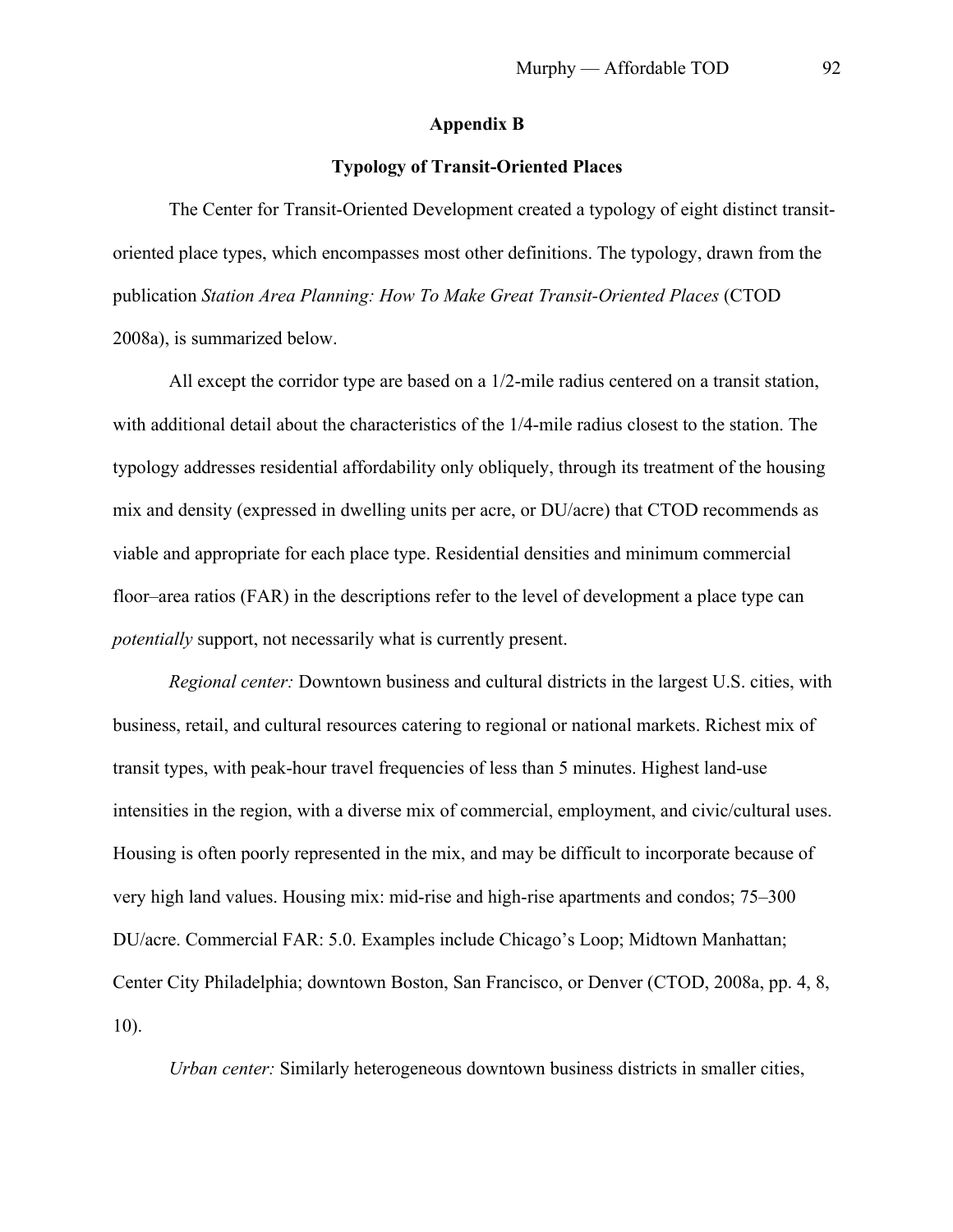## **Appendix B**

## **Typology of Transit-Oriented Places**

The Center for Transit-Oriented Development created a typology of eight distinct transitoriented place types, which encompasses most other definitions. The typology, drawn from the publication *Station Area Planning: How To Make Great Transit-Oriented Places* (CTOD 2008a), is summarized below.

All except the corridor type are based on a 1/2-mile radius centered on a transit station, with additional detail about the characteristics of the 1/4-mile radius closest to the station. The typology addresses residential affordability only obliquely, through its treatment of the housing mix and density (expressed in dwelling units per acre, or DU/acre) that CTOD recommends as viable and appropriate for each place type. Residential densities and minimum commercial floor–area ratios (FAR) in the descriptions refer to the level of development a place type can *potentially* support, not necessarily what is currently present.

*Regional center:* Downtown business and cultural districts in the largest U.S. cities, with business, retail, and cultural resources catering to regional or national markets. Richest mix of transit types, with peak-hour travel frequencies of less than 5 minutes. Highest land-use intensities in the region, with a diverse mix of commercial, employment, and civic/cultural uses. Housing is often poorly represented in the mix, and may be difficult to incorporate because of very high land values. Housing mix: mid-rise and high-rise apartments and condos; 75–300 DU/acre. Commercial FAR: 5.0. Examples include Chicago's Loop; Midtown Manhattan; Center City Philadelphia; downtown Boston, San Francisco, or Denver (CTOD, 2008a, pp. 4, 8, 10).

*Urban center:* Similarly heterogeneous downtown business districts in smaller cities,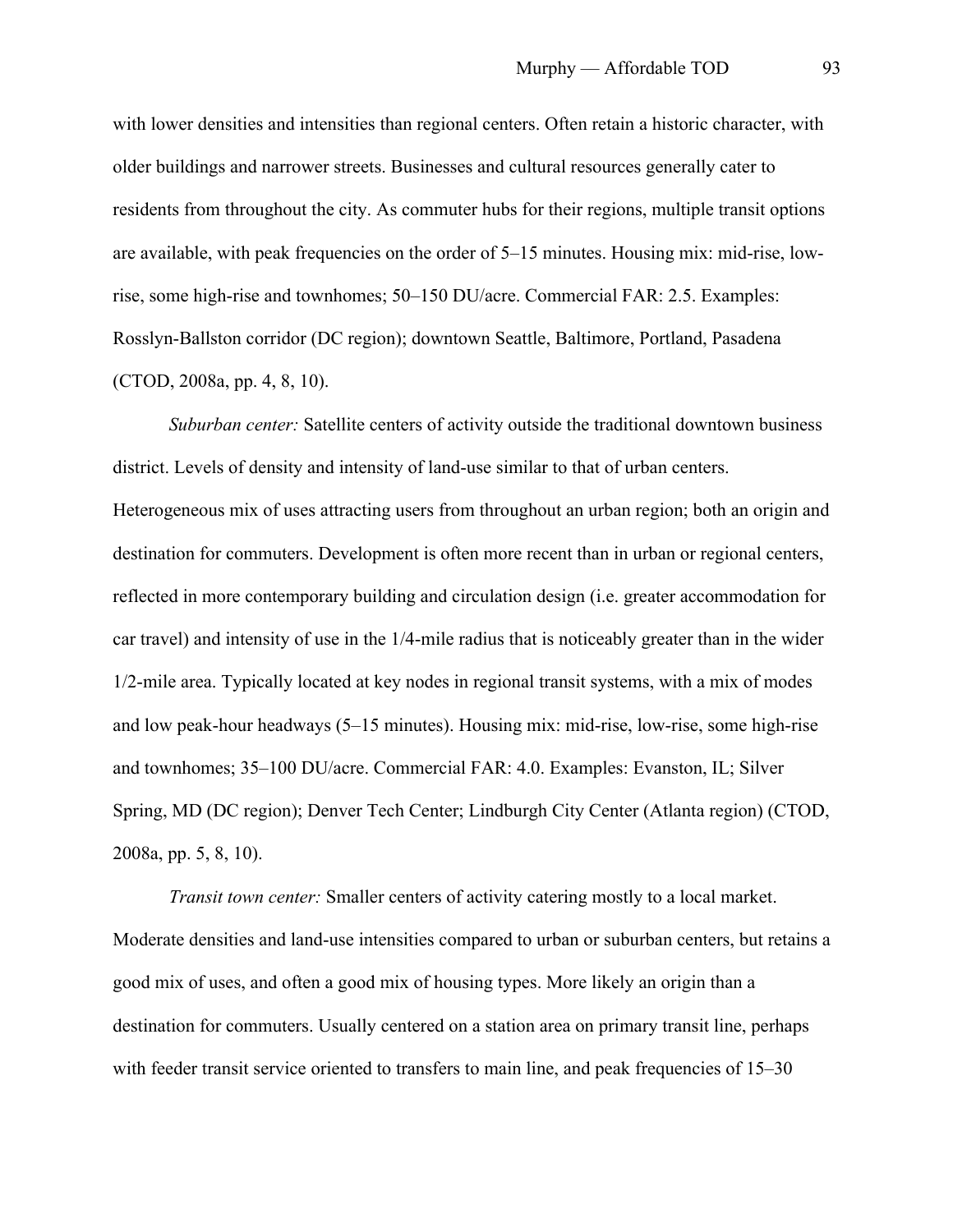with lower densities and intensities than regional centers. Often retain a historic character, with older buildings and narrower streets. Businesses and cultural resources generally cater to residents from throughout the city. As commuter hubs for their regions, multiple transit options are available, with peak frequencies on the order of 5–15 minutes. Housing mix: mid-rise, lowrise, some high-rise and townhomes; 50–150 DU/acre. Commercial FAR: 2.5. Examples: Rosslyn-Ballston corridor (DC region); downtown Seattle, Baltimore, Portland, Pasadena (CTOD, 2008a, pp. 4, 8, 10).

*Suburban center:* Satellite centers of activity outside the traditional downtown business district. Levels of density and intensity of land-use similar to that of urban centers. Heterogeneous mix of uses attracting users from throughout an urban region; both an origin and destination for commuters. Development is often more recent than in urban or regional centers, reflected in more contemporary building and circulation design (i.e. greater accommodation for car travel) and intensity of use in the 1/4-mile radius that is noticeably greater than in the wider 1/2-mile area. Typically located at key nodes in regional transit systems, with a mix of modes and low peak-hour headways (5–15 minutes). Housing mix: mid-rise, low-rise, some high-rise and townhomes; 35–100 DU/acre. Commercial FAR: 4.0. Examples: Evanston, IL; Silver Spring, MD (DC region); Denver Tech Center; Lindburgh City Center (Atlanta region) (CTOD, 2008a, pp. 5, 8, 10).

*Transit town center:* Smaller centers of activity catering mostly to a local market. Moderate densities and land-use intensities compared to urban or suburban centers, but retains a good mix of uses, and often a good mix of housing types. More likely an origin than a destination for commuters. Usually centered on a station area on primary transit line, perhaps with feeder transit service oriented to transfers to main line, and peak frequencies of 15–30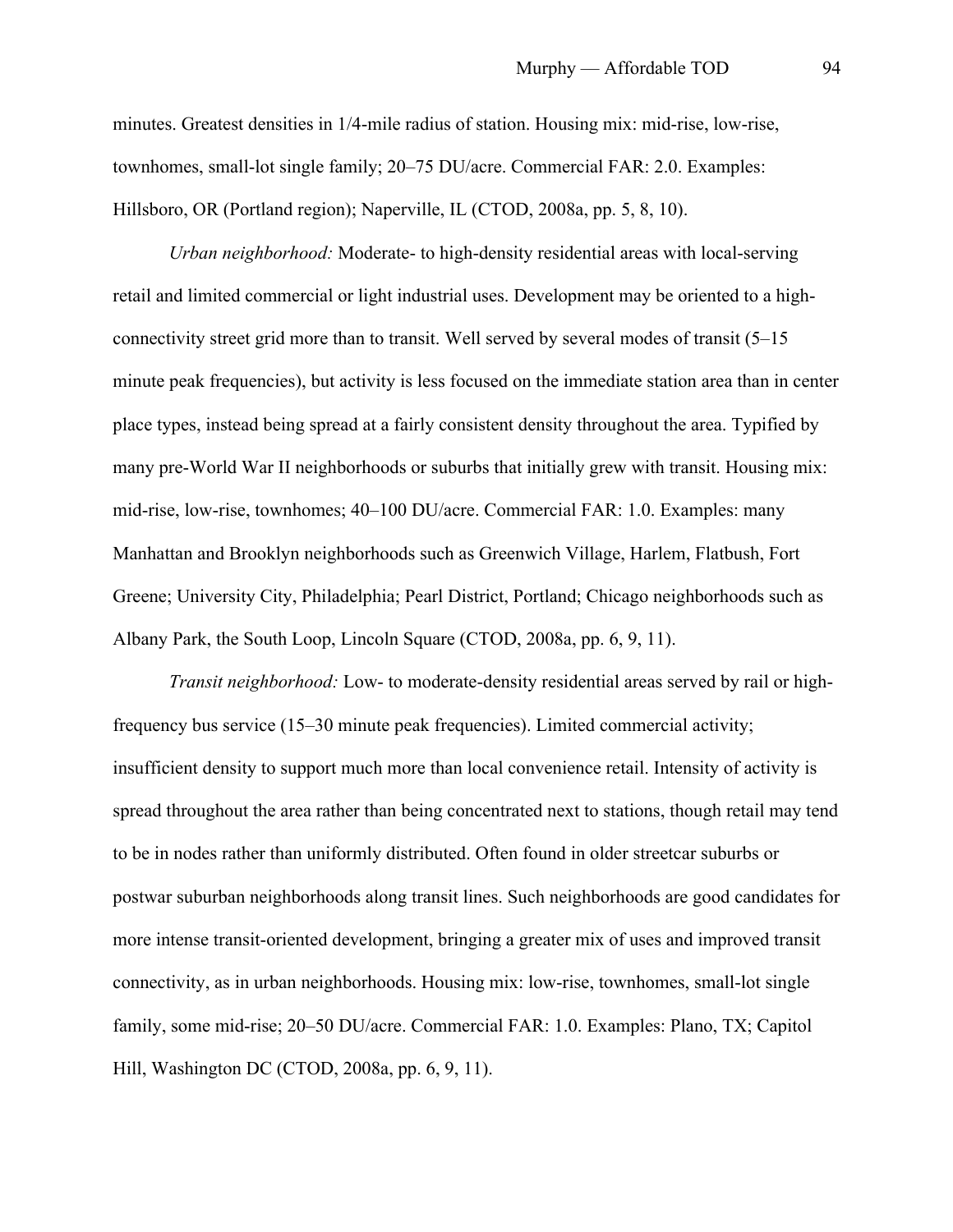minutes. Greatest densities in 1/4-mile radius of station. Housing mix: mid-rise, low-rise, townhomes, small-lot single family; 20–75 DU/acre. Commercial FAR: 2.0. Examples: Hillsboro, OR (Portland region); Naperville, IL (CTOD, 2008a, pp. 5, 8, 10).

*Urban neighborhood:* Moderate- to high-density residential areas with local-serving retail and limited commercial or light industrial uses. Development may be oriented to a highconnectivity street grid more than to transit. Well served by several modes of transit (5–15 minute peak frequencies), but activity is less focused on the immediate station area than in center place types, instead being spread at a fairly consistent density throughout the area. Typified by many pre-World War II neighborhoods or suburbs that initially grew with transit. Housing mix: mid-rise, low-rise, townhomes; 40–100 DU/acre. Commercial FAR: 1.0. Examples: many Manhattan and Brooklyn neighborhoods such as Greenwich Village, Harlem, Flatbush, Fort Greene; University City, Philadelphia; Pearl District, Portland; Chicago neighborhoods such as Albany Park, the South Loop, Lincoln Square (CTOD, 2008a, pp. 6, 9, 11).

*Transit neighborhood:* Low- to moderate-density residential areas served by rail or highfrequency bus service (15–30 minute peak frequencies). Limited commercial activity; insufficient density to support much more than local convenience retail. Intensity of activity is spread throughout the area rather than being concentrated next to stations, though retail may tend to be in nodes rather than uniformly distributed. Often found in older streetcar suburbs or postwar suburban neighborhoods along transit lines. Such neighborhoods are good candidates for more intense transit-oriented development, bringing a greater mix of uses and improved transit connectivity, as in urban neighborhoods. Housing mix: low-rise, townhomes, small-lot single family, some mid-rise; 20–50 DU/acre. Commercial FAR: 1.0. Examples: Plano, TX; Capitol Hill, Washington DC (CTOD, 2008a, pp. 6, 9, 11).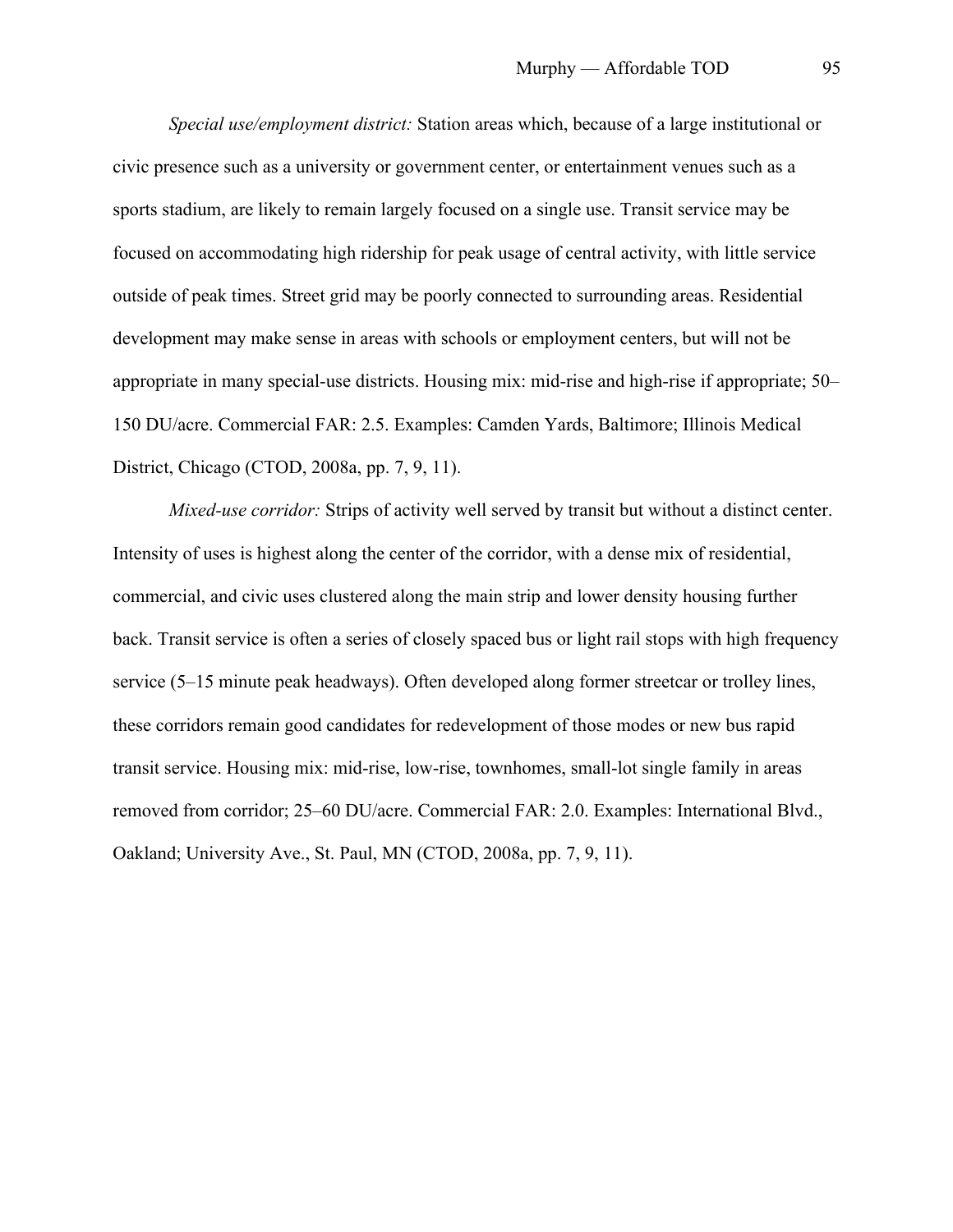*Special use/employment district:* Station areas which, because of a large institutional or civic presence such as a university or government center, or entertainment venues such as a sports stadium, are likely to remain largely focused on a single use. Transit service may be focused on accommodating high ridership for peak usage of central activity, with little service outside of peak times. Street grid may be poorly connected to surrounding areas. Residential development may make sense in areas with schools or employment centers, but will not be appropriate in many special-use districts. Housing mix: mid-rise and high-rise if appropriate; 50– 150 DU/acre. Commercial FAR: 2.5. Examples: Camden Yards, Baltimore; Illinois Medical District, Chicago (CTOD, 2008a, pp. 7, 9, 11).

*Mixed-use corridor:* Strips of activity well served by transit but without a distinct center. Intensity of uses is highest along the center of the corridor, with a dense mix of residential, commercial, and civic uses clustered along the main strip and lower density housing further back. Transit service is often a series of closely spaced bus or light rail stops with high frequency service (5–15 minute peak headways). Often developed along former streetcar or trolley lines, these corridors remain good candidates for redevelopment of those modes or new bus rapid transit service. Housing mix: mid-rise, low-rise, townhomes, small-lot single family in areas removed from corridor; 25–60 DU/acre. Commercial FAR: 2.0. Examples: International Blvd., Oakland; University Ave., St. Paul, MN (CTOD, 2008a, pp. 7, 9, 11).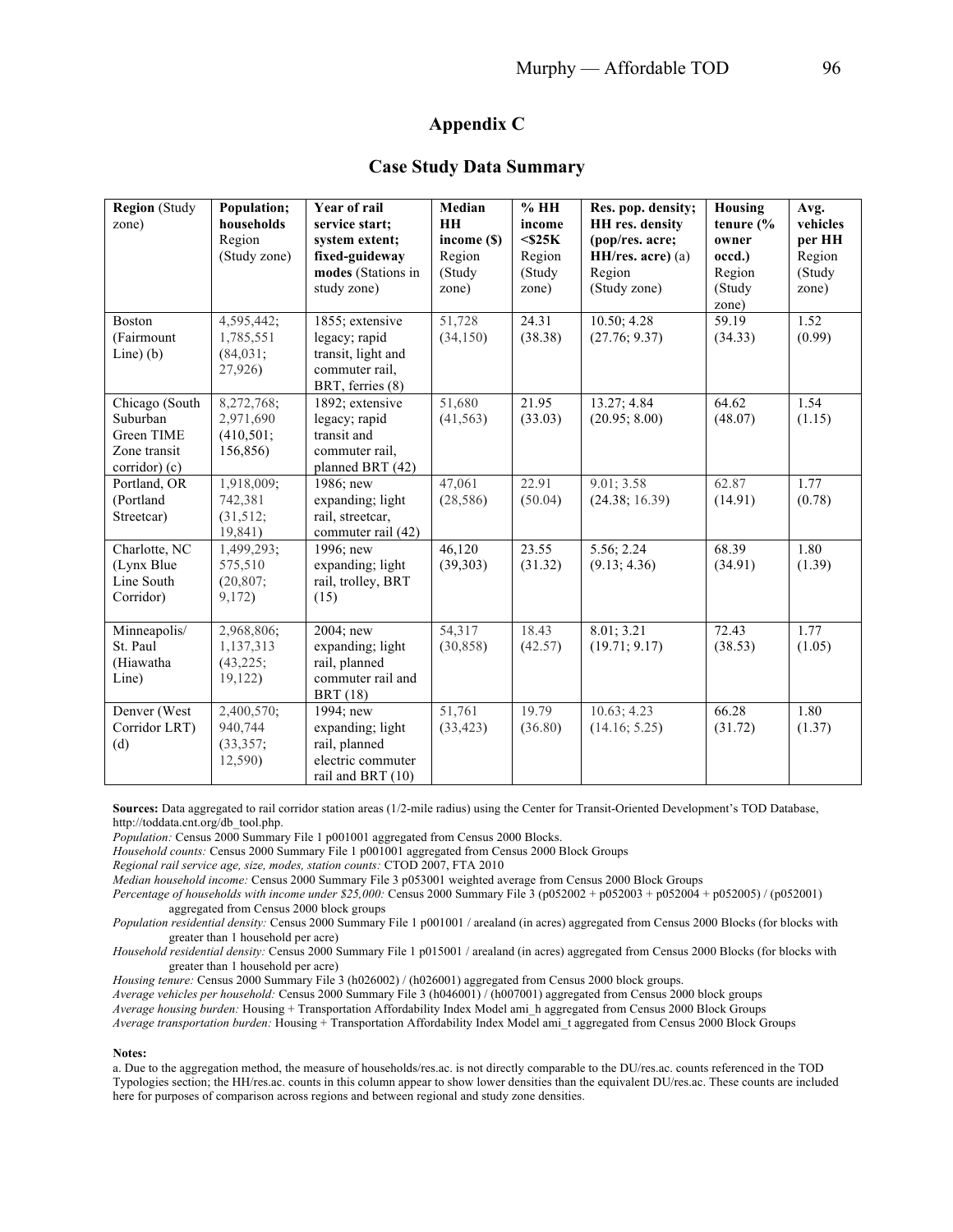## **Appendix C**

### **Case Study Data Summary**

| <b>Region</b> (Study<br>zone)                                             | Population;<br>households<br>Region<br>(Study zone) | Year of rail<br>service start:<br>system extent;<br>fixed-guideway<br>modes (Stations in<br>study zone) | Median<br>HH<br>income (\$)<br>Region<br>(Study<br>zone) | %HH<br>income<br>$<$ \$25 $K$<br>Region<br>(Study<br>zone) | Res. pop. density;<br>HH res. density<br>(pop/res. acre;<br>HH/res. acre) (a)<br>Region<br>(Study zone) | Housing<br>tenure $\frac{6}{6}$<br>owner<br>occd.)<br>Region<br>(Study)<br>zone) | Avg.<br>vehicles<br>per HH<br>Region<br>(Study<br>zone) |
|---------------------------------------------------------------------------|-----------------------------------------------------|---------------------------------------------------------------------------------------------------------|----------------------------------------------------------|------------------------------------------------------------|---------------------------------------------------------------------------------------------------------|----------------------------------------------------------------------------------|---------------------------------------------------------|
| <b>Boston</b><br>(Fairmount<br>Line $(b)$                                 | 4,595,442;<br>1,785,551<br>$(84, 031)$ ;<br>27,926) | 1855; extensive<br>legacy; rapid<br>transit, light and<br>commuter rail,<br>BRT, ferries (8)            | 51,728<br>(34, 150)                                      | 24.31<br>(38.38)                                           | 10.50; 4.28<br>(27.76; 9.37)                                                                            | 59.19<br>(34.33)                                                                 | 1.52<br>(0.99)                                          |
| Chicago (South<br>Suburban<br>Green TIME<br>Zone transit<br>corridor) (c) | 8,272,768;<br>2,971,690<br>(410, 501)<br>156,856)   | 1892; extensive<br>legacy; rapid<br>transit and<br>commuter rail.<br>planned BRT (42)                   | 51,680<br>(41, 563)                                      | 21.95<br>(33.03)                                           | 13.27; 4.84<br>(20.95; 8.00)                                                                            | 64.62<br>(48.07)                                                                 | 1.54<br>(1.15)                                          |
| Portland, OR<br>(Portland<br>Streetcar)                                   | 1,918,009;<br>742,381<br>(31,512;<br>19,841)        | 1986; new<br>expanding; light<br>rail, streetcar,<br>commuter rail (42)                                 | 47,061<br>(28, 586)                                      | 22.91<br>(50.04)                                           | 9.01; 3.58<br>(24.38; 16.39)                                                                            | 62.87<br>(14.91)                                                                 | 1.77<br>(0.78)                                          |
| Charlotte, NC<br>(Lynx Blue<br>Line South<br>Corridor)                    | 1,499,293;<br>575,510<br>(20, 807)<br>9,172)        | 1996; new<br>expanding; light<br>rail, trolley, BRT<br>(15)                                             | 46,120<br>(39, 303)                                      | 23.55<br>(31.32)                                           | 5.56; 2.24<br>(9.13; 4.36)                                                                              | 68.39<br>(34.91)                                                                 | 1.80<br>(1.39)                                          |
| Minneapolis/<br>St. Paul<br>(Hiawatha<br>Line)                            | 2,968,806;<br>1,137,313<br>$(43, 225)$ ;<br>19,122) | 2004; new<br>expanding; light<br>rail, planned<br>commuter rail and<br><b>BRT</b> (18)                  | 54,317<br>(30, 858)                                      | 18.43<br>(42.57)                                           | 8.01; 3.21<br>(19.71; 9.17)                                                                             | 72.43<br>(38.53)                                                                 | 1.77<br>(1.05)                                          |
| Denver (West<br>Corridor LRT)<br>(d)                                      | 2,400,570;<br>940,744<br>(33,357;<br>12,590)        | 1994; new<br>expanding; light<br>rail, planned<br>electric commuter<br>rail and BRT (10)                | 51,761<br>(33, 423)                                      | 19.79<br>(36.80)                                           | 10.63; 4.23<br>(14.16; 5.25)                                                                            | 66.28<br>(31.72)                                                                 | 1.80<br>(1.37)                                          |

**Sources:** Data aggregated to rail corridor station areas (1/2-mile radius) using the Center for Transit-Oriented Development's TOD Database, http://toddata.cnt.org/db\_tool.php.

*Population:* Census 2000 Summary File 1 p001001 aggregated from Census 2000 Blocks.

*Household counts:* Census 2000 Summary File 1 p001001 aggregated from Census 2000 Block Groups

*Regional rail service age, size, modes, station counts:* CTOD 2007, FTA 2010

*Median household income:* Census 2000 Summary File 3 p053001 weighted average from Census 2000 Block Groups

*Percentage of households with income under \$25,000:* Census 2000 Summary File 3 (p052002 + p052003 + p052004 + p052005) / (p052001) aggregated from Census 2000 block groups

*Population residential density:* Census 2000 Summary File 1 p001001 / arealand (in acres) aggregated from Census 2000 Blocks (for blocks with greater than 1 household per acre)

*Household residential density:* Census 2000 Summary File 1 p015001 / arealand (in acres) aggregated from Census 2000 Blocks (for blocks with greater than 1 household per acre)

*Housing tenure:* Census 2000 Summary File 3 (h026002) / (h026001) aggregated from Census 2000 block groups.

*Average vehicles per household:* Census 2000 Summary File 3 (h046001) / (h007001) aggregated from Census 2000 block groups

*Average housing burden:* Housing + Transportation Affordability Index Model ami\_h aggregated from Census 2000 Block Groups

*Average transportation burden:* Housing + Transportation Affordability Index Model ami\_t aggregated from Census 2000 Block Groups

#### **Notes:**

a. Due to the aggregation method, the measure of households/res.ac. is not directly comparable to the DU/res.ac. counts referenced in the TOD Typologies section; the HH/res.ac. counts in this column appear to show lower densities than the equivalent DU/res.ac. These counts are included here for purposes of comparison across regions and between regional and study zone densities.